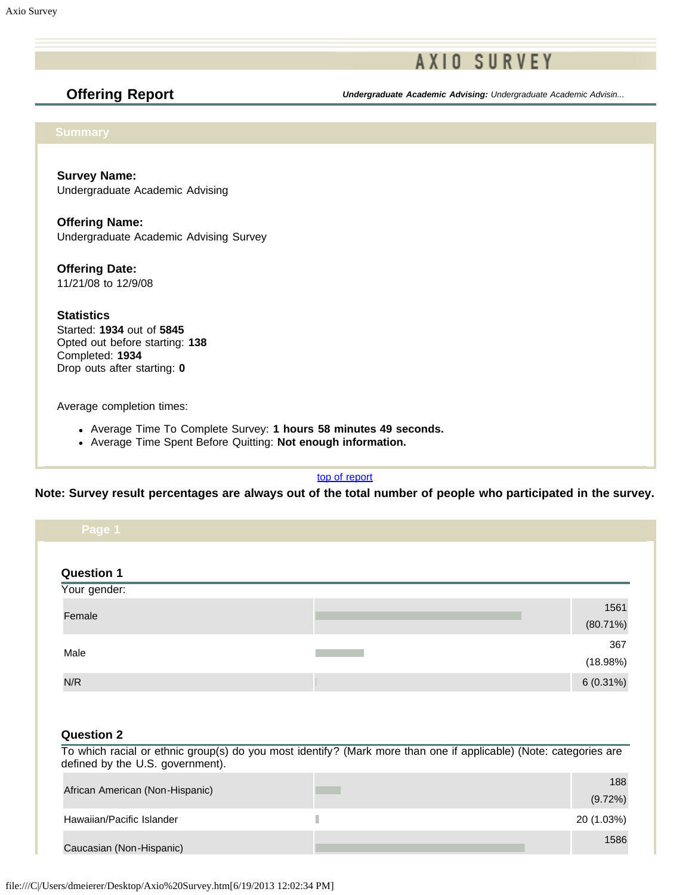**Offering Report** *Undergraduate Academic Advising: Undergraduate Academic Advisin...*

**Survey Name:** Undergraduate Academic Advising

**Offering Name:** Undergraduate Academic Advising Survey

**Offering Date:** 11/21/08 to 12/9/08

**Statistics** Started: **1934** out of **5845** Opted out before starting: **138** Completed: **1934** Drop outs after starting: **0**

Average completion times:

- Average Time To Complete Survey: **1 hours 58 minutes 49 seconds.**
- Average Time Spent Before Quitting: **Not enough information.**

[top of report](https://online.ksu.edu/Survey/PublicReport?offeringId=93416#top)

**Note: Survey result percentages are always out of the total number of people who participated in the survey.**

| <b>Question 1</b><br>Your gender:                                                                                     |                                                                                                                   |                     |
|-----------------------------------------------------------------------------------------------------------------------|-------------------------------------------------------------------------------------------------------------------|---------------------|
| Female                                                                                                                |                                                                                                                   | 1561<br>$(80.71\%)$ |
| Male                                                                                                                  |                                                                                                                   | 367<br>(18.98%)     |
| N/R                                                                                                                   |                                                                                                                   | $6(0.31\%)$         |
|                                                                                                                       |                                                                                                                   |                     |
|                                                                                                                       | To which racial or ethnic group(s) do you most identify? (Mark more than one if applicable) (Note: categories are |                     |
|                                                                                                                       |                                                                                                                   | 188<br>(9.72%)      |
| <b>Question 2</b><br>defined by the U.S. government).<br>African American (Non-Hispanic)<br>Hawaiian/Pacific Islander | П                                                                                                                 | 20 (1.03%)          |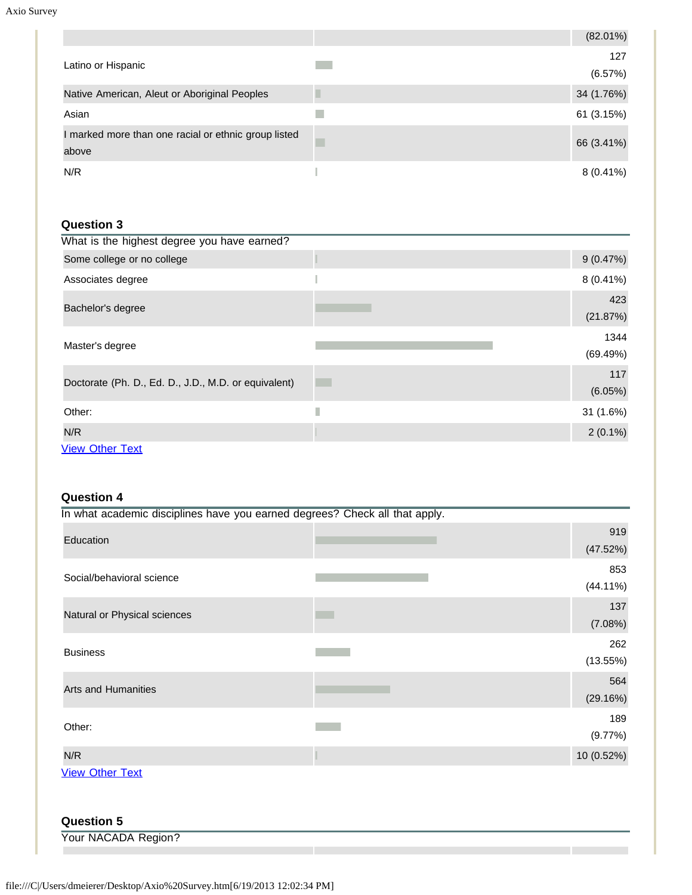|                                                               | $(82.01\%)$    |
|---------------------------------------------------------------|----------------|
| Latino or Hispanic                                            | 127<br>(6.57%) |
| Native American, Aleut or Aboriginal Peoples                  | 34 (1.76%)     |
| Asian                                                         | 61 (3.15%)     |
| I marked more than one racial or ethnic group listed<br>above | 66 (3.41%)     |
| N/R                                                           | $8(0.41\%)$    |

# **Question 3**

| What is the highest degree you have earned?          |   |                  |
|------------------------------------------------------|---|------------------|
| Some college or no college                           |   | 9(0.47%)         |
| Associates degree                                    |   | $8(0.41\%)$      |
| Bachelor's degree                                    |   | 423<br>(21.87%)  |
| Master's degree                                      |   | 1344<br>(69.49%) |
| Doctorate (Ph. D., Ed. D., J.D., M.D. or equivalent) |   | 117<br>(6.05%)   |
| Other:                                               | Г | 31 (1.6%)        |
| N/R                                                  |   | $2(0.1\%)$       |
| <b>View Other Text</b>                               |   |                  |

### **Question 4**

| In what academic disciplines have you earned degrees? Check all that apply. |                    |
|-----------------------------------------------------------------------------|--------------------|
| Education                                                                   | 919<br>(47.52%)    |
| Social/behavioral science                                                   | 853<br>$(44.11\%)$ |
| Natural or Physical sciences                                                | 137<br>(7.08%)     |
| <b>Business</b>                                                             | 262<br>(13.55%)    |
| <b>Arts and Humanities</b>                                                  | 564<br>(29.16%)    |
| Other:                                                                      | 189<br>(9.77%)     |
| N/R                                                                         | 10 (0.52%)         |
| <b>View Other Text</b><br><b>Question 5</b>                                 |                    |
| Your NACADA Region?                                                         |                    |
|                                                                             |                    |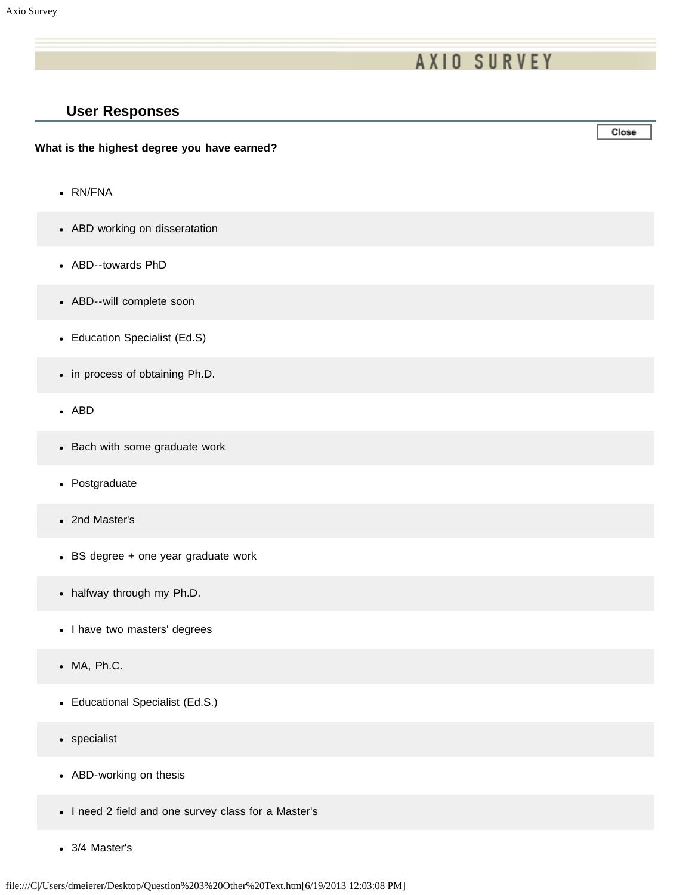## **User Responses**

#### **What is the highest degree you have earned?**

- RN/FNA
- ABD working on disseratation
- ABD--towards PhD
- ABD--will complete soon
- Education Specialist (Ed.S)
- in process of obtaining Ph.D.
- ABD
- Bach with some graduate work
- Postgraduate
- 2nd Master's
- BS degree + one year graduate work
- halfway through my Ph.D.
- I have two masters' degrees
- MA, Ph.C.
- Educational Specialist (Ed.S.)
- specialist
- ABD-working on thesis
- I need 2 field and one survey class for a Master's
- 3/4 Master's

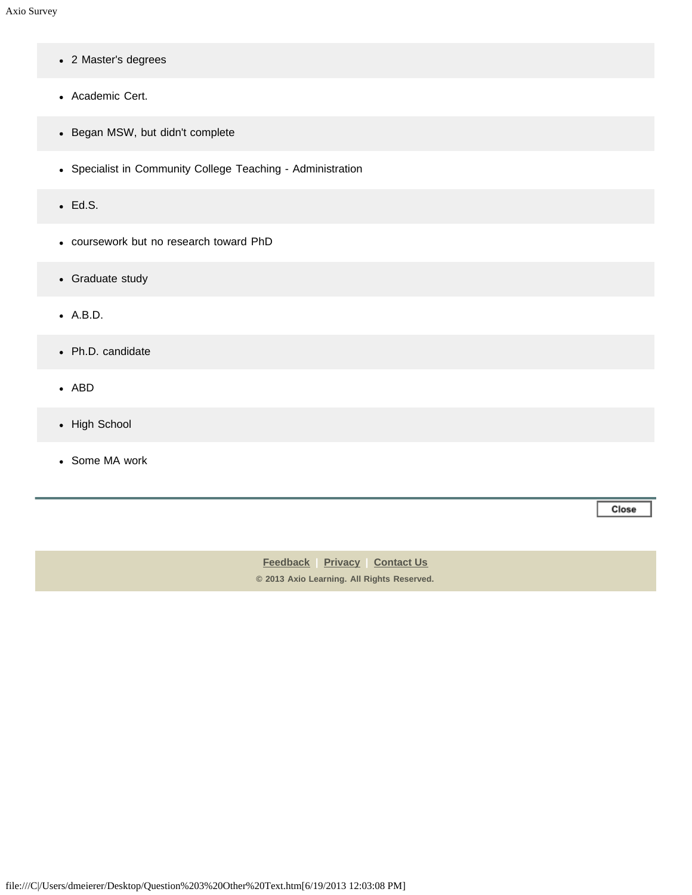- 2 Master's degrees
- Academic Cert.
- Began MSW, but didn't complete
- Specialist in Community College Teaching Administration
- Ed.S.
- coursework but no research toward PhD
- Graduate study
- A.B.D.
- Ph.D. candidate
- ABD
- High School
- Some MA work

Close

**[Feedback](https://online.ksu.edu/Survey/public/feedback.jsp) | [Privacy](https://online.ksu.edu/Survey/public/privacy.jsp) | [Contact Us](https://online.ksu.edu/Survey/public/plain_about_us.jsp) © 2013 Axio Learning. All Rights Reserved.**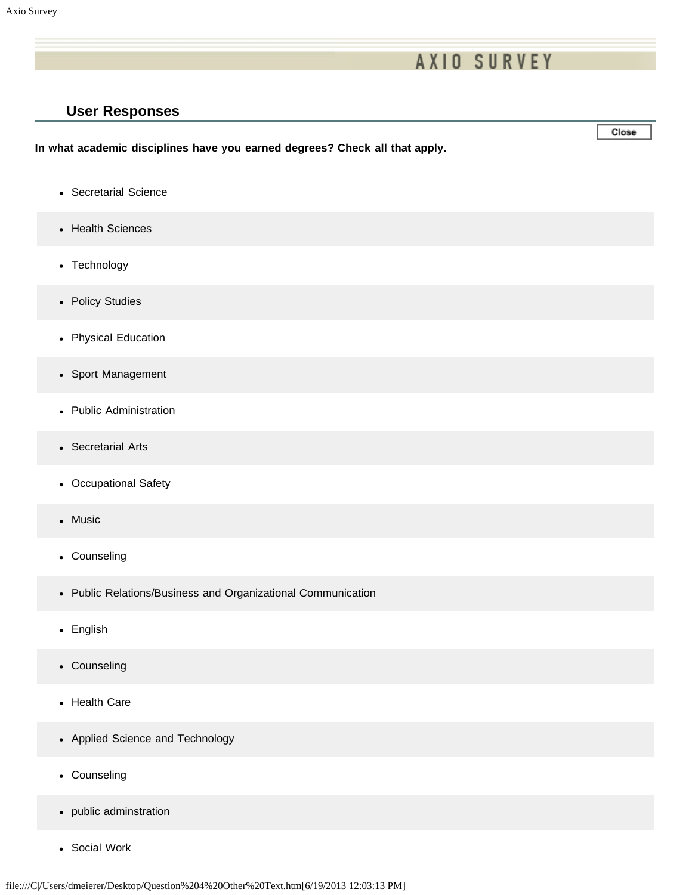## **User Responses**

**In what academic disciplines have you earned degrees? Check all that apply.**

- Secretarial Science
- Health Sciences
- Technology
- Policy Studies
- Physical Education
- Sport Management
- Public Administration
- Secretarial Arts
- Occupational Safety
- Music
- Counseling
- Public Relations/Business and Organizational Communication
- English
- Counseling
- Health Care
- Applied Science and Technology
- Counseling
- public adminstration
- Social Work

Close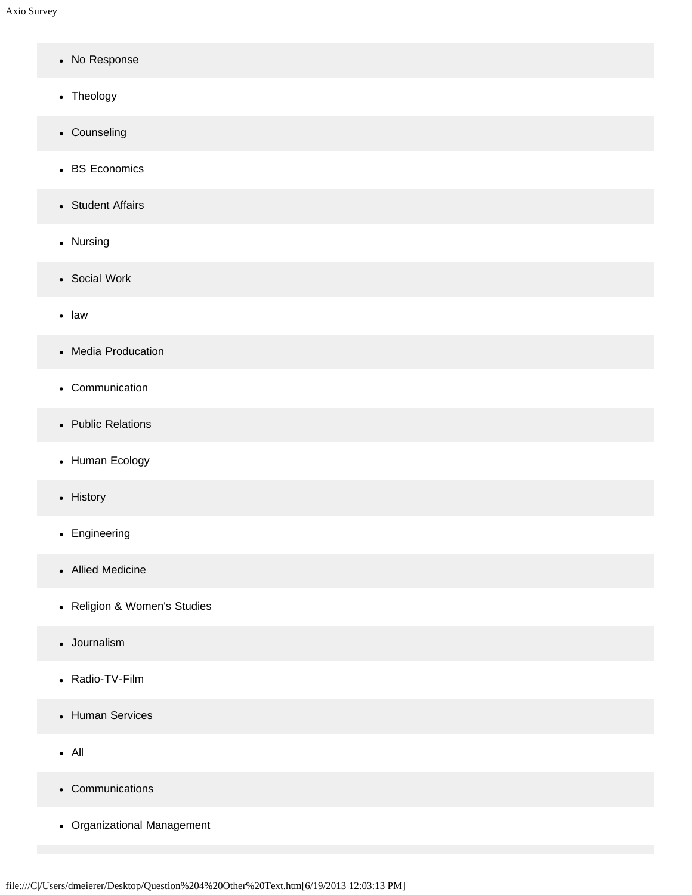- No Response
- Theology
- Counseling
- BS Economics
- Student Affairs
- Nursing
- Social Work
- law
- Media Producation
- Communication
- Public Relations
- Human Ecology
- History
- Engineering
- Allied Medicine
- Religion & Women's Studies
- Journalism
- Radio-TV-Film
- Human Services
- All
- Communications
- Organizational Management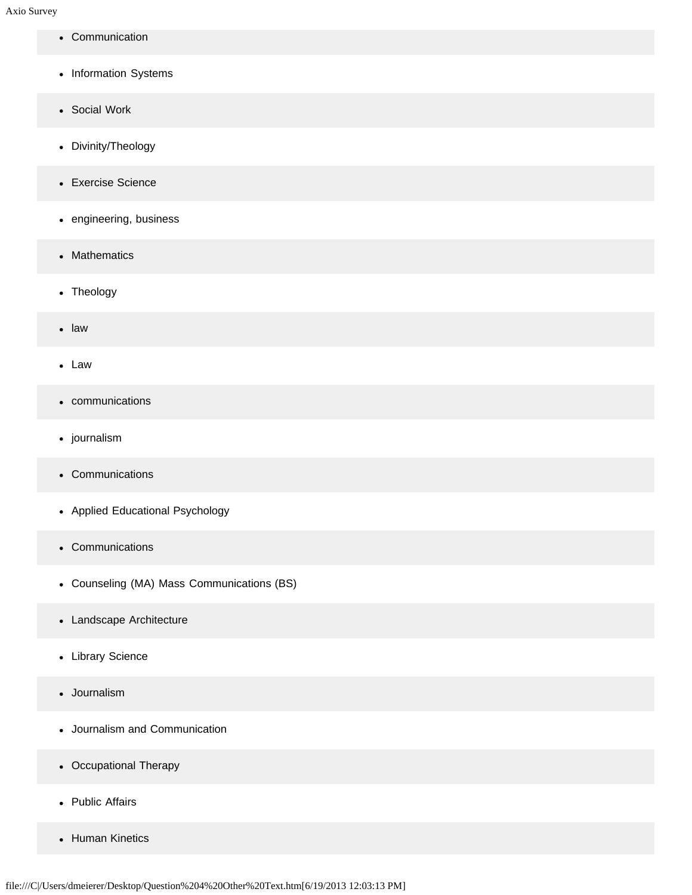- Communication
- Information Systems
- Social Work
- Divinity/Theology
- Exercise Science
- engineering, business
- Mathematics
- Theology
- law
- Law
- communications
- journalism
- Communications
- Applied Educational Psychology
- Communications
- Counseling (MA) Mass Communications (BS)
- Landscape Architecture
- Library Science
- Journalism
- Journalism and Communication
- Occupational Therapy
- Public Affairs
- Human Kinetics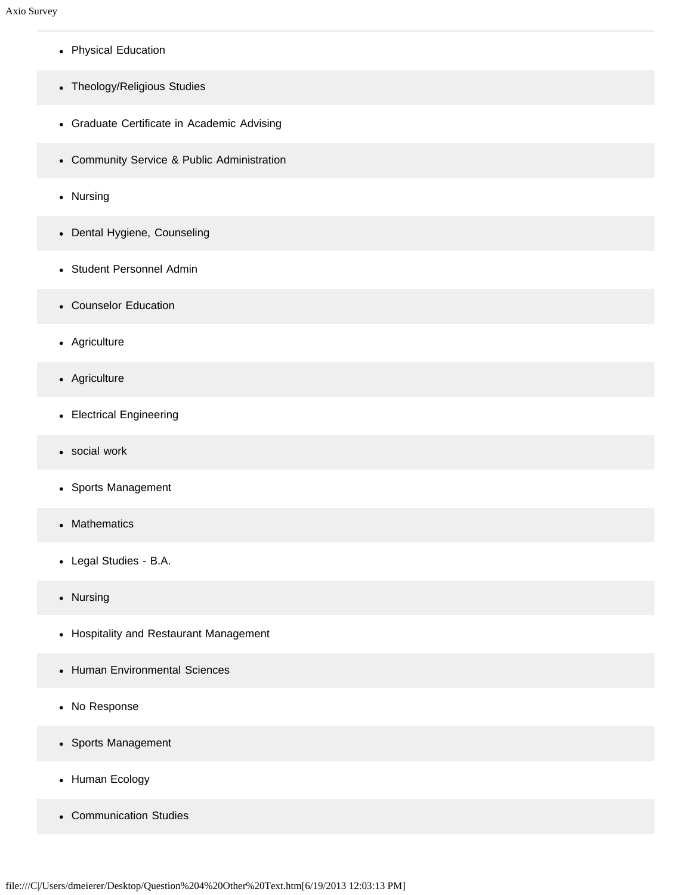- Physical Education
- Theology/Religious Studies
- Graduate Certificate in Academic Advising
- Community Service & Public Administration
- Nursing
- Dental Hygiene, Counseling
- Student Personnel Admin
- Counselor Education
- Agriculture
- Agriculture
- Electrical Engineering
- social work
- Sports Management
- Mathematics
- Legal Studies B.A.
- Nursing
- Hospitality and Restaurant Management
- Human Environmental Sciences
- No Response
- Sports Management
- Human Ecology
- Communication Studies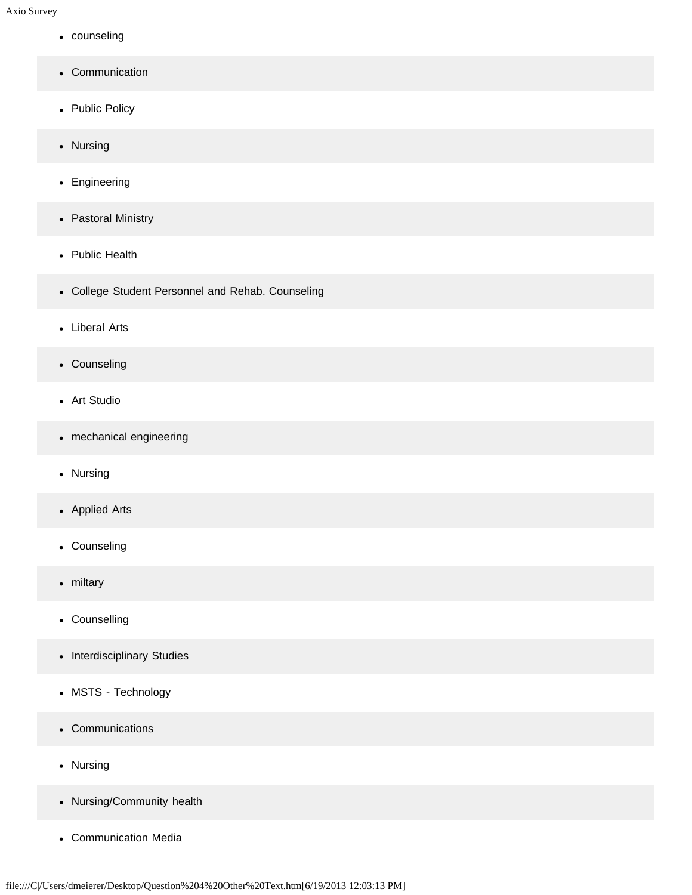- counseling
- Communication
- Public Policy
- Nursing
- Engineering
- Pastoral Ministry
- Public Health
- College Student Personnel and Rehab. Counseling
- Liberal Arts
- Counseling
- Art Studio
- mechanical engineering
- Nursing
- Applied Arts
- Counseling
- miltary
- Counselling
- Interdisciplinary Studies
- MSTS Technology
- Communications
- Nursing
- Nursing/Community health
- Communication Media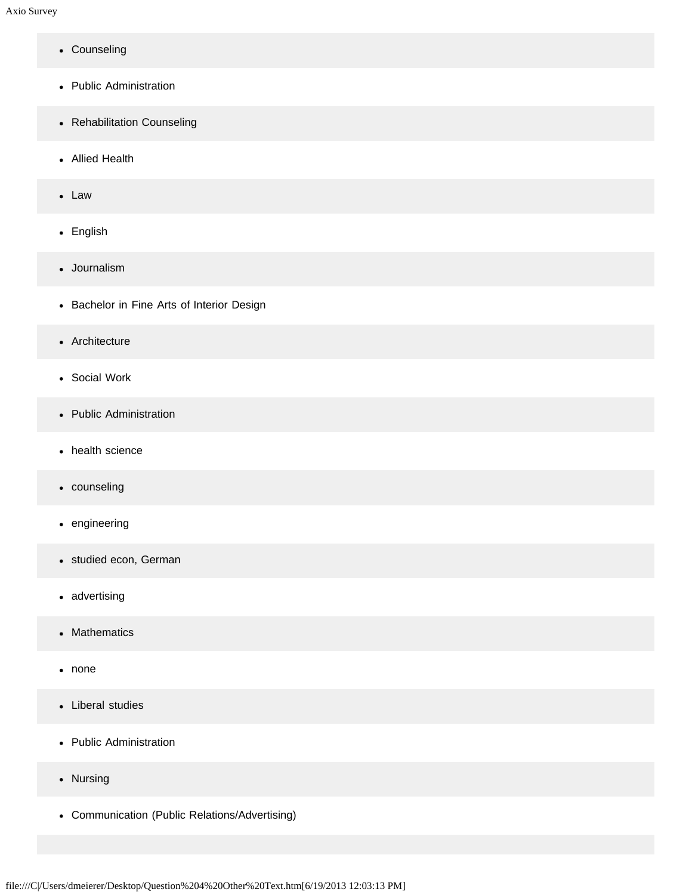- Counseling
- Public Administration
- Rehabilitation Counseling
- Allied Health
- Law
- English
- Journalism
- Bachelor in Fine Arts of Interior Design
- Architecture
- Social Work
- Public Administration
- health science
- counseling
- engineering
- studied econ, German
- advertising
- Mathematics  $\bullet$
- none
- Liberal studies
- Public Administration
- Nursing
- Communication (Public Relations/Advertising)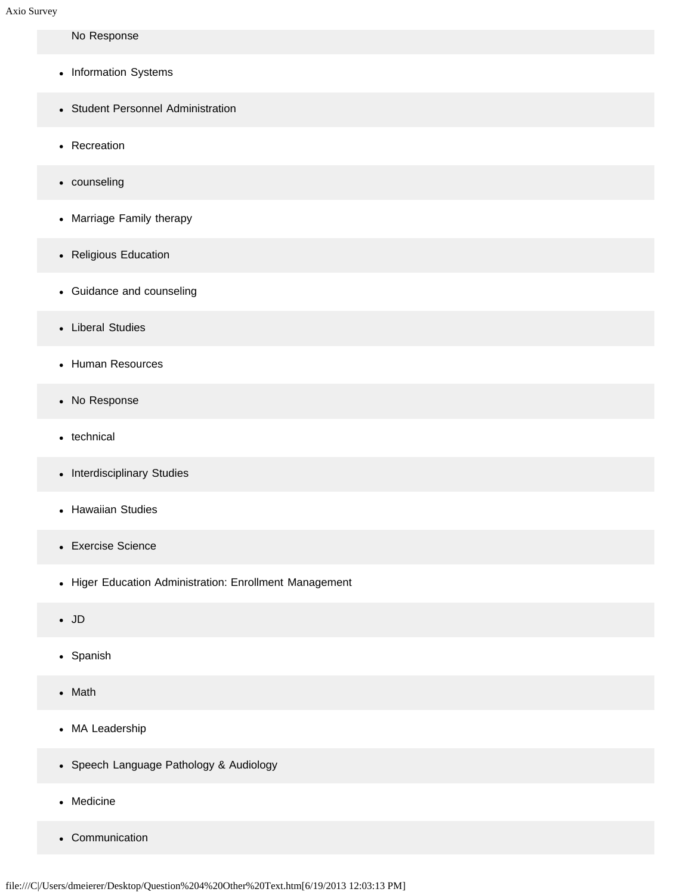### No Response

- Information Systems
- Student Personnel Administration
- Recreation
- counseling
- Marriage Family therapy
- Religious Education
- Guidance and counseling
- Liberal Studies
- Human Resources
- No Response
- technical
- Interdisciplinary Studies
- Hawaiian Studies
- Exercise Science
- Higer Education Administration: Enrollment Management
- JD
- Spanish
- Math  $\bullet$
- MA Leadership
- Speech Language Pathology & Audiology
- Medicine
- Communication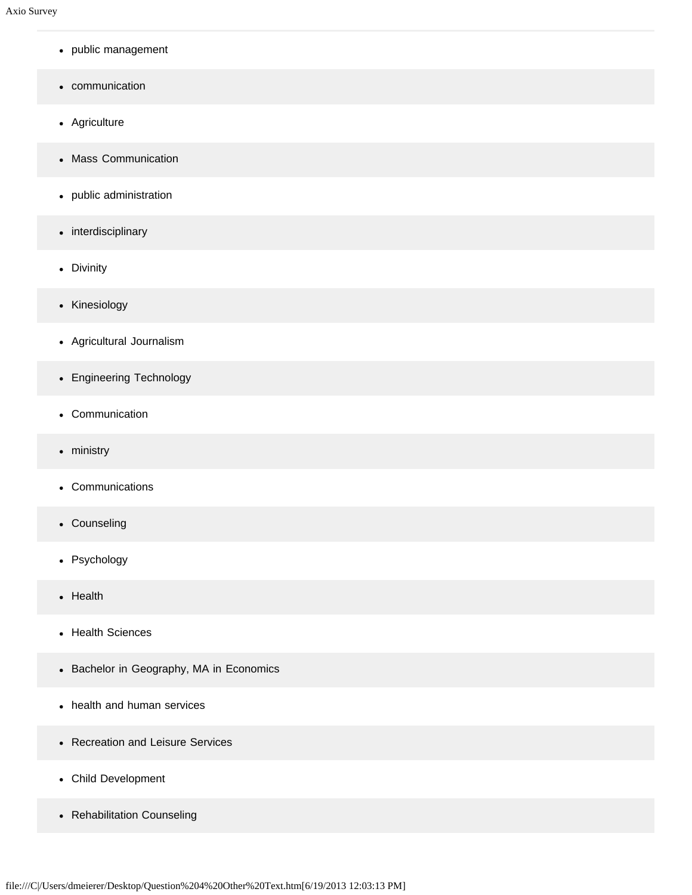- public management
- communication
- Agriculture
- Mass Communication
- public administration
- interdisciplinary
- Divinity
- Kinesiology
- Agricultural Journalism
- Engineering Technology
- Communication
- ministry
- Communications
- Counseling
- Psychology
- Health
- Health Sciences
- Bachelor in Geography, MA in Economics
- health and human services
- Recreation and Leisure Services
- Child Development
- Rehabilitation Counseling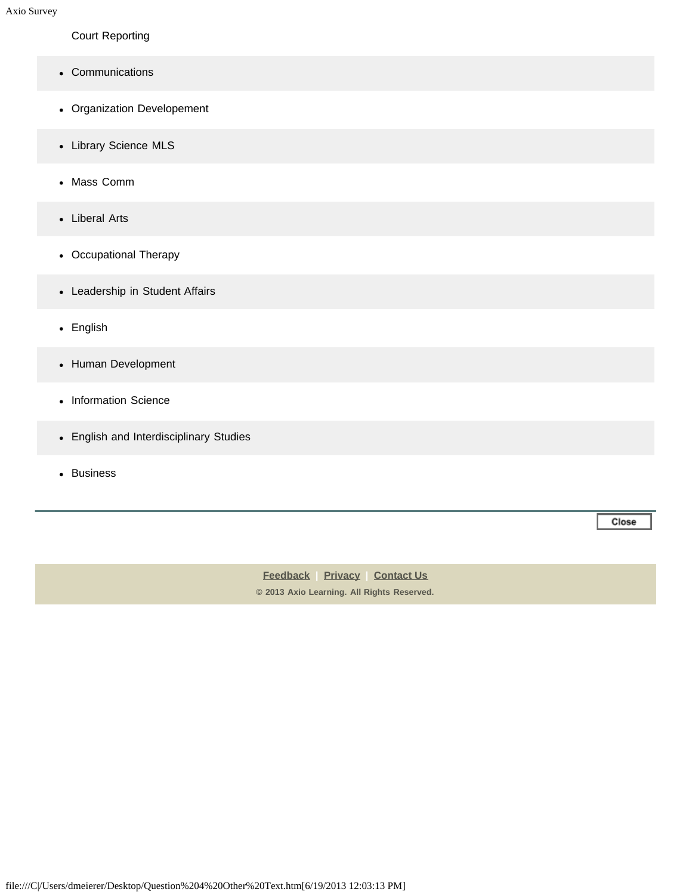Court Reporting

- Communications
- Organization Developement
- Library Science MLS
- Mass Comm
- Liberal Arts
- Occupational Therapy
- Leadership in Student Affairs
- English
- Human Development
- Information Science
- English and Interdisciplinary Studies
- Business

**[Feedback](https://online.ksu.edu/Survey/public/feedback.jsp) | [Privacy](https://online.ksu.edu/Survey/public/privacy.jsp) | [Contact Us](https://online.ksu.edu/Survey/public/plain_about_us.jsp) © 2013 Axio Learning. All Rights Reserved.** Close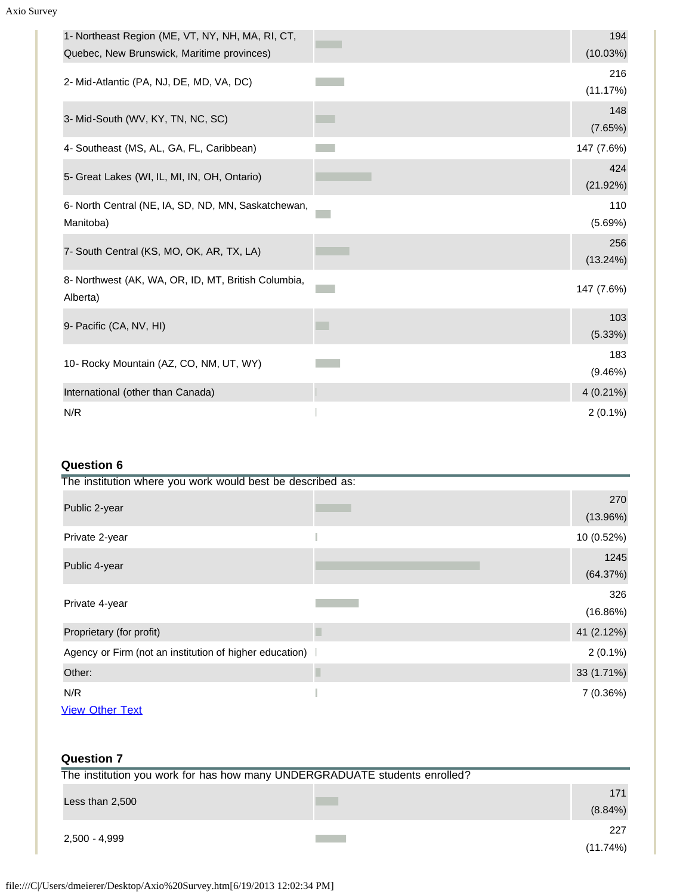| 1- Northeast Region (ME, VT, NY, NH, MA, RI, CT,<br>Quebec, New Brunswick, Maritime provinces) | 194<br>(10.03%) |
|------------------------------------------------------------------------------------------------|-----------------|
| 2- Mid-Atlantic (PA, NJ, DE, MD, VA, DC)                                                       | 216<br>(11.17%) |
| 3- Mid-South (WV, KY, TN, NC, SC)                                                              | 148<br>(7.65%)  |
| 4- Southeast (MS, AL, GA, FL, Caribbean)                                                       | 147 (7.6%)      |
| 5- Great Lakes (WI, IL, MI, IN, OH, Ontario)                                                   | 424<br>(21.92%) |
| 6- North Central (NE, IA, SD, ND, MN, Saskatchewan,<br>Manitoba)                               | 110<br>(5.69%)  |
| 7- South Central (KS, MO, OK, AR, TX, LA)                                                      | 256<br>(13.24%) |
| 8- Northwest (AK, WA, OR, ID, MT, British Columbia,<br>Alberta)                                | 147 (7.6%)      |
| 9- Pacific (CA, NV, HI)                                                                        | 103<br>(5.33%)  |
| 10- Rocky Mountain (AZ, CO, NM, UT, WY)                                                        | 183<br>(9.46%)  |
| International (other than Canada)                                                              | $4(0.21\%)$     |
| N/R                                                                                            | $2(0.1\%)$      |

# **Question 6**

| The institution where you work would best be described as: |                  |
|------------------------------------------------------------|------------------|
| Public 2-year                                              | 270<br>(13.96%)  |
| Private 2-year                                             | 10 (0.52%)       |
| Public 4-year                                              | 1245<br>(64.37%) |
| Private 4-year                                             | 326<br>(16.86%)  |
| Proprietary (for profit)                                   | 41 (2.12%)       |
| Agency or Firm (not an institution of higher education)    | $2(0.1\%)$       |
| Other:                                                     | 33 (1.71%)       |
| N/R<br><b>View Other Text</b>                              | 7 (0.36%)        |

| <b>Question 7</b>                                                          |                   |
|----------------------------------------------------------------------------|-------------------|
| The institution you work for has how many UNDERGRADUATE students enrolled? |                   |
| Less than $2,500$                                                          | 171<br>$(8.84\%)$ |
| 2,500 - 4,999                                                              | 227<br>(11.74%)   |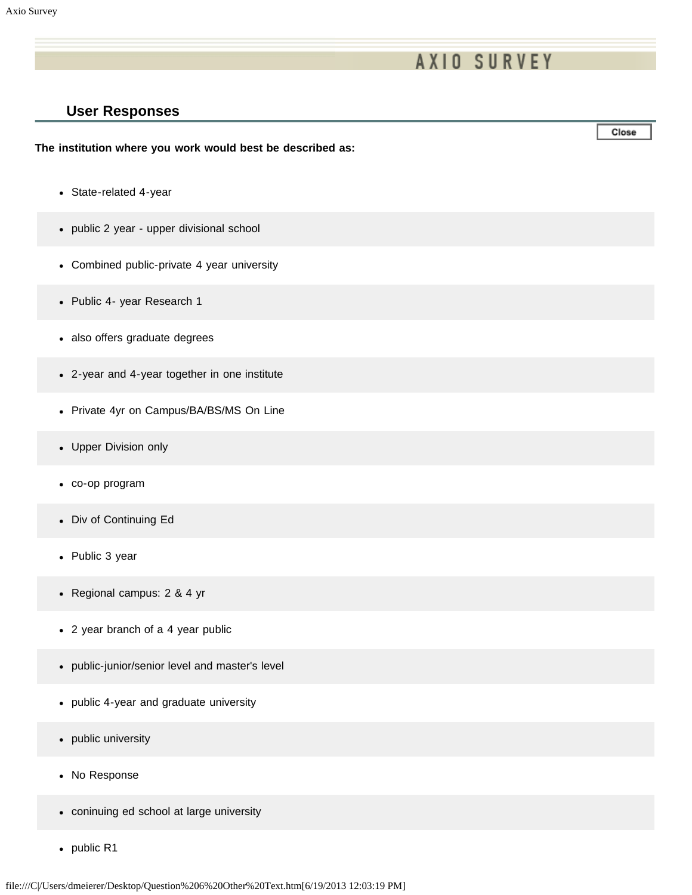# **User Responses**

#### **The institution where you work would best be described as:**

- State-related 4-year
- public 2 year upper divisional school
- Combined public-private 4 year university
- Public 4- year Research 1
- also offers graduate degrees
- 2-year and 4-year together in one institute
- Private 4yr on Campus/BA/BS/MS On Line
- Upper Division only
- co-op program
- Div of Continuing Ed
- Public 3 year
- Regional campus: 2 & 4 yr
- 2 year branch of a 4 year public
- public-junior/senior level and master's level
- public 4-year and graduate university
- public university  $\bullet$
- No Response
- coninuing ed school at large university
- public R1

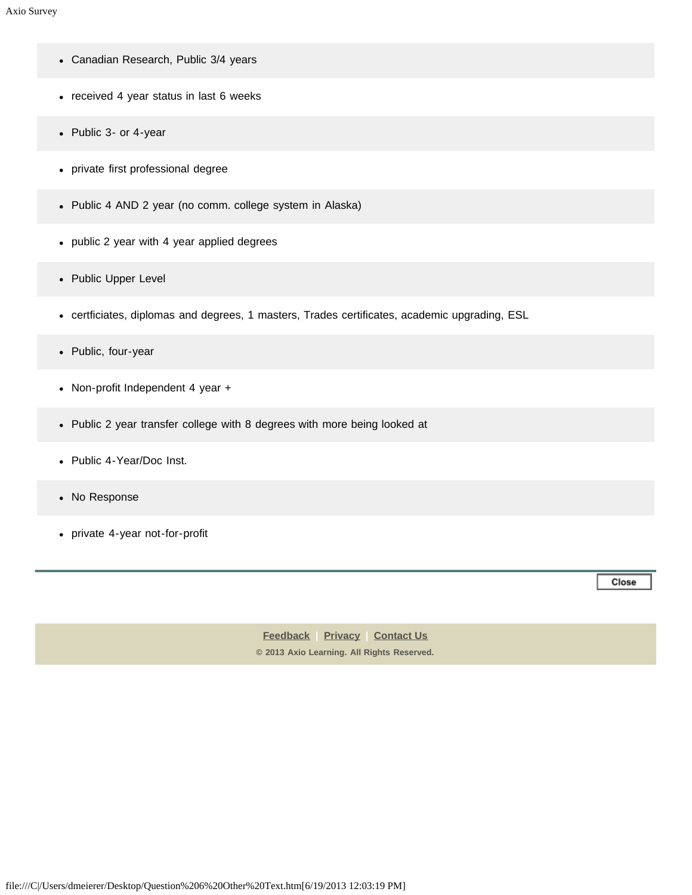- Canadian Research, Public 3/4 years
- received 4 year status in last 6 weeks
- Public 3- or 4-year
- private first professional degree
- Public 4 AND 2 year (no comm. college system in Alaska)
- public 2 year with 4 year applied degrees
- Public Upper Level
- certficiates, diplomas and degrees, 1 masters, Trades certificates, academic upgrading, ESL
- Public, four-year
- Non-profit Independent 4 year +
- Public 2 year transfer college with 8 degrees with more being looked at
- Public 4-Year/Doc Inst.
- No Response
- private 4-year not-for-profit

Close

**[Feedback](https://online.ksu.edu/Survey/public/feedback.jsp) | [Privacy](https://online.ksu.edu/Survey/public/privacy.jsp) | [Contact Us](https://online.ksu.edu/Survey/public/plain_about_us.jsp) © 2013 Axio Learning. All Rights Reserved.**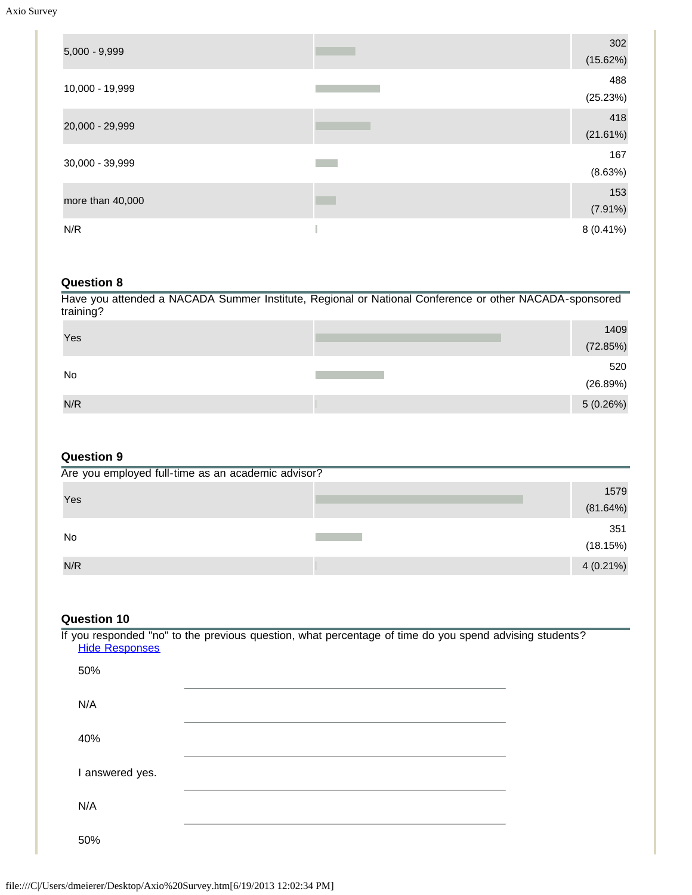| $5,000 - 9,999$  | 302         |
|------------------|-------------|
|                  | (15.62%)    |
|                  | 488         |
| 10,000 - 19,999  | (25.23%)    |
| 20,000 - 29,999  | 418         |
|                  | (21.61%)    |
| 30,000 - 39,999  | 167         |
|                  | (8.63%)     |
|                  | 153         |
| more than 40,000 | $(7.91\%)$  |
| N/R              | $8(0.41\%)$ |
|                  |             |

#### **Question 8**

Have you attended a NACADA Summer Institute, Regional or National Conference or other NACADA-sponsored training?

| Yes | 1409      |
|-----|-----------|
|     | (72.85%)  |
| No  | 520       |
|     | (26.89%)  |
| N/R | 5 (0.26%) |

## **Question 9**

| Are you employed full-time as an academic advisor? |  |             |
|----------------------------------------------------|--|-------------|
|                                                    |  | 1579        |
| Yes                                                |  | (81.64%)    |
| <b>No</b>                                          |  | 351         |
|                                                    |  | (18.15%)    |
| N/R                                                |  | $4(0.21\%)$ |

### **Question 10**

If you responded "no" to the previous question, what percentage of time do you spend advising students? [Hide Responses](javascript:showHideResponses(428918);) 50% N/A 40% I answered yes. N/A 50%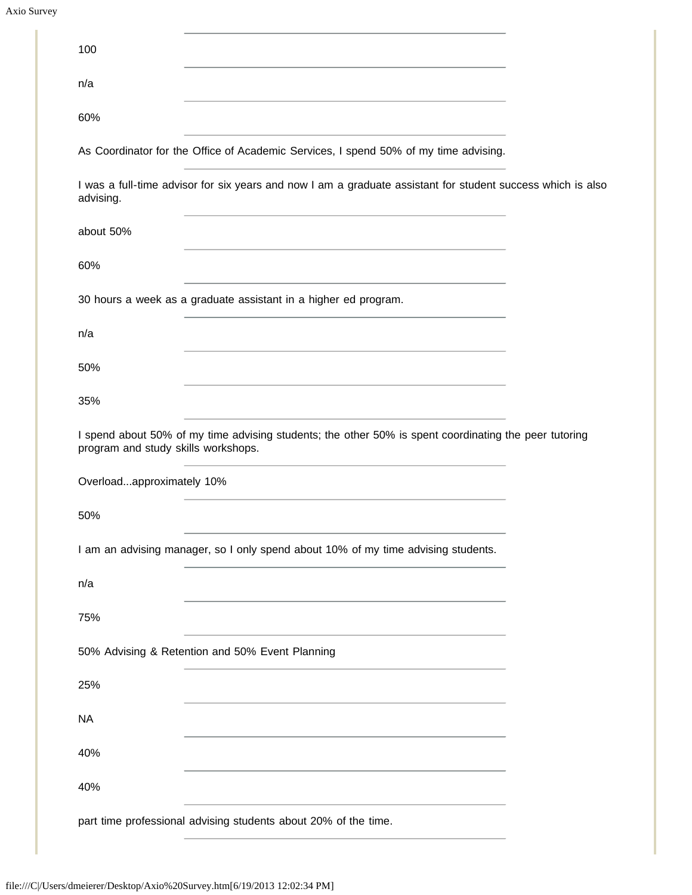| 100                                                                                                                                                                            |
|--------------------------------------------------------------------------------------------------------------------------------------------------------------------------------|
| n/a                                                                                                                                                                            |
| 60%                                                                                                                                                                            |
| As Coordinator for the Office of Academic Services, I spend 50% of my time advising.                                                                                           |
| I was a full-time advisor for six years and now I am a graduate assistant for student success which is also<br>advising.                                                       |
| about 50%<br>the control of the control of the control of the control of the control of the control of                                                                         |
| 60%                                                                                                                                                                            |
| 30 hours a week as a graduate assistant in a higher ed program.                                                                                                                |
| n/a                                                                                                                                                                            |
| 50%                                                                                                                                                                            |
| 35%                                                                                                                                                                            |
| I spend about 50% of my time advising students; the other 50% is spent coordinating the peer tutoring<br>program and study skills workshops.                                   |
| Overloadapproximately 10%                                                                                                                                                      |
| 50%                                                                                                                                                                            |
| the control of the control of the control of the control of the control of the control of<br>I am an advising manager, so I only spend about 10% of my time advising students. |
| n/a                                                                                                                                                                            |
| 75%                                                                                                                                                                            |
| 50% Advising & Retention and 50% Event Planning                                                                                                                                |
| 25%                                                                                                                                                                            |
| <b>NA</b>                                                                                                                                                                      |
| 40%                                                                                                                                                                            |
| 40%                                                                                                                                                                            |
| part time professional advising students about 20% of the time.                                                                                                                |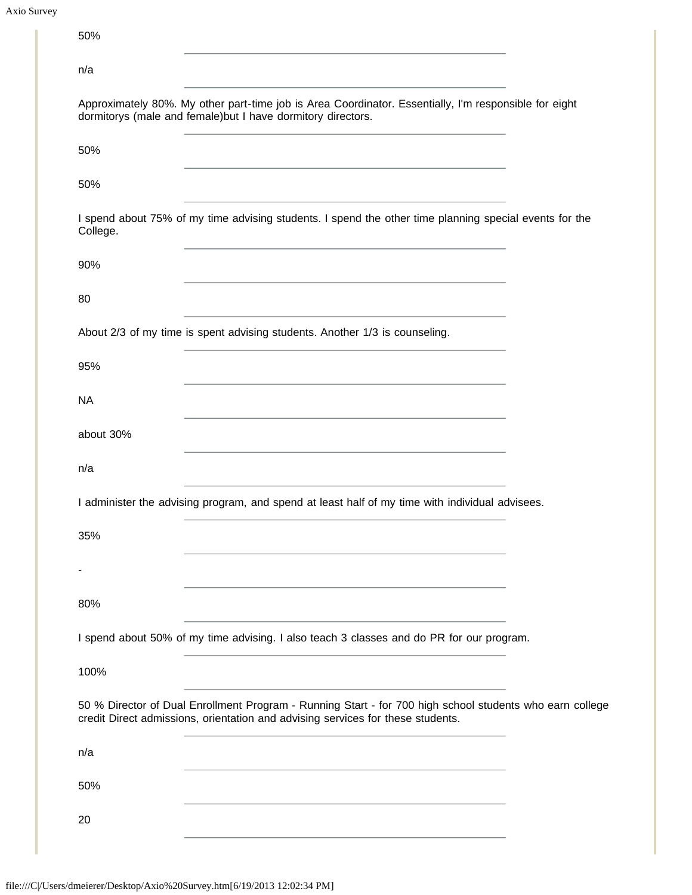```
Axio Survey
```

| 50%<br><u> 1980 - Johann Stein, marwolaethau a bhann an t-Amhair an t-Amhair an t-Amhair an t-Amhair an t-Amhair an t-A</u>                                                                                                                         |  |
|-----------------------------------------------------------------------------------------------------------------------------------------------------------------------------------------------------------------------------------------------------|--|
| n/a                                                                                                                                                                                                                                                 |  |
| Approximately 80%. My other part-time job is Area Coordinator. Essentially, I'm responsible for eight<br>dormitorys (male and female) but I have dormitory directors.<br>the control of the control of the control of the control of the control of |  |
| 50%                                                                                                                                                                                                                                                 |  |
| 50%<br><u> 1980 - Johann Barbara, martxa alemaniar a</u>                                                                                                                                                                                            |  |
| I spend about 75% of my time advising students. I spend the other time planning special events for the<br>College.                                                                                                                                  |  |
| 90%<br>the control of the control of the control of the control of the control of the control of                                                                                                                                                    |  |
| 80                                                                                                                                                                                                                                                  |  |
| About 2/3 of my time is spent advising students. Another 1/3 is counseling.                                                                                                                                                                         |  |
| 95%                                                                                                                                                                                                                                                 |  |
| <b>NA</b>                                                                                                                                                                                                                                           |  |
| about 30%                                                                                                                                                                                                                                           |  |
| n/a                                                                                                                                                                                                                                                 |  |
| I administer the advising program, and spend at least half of my time with individual advisees.                                                                                                                                                     |  |
| 35%                                                                                                                                                                                                                                                 |  |
|                                                                                                                                                                                                                                                     |  |
| 80%                                                                                                                                                                                                                                                 |  |
| I spend about 50% of my time advising. I also teach 3 classes and do PR for our program.                                                                                                                                                            |  |
| 100%                                                                                                                                                                                                                                                |  |
| 50 % Director of Dual Enrollment Program - Running Start - for 700 high school students who earn college<br>credit Direct admissions, orientation and advising services for these students.                                                         |  |
| n/a                                                                                                                                                                                                                                                 |  |
| 50%                                                                                                                                                                                                                                                 |  |
| 20                                                                                                                                                                                                                                                  |  |
|                                                                                                                                                                                                                                                     |  |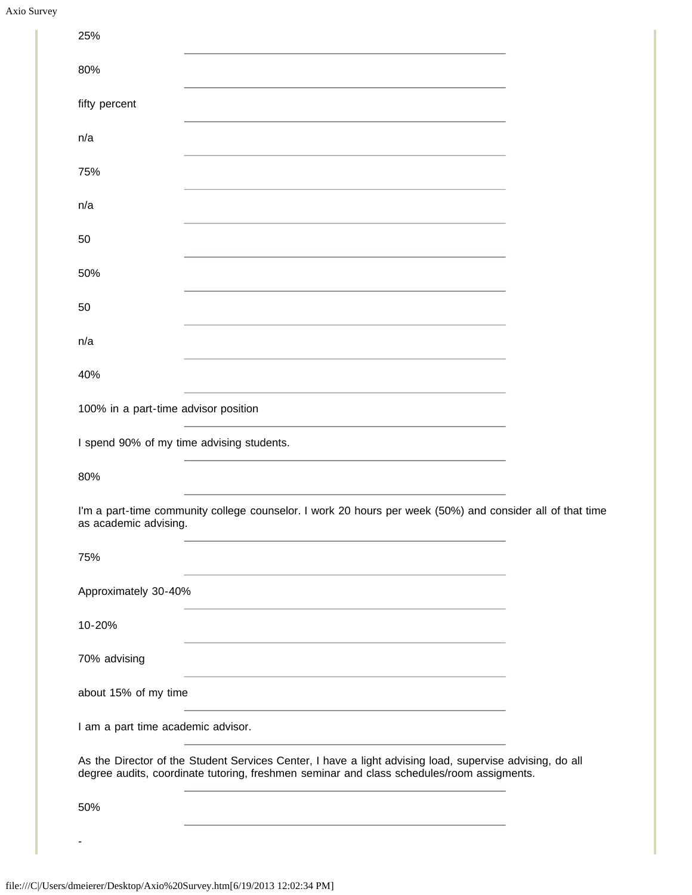| 25%                                       |                                                                                                                                                                                                       |  |
|-------------------------------------------|-------------------------------------------------------------------------------------------------------------------------------------------------------------------------------------------------------|--|
| 80%                                       |                                                                                                                                                                                                       |  |
| fifty percent                             |                                                                                                                                                                                                       |  |
| n/a                                       |                                                                                                                                                                                                       |  |
| 75%                                       |                                                                                                                                                                                                       |  |
| n/a                                       |                                                                                                                                                                                                       |  |
| 50                                        |                                                                                                                                                                                                       |  |
| 50%                                       |                                                                                                                                                                                                       |  |
| 50                                        |                                                                                                                                                                                                       |  |
| n/a                                       |                                                                                                                                                                                                       |  |
| 40%                                       |                                                                                                                                                                                                       |  |
| 100% in a part-time advisor position      |                                                                                                                                                                                                       |  |
| I spend 90% of my time advising students. |                                                                                                                                                                                                       |  |
| 80%                                       |                                                                                                                                                                                                       |  |
| as academic advising.                     | I'm a part-time community college counselor. I work 20 hours per week (50%) and consider all of that time                                                                                             |  |
| 75%                                       |                                                                                                                                                                                                       |  |
| Approximately 30-40%                      |                                                                                                                                                                                                       |  |
| 10-20%                                    | and the control of the control of the control of the control of the control of the control of the control of the                                                                                      |  |
| 70% advising                              |                                                                                                                                                                                                       |  |
| about 15% of my time                      |                                                                                                                                                                                                       |  |
| I am a part time academic advisor.        |                                                                                                                                                                                                       |  |
|                                           | As the Director of the Student Services Center, I have a light advising load, supervise advising, do all<br>degree audits, coordinate tutoring, freshmen seminar and class schedules/room assigments. |  |
| 50%                                       |                                                                                                                                                                                                       |  |
|                                           |                                                                                                                                                                                                       |  |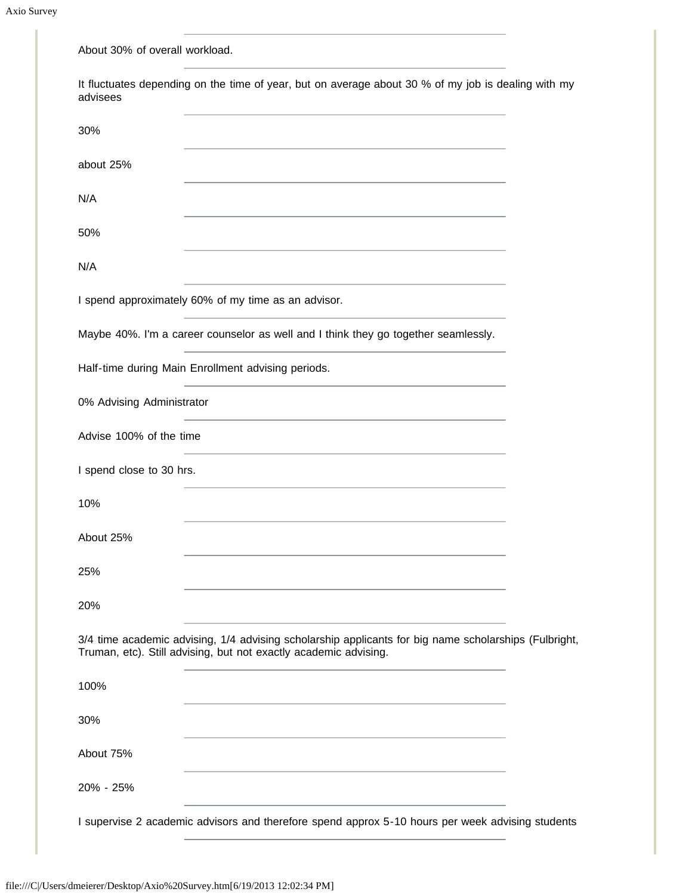| About 30% of overall workload.                                                                                                                                            |
|---------------------------------------------------------------------------------------------------------------------------------------------------------------------------|
| It fluctuates depending on the time of year, but on average about 30 % of my job is dealing with my<br>advisees                                                           |
| 30%                                                                                                                                                                       |
| about 25%                                                                                                                                                                 |
| N/A                                                                                                                                                                       |
| 50%                                                                                                                                                                       |
| N/A                                                                                                                                                                       |
| I spend approximately 60% of my time as an advisor.                                                                                                                       |
| Maybe 40%. I'm a career counselor as well and I think they go together seamlessly.                                                                                        |
| Half-time during Main Enrollment advising periods.                                                                                                                        |
| 0% Advising Administrator                                                                                                                                                 |
| Advise 100% of the time                                                                                                                                                   |
| I spend close to 30 hrs.                                                                                                                                                  |
| 10%                                                                                                                                                                       |
| About 25%                                                                                                                                                                 |
| 25%                                                                                                                                                                       |
| 20%                                                                                                                                                                       |
| 3/4 time academic advising, 1/4 advising scholarship applicants for big name scholarships (Fulbright,<br>Truman, etc). Still advising, but not exactly academic advising. |
| 100%                                                                                                                                                                      |
| 30%                                                                                                                                                                       |
| About 75%                                                                                                                                                                 |
| 20% - 25%                                                                                                                                                                 |
| I supervise 2 academic advisors and therefore spend approx 5-10 hours per week advising students                                                                          |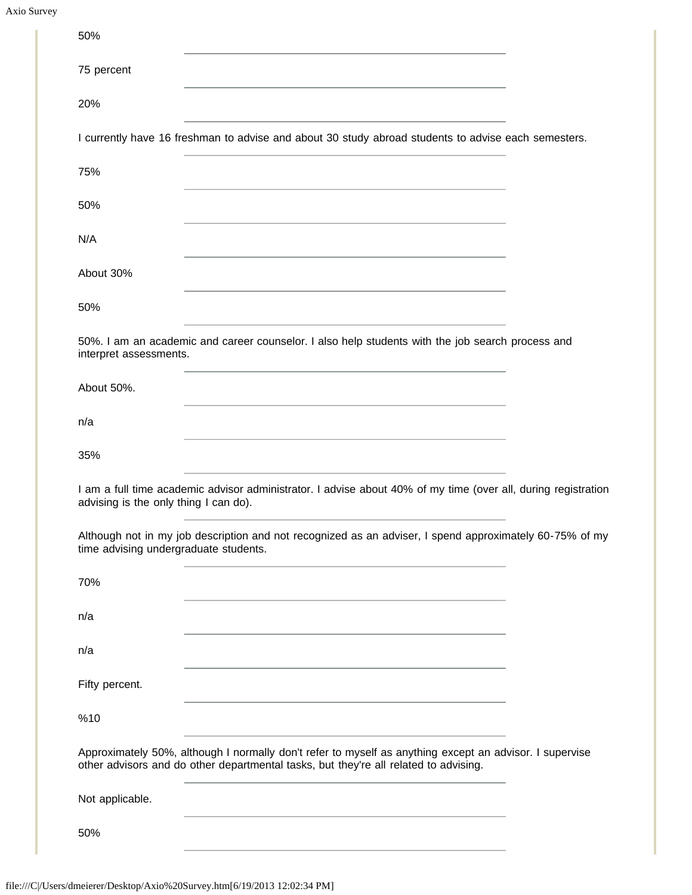| 50%                                                                                                                                                                                                                                  |  |
|--------------------------------------------------------------------------------------------------------------------------------------------------------------------------------------------------------------------------------------|--|
| 75 percent                                                                                                                                                                                                                           |  |
| 20%                                                                                                                                                                                                                                  |  |
| I currently have 16 freshman to advise and about 30 study abroad students to advise each semesters.                                                                                                                                  |  |
| 75%                                                                                                                                                                                                                                  |  |
| 50%                                                                                                                                                                                                                                  |  |
| N/A                                                                                                                                                                                                                                  |  |
| About 30%                                                                                                                                                                                                                            |  |
| 50%                                                                                                                                                                                                                                  |  |
| 50%. I am an academic and career counselor. I also help students with the job search process and<br>interpret assessments.                                                                                                           |  |
| About 50%.                                                                                                                                                                                                                           |  |
| n/a<br>the control of the control of the control of the control of the control of the control of the control of the control of the control of the control of the control of the control of the control of the control of the control |  |
| 35%                                                                                                                                                                                                                                  |  |
| I am a full time academic advisor administrator. I advise about 40% of my time (over all, during registration<br>advising is the only thing I can do).                                                                               |  |
| Although not in my job description and not recognized as an adviser, I spend approximately 60-75% of my<br>time advising undergraduate students.                                                                                     |  |
| 70%<br>the control of the control of the control of the control of the control of the control of                                                                                                                                     |  |
| n/a                                                                                                                                                                                                                                  |  |
| n/a<br>the control of the control of the control of the control of the control of the control of                                                                                                                                     |  |
| Fifty percent.                                                                                                                                                                                                                       |  |
| %10                                                                                                                                                                                                                                  |  |
| Approximately 50%, although I normally don't refer to myself as anything except an advisor. I supervise<br>other advisors and do other departmental tasks, but they're all related to advising.                                      |  |
| Not applicable.                                                                                                                                                                                                                      |  |
| 50%                                                                                                                                                                                                                                  |  |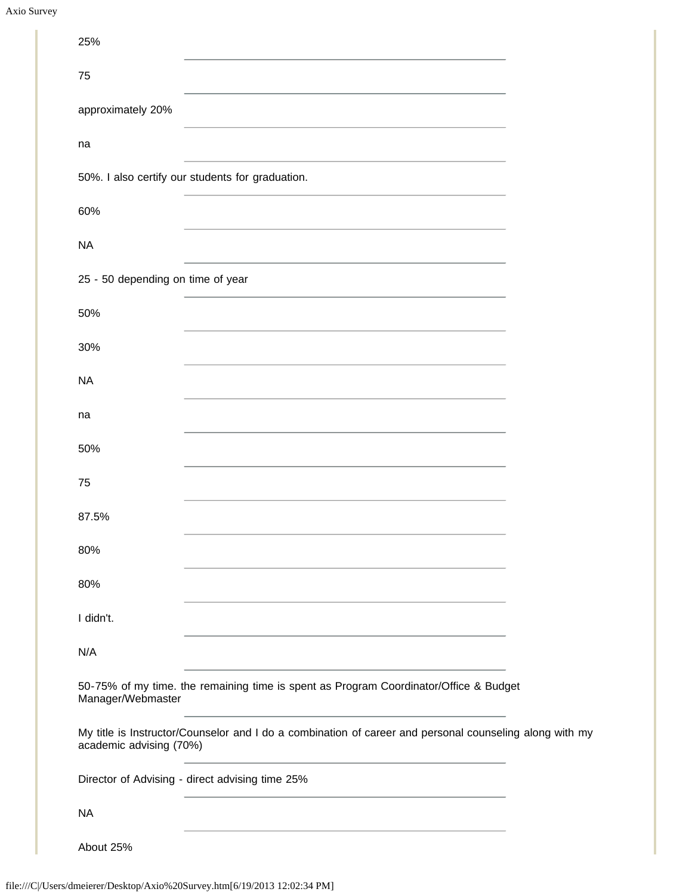| 25%                               |                                                                                                                                                                                    |  |
|-----------------------------------|------------------------------------------------------------------------------------------------------------------------------------------------------------------------------------|--|
| 75                                |                                                                                                                                                                                    |  |
| approximately 20%                 |                                                                                                                                                                                    |  |
| na                                |                                                                                                                                                                                    |  |
|                                   | 50%. I also certify our students for graduation.                                                                                                                                   |  |
| 60%                               |                                                                                                                                                                                    |  |
| <b>NA</b>                         | <u> 1989 - Johann Barn, mars an t-Amerikaansk politiker (</u>                                                                                                                      |  |
| 25 - 50 depending on time of year |                                                                                                                                                                                    |  |
| 50%                               |                                                                                                                                                                                    |  |
| 30%                               |                                                                                                                                                                                    |  |
| <b>NA</b>                         |                                                                                                                                                                                    |  |
| na                                |                                                                                                                                                                                    |  |
| 50%                               |                                                                                                                                                                                    |  |
| 75                                |                                                                                                                                                                                    |  |
| 87.5%                             |                                                                                                                                                                                    |  |
| 80%                               | <u> 1980 - Johann Barbara, martxa alemaniar amerikan a</u>                                                                                                                         |  |
| 80%                               |                                                                                                                                                                                    |  |
| I didn't.                         | <u> 1980 - Andrea Station Barbara, actor a component de la componentación de la componentación de la componentaci</u>                                                              |  |
| N/A                               |                                                                                                                                                                                    |  |
| Manager/Webmaster                 | 50-75% of my time. the remaining time is spent as Program Coordinator/Office & Budget<br>the control of the control of the control of the control of the control of the control of |  |
| academic advising (70%)           | My title is Instructor/Counselor and I do a combination of career and personal counseling along with my                                                                            |  |
|                                   | Director of Advising - direct advising time 25%                                                                                                                                    |  |
| <b>NA</b>                         |                                                                                                                                                                                    |  |
| About 25%                         |                                                                                                                                                                                    |  |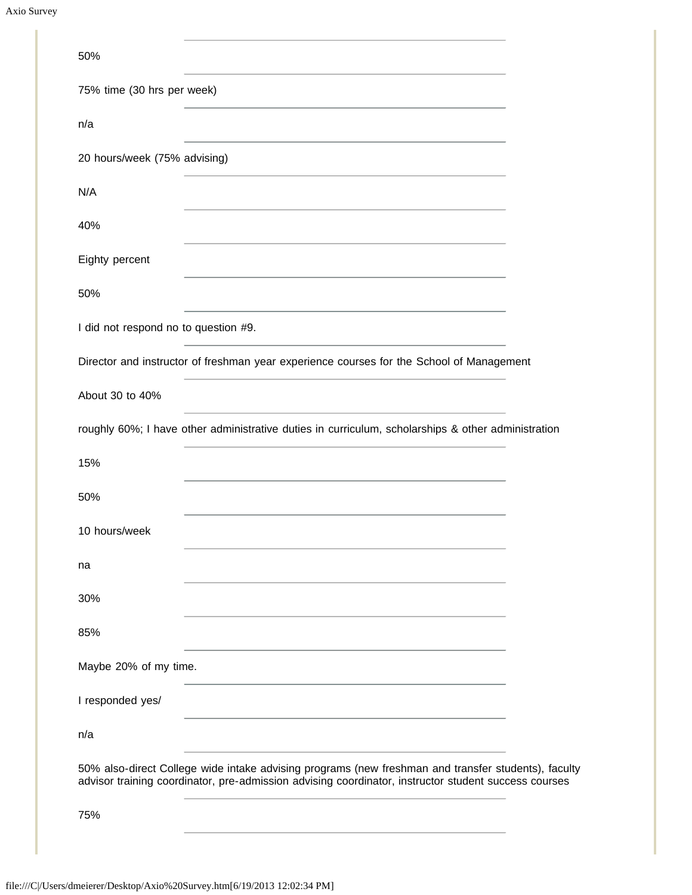| 50%                                                                                                                                                                                                         |  |
|-------------------------------------------------------------------------------------------------------------------------------------------------------------------------------------------------------------|--|
| 75% time (30 hrs per week)                                                                                                                                                                                  |  |
| n/a                                                                                                                                                                                                         |  |
| 20 hours/week (75% advising)                                                                                                                                                                                |  |
| N/A                                                                                                                                                                                                         |  |
| 40%                                                                                                                                                                                                         |  |
| Eighty percent                                                                                                                                                                                              |  |
| 50%                                                                                                                                                                                                         |  |
| I did not respond no to question #9.                                                                                                                                                                        |  |
| Director and instructor of freshman year experience courses for the School of Management                                                                                                                    |  |
| About 30 to 40%                                                                                                                                                                                             |  |
| roughly 60%; I have other administrative duties in curriculum, scholarships & other administration                                                                                                          |  |
| 15%                                                                                                                                                                                                         |  |
| 50%                                                                                                                                                                                                         |  |
| 10 hours/week                                                                                                                                                                                               |  |
| na                                                                                                                                                                                                          |  |
| 30%                                                                                                                                                                                                         |  |
| 85%                                                                                                                                                                                                         |  |
| Maybe 20% of my time.                                                                                                                                                                                       |  |
| I responded yes/                                                                                                                                                                                            |  |
| n/a                                                                                                                                                                                                         |  |
| 50% also-direct College wide intake advising programs (new freshman and transfer students), faculty<br>advisor training coordinator, pre-admission advising coordinator, instructor student success courses |  |
| 75%                                                                                                                                                                                                         |  |
|                                                                                                                                                                                                             |  |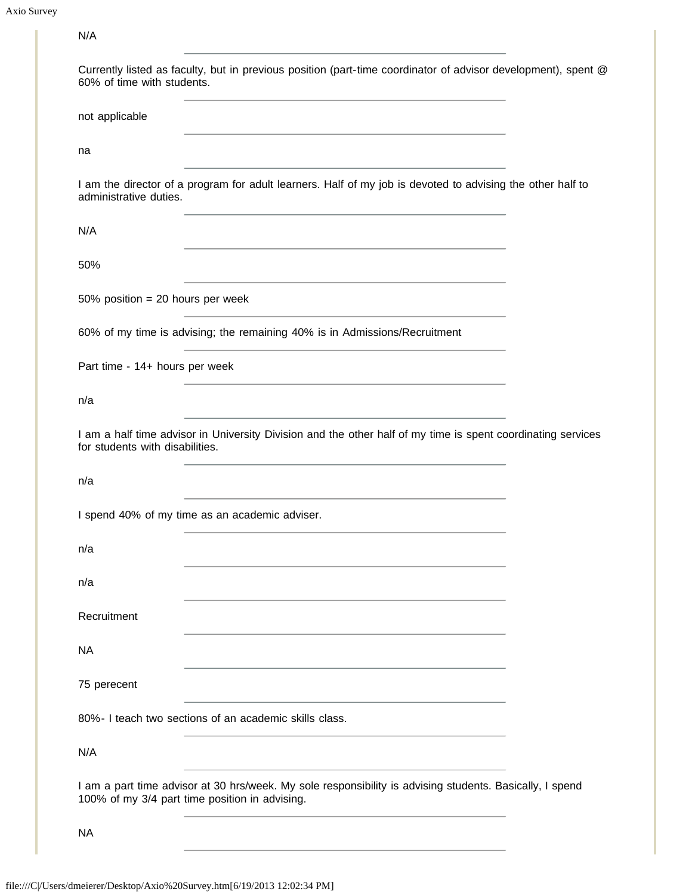Axio Survey

| N/A                                                                                                                                                        |
|------------------------------------------------------------------------------------------------------------------------------------------------------------|
| Currently listed as faculty, but in previous position (part-time coordinator of advisor development), spent @<br>60% of time with students.                |
| not applicable<br><u> 1980 - Johann Stein, marwolaethau a bhann an t-Amhair ann an t-Amhair an t-Amhair an t-Amhair an t-Amhair an</u>                     |
| na                                                                                                                                                         |
| I am the director of a program for adult learners. Half of my job is devoted to advising the other half to<br>administrative duties.                       |
| N/A<br>and the control of the control of the control of the control of the control of the control of the control of the                                    |
| 50%<br>and the control of the control of the control of the control of the control of the control of the control of the                                    |
| 50% position = 20 hours per week                                                                                                                           |
| 60% of my time is advising; the remaining 40% is in Admissions/Recruitment                                                                                 |
| Part time - 14+ hours per week<br>and the control of the control of the control of the control of the control of the control of the control of the         |
| n/a                                                                                                                                                        |
| I am a half time advisor in University Division and the other half of my time is spent coordinating services<br>for students with disabilities.            |
| n/a                                                                                                                                                        |
| I spend 40% of my time as an academic adviser.                                                                                                             |
| n/a                                                                                                                                                        |
| n/a                                                                                                                                                        |
| Recruitment                                                                                                                                                |
| <b>NA</b><br>and the control of the control of the control of the control of the control of the control of the control of the                              |
| 75 perecent                                                                                                                                                |
| 80%- I teach two sections of an academic skills class.                                                                                                     |
| N/A                                                                                                                                                        |
| I am a part time advisor at 30 hrs/week. My sole responsibility is advising students. Basically, I spend<br>100% of my 3/4 part time position in advising. |
| <b>NA</b>                                                                                                                                                  |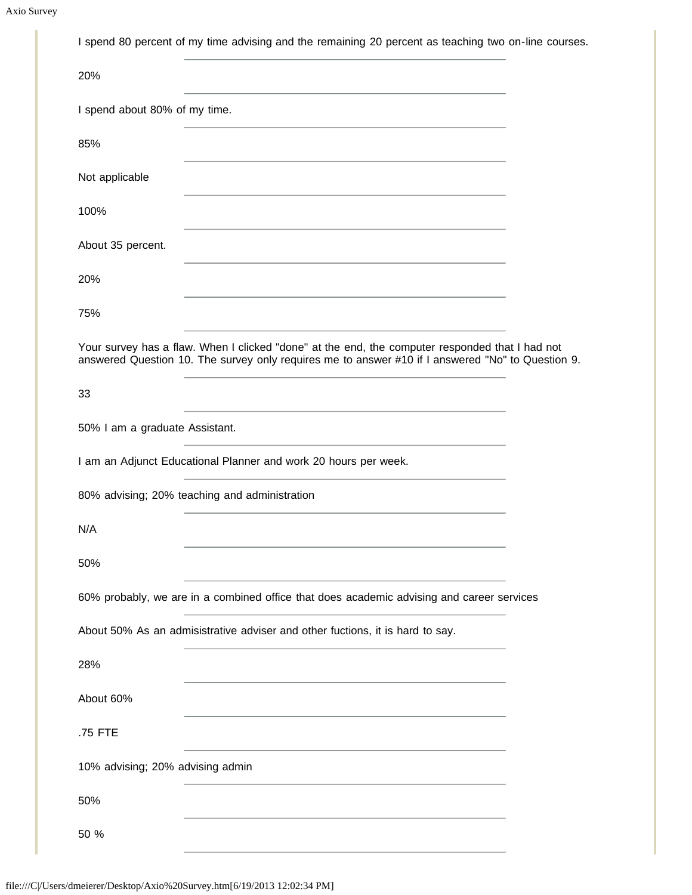| I spend 80 percent of my time advising and the remaining 20 percent as teaching two on-line courses.                                                                                                 |
|------------------------------------------------------------------------------------------------------------------------------------------------------------------------------------------------------|
| 20%                                                                                                                                                                                                  |
| I spend about 80% of my time.<br>the control of the control of the control of the control of the control of the control of                                                                           |
| 85%                                                                                                                                                                                                  |
| Not applicable<br>the control of the control of the control of the control of the control of the control of                                                                                          |
| 100%<br><u> 1989 - Johann Stoff, amerikansk politiker (d. 1989)</u>                                                                                                                                  |
| About 35 percent.                                                                                                                                                                                    |
| 20%<br>the control of the control of the control of the control of the control of the control of                                                                                                     |
| 75%                                                                                                                                                                                                  |
| Your survey has a flaw. When I clicked "done" at the end, the computer responded that I had not<br>answered Question 10. The survey only requires me to answer #10 if I answered "No" to Question 9. |
| 33                                                                                                                                                                                                   |
| 50% I am a graduate Assistant.                                                                                                                                                                       |
|                                                                                                                                                                                                      |
| I am an Adjunct Educational Planner and work 20 hours per week.                                                                                                                                      |
| 80% advising; 20% teaching and administration                                                                                                                                                        |
| N/A                                                                                                                                                                                                  |
| 50%                                                                                                                                                                                                  |
| 60% probably, we are in a combined office that does academic advising and career services                                                                                                            |
| About 50% As an admisistrative adviser and other fuctions, it is hard to say.                                                                                                                        |
| 28%                                                                                                                                                                                                  |
| About 60%                                                                                                                                                                                            |
| .75 FTE                                                                                                                                                                                              |
| 10% advising; 20% advising admin                                                                                                                                                                     |
| 50%                                                                                                                                                                                                  |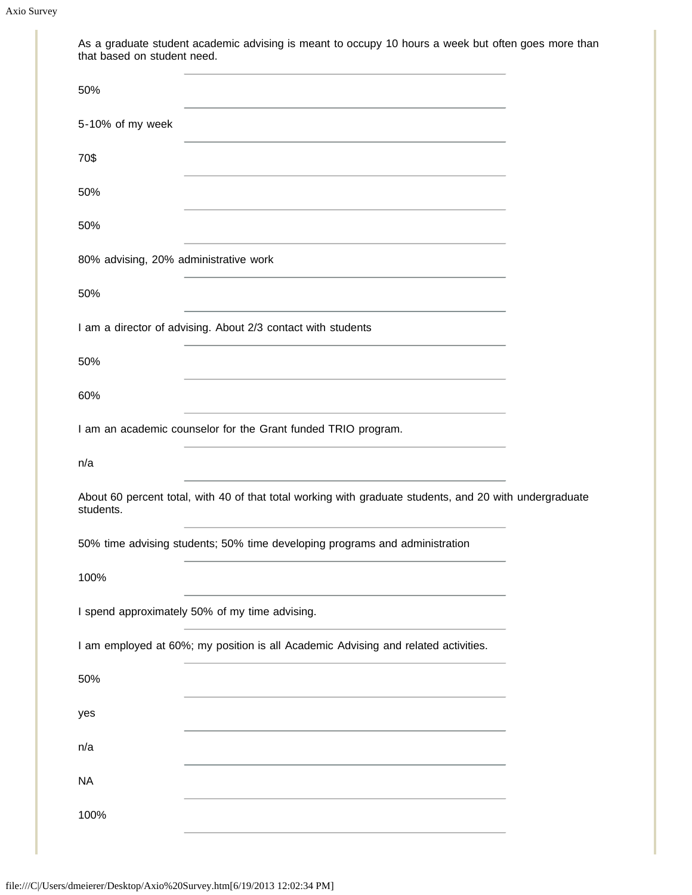| As a graduate student academic advising is meant to occupy 10 hours a week but often goes more than<br>that based on student need.                                                                                                   |  |
|--------------------------------------------------------------------------------------------------------------------------------------------------------------------------------------------------------------------------------------|--|
| 50%                                                                                                                                                                                                                                  |  |
| 5-10% of my week<br><u> 1980 - An Dùbhlachd ann an Dùbhlachd ann an Dùbhlachd ann an Dùbhlachd ann an Dùbhlachd ann an Dùbhlachd ann </u>                                                                                            |  |
| 70\$                                                                                                                                                                                                                                 |  |
| 50%<br><u> 1980 - Johann Stoff, amerikansk politiker (d. 1980)</u>                                                                                                                                                                   |  |
| 50%<br>the control of the control of the control of the control of the control of the control of the control of the control of the control of the control of the control of the control of the control of the control of the control |  |
| 80% advising, 20% administrative work<br>the control of the control of the control of the control of the control of the control of                                                                                                   |  |
| 50%                                                                                                                                                                                                                                  |  |
| I am a director of advising. About 2/3 contact with students<br>the control of the control of the control of the control of the control of                                                                                           |  |
| 50%<br>the control of the control of the control of the control of the control of the control of                                                                                                                                     |  |
| 60%                                                                                                                                                                                                                                  |  |
| I am an academic counselor for the Grant funded TRIO program.                                                                                                                                                                        |  |
| n/a                                                                                                                                                                                                                                  |  |
| About 60 percent total, with 40 of that total working with graduate students, and 20 with undergraduate<br>students.                                                                                                                 |  |
| 50% time advising students; 50% time developing programs and administration                                                                                                                                                          |  |
| 100%                                                                                                                                                                                                                                 |  |
| I spend approximately 50% of my time advising.                                                                                                                                                                                       |  |
| I am employed at 60%; my position is all Academic Advising and related activities.                                                                                                                                                   |  |
| 50%                                                                                                                                                                                                                                  |  |
| yes                                                                                                                                                                                                                                  |  |
| n/a                                                                                                                                                                                                                                  |  |
| <b>NA</b>                                                                                                                                                                                                                            |  |
| 100%                                                                                                                                                                                                                                 |  |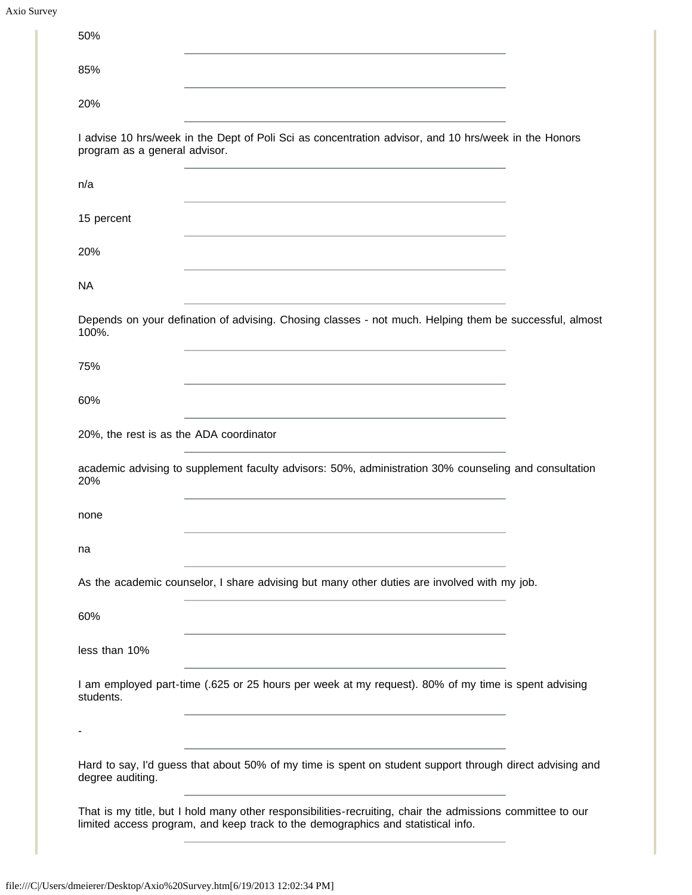| 50%                                     |                                                                                                                                                                                                                                                   |  |
|-----------------------------------------|---------------------------------------------------------------------------------------------------------------------------------------------------------------------------------------------------------------------------------------------------|--|
| 85%                                     |                                                                                                                                                                                                                                                   |  |
| 20%                                     |                                                                                                                                                                                                                                                   |  |
| program as a general advisor.           | I advise 10 hrs/week in the Dept of Poli Sci as concentration advisor, and 10 hrs/week in the Honors                                                                                                                                              |  |
| n/a                                     |                                                                                                                                                                                                                                                   |  |
| 15 percent                              |                                                                                                                                                                                                                                                   |  |
| 20%                                     | <u> 1980 - Johann Stein, marwolaethau a bhann an t-Amhair an t-Amhair an t-Amhair an t-Amhair an t-Amhair an t-A</u>                                                                                                                              |  |
| <b>NA</b>                               |                                                                                                                                                                                                                                                   |  |
| 100%.                                   | Depends on your defination of advising. Chosing classes - not much. Helping them be successful, almost                                                                                                                                            |  |
| 75%                                     |                                                                                                                                                                                                                                                   |  |
| 60%                                     |                                                                                                                                                                                                                                                   |  |
| 20%, the rest is as the ADA coordinator |                                                                                                                                                                                                                                                   |  |
| 20%                                     | academic advising to supplement faculty advisors: 50%, administration 30% counseling and consultation                                                                                                                                             |  |
| none                                    |                                                                                                                                                                                                                                                   |  |
| na                                      |                                                                                                                                                                                                                                                   |  |
|                                         | As the academic counselor, I share advising but many other duties are involved with my job.                                                                                                                                                       |  |
| 60%                                     |                                                                                                                                                                                                                                                   |  |
| less than 10%                           |                                                                                                                                                                                                                                                   |  |
| students.                               | <u> 1980 - Johann Stein, marwolaethau a bhann an t-Amhair ann an t-Amhair an t-Amhair an t-Amhair an t-Amhair an</u><br>I am employed part-time (.625 or 25 hours per week at my request). 80% of my time is spent advising                       |  |
|                                         |                                                                                                                                                                                                                                                   |  |
| degree auditing.                        | Hard to say, I'd guess that about 50% of my time is spent on student support through direct advising and                                                                                                                                          |  |
|                                         | <u> 1980 - Jan Sterling von Berger (* 1950)</u><br>That is my title, but I hold many other responsibilities-recruiting, chair the admissions committee to our<br>limited access program, and keep track to the demographics and statistical info. |  |
|                                         |                                                                                                                                                                                                                                                   |  |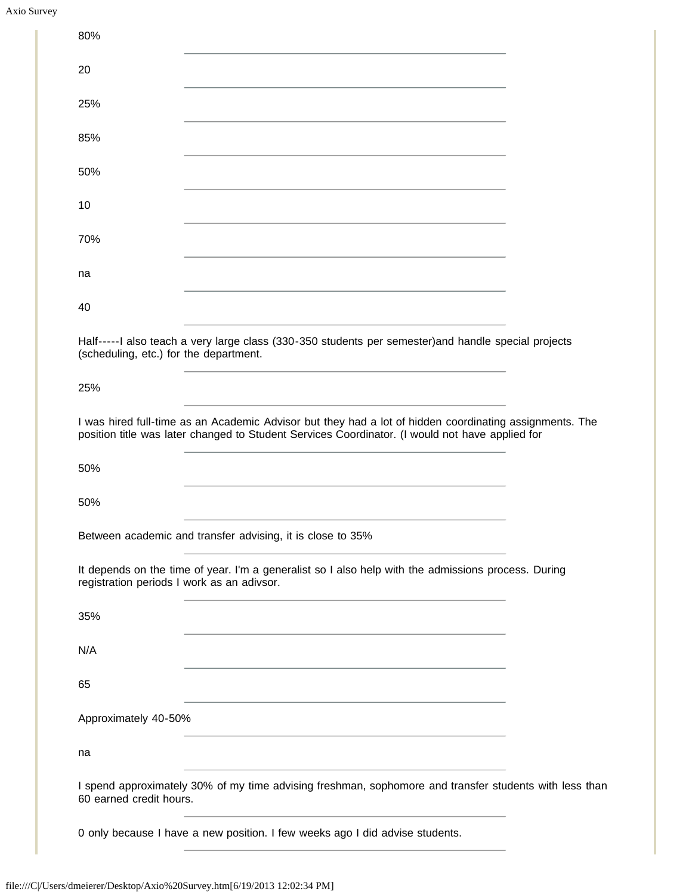| Axio Survey |
|-------------|
|             |

| 80%                                                                                                                                                                                                                                                        |  |
|------------------------------------------------------------------------------------------------------------------------------------------------------------------------------------------------------------------------------------------------------------|--|
| 20                                                                                                                                                                                                                                                         |  |
| 25%                                                                                                                                                                                                                                                        |  |
| 85%                                                                                                                                                                                                                                                        |  |
| 50%                                                                                                                                                                                                                                                        |  |
| 10                                                                                                                                                                                                                                                         |  |
| 70%                                                                                                                                                                                                                                                        |  |
| na                                                                                                                                                                                                                                                         |  |
| 40                                                                                                                                                                                                                                                         |  |
| Half-----I also teach a very large class (330-350 students per semester) and handle special projects<br>(scheduling, etc.) for the department.                                                                                                             |  |
| 25%                                                                                                                                                                                                                                                        |  |
| I was hired full-time as an Academic Advisor but they had a lot of hidden coordinating assignments. The<br>position title was later changed to Student Services Coordinator. (I would not have applied for                                                 |  |
| 50%                                                                                                                                                                                                                                                        |  |
| 50%                                                                                                                                                                                                                                                        |  |
| Between academic and transfer advising, it is close to 35%                                                                                                                                                                                                 |  |
| It depends on the time of year. I'm a generalist so I also help with the admissions process. During<br>registration periods I work as an adivsor.                                                                                                          |  |
| 35%                                                                                                                                                                                                                                                        |  |
| N/A                                                                                                                                                                                                                                                        |  |
| 65                                                                                                                                                                                                                                                         |  |
| Approximately 40-50%<br><u> 1980 - Johann Barbara, marka a shekara tsa 1980 - An tsa 1980 - An tsa 1980 - An tsa 1980 - An tsa 1980 - An</u>                                                                                                               |  |
| na                                                                                                                                                                                                                                                         |  |
| <u> 1989 - Johann Harry Harry Harry Harry Harry Harry Harry Harry Harry Harry Harry Harry Harry Harry Harry Harry</u><br>I spend approximately 30% of my time advising freshman, sophomore and transfer students with less than<br>60 earned credit hours. |  |
| 0 only because I have a new position. I few weeks ago I did advise students.                                                                                                                                                                               |  |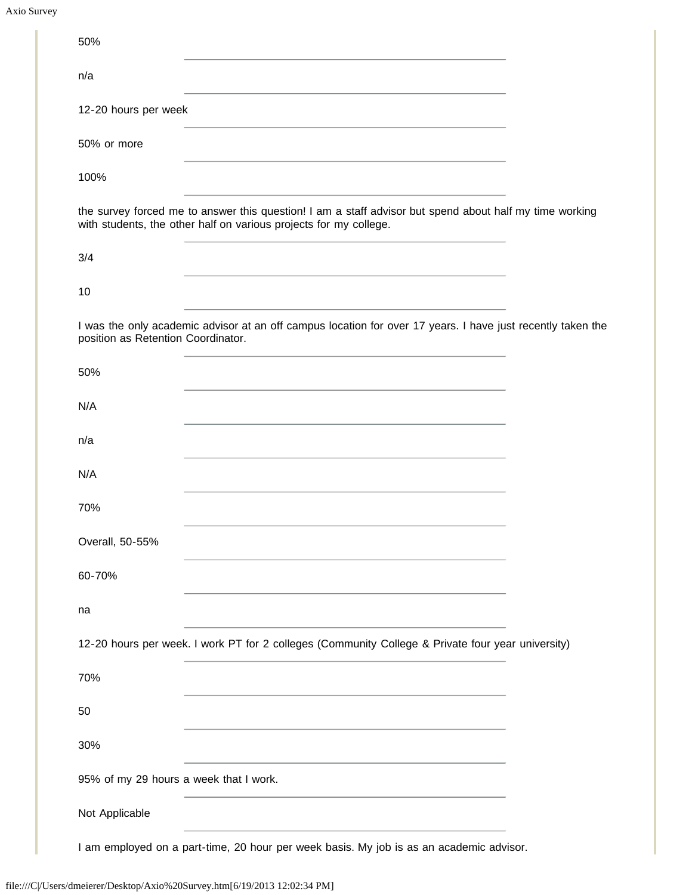| 50%                                    |                                                                                                                                                                                                                               |  |
|----------------------------------------|-------------------------------------------------------------------------------------------------------------------------------------------------------------------------------------------------------------------------------|--|
| n/a                                    |                                                                                                                                                                                                                               |  |
| 12-20 hours per week                   |                                                                                                                                                                                                                               |  |
| 50% or more                            |                                                                                                                                                                                                                               |  |
| 100%                                   |                                                                                                                                                                                                                               |  |
|                                        | the survey forced me to answer this question! I am a staff advisor but spend about half my time working<br>with students, the other half on various projects for my college.                                                  |  |
| 3/4                                    | <u> 1980 - Johann Barn, amerikansk politiker (</u>                                                                                                                                                                            |  |
| 10                                     |                                                                                                                                                                                                                               |  |
| position as Retention Coordinator.     | I was the only academic advisor at an off campus location for over 17 years. I have just recently taken the                                                                                                                   |  |
| 50%                                    |                                                                                                                                                                                                                               |  |
| N/A                                    |                                                                                                                                                                                                                               |  |
| n/a                                    |                                                                                                                                                                                                                               |  |
| N/A                                    |                                                                                                                                                                                                                               |  |
| 70%                                    |                                                                                                                                                                                                                               |  |
| Overall, 50-55%                        |                                                                                                                                                                                                                               |  |
| 60-70%                                 | the control of the control of the control of the control of the control of the control of the control of the control of the control of the control of the control of the control of the control of the control of the control |  |
| na                                     |                                                                                                                                                                                                                               |  |
|                                        | 12-20 hours per week. I work PT for 2 colleges (Community College & Private four year university)                                                                                                                             |  |
| 70%                                    |                                                                                                                                                                                                                               |  |
| 50                                     |                                                                                                                                                                                                                               |  |
| 30%                                    | the control of the control of the control of the control of the control of the control of                                                                                                                                     |  |
| 95% of my 29 hours a week that I work. |                                                                                                                                                                                                                               |  |
| Not Applicable                         |                                                                                                                                                                                                                               |  |
|                                        | I am employed on a part-time, 20 hour per week basis. My job is as an academic advisor.                                                                                                                                       |  |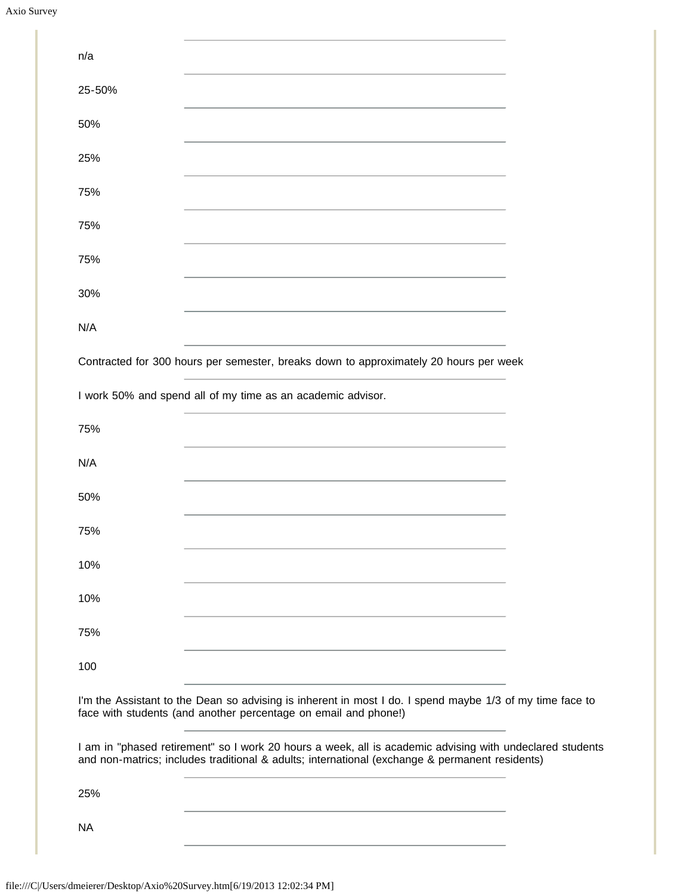Axio Survey

| n/a       |                                                                                                                                                                                                            |  |
|-----------|------------------------------------------------------------------------------------------------------------------------------------------------------------------------------------------------------------|--|
| 25-50%    |                                                                                                                                                                                                            |  |
| 50%       |                                                                                                                                                                                                            |  |
| 25%       |                                                                                                                                                                                                            |  |
| 75%       |                                                                                                                                                                                                            |  |
| 75%       |                                                                                                                                                                                                            |  |
| 75%       |                                                                                                                                                                                                            |  |
| 30%       |                                                                                                                                                                                                            |  |
| N/A       |                                                                                                                                                                                                            |  |
|           | Contracted for 300 hours per semester, breaks down to approximately 20 hours per week                                                                                                                      |  |
|           | I work 50% and spend all of my time as an academic advisor.                                                                                                                                                |  |
| 75%       |                                                                                                                                                                                                            |  |
| N/A       |                                                                                                                                                                                                            |  |
| 50%       |                                                                                                                                                                                                            |  |
| 75%       |                                                                                                                                                                                                            |  |
| 10%       |                                                                                                                                                                                                            |  |
| 10%       |                                                                                                                                                                                                            |  |
| 75%       |                                                                                                                                                                                                            |  |
| 100       |                                                                                                                                                                                                            |  |
|           | I'm the Assistant to the Dean so advising is inherent in most I do. I spend maybe 1/3 of my time face to<br>face with students (and another percentage on email and phone!)                                |  |
|           | I am in "phased retirement" so I work 20 hours a week, all is academic advising with undeclared students<br>and non-matrics; includes traditional & adults; international (exchange & permanent residents) |  |
| 25%       |                                                                                                                                                                                                            |  |
| <b>NA</b> | the control of the control of the control of the control of the control of the control of                                                                                                                  |  |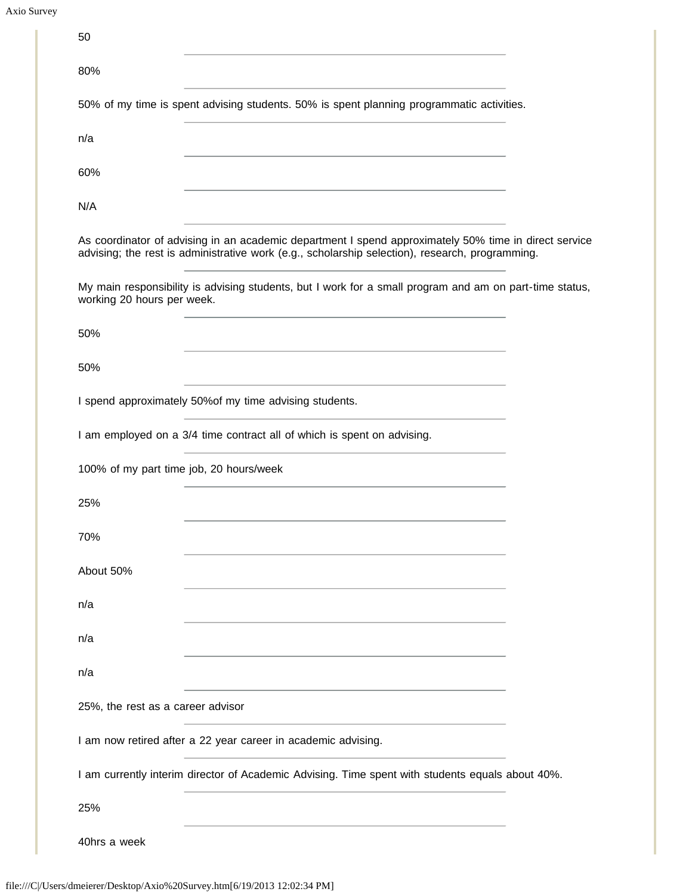| 50                                      |                                                                                                                                                                                                                                                                                                                                                                                                                                           |  |
|-----------------------------------------|-------------------------------------------------------------------------------------------------------------------------------------------------------------------------------------------------------------------------------------------------------------------------------------------------------------------------------------------------------------------------------------------------------------------------------------------|--|
| 80%                                     |                                                                                                                                                                                                                                                                                                                                                                                                                                           |  |
|                                         | 50% of my time is spent advising students. 50% is spent planning programmatic activities.                                                                                                                                                                                                                                                                                                                                                 |  |
| n/a                                     |                                                                                                                                                                                                                                                                                                                                                                                                                                           |  |
| 60%                                     | the control of the control of the control of the control of the control of the control of                                                                                                                                                                                                                                                                                                                                                 |  |
| N/A                                     |                                                                                                                                                                                                                                                                                                                                                                                                                                           |  |
|                                         | the control of the control of the control of the control of the control of the control of the control of the control of the control of the control of the control of the control of the control of the control of the control<br>As coordinator of advising in an academic department I spend approximately 50% time in direct service<br>advising; the rest is administrative work (e.g., scholarship selection), research, programming. |  |
| working 20 hours per week.              | My main responsibility is advising students, but I work for a small program and am on part-time status,                                                                                                                                                                                                                                                                                                                                   |  |
| 50%                                     | <u> 1989 - Johann Stein, mars an deutscher Stein und der Stein und der Stein und der Stein und der Stein und der</u>                                                                                                                                                                                                                                                                                                                      |  |
| 50%                                     |                                                                                                                                                                                                                                                                                                                                                                                                                                           |  |
|                                         | I spend approximately 50% of my time advising students.                                                                                                                                                                                                                                                                                                                                                                                   |  |
|                                         | I am employed on a 3/4 time contract all of which is spent on advising.                                                                                                                                                                                                                                                                                                                                                                   |  |
| 100% of my part time job, 20 hours/week |                                                                                                                                                                                                                                                                                                                                                                                                                                           |  |
| 25%                                     |                                                                                                                                                                                                                                                                                                                                                                                                                                           |  |
| 70%                                     |                                                                                                                                                                                                                                                                                                                                                                                                                                           |  |
| About 50%                               |                                                                                                                                                                                                                                                                                                                                                                                                                                           |  |
| n/a                                     |                                                                                                                                                                                                                                                                                                                                                                                                                                           |  |
| n/a                                     |                                                                                                                                                                                                                                                                                                                                                                                                                                           |  |
| n/a                                     |                                                                                                                                                                                                                                                                                                                                                                                                                                           |  |
| 25%, the rest as a career advisor       |                                                                                                                                                                                                                                                                                                                                                                                                                                           |  |
|                                         | I am now retired after a 22 year career in academic advising.                                                                                                                                                                                                                                                                                                                                                                             |  |
|                                         | I am currently interim director of Academic Advising. Time spent with students equals about 40%.                                                                                                                                                                                                                                                                                                                                          |  |
| 25%                                     |                                                                                                                                                                                                                                                                                                                                                                                                                                           |  |
| 40hrs a week                            |                                                                                                                                                                                                                                                                                                                                                                                                                                           |  |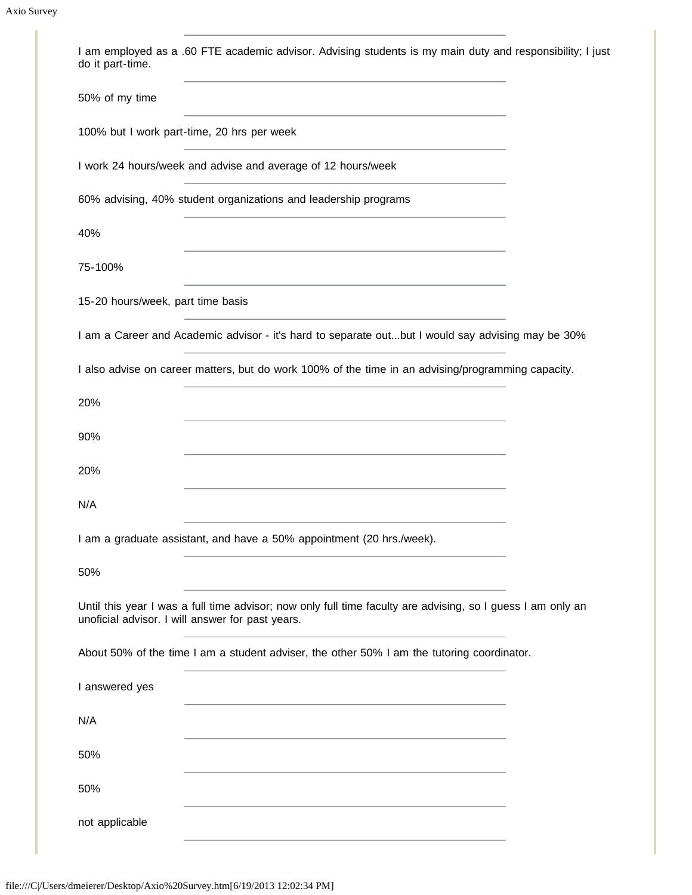| I am employed as a .60 FTE academic advisor. Advising students is my main duty and responsibility; I just<br>do it part-time.<br>the control of the control of the control of the control of the control of the control of |
|----------------------------------------------------------------------------------------------------------------------------------------------------------------------------------------------------------------------------|
| 50% of my time                                                                                                                                                                                                             |
| 100% but I work part-time, 20 hrs per week                                                                                                                                                                                 |
| I work 24 hours/week and advise and average of 12 hours/week                                                                                                                                                               |
| 60% advising, 40% student organizations and leadership programs                                                                                                                                                            |
| 40%                                                                                                                                                                                                                        |
| 75-100%                                                                                                                                                                                                                    |
| 15-20 hours/week, part time basis                                                                                                                                                                                          |
| I am a Career and Academic advisor - it's hard to separate outbut I would say advising may be 30%                                                                                                                          |
| I also advise on career matters, but do work 100% of the time in an advising/programming capacity.                                                                                                                         |
| 20%                                                                                                                                                                                                                        |
| 90%                                                                                                                                                                                                                        |
| 20%                                                                                                                                                                                                                        |
| N/A                                                                                                                                                                                                                        |
| I am a graduate assistant, and have a 50% appointment (20 hrs./week).                                                                                                                                                      |
| 50%                                                                                                                                                                                                                        |
| Until this year I was a full time advisor; now only full time faculty are advising, so I guess I am only an<br>unoficial advisor. I will answer for past years.                                                            |
| About 50% of the time I am a student adviser, the other 50% I am the tutoring coordinator.                                                                                                                                 |
| I answered yes                                                                                                                                                                                                             |
| N/A                                                                                                                                                                                                                        |
| 50%                                                                                                                                                                                                                        |
| 50%                                                                                                                                                                                                                        |
| not applicable                                                                                                                                                                                                             |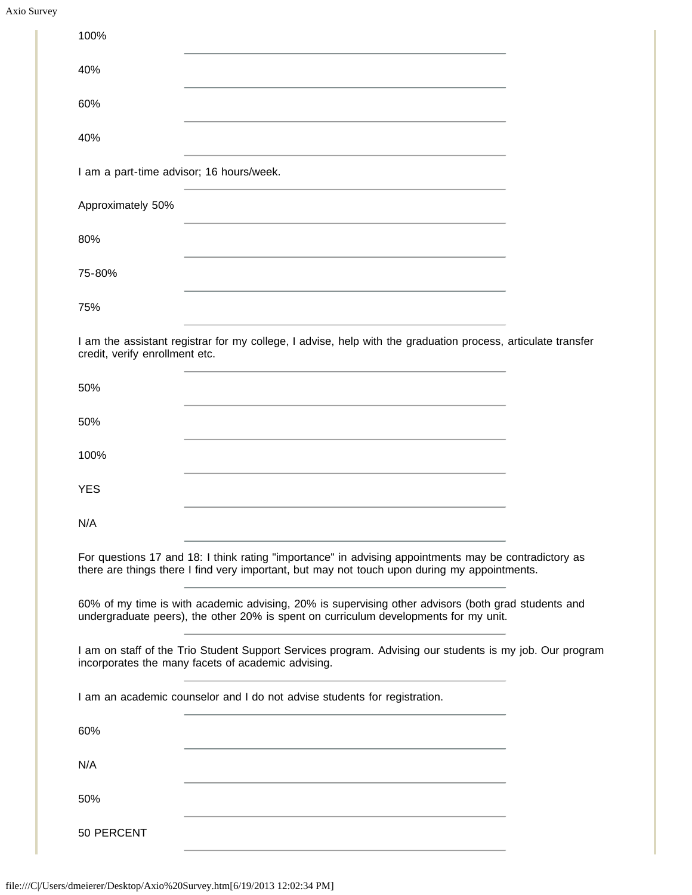| Axio Survey |
|-------------|
|             |

| 100%                                                                      |                                                                                                                                                                                                       |
|---------------------------------------------------------------------------|-------------------------------------------------------------------------------------------------------------------------------------------------------------------------------------------------------|
| 40%                                                                       |                                                                                                                                                                                                       |
| 60%                                                                       |                                                                                                                                                                                                       |
| 40%                                                                       |                                                                                                                                                                                                       |
| I am a part-time advisor; 16 hours/week.                                  |                                                                                                                                                                                                       |
| Approximately 50%                                                         |                                                                                                                                                                                                       |
| 80%                                                                       |                                                                                                                                                                                                       |
| 75-80%                                                                    |                                                                                                                                                                                                       |
| 75%                                                                       |                                                                                                                                                                                                       |
| credit, verify enrollment etc.                                            | I am the assistant registrar for my college, I advise, help with the graduation process, articulate transfer                                                                                          |
| 50%                                                                       |                                                                                                                                                                                                       |
| 50%                                                                       |                                                                                                                                                                                                       |
| 100%                                                                      |                                                                                                                                                                                                       |
| <b>YES</b>                                                                |                                                                                                                                                                                                       |
| N/A                                                                       |                                                                                                                                                                                                       |
|                                                                           | For questions 17 and 18: I think rating "importance" in advising appointments may be contradictory as<br>there are things there I find very important, but may not touch upon during my appointments. |
|                                                                           | 60% of my time is with academic advising, 20% is supervising other advisors (both grad students and<br>undergraduate peers), the other 20% is spent on curriculum developments for my unit.           |
| incorporates the many facets of academic advising.                        | I am on staff of the Trio Student Support Services program. Advising our students is my job. Our program                                                                                              |
| I am an academic counselor and I do not advise students for registration. |                                                                                                                                                                                                       |
| 60%                                                                       | <u> 1989 - Johann Stein, marwolaethau a bhann an t-Amhair an t-Amhair an t-Amhair an t-Amhair an t-Amhair an t-A</u>                                                                                  |
| N/A                                                                       |                                                                                                                                                                                                       |
| 50%                                                                       | <u> 1980 - Johann Barbara, martxa alemaniar arg</u>                                                                                                                                                   |
| 50 PERCENT                                                                |                                                                                                                                                                                                       |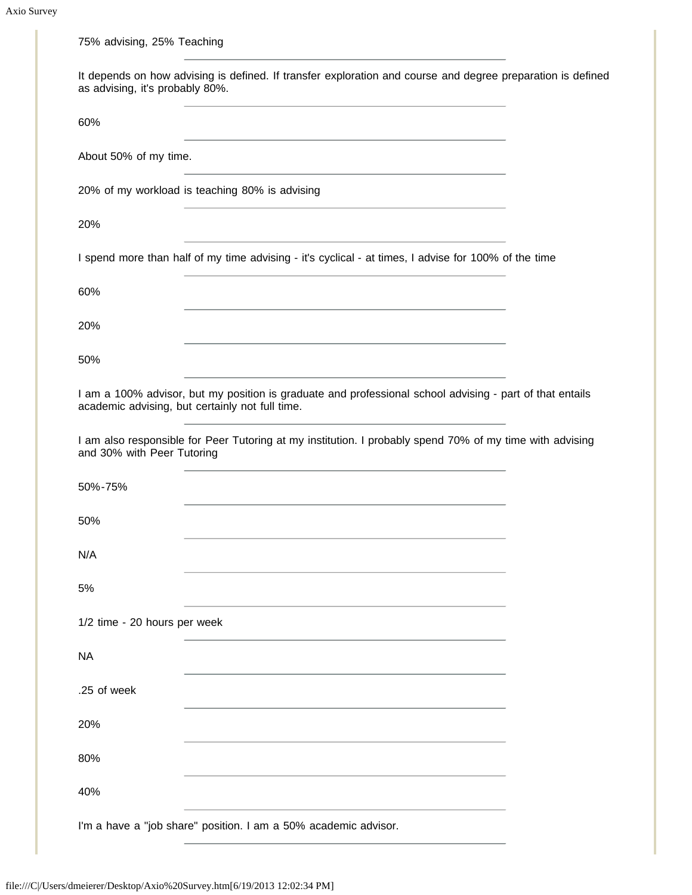| 75% advising, 25% Teaching      |                                                                                                                                                                                 |  |
|---------------------------------|---------------------------------------------------------------------------------------------------------------------------------------------------------------------------------|--|
| as advising, it's probably 80%. | It depends on how advising is defined. If transfer exploration and course and degree preparation is defined                                                                     |  |
| 60%                             | <u> 1989 - Johann Barn, amerikansk politiker (d. 1989)</u>                                                                                                                      |  |
| About 50% of my time.           | <u> 1980 - Johann John Stein, mars an deus Amerikaansk kommunister (</u>                                                                                                        |  |
|                                 | 20% of my workload is teaching 80% is advising<br>the control of the control of the control of the control of the control of the control of                                     |  |
| 20%                             | and the control of the control of the control of the control of the control of the control of the control of the                                                                |  |
|                                 | I spend more than half of my time advising - it's cyclical - at times, I advise for 100% of the time                                                                            |  |
| 60%                             |                                                                                                                                                                                 |  |
| 20%                             | <u> 1980 - Johann Barbara, martxa alemaniar argumento este alemaniar alemaniar alemaniar alemaniar alemaniar al</u>                                                             |  |
| 50%                             | <u> 1989 - Johann Stoff, amerikansk politiker (d. 1989)</u>                                                                                                                     |  |
|                                 | I am a 100% advisor, but my position is graduate and professional school advising - part of that entails<br>academic advising, but certainly not full time.                     |  |
| and 30% with Peer Tutoring      | <u> 1989 - Johann Harry Barn, mars an t-Amerikaansk kommunist (</u><br>I am also responsible for Peer Tutoring at my institution. I probably spend 70% of my time with advising |  |
| 50%-75%                         | <u> 1989 - Johann Stein, marwolaethau a bhann an t-Amhain an t-Amhain an t-Amhain an t-Amhain an t-Amhain an t-A</u>                                                            |  |
| 50%                             |                                                                                                                                                                                 |  |
| N/A                             |                                                                                                                                                                                 |  |
| 5%                              |                                                                                                                                                                                 |  |
| 1/2 time - 20 hours per week    |                                                                                                                                                                                 |  |
| <b>NA</b>                       |                                                                                                                                                                                 |  |
| .25 of week                     |                                                                                                                                                                                 |  |
| 20%                             |                                                                                                                                                                                 |  |
| 80%                             |                                                                                                                                                                                 |  |
| 40%                             |                                                                                                                                                                                 |  |
|                                 | I'm a have a "job share" position. I am a 50% academic advisor.                                                                                                                 |  |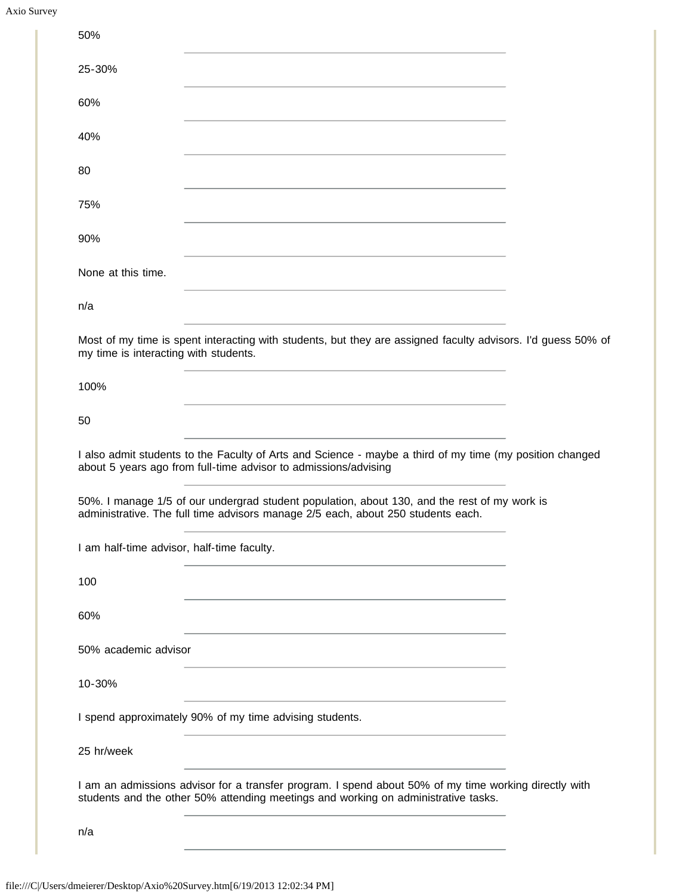| Axio Survey |
|-------------|
|             |

| 25-30%<br>the control of the control of the control of the control of the control of the control of the control of the control of the control of the control of the control of the control of the control of the control of the control |
|-----------------------------------------------------------------------------------------------------------------------------------------------------------------------------------------------------------------------------------------|
| 60%<br><u> 1989 - Johann Stein, mars an deutscher Stein und der Stein und der Stein und der Stein und der Stein und der</u>                                                                                                             |
| 40%<br>and the control of the control of the control of the control of the control of the control of the control of the                                                                                                                 |
| 80<br><u> 1989 - Johann Stein, marwolaethau a bhann an t-Amhair ann an t-Amhair an t-Amhair an t-Amhair an t-Amhair an</u>                                                                                                              |
| 75%                                                                                                                                                                                                                                     |
| 90%<br><u> 1989 - Andrea Stadt Britain, amerikansk politik (* 1908)</u>                                                                                                                                                                 |
| None at this time.                                                                                                                                                                                                                      |
| n/a<br><u> 1980 - Johann Barbara, martxa al-</u>                                                                                                                                                                                        |
| Most of my time is spent interacting with students, but they are assigned faculty advisors. I'd guess 50% of<br>my time is interacting with students.                                                                                   |
| 100%<br><u> 1980 - Johann Barn, fransk politik (f. 1980)</u>                                                                                                                                                                            |
| 50<br>the control of the control of the control of the control of the control of the control of the control of the control of the control of the control of the control of the control of the control of the control of the control     |
| I also admit students to the Faculty of Arts and Science - maybe a third of my time (my position changed<br>about 5 years ago from full-time advisor to admissions/advising                                                             |
|                                                                                                                                                                                                                                         |
| 50%. I manage 1/5 of our undergrad student population, about 130, and the rest of my work is<br>administrative. The full time advisors manage 2/5 each, about 250 students each.                                                        |
| I am half-time advisor, half-time faculty.                                                                                                                                                                                              |
| 100<br>the control of the control of the control of the control of the control of the control of                                                                                                                                        |
| 60%                                                                                                                                                                                                                                     |
| 50% academic advisor                                                                                                                                                                                                                    |
| 10-30%                                                                                                                                                                                                                                  |
| I spend approximately 90% of my time advising students.                                                                                                                                                                                 |
| 25 hr/week                                                                                                                                                                                                                              |
| I am an admissions advisor for a transfer program. I spend about 50% of my time working directly with<br>students and the other 50% attending meetings and working on administrative tasks.                                             |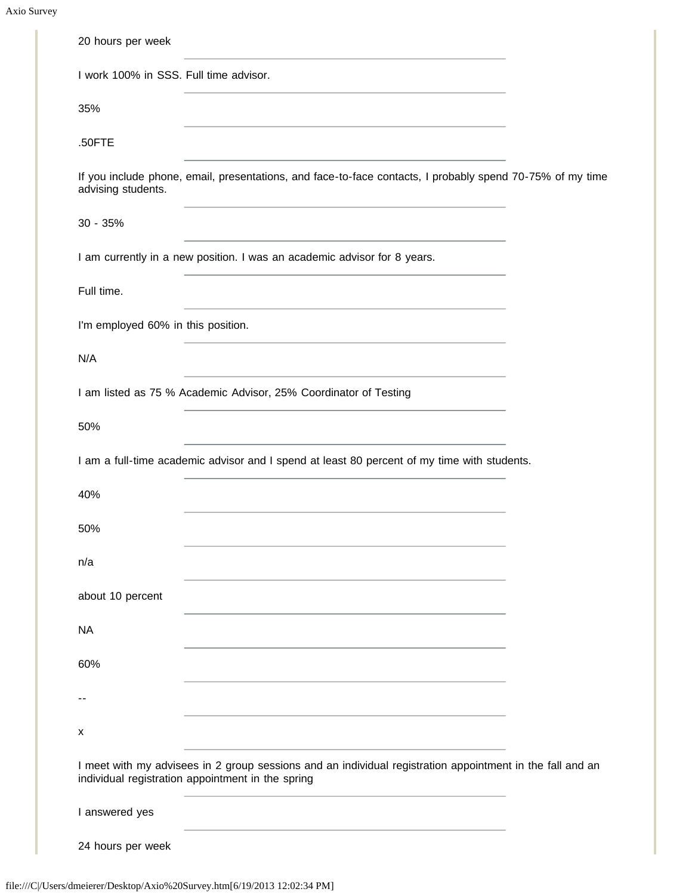Axio Survey

×

| 20 hours per week                      |                                                                                                                                                                |  |
|----------------------------------------|----------------------------------------------------------------------------------------------------------------------------------------------------------------|--|
| I work 100% in SSS. Full time advisor. |                                                                                                                                                                |  |
| 35%                                    |                                                                                                                                                                |  |
| .50FTE                                 |                                                                                                                                                                |  |
| advising students.                     | If you include phone, email, presentations, and face-to-face contacts, I probably spend 70-75% of my time                                                      |  |
| $30 - 35%$                             |                                                                                                                                                                |  |
|                                        | I am currently in a new position. I was an academic advisor for 8 years.                                                                                       |  |
| Full time.                             |                                                                                                                                                                |  |
| I'm employed 60% in this position.     |                                                                                                                                                                |  |
| N/A                                    |                                                                                                                                                                |  |
|                                        | I am listed as 75 % Academic Advisor, 25% Coordinator of Testing                                                                                               |  |
| 50%                                    |                                                                                                                                                                |  |
|                                        | I am a full-time academic advisor and I spend at least 80 percent of my time with students.                                                                    |  |
| 40%                                    |                                                                                                                                                                |  |
| 50%                                    |                                                                                                                                                                |  |
| n/a                                    |                                                                                                                                                                |  |
| about 10 percent                       |                                                                                                                                                                |  |
| <b>NA</b>                              |                                                                                                                                                                |  |
| 60%                                    |                                                                                                                                                                |  |
|                                        |                                                                                                                                                                |  |
| x                                      |                                                                                                                                                                |  |
|                                        | I meet with my advisees in 2 group sessions and an individual registration appointment in the fall and an<br>individual registration appointment in the spring |  |
| I answered yes                         |                                                                                                                                                                |  |
|                                        |                                                                                                                                                                |  |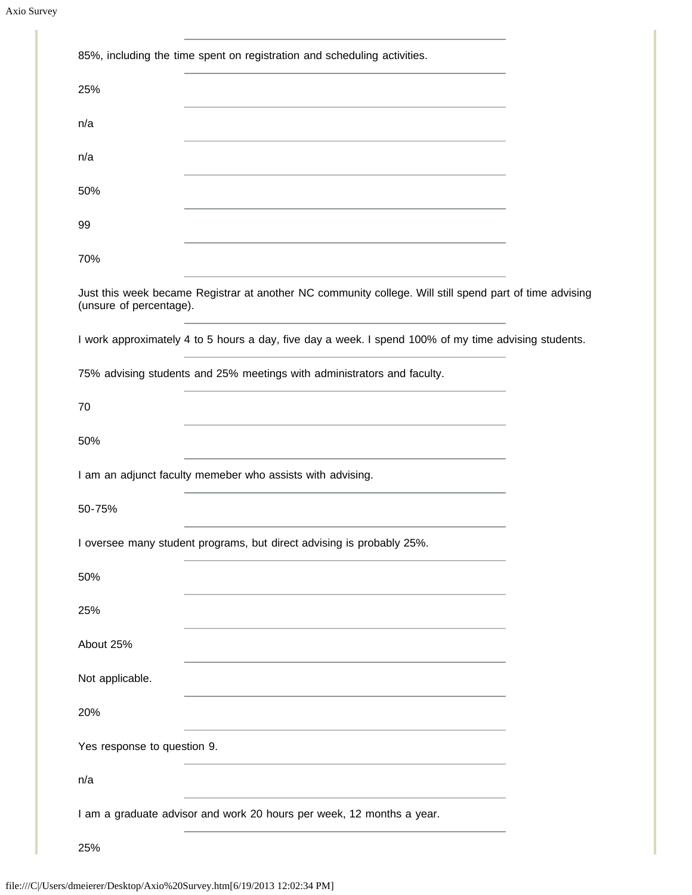| 85%, including the time spent on registration and scheduling activities.                                                                                                                                                             |
|--------------------------------------------------------------------------------------------------------------------------------------------------------------------------------------------------------------------------------------|
| 25%                                                                                                                                                                                                                                  |
| n/a<br>the control of the control of the control of the control of the control of the control of the control of the control of the control of the control of the control of the control of the control of the control of the control |
| n/a                                                                                                                                                                                                                                  |
| 50%<br><u> 1980 - Johann Stein, marwolaethau a bhann an t-Amhair an t-Amhair an t-Amhair an t-Amhair an t-Amhair an t-A</u>                                                                                                          |
| 99                                                                                                                                                                                                                                   |
| 70%<br>the control of the control of the control of the control of the control of the control of                                                                                                                                     |
| Just this week became Registrar at another NC community college. Will still spend part of time advising<br>(unsure of percentage).                                                                                                   |
| I work approximately 4 to 5 hours a day, five day a week. I spend 100% of my time advising students.                                                                                                                                 |
| 75% advising students and 25% meetings with administrators and faculty.                                                                                                                                                              |
| 70                                                                                                                                                                                                                                   |
| 50%                                                                                                                                                                                                                                  |
| I am an adjunct faculty memeber who assists with advising.                                                                                                                                                                           |
| 50-75%                                                                                                                                                                                                                               |
| I oversee many student programs, but direct advising is probably 25%.                                                                                                                                                                |
| 50%                                                                                                                                                                                                                                  |
| 25%                                                                                                                                                                                                                                  |
| About 25%                                                                                                                                                                                                                            |
| Not applicable.                                                                                                                                                                                                                      |
| 20%                                                                                                                                                                                                                                  |
| Yes response to question 9.                                                                                                                                                                                                          |
| n/a                                                                                                                                                                                                                                  |
| I am a graduate advisor and work 20 hours per week, 12 months a year.                                                                                                                                                                |
| 25%                                                                                                                                                                                                                                  |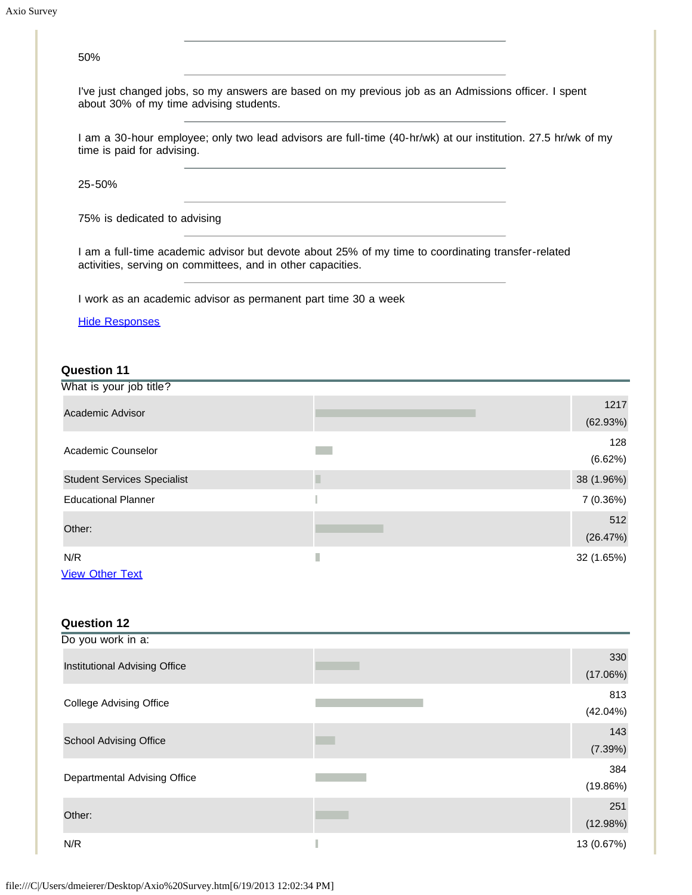| 50%                                                            |                                                                                                               |                  |
|----------------------------------------------------------------|---------------------------------------------------------------------------------------------------------------|------------------|
| about 30% of my time advising students.                        | I've just changed jobs, so my answers are based on my previous job as an Admissions officer. I spent          |                  |
| time is paid for advising.                                     | I am a 30-hour employee; only two lead advisors are full-time (40-hr/wk) at our institution. 27.5 hr/wk of my |                  |
| 25-50%                                                         |                                                                                                               |                  |
| 75% is dedicated to advising                                   |                                                                                                               |                  |
| activities, serving on committees, and in other capacities.    | I am a full-time academic advisor but devote about 25% of my time to coordinating transfer-related            |                  |
| I work as an academic advisor as permanent part time 30 a week |                                                                                                               |                  |
| <b>Hide Responses</b>                                          |                                                                                                               |                  |
|                                                                |                                                                                                               |                  |
| <b>Question 11</b>                                             |                                                                                                               |                  |
| What is your job title?                                        |                                                                                                               |                  |
| <b>Academic Advisor</b>                                        |                                                                                                               | 1217<br>(62.93%) |
| Academic Counselor                                             |                                                                                                               | 128<br>(6.62%)   |
| <b>Student Services Specialist</b>                             | П                                                                                                             | 38 (1.96%)       |
| <b>Educational Planner</b>                                     |                                                                                                               | 7 (0.36%)        |
| Other:                                                         |                                                                                                               | 512<br>(26.47%)  |
| N/R                                                            | $\mathbb{R}^2$                                                                                                | 32 (1.65%)       |
| <b>View Other Text</b>                                         |                                                                                                               |                  |
|                                                                |                                                                                                               |                  |
| <b>Question 12</b>                                             |                                                                                                               |                  |
| Do you work in a:                                              |                                                                                                               |                  |
| Institutional Advising Office                                  |                                                                                                               | 330<br>(17.06%)  |
| <b>College Advising Office</b>                                 |                                                                                                               | 813<br>(42.04%)  |
| <b>School Advising Office</b>                                  |                                                                                                               | 143<br>(7.39%)   |
| Departmental Advising Office                                   |                                                                                                               | 384<br>(19.86%)  |

N/R  $\blacksquare$  13 (0.67%)

251 (12.98%)

Other: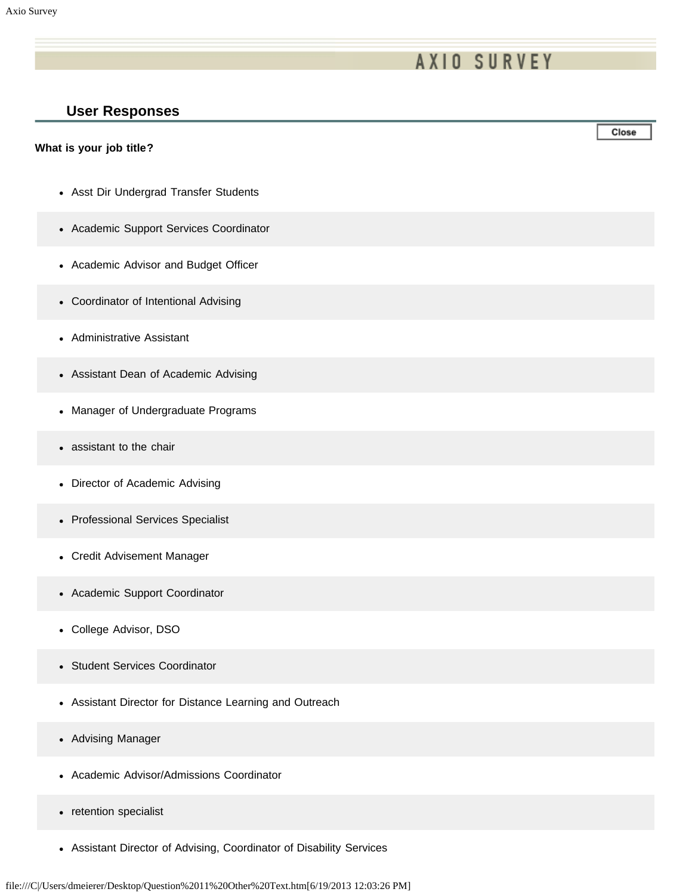# **AXIO SURVEY**

### **User Responses**

#### **What is your job title?**

- Asst Dir Undergrad Transfer Students
- Academic Support Services Coordinator
- Academic Advisor and Budget Officer
- Coordinator of Intentional Advising
- Administrative Assistant
- Assistant Dean of Academic Advising
- Manager of Undergraduate Programs
- assistant to the chair  $\bullet$
- Director of Academic Advising
- Professional Services Specialist
- Credit Advisement Manager
- Academic Support Coordinator
- College Advisor, DSO
- Student Services Coordinator  $\bullet$
- Assistant Director for Distance Learning and Outreach
- Advising Manager  $\bullet$
- Academic Advisor/Admissions Coordinator  $\bullet$
- retention specialist  $\bullet$
- Assistant Director of Advising, Coordinator of Disability Services

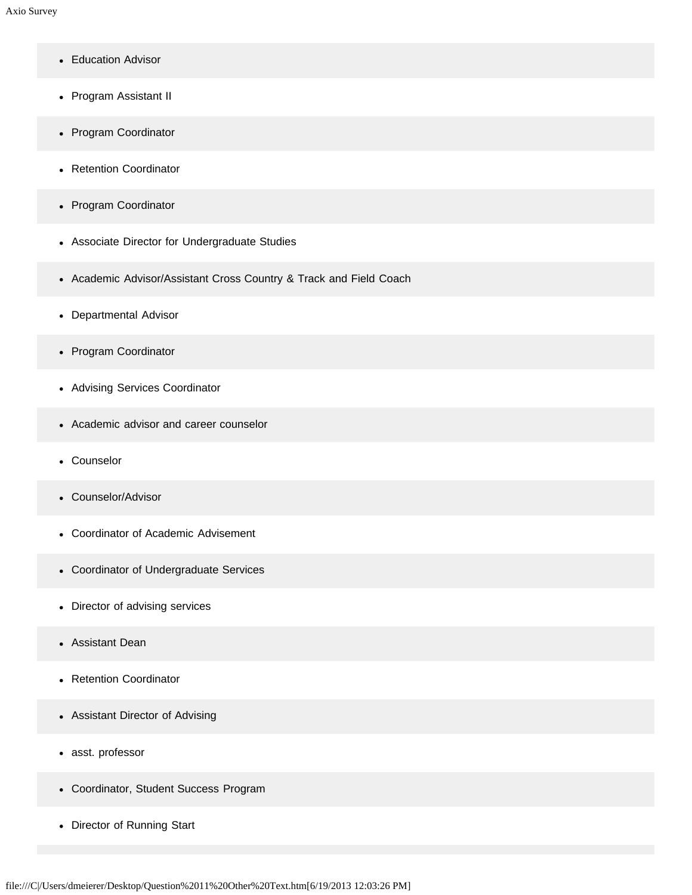- Education Advisor
- Program Assistant II
- Program Coordinator
- Retention Coordinator
- Program Coordinator
- Associate Director for Undergraduate Studies
- Academic Advisor/Assistant Cross Country & Track and Field Coach
- Departmental Advisor
- Program Coordinator
- Advising Services Coordinator
- Academic advisor and career counselor
- Counselor
- Counselor/Advisor
- Coordinator of Academic Advisement
- Coordinator of Undergraduate Services
- Director of advising services
- Assistant Dean  $\bullet$
- Retention Coordinator
- Assistant Director of Advising
- asst. professor
- Coordinator, Student Success Program
- Director of Running Start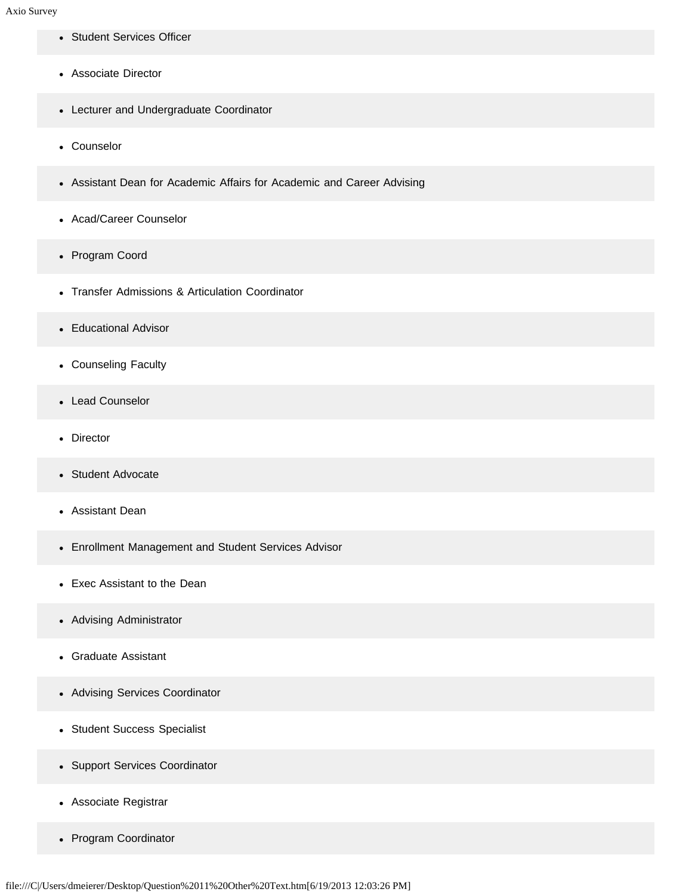- Student Services Officer
- Associate Director
- Lecturer and Undergraduate Coordinator
- Counselor
- Assistant Dean for Academic Affairs for Academic and Career Advising
- Acad/Career Counselor
- Program Coord
- Transfer Admissions & Articulation Coordinator
- Educational Advisor
- Counseling Faculty
- Lead Counselor
- Director
- Student Advocate  $\bullet$
- Assistant Dean
- Enrollment Management and Student Services Advisor
- Exec Assistant to the Dean  $\bullet$
- Advising Administrator
- Graduate Assistant  $\bullet$
- Advising Services Coordinator
- Student Success Specialist
- Support Services Coordinator
- Associate Registrar
- Program Coordinator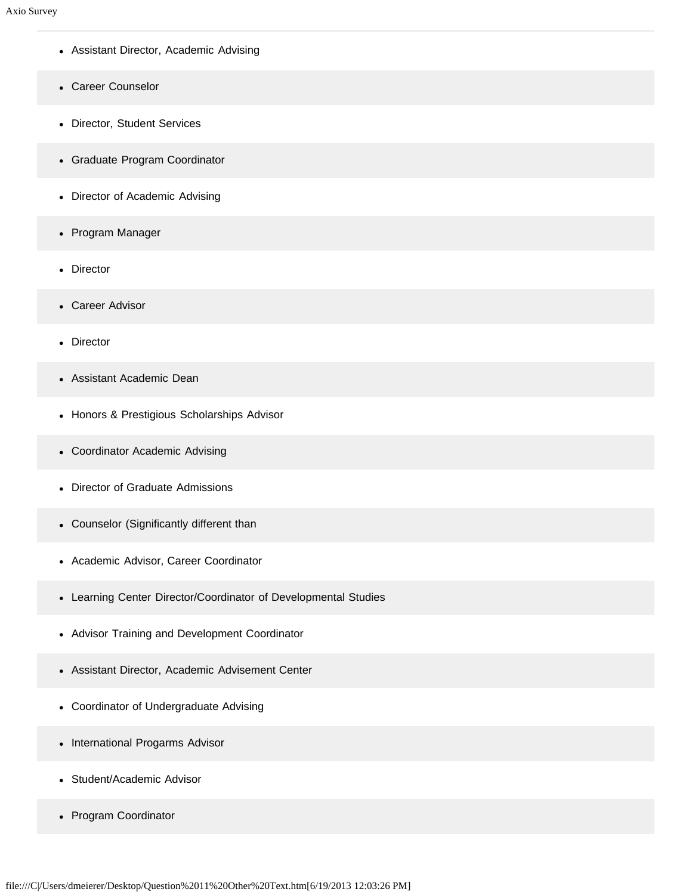- Assistant Director, Academic Advising
- Career Counselor
- Director, Student Services
- Graduate Program Coordinator
- Director of Academic Advising
- Program Manager
- Director
- Career Advisor
- Director
- Assistant Academic Dean
- Honors & Prestigious Scholarships Advisor
- Coordinator Academic Advising
- Director of Graduate Admissions
- Counselor (Significantly different than
- Academic Advisor, Career Coordinator
- Learning Center Director/Coordinator of Developmental Studies
- Advisor Training and Development Coordinator
- Assistant Director, Academic Advisement Center
- Coordinator of Undergraduate Advising
- International Progarms Advisor
- Student/Academic Advisor  $\bullet$
- Program Coordinator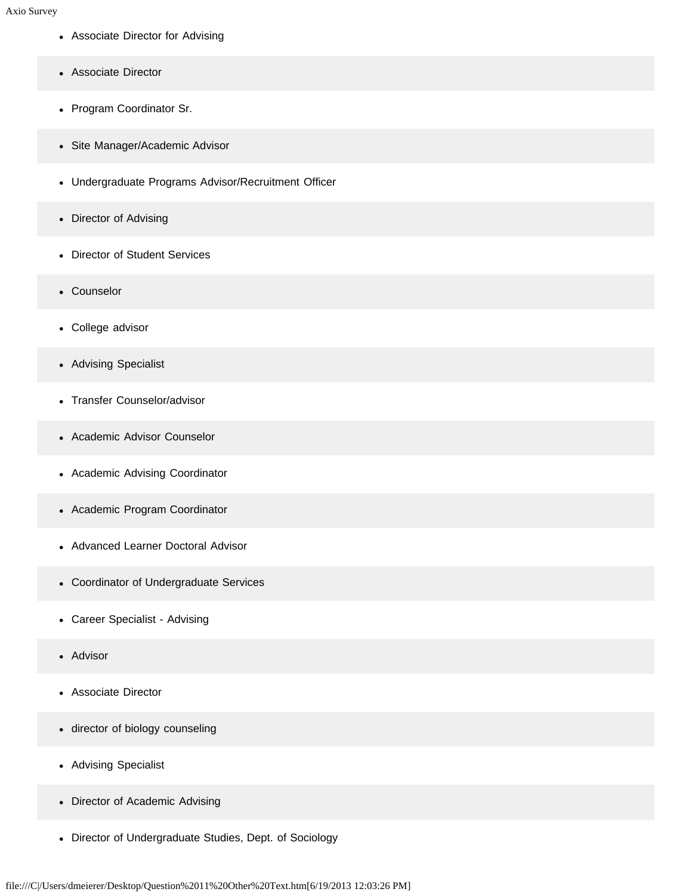- Associate Director for Advising
- Associate Director
- Program Coordinator Sr.
- Site Manager/Academic Advisor
- Undergraduate Programs Advisor/Recruitment Officer
- Director of Advising
- Director of Student Services
- Counselor
- College advisor
- Advising Specialist
- Transfer Counselor/advisor
- Academic Advisor Counselor
- Academic Advising Coordinator
- Academic Program Coordinator
- Advanced Learner Doctoral Advisor  $\bullet$
- Coordinator of Undergraduate Services
- Career Specialist Advising
- Advisor
- Associate Director
- director of biology counseling
- Advising Specialist
- Director of Academic Advising
- Director of Undergraduate Studies, Dept. of Sociology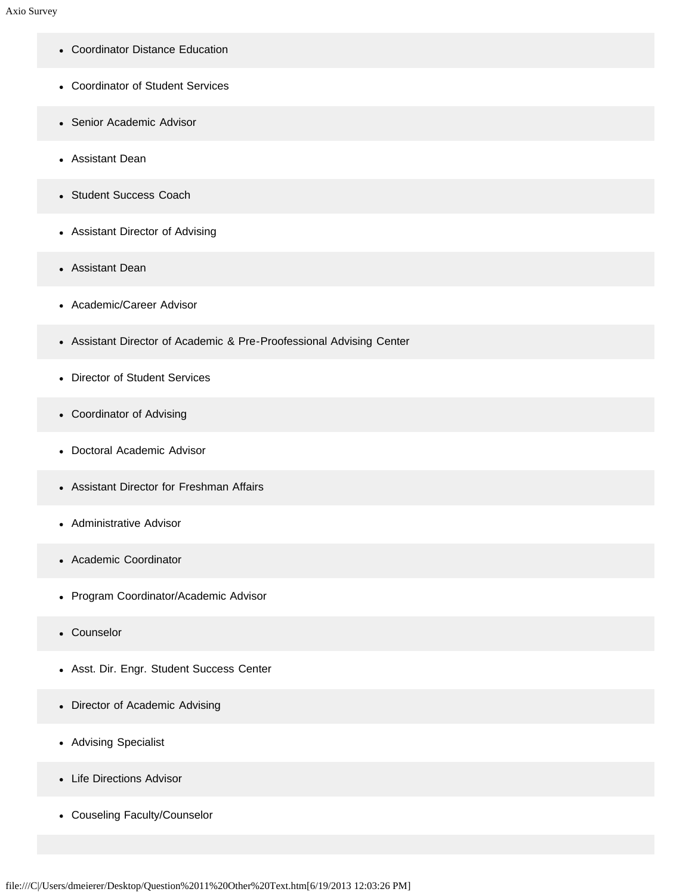- Coordinator Distance Education
- Coordinator of Student Services
- Senior Academic Advisor
- Assistant Dean
- Student Success Coach
- Assistant Director of Advising
- Assistant Dean
- Academic/Career Advisor
- Assistant Director of Academic & Pre-Proofessional Advising Center
- Director of Student Services
- Coordinator of Advising
- Doctoral Academic Advisor
- Assistant Director for Freshman Affairs
- Administrative Advisor
- Academic Coordinator
- Program Coordinator/Academic Advisor
- Counselor
- Asst. Dir. Engr. Student Success Center
- Director of Academic Advising
- Advising Specialist
- Life Directions Advisor
- Couseling Faculty/Counselor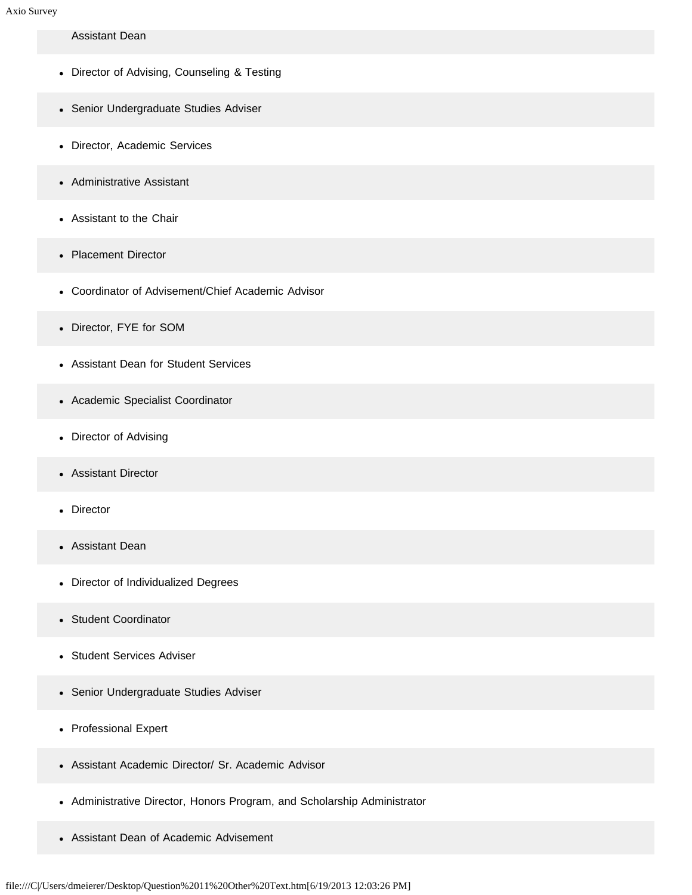## Assistant Dean

- Director of Advising, Counseling & Testing
- Senior Undergraduate Studies Adviser
- Director, Academic Services
- Administrative Assistant
- Assistant to the Chair
- Placement Director
- Coordinator of Advisement/Chief Academic Advisor
- Director, FYE for SOM
- Assistant Dean for Student Services
- Academic Specialist Coordinator
- Director of Advising
- Assistant Director
- Director
- Assistant Dean  $\bullet$
- Director of Individualized Degrees
- Student Coordinator  $\bullet$
- Student Services Adviser  $\bullet$
- Senior Undergraduate Studies Adviser
- Professional Expert
- Assistant Academic Director/ Sr. Academic Advisor
- Administrative Director, Honors Program, and Scholarship Administrator
- Assistant Dean of Academic Advisement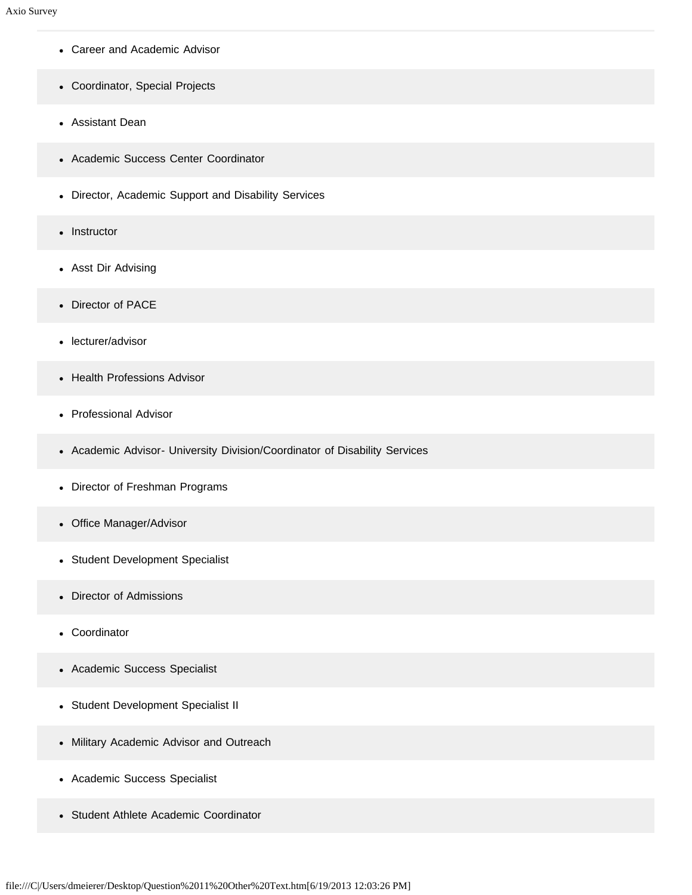- Career and Academic Advisor
- Coordinator, Special Projects
- Assistant Dean
- Academic Success Center Coordinator
- Director, Academic Support and Disability Services
- Instructor
- Asst Dir Advising
- Director of PACE
- lecturer/advisor
- Health Professions Advisor
- Professional Advisor
- Academic Advisor- University Division/Coordinator of Disability Services
- Director of Freshman Programs
- Office Manager/Advisor
- Student Development Specialist  $\bullet$
- Director of Admissions  $\bullet$
- Coordinator  $\bullet$
- Academic Success Specialist
- Student Development Specialist II
- Military Academic Advisor and Outreach
- Academic Success Specialist
- Student Athlete Academic Coordinator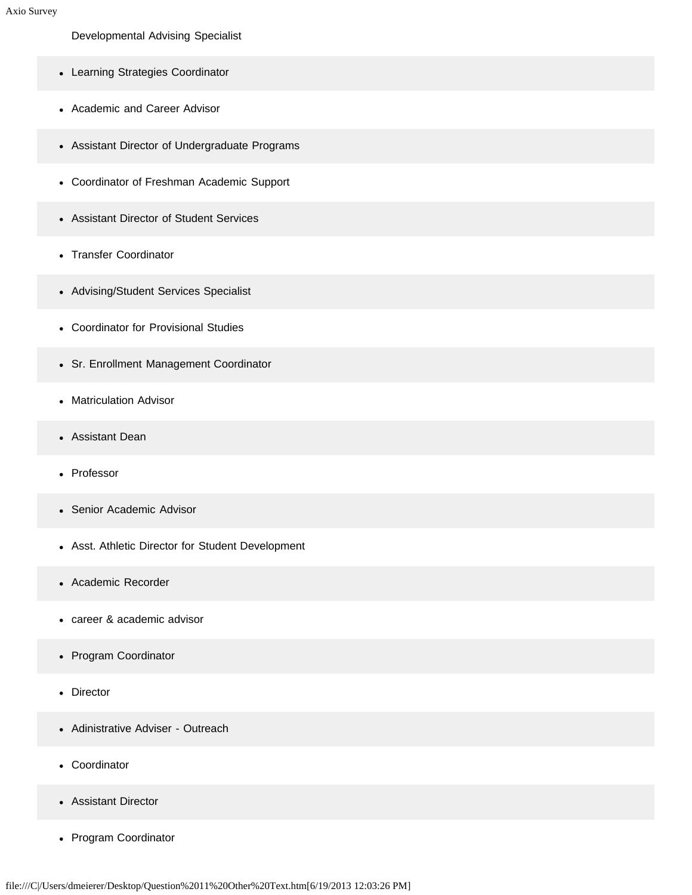Developmental Advising Specialist

- Learning Strategies Coordinator
- Academic and Career Advisor
- Assistant Director of Undergraduate Programs
- Coordinator of Freshman Academic Support
- Assistant Director of Student Services
- Transfer Coordinator
- Advising/Student Services Specialist
- Coordinator for Provisional Studies
- Sr. Enrollment Management Coordinator
- Matriculation Advisor
- Assistant Dean
- Professor
- Senior Academic Advisor
- Asst. Athletic Director for Student Development
- Academic Recorder
- career & academic advisor  $\bullet$
- Program Coordinator
- Director  $\bullet$
- Adinistrative Adviser Outreach  $\bullet$
- Coordinator
- Assistant Director
- Program Coordinator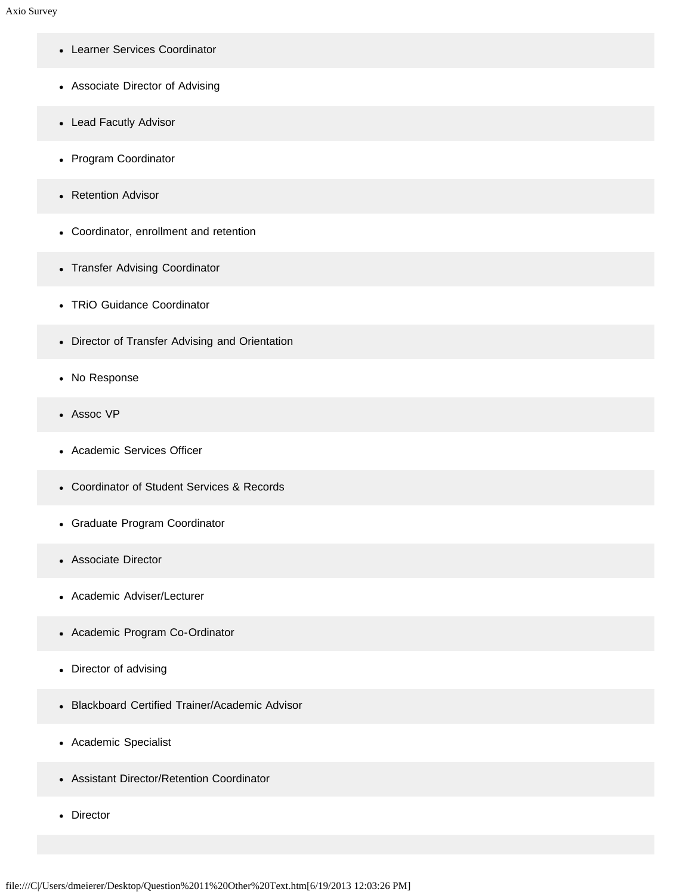- Learner Services Coordinator
- Associate Director of Advising
- Lead Facutly Advisor
- Program Coordinator
- Retention Advisor
- Coordinator, enrollment and retention
- Transfer Advising Coordinator
- TRiO Guidance Coordinator
- Director of Transfer Advising and Orientation
- No Response
- Assoc VP
- Academic Services Officer
- Coordinator of Student Services & Records
- Graduate Program Coordinator
- Associate Director
- Academic Adviser/Lecturer  $\bullet$
- Academic Program Co-Ordinator
- Director of advising
- Blackboard Certified Trainer/Academic Advisor
- Academic Specialist
- Assistant Director/Retention Coordinator
- Director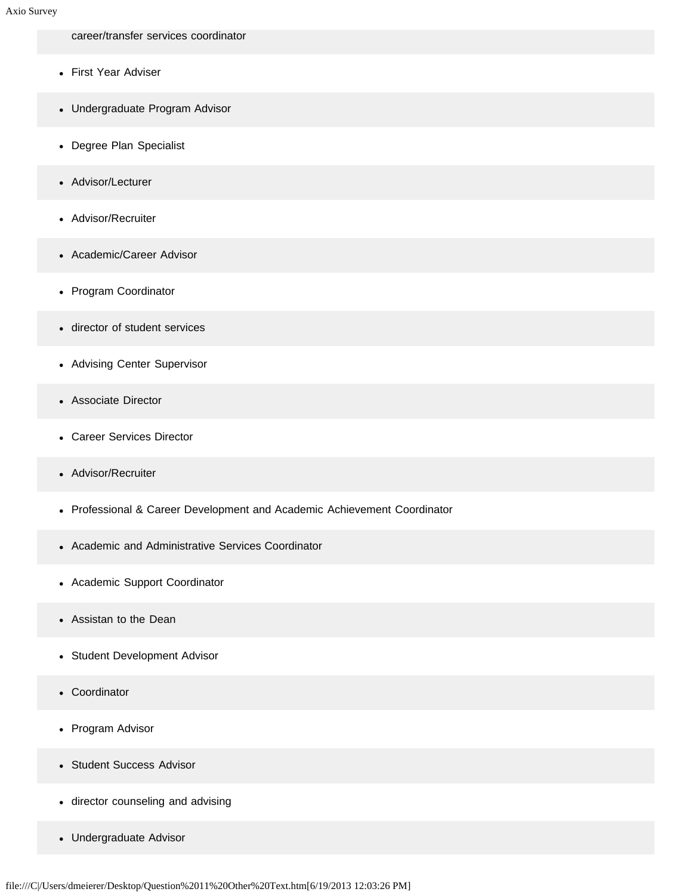career/transfer services coordinator

- First Year Adviser
- Undergraduate Program Advisor
- Degree Plan Specialist
- Advisor/Lecturer
- Advisor/Recruiter
- Academic/Career Advisor
- Program Coordinator
- director of student services
- Advising Center Supervisor
- Associate Director
- Career Services Director
- Advisor/Recruiter
- Professional & Career Development and Academic Achievement Coordinator
- Academic and Administrative Services Coordinator
- Academic Support Coordinator
- Assistan to the Dean  $\bullet$
- Student Development Advisor  $\bullet$
- Coordinator  $\bullet$
- Program Advisor
- Student Success Advisor
- director counseling and advising
- Undergraduate Advisor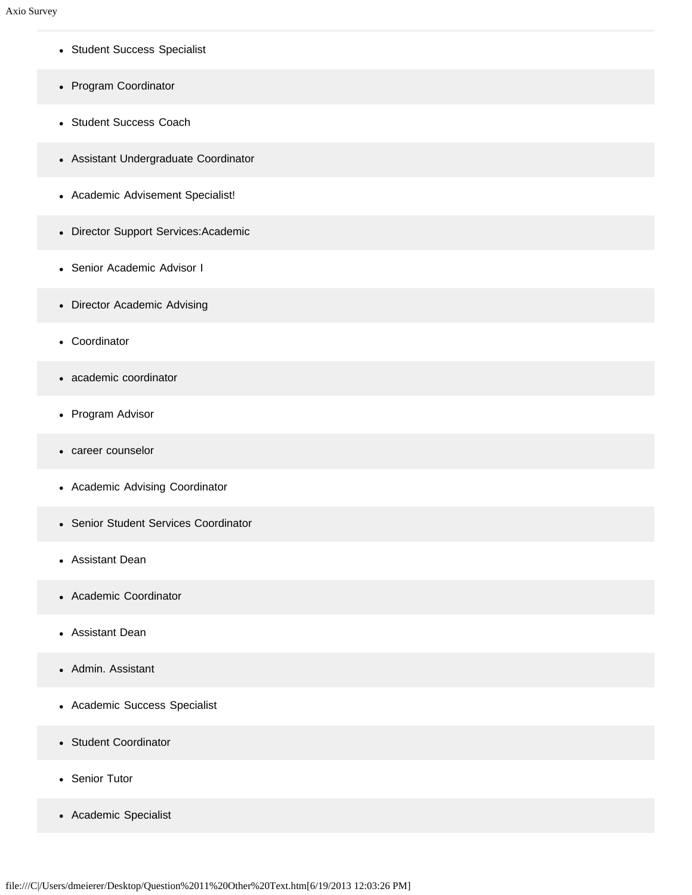- Student Success Specialist
- Program Coordinator
- Student Success Coach
- Assistant Undergraduate Coordinator
- Academic Advisement Specialist!
- Director Support Services:Academic
- Senior Academic Advisor I
- Director Academic Advising
- Coordinator
- academic coordinator
- Program Advisor
- career counselor
- Academic Advising Coordinator
- Senior Student Services Coordinator
- Assistant Dean
- Academic Coordinator  $\bullet$
- Assistant Dean
- Admin. Assistant
- Academic Success Specialist
- Student Coordinator
- Senior Tutor
- Academic Specialist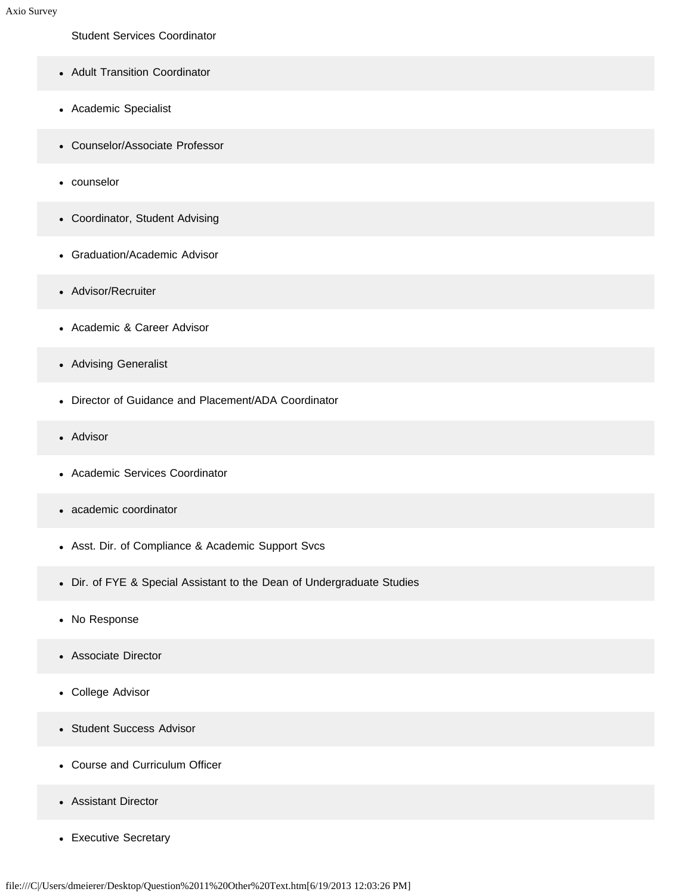Student Services Coordinator

- Adult Transition Coordinator
- Academic Specialist
- Counselor/Associate Professor
- counselor
- Coordinator, Student Advising
- Graduation/Academic Advisor
- Advisor/Recruiter
- Academic & Career Advisor
- Advising Generalist
- Director of Guidance and Placement/ADA Coordinator
- Advisor
- Academic Services Coordinator
- academic coordinator
- Asst. Dir. of Compliance & Academic Support Svcs
- Dir. of FYE & Special Assistant to the Dean of Undergraduate Studies
- No Response
- Associate Director
- College Advisor
- Student Success Advisor
- Course and Curriculum Officer
- Assistant Director
- Executive Secretary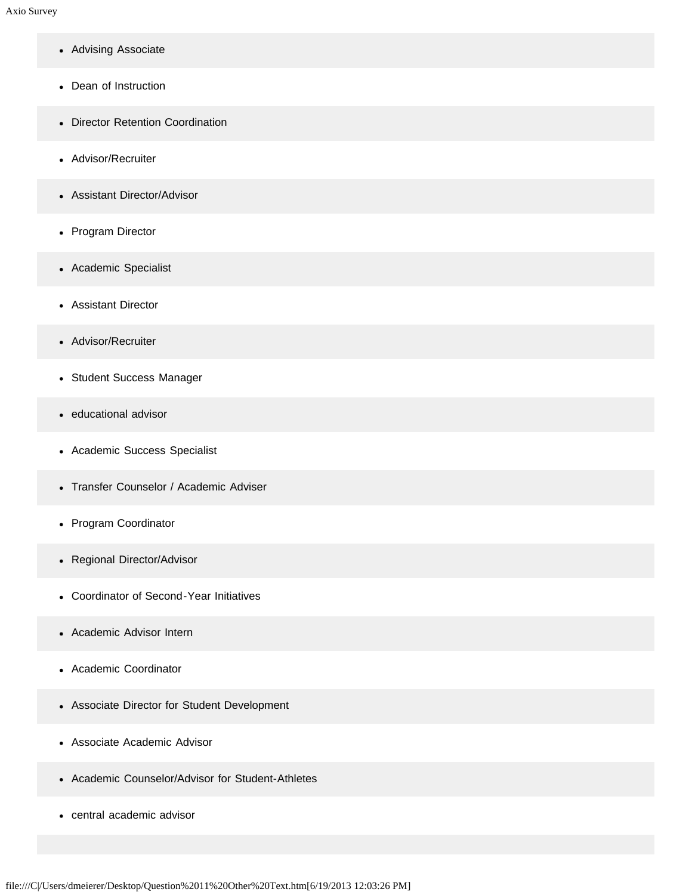- Advising Associate
- Dean of Instruction
- Director Retention Coordination
- Advisor/Recruiter
- Assistant Director/Advisor
- Program Director
- Academic Specialist
- Assistant Director
- Advisor/Recruiter
- Student Success Manager
- educational advisor
- Academic Success Specialist
- Transfer Counselor / Academic Adviser
- Program Coordinator
- Regional Director/Advisor
- Coordinator of Second-Year Initiatives  $\bullet$
- Academic Advisor Intern
- Academic Coordinator
- Associate Director for Student Development
- Associate Academic Advisor
- Academic Counselor/Advisor for Student-Athletes
- central academic advisor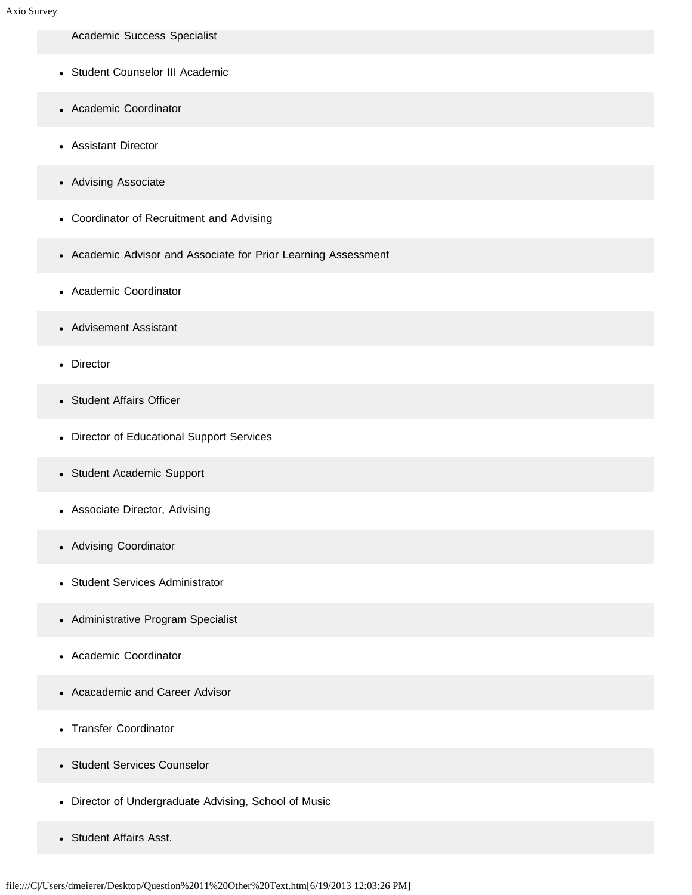Academic Success Specialist

- Student Counselor III Academic
- Academic Coordinator
- Assistant Director
- Advising Associate
- Coordinator of Recruitment and Advising
- Academic Advisor and Associate for Prior Learning Assessment
- Academic Coordinator
- Advisement Assistant  $\bullet$
- Director
- Student Affairs Officer
- Director of Educational Support Services
- Student Academic Support
- Associate Director, Advising
- Advising Coordinator
- Student Services Administrator
- Administrative Program Specialist
- Academic Coordinator  $\bullet$
- Acacademic and Career Advisor  $\bullet$
- Transfer Coordinator  $\bullet$
- Student Services Counselor
- Director of Undergraduate Advising, School of Music
- Student Affairs Asst.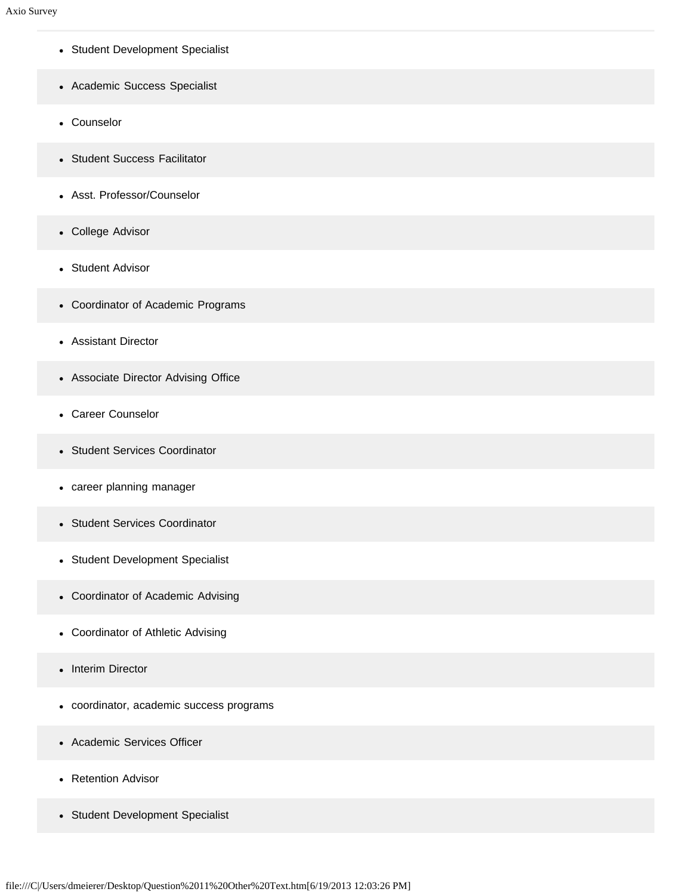- Student Development Specialist
- Academic Success Specialist
- Counselor
- Student Success Facilitator
- Asst. Professor/Counselor
- College Advisor
- Student Advisor  $\bullet$
- Coordinator of Academic Programs
- Assistant Director
- Associate Director Advising Office
- Career Counselor
- Student Services Coordinator  $\bullet$
- career planning manager
- Student Services Coordinator
- Student Development Specialist
- Coordinator of Academic Advising
- Coordinator of Athletic Advising
- Interim Director  $\bullet$
- coordinator, academic success programs
- Academic Services Officer
- Retention Advisor
- Student Development Specialist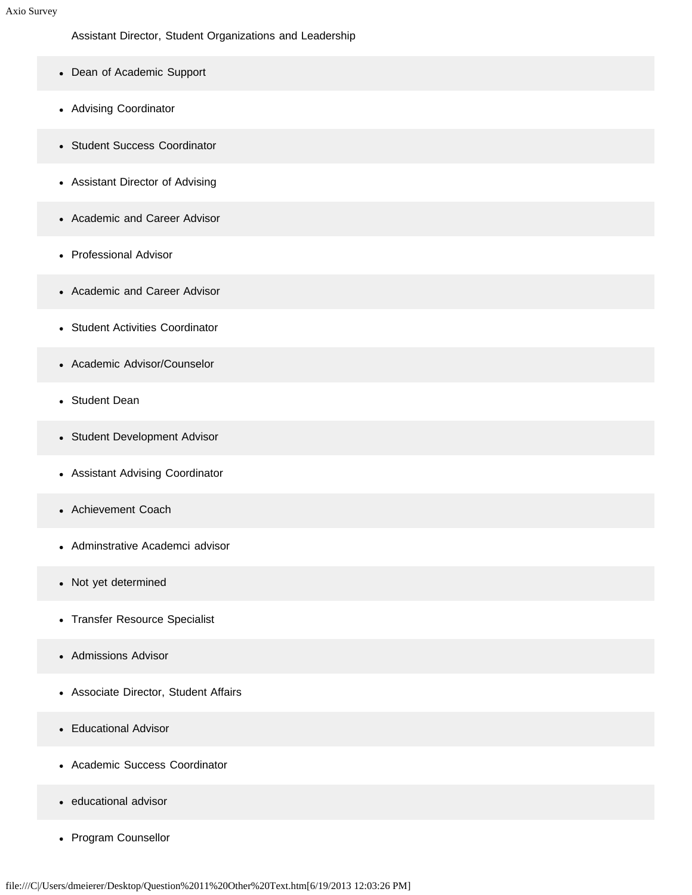Assistant Director, Student Organizations and Leadership

- Dean of Academic Support
- Advising Coordinator
- Student Success Coordinator
- Assistant Director of Advising
- Academic and Career Advisor
- Professional Advisor
- Academic and Career Advisor
- Student Activities Coordinator
- Academic Advisor/Counselor
- Student Dean
- Student Development Advisor
- Assistant Advising Coordinator
- Achievement Coach
- Adminstrative Academci advisor  $\bullet$
- Not yet determined
- Transfer Resource Specialist
- Admissions Advisor
- Associate Director, Student Affairs
- Educational Advisor
- Academic Success Coordinator
- educational advisor
- Program Counsellor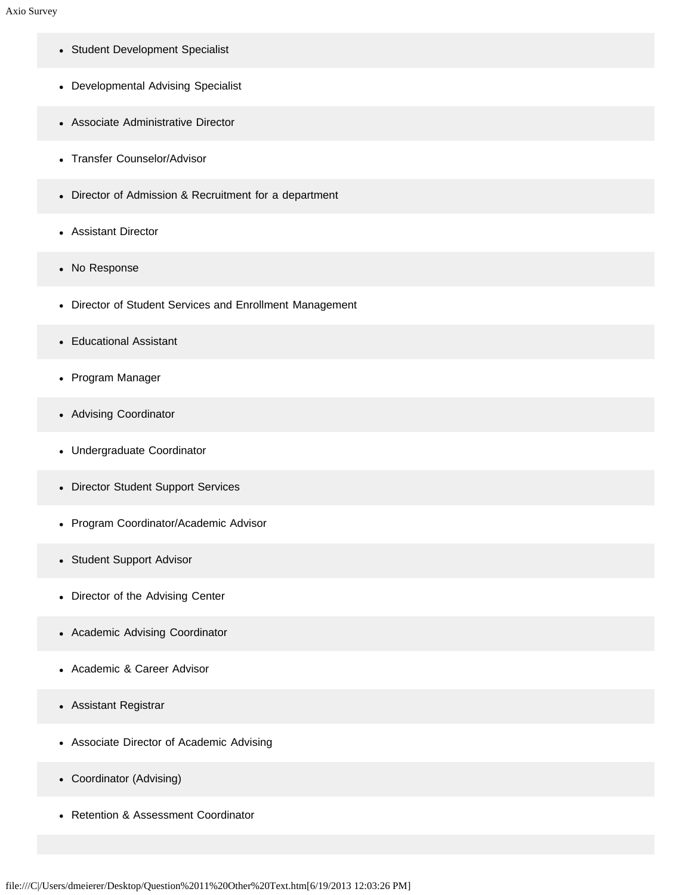- Student Development Specialist
- Developmental Advising Specialist
- Associate Administrative Director
- Transfer Counselor/Advisor
- Director of Admission & Recruitment for a department
- Assistant Director
- No Response
- Director of Student Services and Enrollment Management
- Educational Assistant
- Program Manager
- Advising Coordinator
- Undergraduate Coordinator
- Director Student Support Services
- Program Coordinator/Academic Advisor
- Student Support Advisor
- Director of the Advising Center
- Academic Advising Coordinator
- Academic & Career Advisor  $\bullet$
- Assistant Registrar
- Associate Director of Academic Advising
- Coordinator (Advising)
- Retention & Assessment Coordinator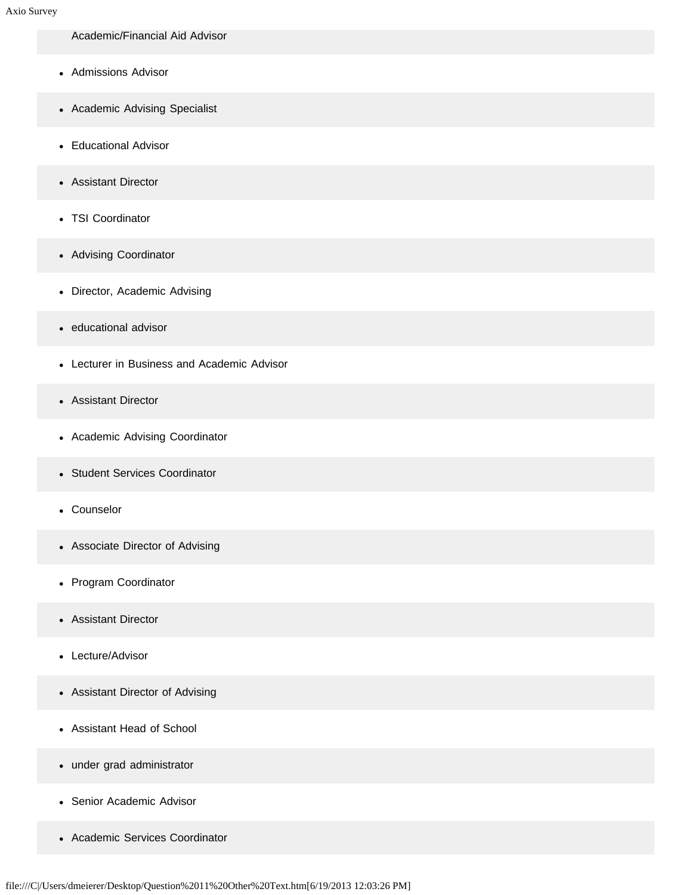- Academic/Financial Aid Advisor
- Admissions Advisor
- Academic Advising Specialist
- Educational Advisor
- Assistant Director
- TSI Coordinator
- Advising Coordinator
- Director, Academic Advising
- educational advisor
- Lecturer in Business and Academic Advisor
- Assistant Director
- Academic Advising Coordinator
- Student Services Coordinator
- Counselor
- Associate Director of Advising
- Program Coordinator
- Assistant Director  $\bullet$
- Lecture/Advisor
- Assistant Director of Advising
- Assistant Head of School
- under grad administrator
- Senior Academic Advisor
- Academic Services Coordinator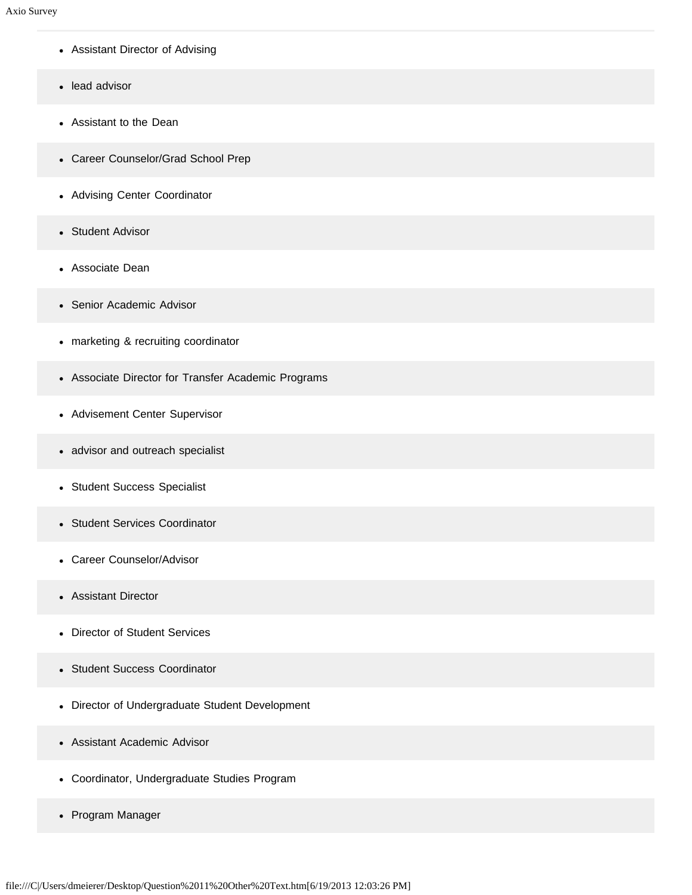- Assistant Director of Advising
- lead advisor
- Assistant to the Dean
- Career Counselor/Grad School Prep
- Advising Center Coordinator
- Student Advisor
- Associate Dean  $\bullet$
- Senior Academic Advisor
- marketing & recruiting coordinator
- Associate Director for Transfer Academic Programs
- Advisement Center Supervisor
- advisor and outreach specialist
- Student Success Specialist
- Student Services Coordinator  $\bullet$
- Career Counselor/Advisor
- Assistant Director  $\bullet$
- Director of Student Services  $\bullet$
- Student Success Coordinator
- Director of Undergraduate Student Development
- Assistant Academic Advisor
- Coordinator, Undergraduate Studies Program
- Program Manager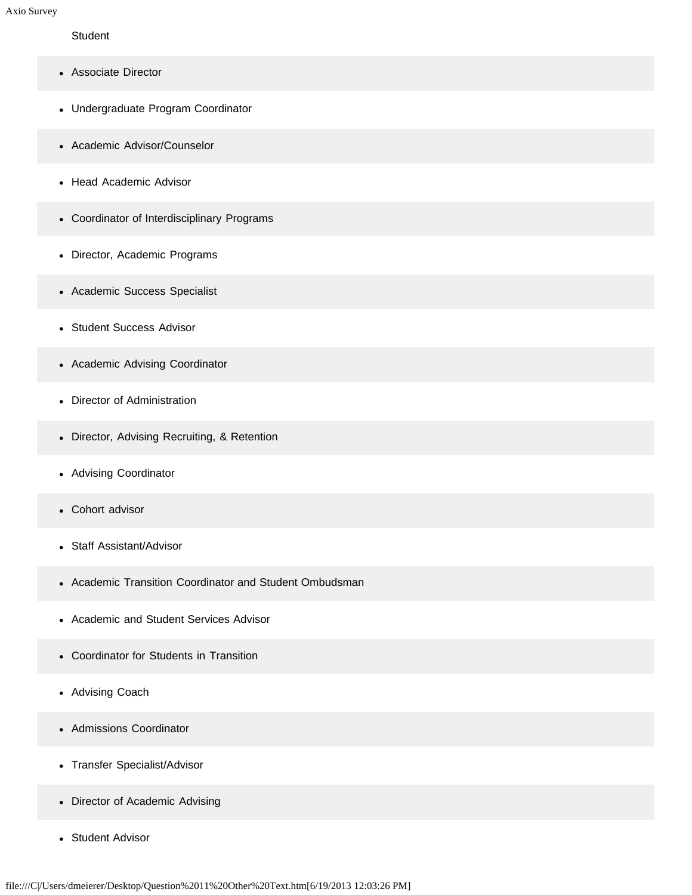#### **Student**

- Associate Director
- Undergraduate Program Coordinator
- Academic Advisor/Counselor
- Head Academic Advisor
- Coordinator of Interdisciplinary Programs
- Director, Academic Programs
- Academic Success Specialist
- Student Success Advisor
- Academic Advising Coordinator
- Director of Administration
- Director, Advising Recruiting, & Retention
- Advising Coordinator
- Cohort advisor
- Staff Assistant/Advisor  $\bullet$
- Academic Transition Coordinator and Student Ombudsman
- Academic and Student Services Advisor
- Coordinator for Students in Transition  $\bullet$
- Advising Coach
- Admissions Coordinator  $\bullet$
- Transfer Specialist/Advisor
- Director of Academic Advising
- Student Advisor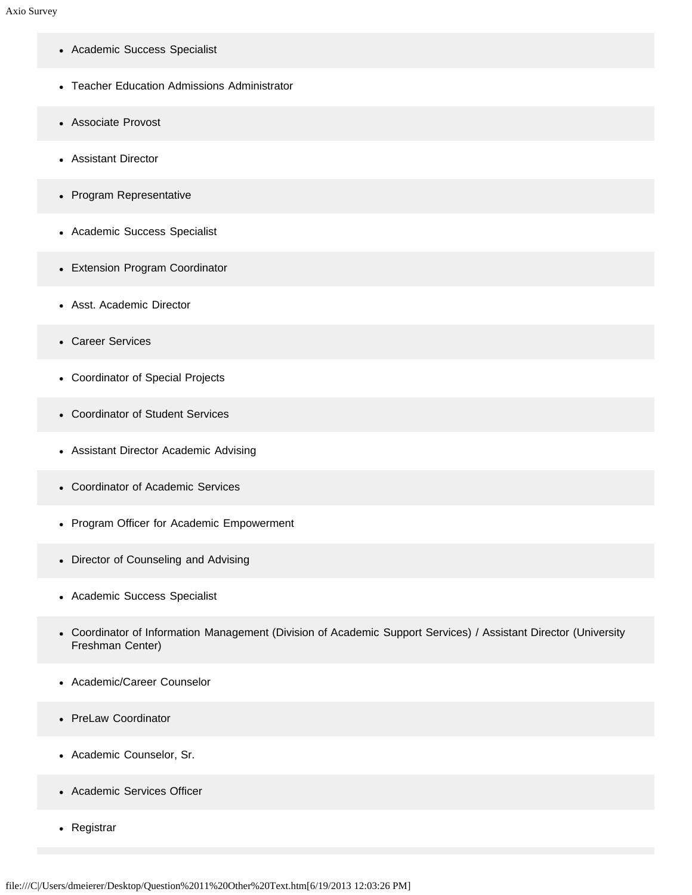- Academic Success Specialist
- Teacher Education Admissions Administrator
- Associate Provost
- Assistant Director
- Program Representative
- Academic Success Specialist
- Extension Program Coordinator
- Asst. Academic Director
- Career Services
- Coordinator of Special Projects
- Coordinator of Student Services
- Assistant Director Academic Advising
- Coordinator of Academic Services
- Program Officer for Academic Empowerment
- Director of Counseling and Advising
- Academic Success Specialist
- Coordinator of Information Management (Division of Academic Support Services) / Assistant Director (University Freshman Center)
- Academic/Career Counselor
- PreLaw Coordinator
- Academic Counselor, Sr.
- Academic Services Officer
- Registrar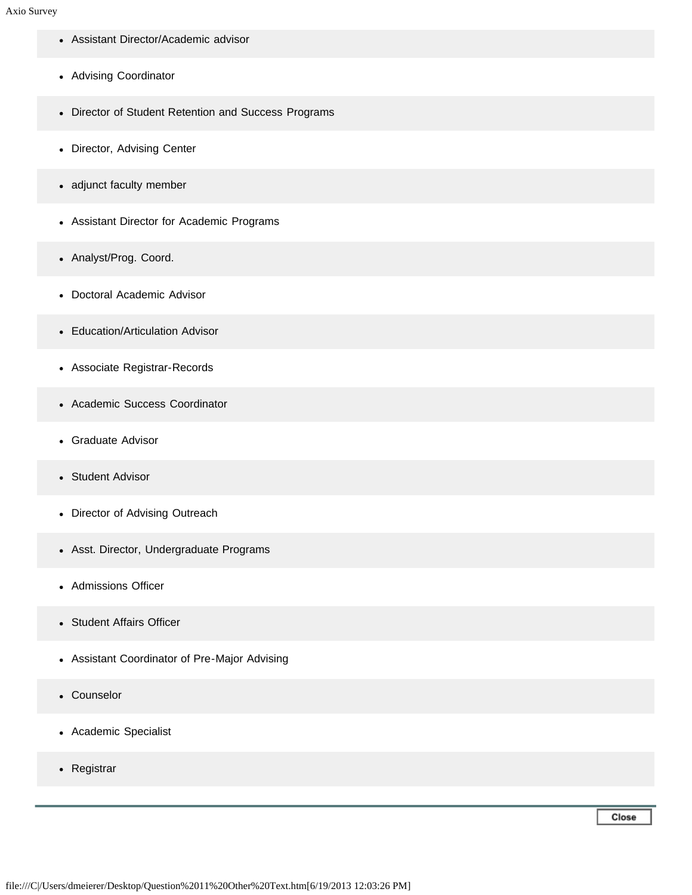- Assistant Director/Academic advisor
- Advising Coordinator
- Director of Student Retention and Success Programs
- Director, Advising Center
- adjunct faculty member
- Assistant Director for Academic Programs
- Analyst/Prog. Coord.
- Doctoral Academic Advisor
- Education/Articulation Advisor
- Associate Registrar-Records
- Academic Success Coordinator
- Graduate Advisor
- Student Advisor  $\bullet$
- Director of Advising Outreach
- Asst. Director, Undergraduate Programs
- Admissions Officer
- Student Affairs Officer
- Assistant Coordinator of Pre-Major Advising
- Counselor
- Academic Specialist
- Registrar

Close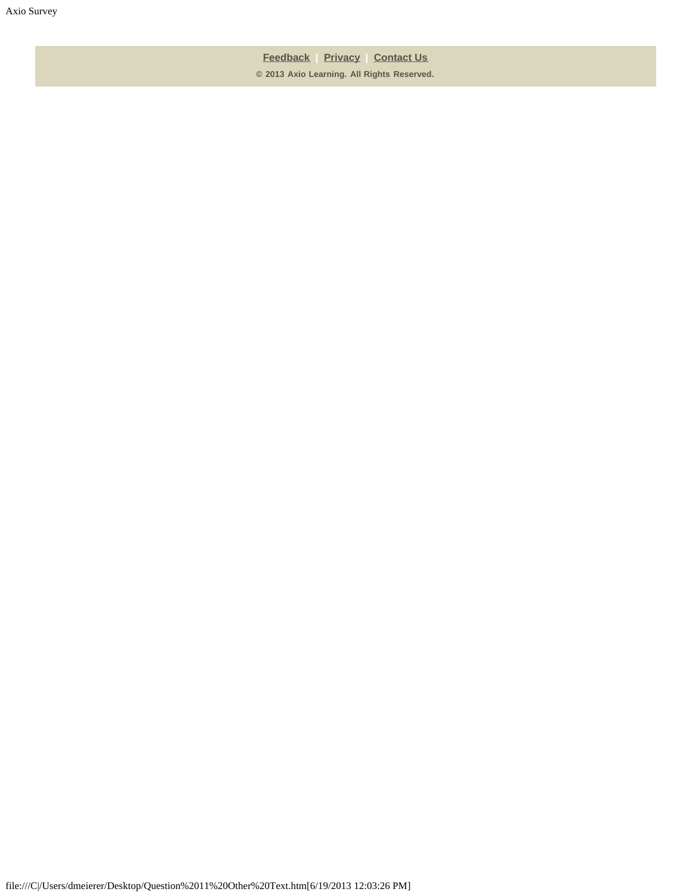**[Feedback](https://online.ksu.edu/Survey/public/feedback.jsp) | [Privacy](https://online.ksu.edu/Survey/public/privacy.jsp) | [Contact Us](https://online.ksu.edu/Survey/public/plain_about_us.jsp) © 2013 Axio Learning. All Rights Reserved.**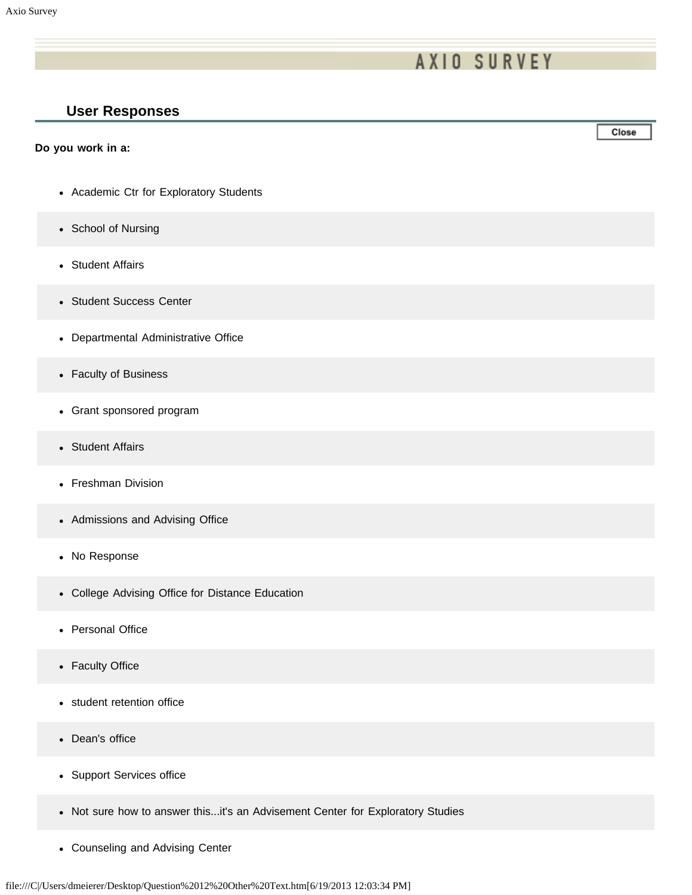# **AXIO SURVEY**

### **User Responses**

#### **Do you work in a:**

- Academic Ctr for Exploratory Students
- School of Nursing
- Student Affairs
- Student Success Center
- Departmental Administrative Office
- Faculty of Business
- Grant sponsored program
- Student Affairs
- Freshman Division
- Admissions and Advising Office
- No Response
- College Advising Office for Distance Education
- Personal Office
- Faculty Office
- student retention office
- Dean's office  $\bullet$
- Support Services office
- Not sure how to answer this...it's an Advisement Center for Exploratory Studies
- Counseling and Advising Center

Close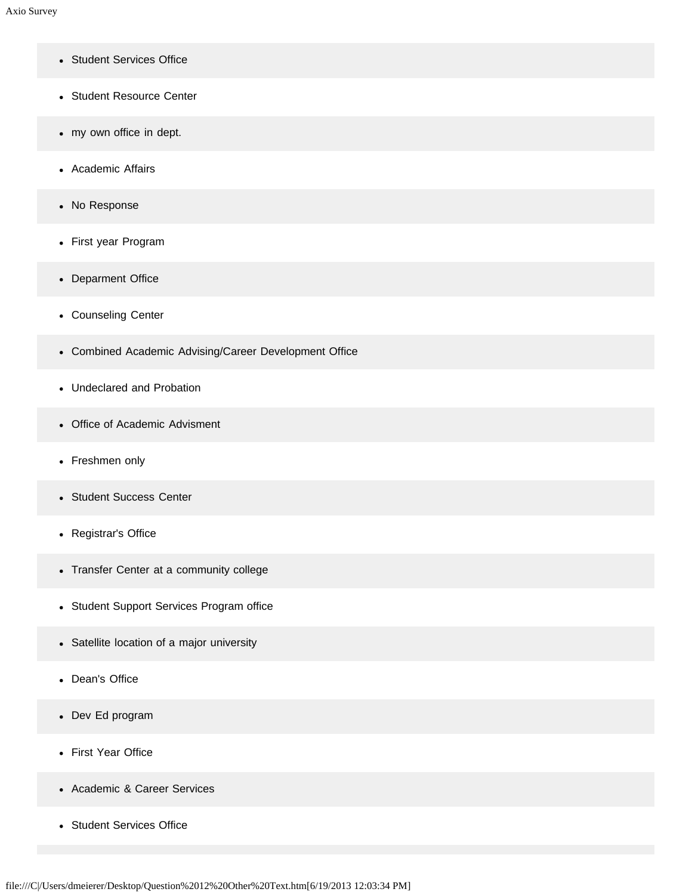- Student Services Office
- Student Resource Center
- my own office in dept.
- Academic Affairs
- No Response
- First year Program
- Deparment Office
- Counseling Center
- Combined Academic Advising/Career Development Office
- Undeclared and Probation
- Office of Academic Advisment
- Freshmen only
- Student Success Center
- Registrar's Office
- Transfer Center at a community college
- Student Support Services Program office
- Satellite location of a major university
- Dean's Office
- Dev Ed program
- First Year Office
- Academic & Career Services
- Student Services Office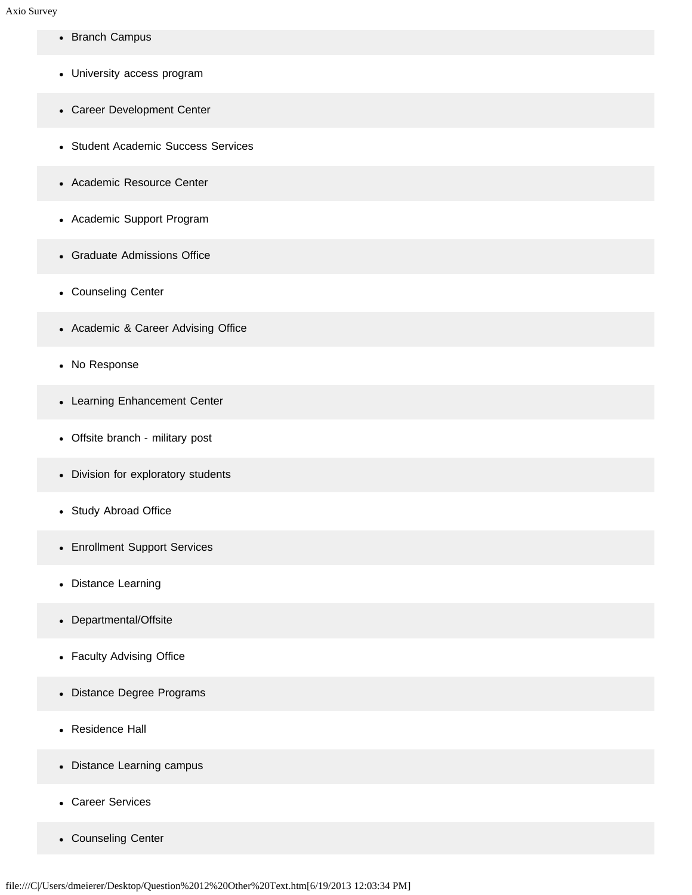- Branch Campus
- University access program
- Career Development Center
- Student Academic Success Services
- Academic Resource Center
- Academic Support Program
- Graduate Admissions Office
- Counseling Center
- Academic & Career Advising Office
- No Response
- Learning Enhancement Center
- Offsite branch military post
- Division for exploratory students
- Study Abroad Office
- Enrollment Support Services
- Distance Learning
- Departmental/Offsite
- Faculty Advising Office
- Distance Degree Programs
- Residence Hall
- Distance Learning campus
- Career Services
- Counseling Center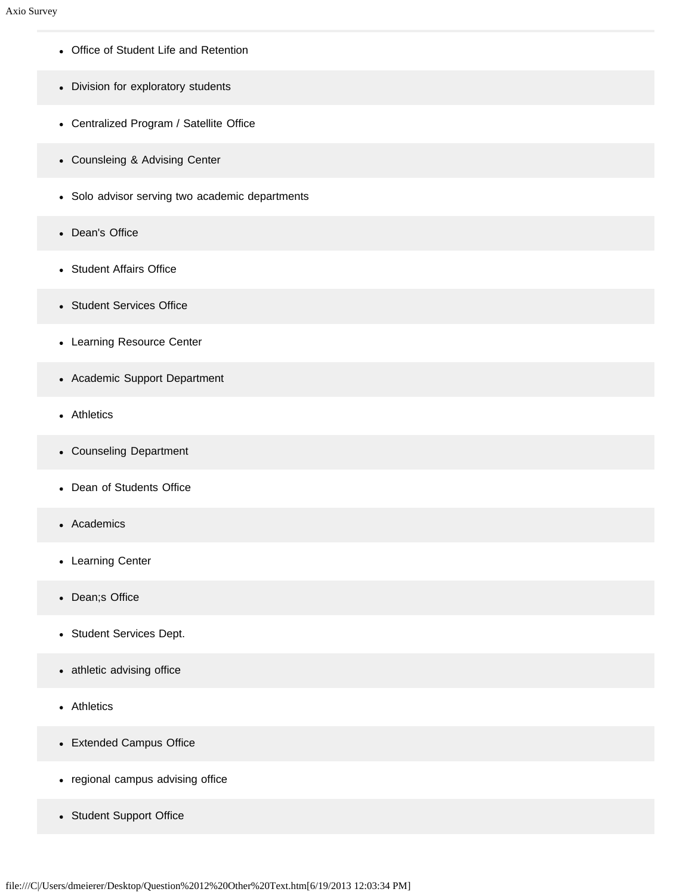- Office of Student Life and Retention
- Division for exploratory students
- Centralized Program / Satellite Office
- Counsleing & Advising Center
- Solo advisor serving two academic departments
- Dean's Office
- Student Affairs Office
- Student Services Office
- Learning Resource Center
- Academic Support Department
- Athletics
- Counseling Department
- Dean of Students Office
- Academics  $\bullet$
- Learning Center
- Dean;s Office
- Student Services Dept.
- athletic advising office
- Athletics
- Extended Campus Office
- regional campus advising office
- Student Support Office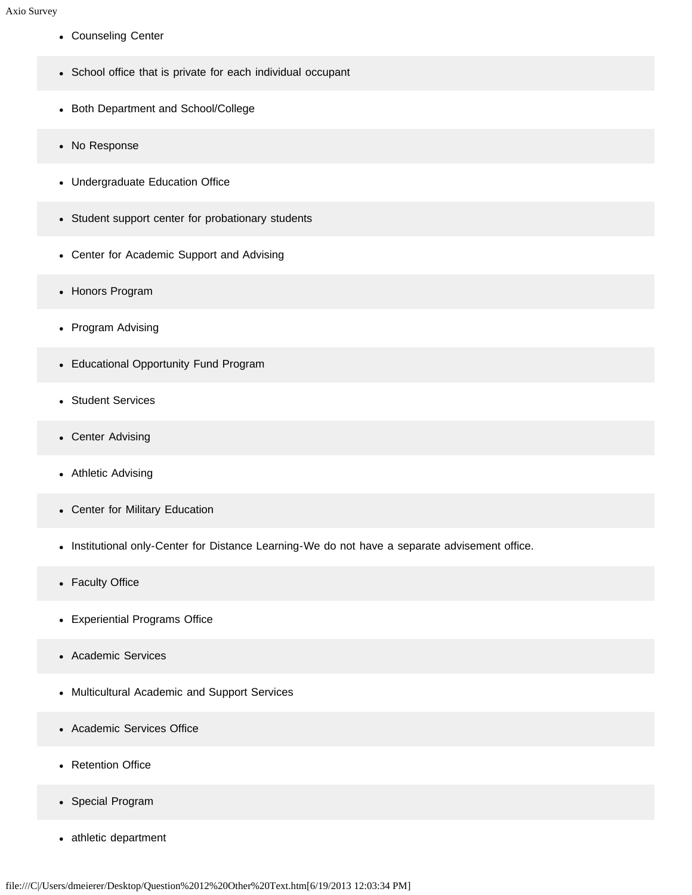- Counseling Center
- School office that is private for each individual occupant
- Both Department and School/College
- No Response
- Undergraduate Education Office
- Student support center for probationary students
- Center for Academic Support and Advising
- Honors Program
- Program Advising
- Educational Opportunity Fund Program
- Student Services
- Center Advising
- Athletic Advising
- Center for Military Education
- Institutional only-Center for Distance Learning-We do not have a separate advisement office.
- Faculty Office
- Experiential Programs Office
- Academic Services  $\bullet$
- Multicultural Academic and Support Services
- Academic Services Office  $\bullet$
- Retention Office
- Special Program
- athletic department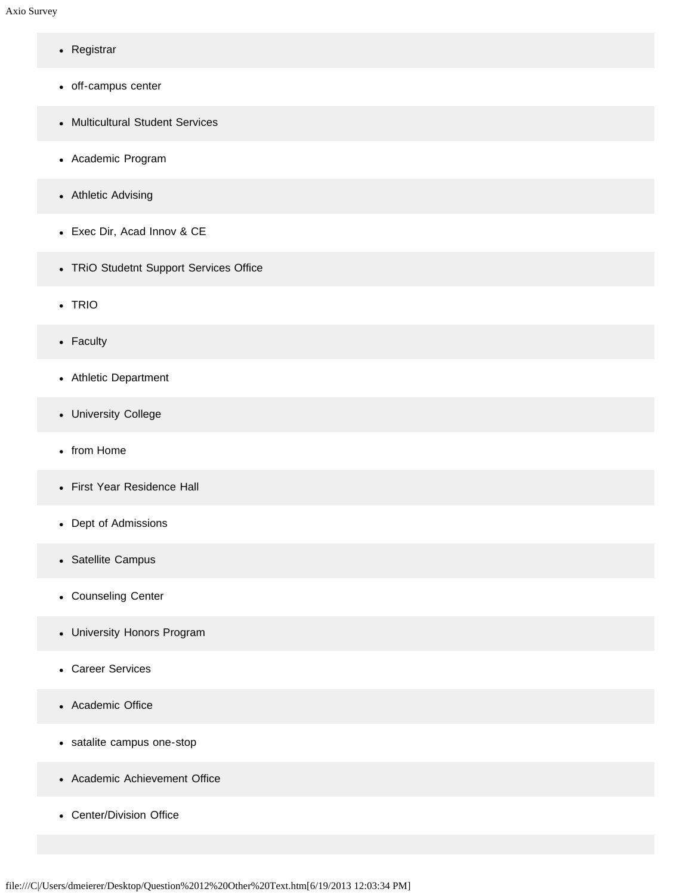- Registrar
- off-campus center
- Multicultural Student Services
- Academic Program
- Athletic Advising
- Exec Dir, Acad Innov & CE
- TRiO Studetnt Support Services Office
- TRIO
- Faculty
- Athletic Department
- University College
- from Home
- First Year Residence Hall
- Dept of Admissions
- Satellite Campus
- Counseling Center
- University Honors Program
- Career Services
- Academic Office
- satalite campus one-stop
- Academic Achievement Office
- Center/Division Office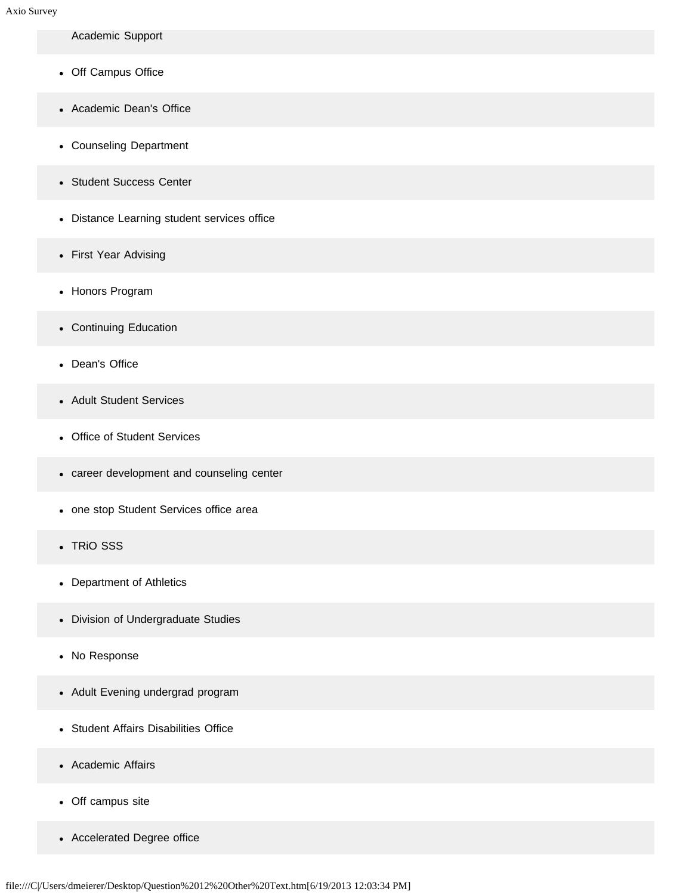Academic Support

- Off Campus Office
- Academic Dean's Office
- Counseling Department
- Student Success Center
- Distance Learning student services office
- First Year Advising
- Honors Program
- Continuing Education
- Dean's Office
- Adult Student Services
- Office of Student Services
- career development and counseling center
- one stop Student Services office area
- TRiO SSS  $\bullet$
- Department of Athletics
- Division of Undergraduate Studies
- No Response
- Adult Evening undergrad program
- Student Affairs Disabilities Office
- Academic Affairs
- Off campus site
- Accelerated Degree office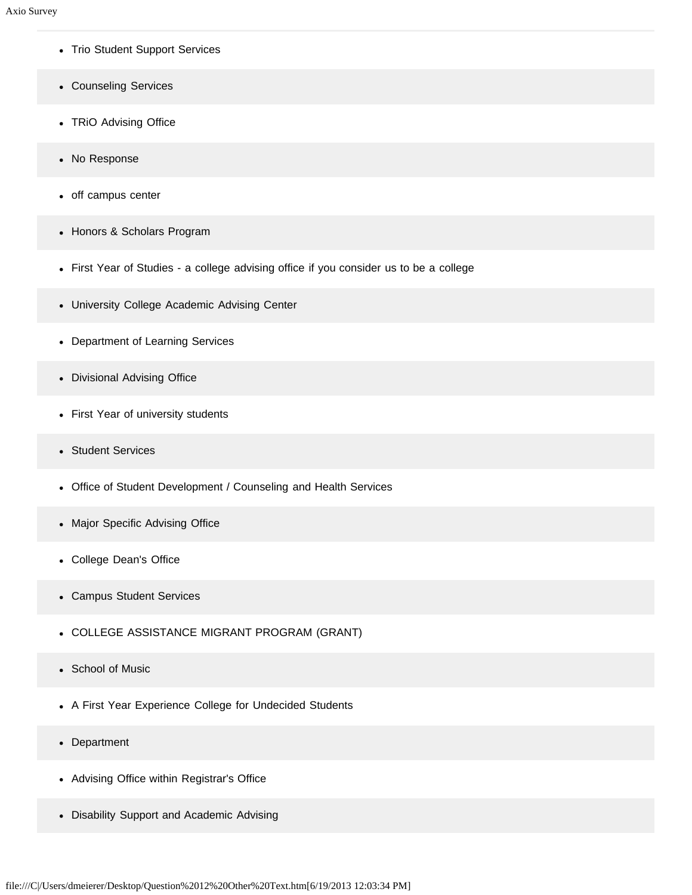- Trio Student Support Services
- Counseling Services
- TRiO Advising Office
- No Response
- off campus center
- Honors & Scholars Program
- First Year of Studies a college advising office if you consider us to be a college
- University College Academic Advising Center
- Department of Learning Services
- Divisional Advising Office
- First Year of university students
- Student Services  $\bullet$
- Office of Student Development / Counseling and Health Services
- Major Specific Advising Office
- College Dean's Office
- Campus Student Services  $\bullet$
- COLLEGE ASSISTANCE MIGRANT PROGRAM (GRANT)
- School of Music  $\bullet$
- A First Year Experience College for Undecided Students
- Department
- Advising Office within Registrar's Office
- Disability Support and Academic Advising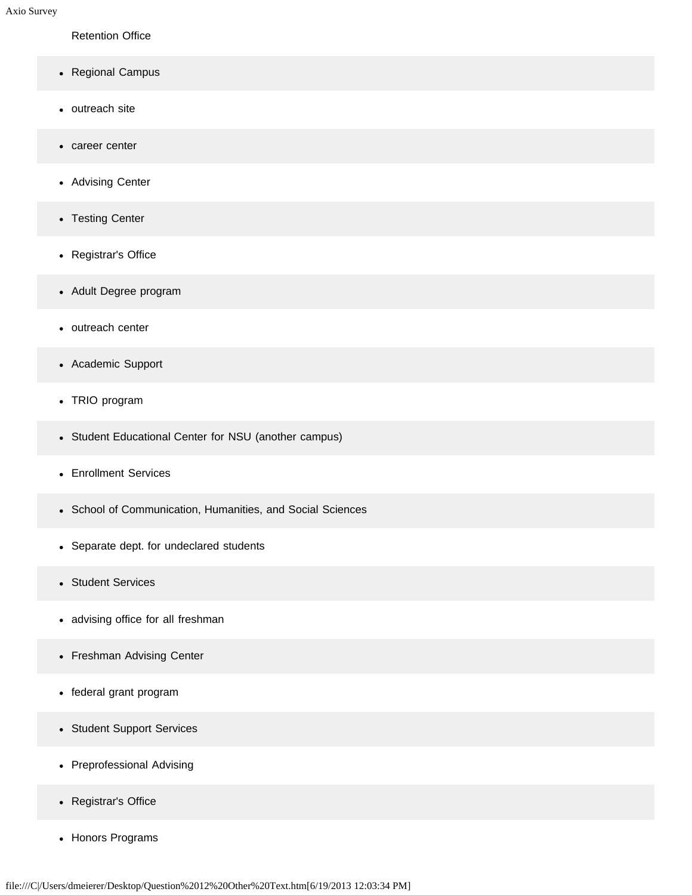Retention Office

- Regional Campus
- outreach site
- career center  $\bullet$
- Advising Center
- Testing Center
- Registrar's Office
- Adult Degree program
- outreach center
- Academic Support
- TRIO program
- Student Educational Center for NSU (another campus)
- Enrollment Services
- School of Communication, Humanities, and Social Sciences
- Separate dept. for undeclared students
- Student Services
- advising office for all freshman
- Freshman Advising Center
- federal grant program
- Student Support Services
- Preprofessional Advising
- Registrar's Office
- Honors Programs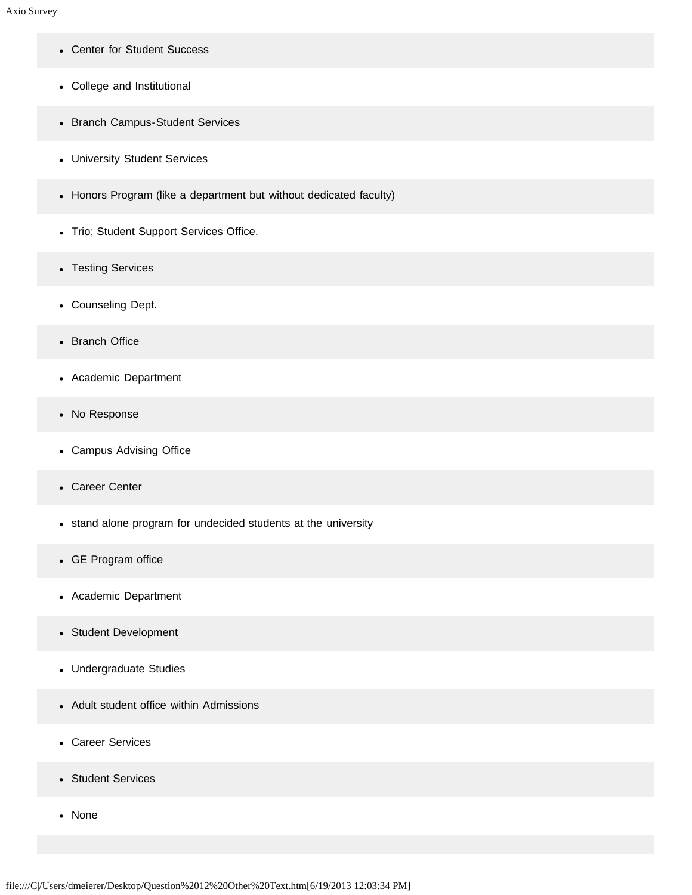- Center for Student Success
- College and Institutional
- Branch Campus-Student Services
- University Student Services
- Honors Program (like a department but without dedicated faculty)
- Trio; Student Support Services Office.
- Testing Services
- Counseling Dept.
- Branch Office
- Academic Department
- No Response
- Campus Advising Office
- Career Center
- stand alone program for undecided students at the university
- GE Program office
- Academic Department
- Student Development
- Undergraduate Studies
- Adult student office within Admissions
- Career Services
- Student Services
- None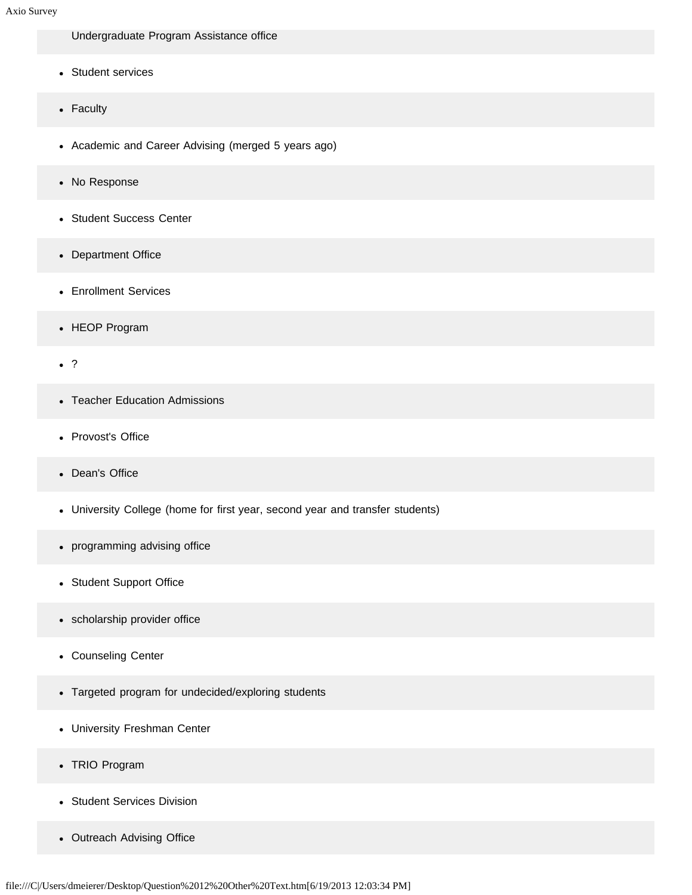Undergraduate Program Assistance office

- Student services
- Faculty
- Academic and Career Advising (merged 5 years ago)
- No Response
- Student Success Center
- Department Office
- Enrollment Services
- HEOP Program
- . ?
- Teacher Education Admissions
- Provost's Office
- Dean's Office
- University College (home for first year, second year and transfer students)
- programming advising office  $\bullet$
- Student Support Office
- scholarship provider office  $\bullet$
- Counseling Center
- Targeted program for undecided/exploring students
- University Freshman Center
- TRIO Program
- Student Services Division
- Outreach Advising Office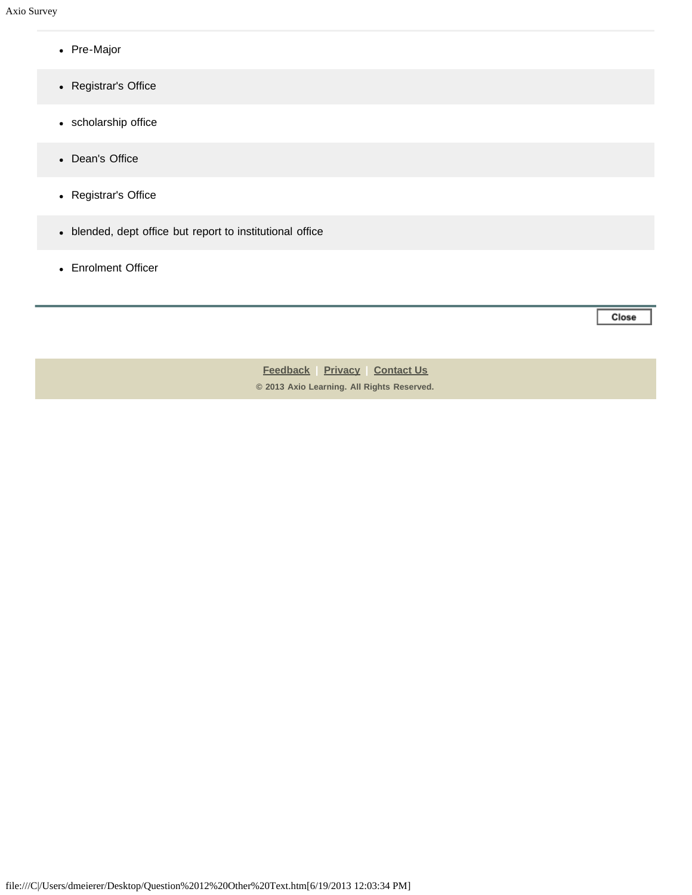- Pre-Major
- Registrar's Office
- scholarship office
- Dean's Office
- Registrar's Office
- blended, dept office but report to institutional office
- Enrolment Officer

Close

**[Feedback](https://online.ksu.edu/Survey/public/feedback.jsp) | [Privacy](https://online.ksu.edu/Survey/public/privacy.jsp) | [Contact Us](https://online.ksu.edu/Survey/public/plain_about_us.jsp) © 2013 Axio Learning. All Rights Reserved.**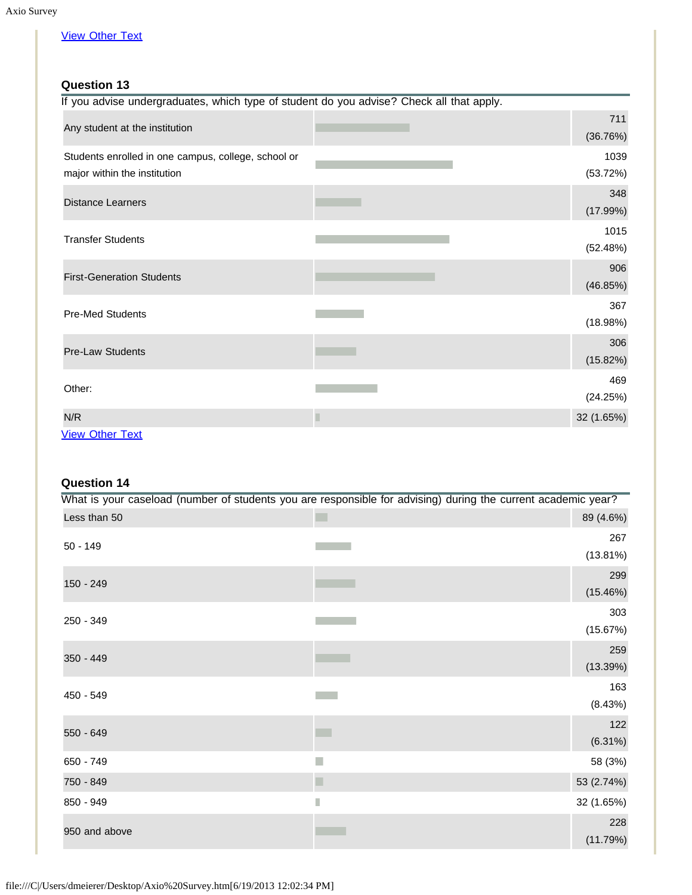# [View Other Text](javascript:openOther(428920);)

## **Question 13**

| If you advise undergraduates, which type of student do you advise? Check all that apply. |            |
|------------------------------------------------------------------------------------------|------------|
|                                                                                          | 711        |
| Any student at the institution                                                           | (36.76%)   |
| Students enrolled in one campus, college, school or                                      | 1039       |
| major within the institution                                                             | (53.72%)   |
|                                                                                          | 348        |
| <b>Distance Learners</b>                                                                 | (17.99%)   |
|                                                                                          | 1015       |
| <b>Transfer Students</b>                                                                 | (52.48%)   |
|                                                                                          | 906        |
| <b>First-Generation Students</b>                                                         | (46.85%)   |
| <b>Pre-Med Students</b>                                                                  | 367        |
|                                                                                          | (18.98%)   |
|                                                                                          | 306        |
| <b>Pre-Law Students</b>                                                                  | (15.82%)   |
|                                                                                          | 469        |
| Other:                                                                                   | (24.25%)   |
| N/R                                                                                      | 32 (1.65%) |
| <b>View Other Text</b>                                                                   |            |

# **Question 14**

|               | What is your caseload (number of students you are responsible for advising) during the current academic year? |                    |
|---------------|---------------------------------------------------------------------------------------------------------------|--------------------|
| Less than 50  |                                                                                                               | 89 (4.6%)          |
| $50 - 149$    |                                                                                                               | 267<br>$(13.81\%)$ |
| 150 - 249     |                                                                                                               | 299<br>(15.46%)    |
| 250 - 349     |                                                                                                               | 303<br>(15.67%)    |
| 350 - 449     |                                                                                                               | 259<br>(13.39%)    |
| 450 - 549     |                                                                                                               | 163<br>(8.43%)     |
| 550 - 649     |                                                                                                               | 122<br>$(6.31\%)$  |
| 650 - 749     |                                                                                                               | 58 (3%)            |
| 750 - 849     |                                                                                                               | 53 (2.74%)         |
| 850 - 949     | П                                                                                                             | 32 (1.65%)         |
| 950 and above |                                                                                                               | 228<br>(11.79%)    |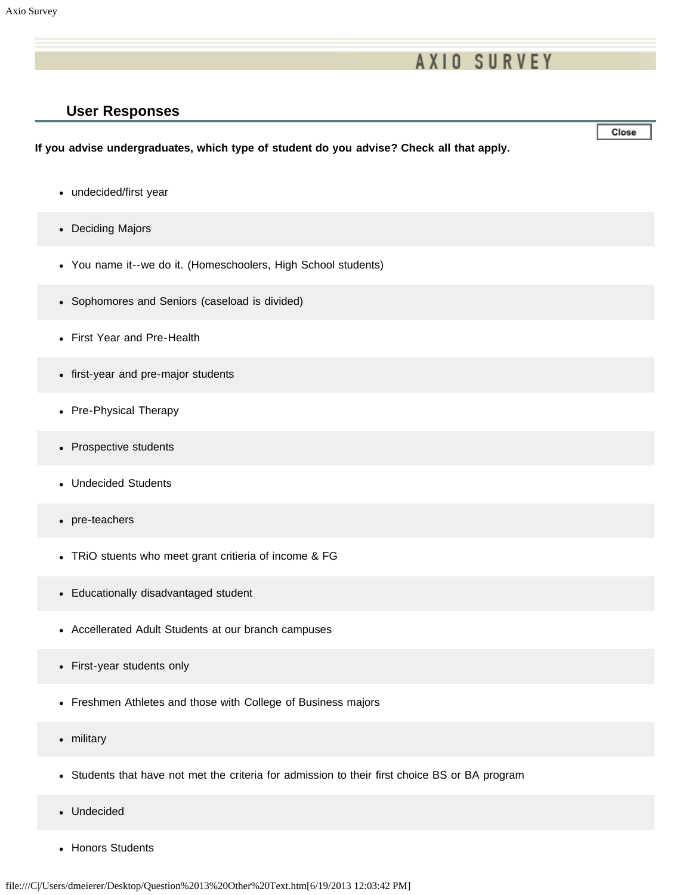# **AXIO SURVEY**

### **User Responses**

### **If you advise undergraduates, which type of student do you advise? Check all that apply.**

- undecided/first year
- Deciding Majors
- You name it--we do it. (Homeschoolers, High School students)
- Sophomores and Seniors (caseload is divided)
- First Year and Pre-Health
- first-year and pre-major students
- Pre-Physical Therapy
- Prospective students
- Undecided Students
- pre-teachers
- TRiO stuents who meet grant critieria of income & FG
- Educationally disadvantaged student
- Accellerated Adult Students at our branch campuses
- First-year students only
- Freshmen Athletes and those with College of Business majors
- military  $\bullet$
- Students that have not met the criteria for admission to their first choice BS or BA program  $\bullet$
- Undecided
- Honors Students

Close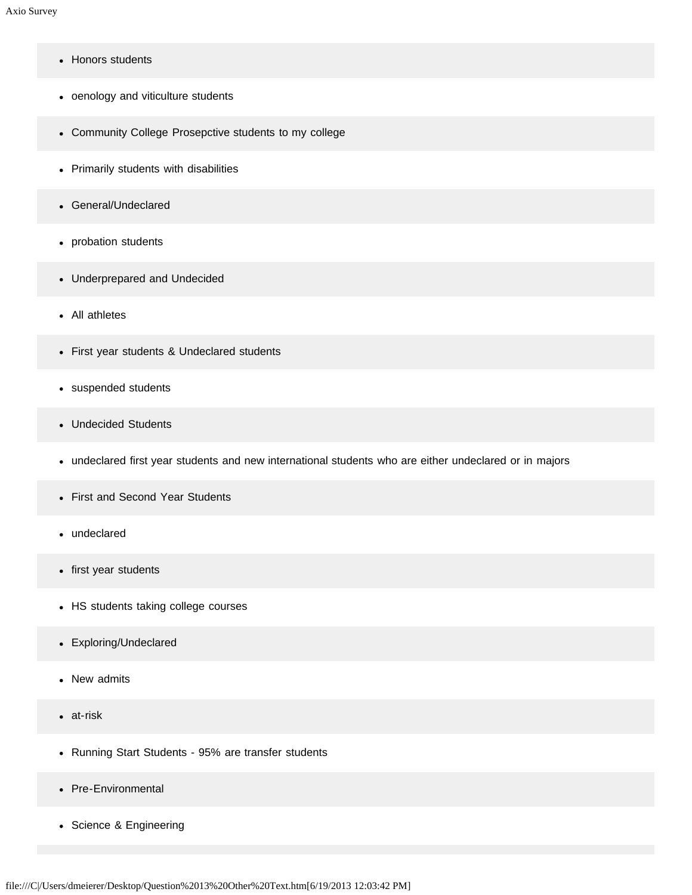- Honors students  $\bullet$
- oenology and viticulture students
- Community College Prosepctive students to my college
- Primarily students with disabilities
- General/Undeclared
- probation students
- Underprepared and Undecided
- All athletes
- First year students & Undeclared students
- suspended students
- Undecided Students
- undeclared first year students and new international students who are either undeclared or in majors
- First and Second Year Students
- undeclared
- first year students
- HS students taking college courses
- Exploring/Undeclared
- New admits
- at-risk  $\bullet$
- Running Start Students 95% are transfer students
- Pre-Environmental
- Science & Engineering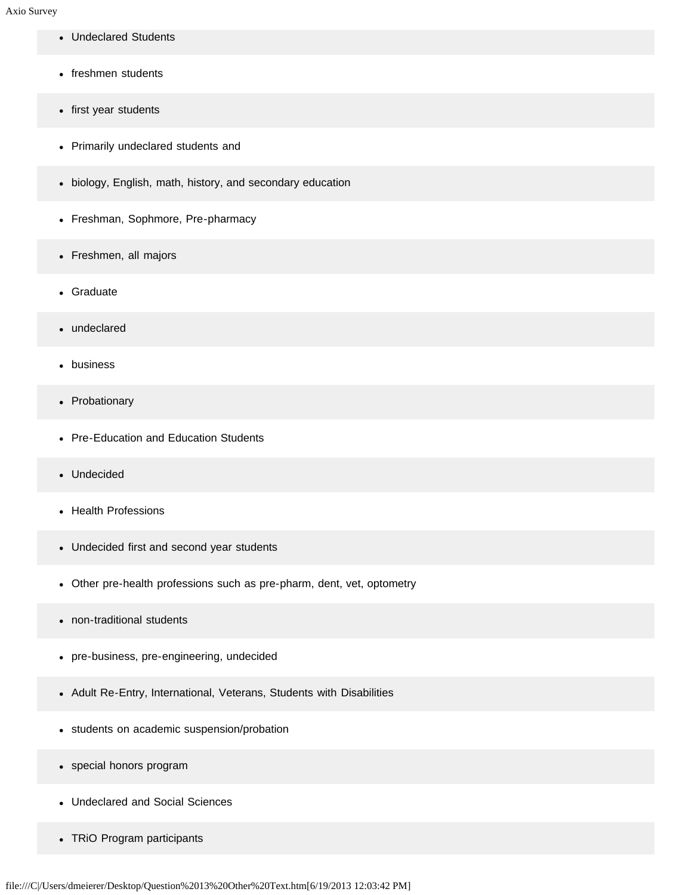- Undeclared Students
- freshmen students
- first year students
- Primarily undeclared students and
- biology, English, math, history, and secondary education
- Freshman, Sophmore, Pre-pharmacy
- Freshmen, all majors
- Graduate
- undeclared
- business
- Probationary
- Pre-Education and Education Students
- Undecided
- Health Professions
- Undecided first and second year students
- Other pre-health professions such as pre-pharm, dent, vet, optometry
- non-traditional students  $\bullet$
- pre-business, pre-engineering, undecided
- Adult Re-Entry, International, Veterans, Students with Disabilities
- students on academic suspension/probation
- special honors program
- Undeclared and Social Sciences
- TRiO Program participants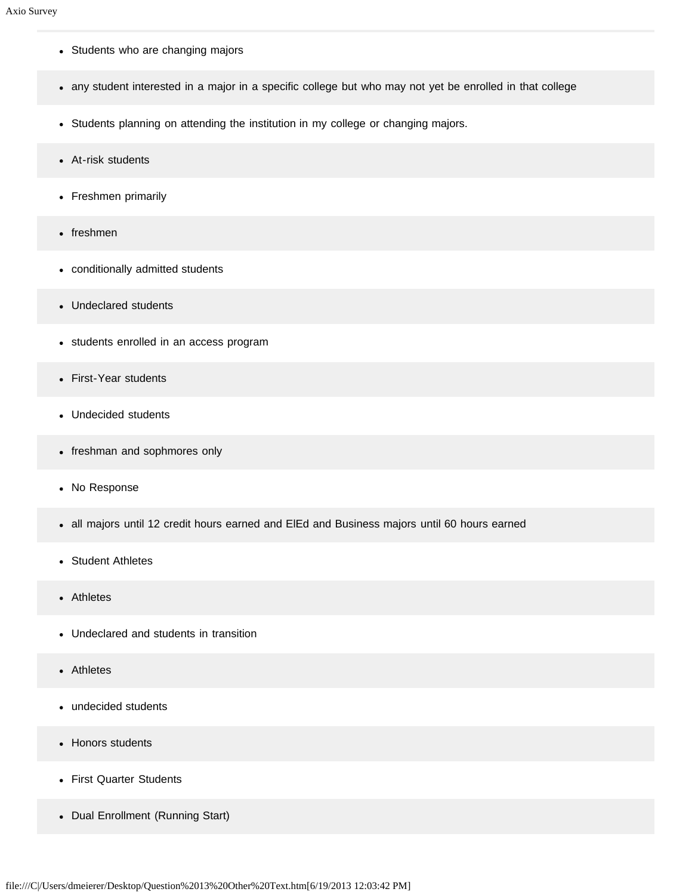- Students who are changing majors
- any student interested in a major in a specific college but who may not yet be enrolled in that college
- Students planning on attending the institution in my college or changing majors.
- At-risk students
- Freshmen primarily
- freshmen
- conditionally admitted students
- Undeclared students
- students enrolled in an access program
- First-Year students  $\bullet$
- Undecided students
- freshman and sophmores only
- No Response
- all majors until 12 credit hours earned and ElEd and Business majors until 60 hours earned  $\bullet$
- Student Athletes  $\bullet$
- Athletes  $\bullet$
- Undeclared and students in transition
- Athletes
- undecided students  $\bullet$
- Honors students
- First Quarter Students
- Dual Enrollment (Running Start)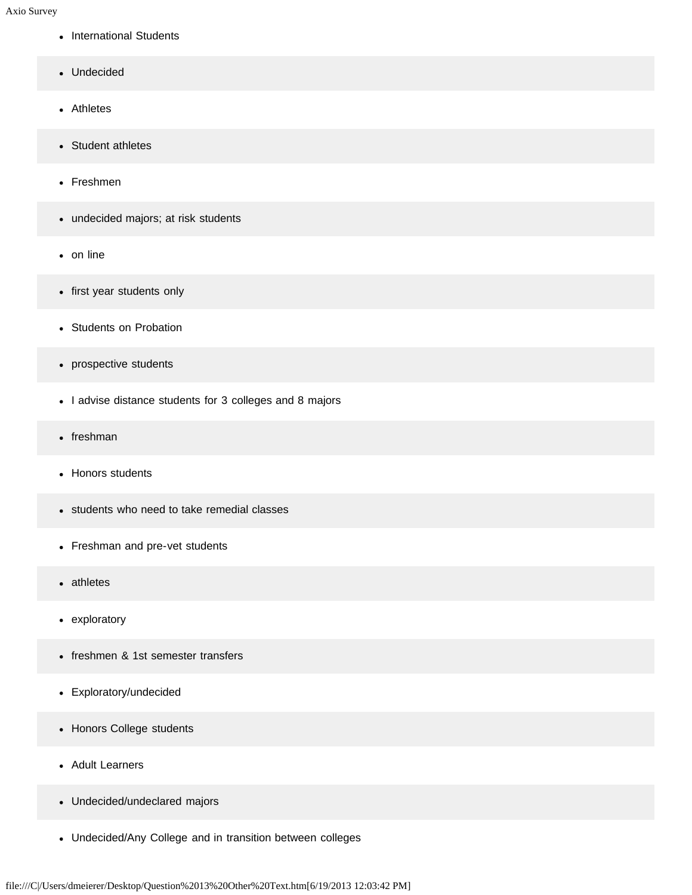- International Students
- Undecided
- Athletes
- Student athletes
- Freshmen
- undecided majors; at risk students
- on line
- first year students only
- Students on Probation
- prospective students
- I advise distance students for 3 colleges and 8 majors
- freshman
- Honors students
- students who need to take remedial classes
- Freshman and pre-vet students
- athletes
- exploratory
- freshmen & 1st semester transfers
- Exploratory/undecided
- Honors College students
- Adult Learners
- Undecided/undeclared majors
- Undecided/Any College and in transition between colleges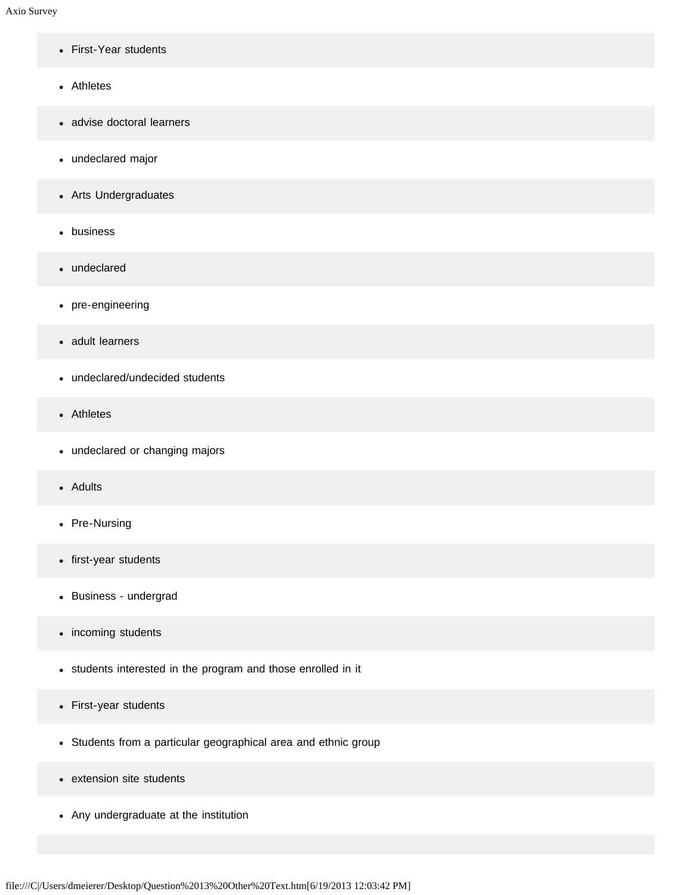- First-Year students
- Athletes
- advise doctoral learners
- undeclared major
- Arts Undergraduates
- business
- undeclared
- pre-engineering
- adult learners
- undeclared/undecided students
- Athletes
- undeclared or changing majors
- Adults
- Pre-Nursing
- first-year students
- Business undergrad
- incoming students
- students interested in the program and those enrolled in it
- First-year students
- Students from a particular geographical area and ethnic group
- extension site students
- Any undergraduate at the institution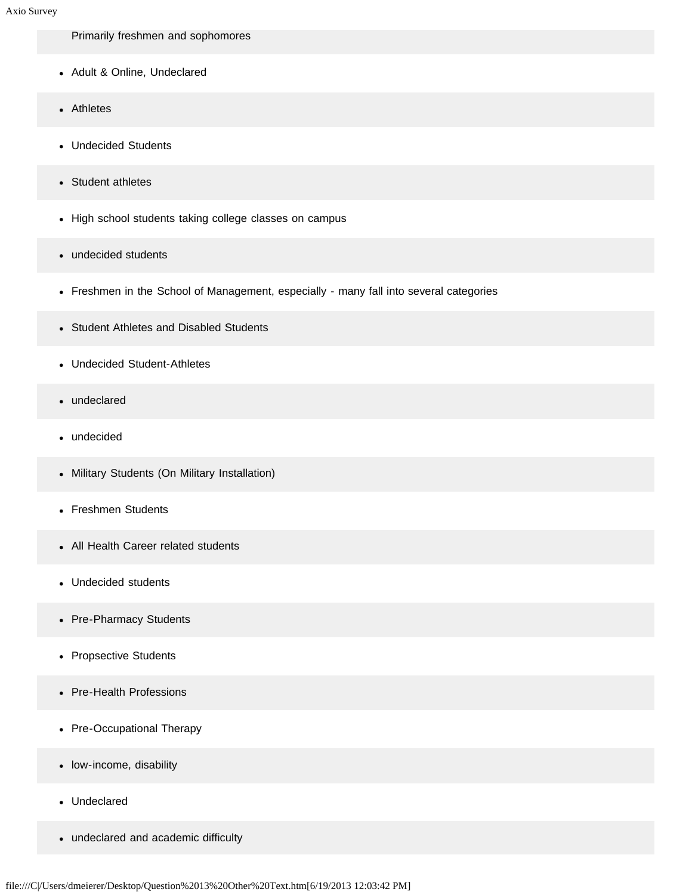Primarily freshmen and sophomores

- Adult & Online, Undeclared
- Athletes
- Undecided Students
- Student athletes
- High school students taking college classes on campus
- undecided students
- Freshmen in the School of Management, especially many fall into several categories
- Student Athletes and Disabled Students
- Undecided Student-Athletes
- undeclared
- undecided
- Military Students (On Military Installation)
- Freshmen Students
- All Health Career related students
- Undecided students
- Pre-Pharmacy Students
- Propsective Students
- Pre-Health Professions  $\bullet$
- Pre-Occupational Therapy
- low-income, disability
- Undeclared
- undeclared and academic difficulty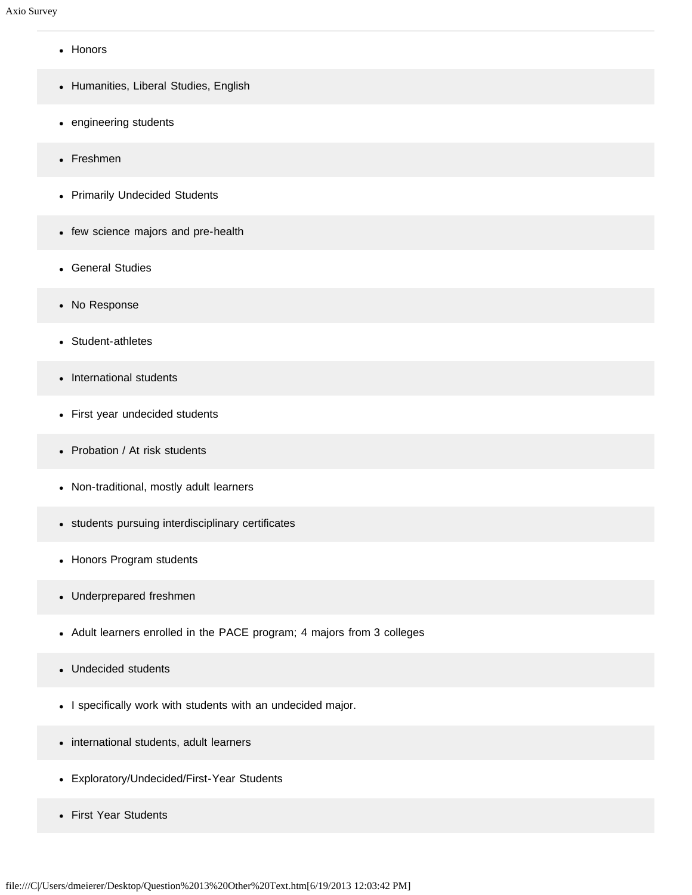- Honors
- Humanities, Liberal Studies, English
- engineering students
- Freshmen
- Primarily Undecided Students
- few science majors and pre-health
- General Studies
- No Response
- Student-athletes
- International students
- First year undecided students
- Probation / At risk students
- Non-traditional, mostly adult learners
- students pursuing interdisciplinary certificates
- Honors Program students
- Underprepared freshmen
- Adult learners enrolled in the PACE program; 4 majors from 3 colleges
- Undecided students
- I specifically work with students with an undecided major.
- international students, adult learners
- Exploratory/Undecided/First-Year Students
- First Year Students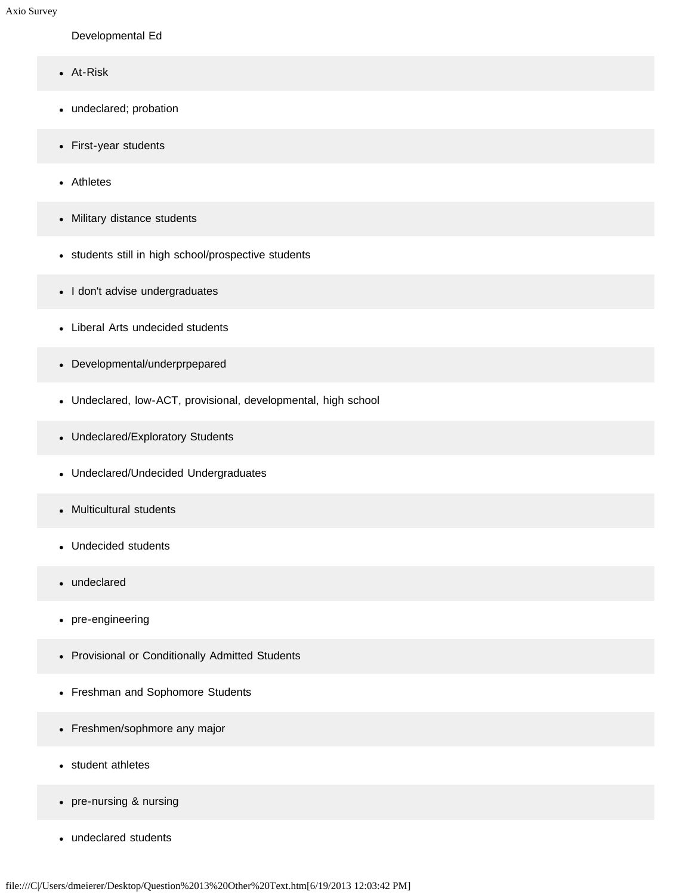### Developmental Ed

- At-Risk
- undeclared; probation
- First-year students
- Athletes
- Military distance students
- students still in high school/prospective students
- I don't advise undergraduates
- Liberal Arts undecided students
- Developmental/underprpepared
- Undeclared, low-ACT, provisional, developmental, high school
- Undeclared/Exploratory Students
- Undeclared/Undecided Undergraduates
- Multicultural students
- Undecided students  $\bullet$
- undeclared
- pre-engineering
- Provisional or Conditionally Admitted Students
- Freshman and Sophomore Students
- Freshmen/sophmore any major
- student athletes  $\bullet$
- pre-nursing & nursing
- undeclared students $\bullet$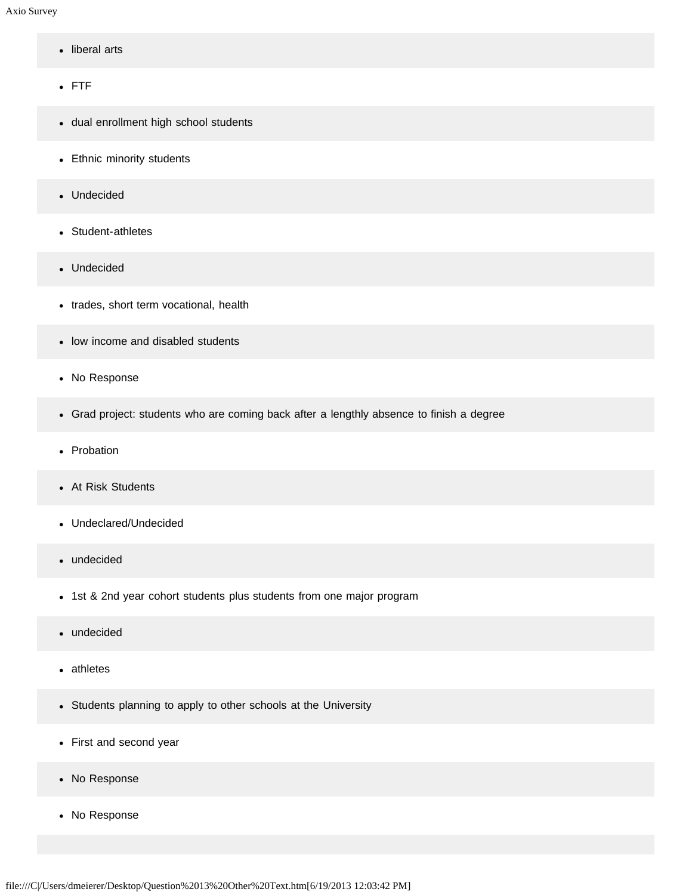- liberal arts
- FTF
- dual enrollment high school students
- Ethnic minority students
- Undecided
- Student-athletes
- Undecided
- trades, short term vocational, health
- low income and disabled students
- No Response
- Grad project: students who are coming back after a lengthly absence to finish a degree
- Probation
- At Risk Students
- Undeclared/Undecided
- undecided
- 1st & 2nd year cohort students plus students from one major program
- undecided  $\bullet$
- athletes
- Students planning to apply to other schools at the University
- First and second year
- No Response
- No Response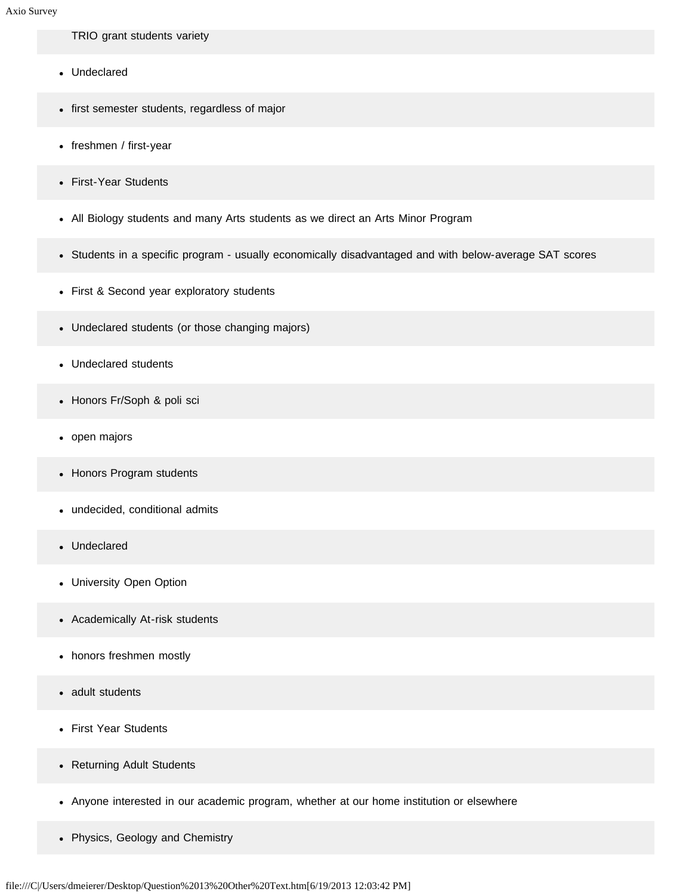#### TRIO grant students variety

- Undeclared
- first semester students, regardless of major
- freshmen / first-year
- First-Year Students
- All Biology students and many Arts students as we direct an Arts Minor Program
- Students in a specific program usually economically disadvantaged and with below-average SAT scores
- First & Second year exploratory students
- Undeclared students (or those changing majors)
- Undeclared students
- Honors Fr/Soph & poli sci
- open majors
- Honors Program students
- undecided, conditional admits
- Undeclared  $\bullet$
- University Open Option
- Academically At-risk students
- honors freshmen mostly
- adult students  $\bullet$
- First Year Students
- Returning Adult Students
- Anyone interested in our academic program, whether at our home institution or elsewhere
- Physics, Geology and Chemistry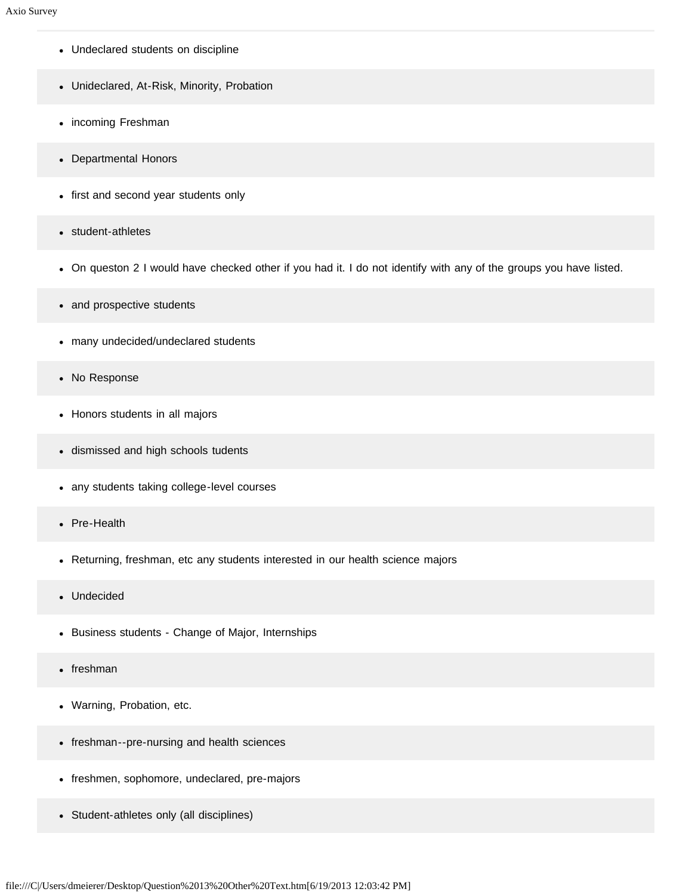- Undeclared students on discipline
- Unideclared, At-Risk, Minority, Probation
- incoming Freshman
- Departmental Honors
- first and second year students only
- student-athletes  $\bullet$
- On queston 2 I would have checked other if you had it. I do not identify with any of the groups you have listed.
- and prospective students
- many undecided/undeclared students
- No Response  $\bullet$
- Honors students in all majors
- dismissed and high schools tudents
- any students taking college-level courses
- Pre-Health  $\bullet$
- Returning, freshman, etc any students interested in our health science majors
- Undecided  $\bullet$
- Business students Change of Major, Internships
- freshman  $\bullet$
- Warning, Probation, etc.
- freshman--pre-nursing and health sciences
- freshmen, sophomore, undeclared, pre-majors
- Student-athletes only (all disciplines)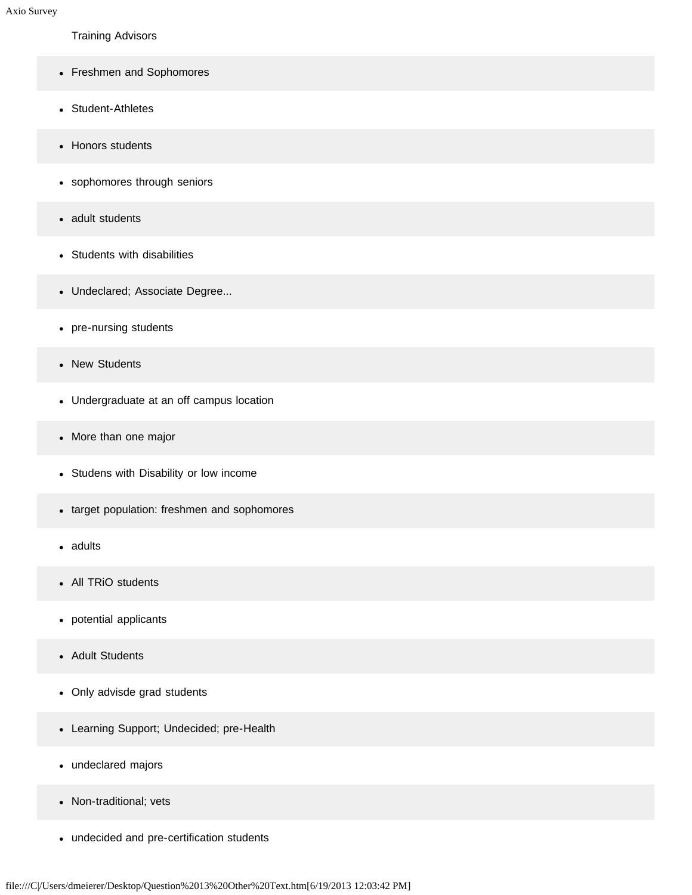Training Advisors

- Freshmen and Sophomores
- Student-Athletes
- Honors students
- sophomores through seniors
- adult students
- Students with disabilities
- Undeclared; Associate Degree...
- pre-nursing students
- New Students
- Undergraduate at an off campus location
- More than one major
- Studens with Disability or low income
- target population: freshmen and sophomores
- adults  $\bullet$
- All TRiO students
- potential applicants
- Adult Students
- Only advisde grad students
- Learning Support; Undecided; pre-Health
- undeclared majors
- Non-traditional; vets
- undecided and pre-certification students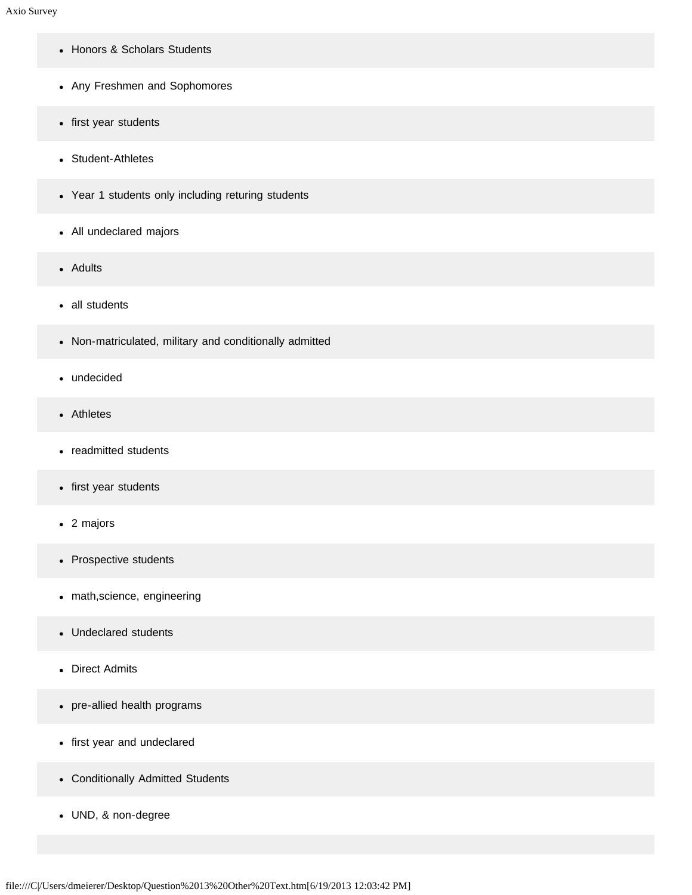- Honors & Scholars Students
- Any Freshmen and Sophomores
- first year students
- Student-Athletes
- Year 1 students only including returing students
- All undeclared majors
- Adults
- all students
- Non-matriculated, military and conditionally admitted
- undecided
- Athletes
- readmitted students
- first year students
- 2 majors
- Prospective students
- math,science, engineering
- Undeclared students
- Direct Admits
- pre-allied health programs
- first year and undeclared
- Conditionally Admitted Students
- UND, & non-degree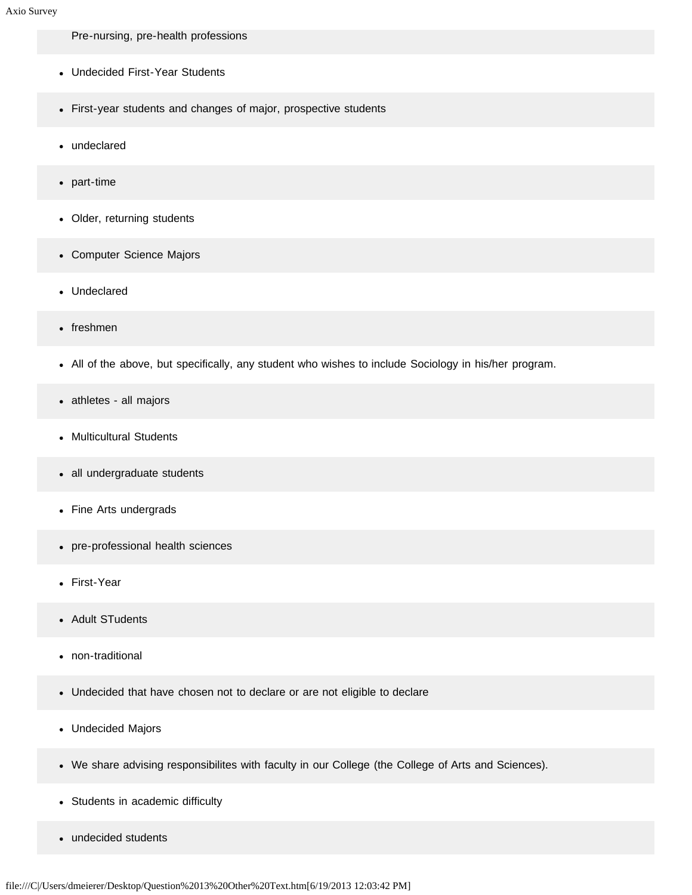Pre-nursing, pre-health professions

- Undecided First-Year Students
- First-year students and changes of major, prospective students
- undeclared
- part-time
- Older, returning students
- Computer Science Majors
- Undeclared
- freshmen
- All of the above, but specifically, any student who wishes to include Sociology in his/her program.
- athletes all majors
- Multicultural Students
- all undergraduate students
- Fine Arts undergrads
- pre-professional health sciences  $\bullet$
- First-Year
- Adult STudents  $\bullet$
- non-traditional  $\bullet$
- Undecided that have chosen not to declare or are not eligible to declare
- Undecided Majors
- We share advising responsibilites with faculty in our College (the College of Arts and Sciences).
- Students in academic difficulty
- undecided students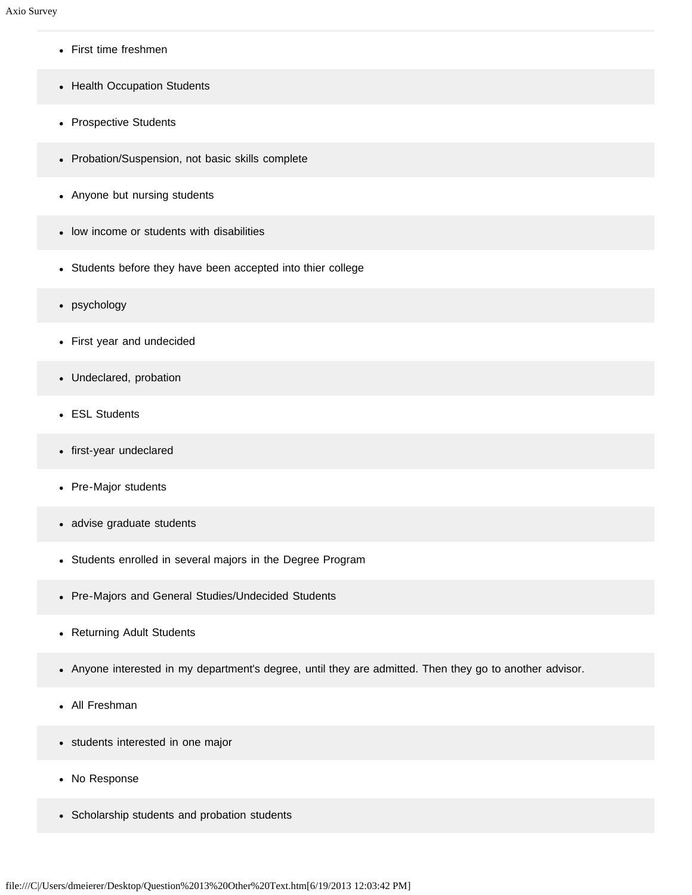- First time freshmen
- Health Occupation Students
- Prospective Students
- Probation/Suspension, not basic skills complete
- Anyone but nursing students
- low income or students with disabilities
- Students before they have been accepted into thier college
- psychology
- First year and undecided
- Undeclared, probation
- ESL Students
- first-year undeclared
- Pre-Major students
- advise graduate students  $\bullet$
- Students enrolled in several majors in the Degree Program  $\bullet$
- Pre-Majors and General Studies/Undecided Students
- Returning Adult Students
- Anyone interested in my department's degree, until they are admitted. Then they go to another advisor.
- All Freshman
- students interested in one major
- No Response
- Scholarship students and probation students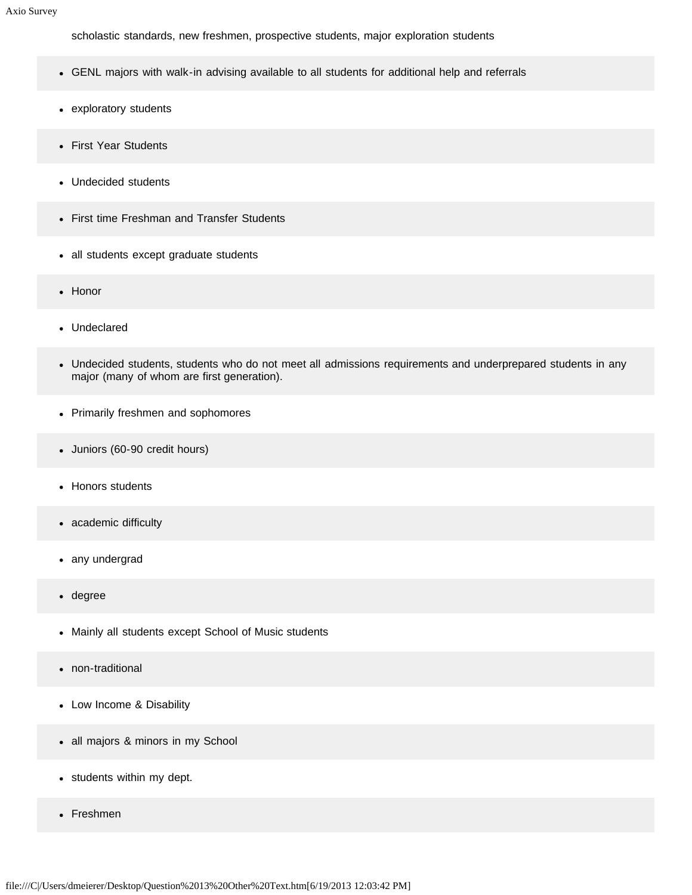scholastic standards, new freshmen, prospective students, major exploration students

- GENL majors with walk-in advising available to all students for additional help and referrals
- exploratory students
- First Year Students
- Undecided students
- First time Freshman and Transfer Students
- all students except graduate students
- Honor
- Undeclared
- Undecided students, students who do not meet all admissions requirements and underprepared students in any major (many of whom are first generation).
- Primarily freshmen and sophomores
- Juniors (60-90 credit hours)
- Honors students
- academic difficulty  $\bullet$
- any undergrad
- degree  $\bullet$
- Mainly all students except School of Music students
- non-traditional  $\bullet$
- Low Income & Disability
- all majors & minors in my School
- students within my dept.
- Freshmen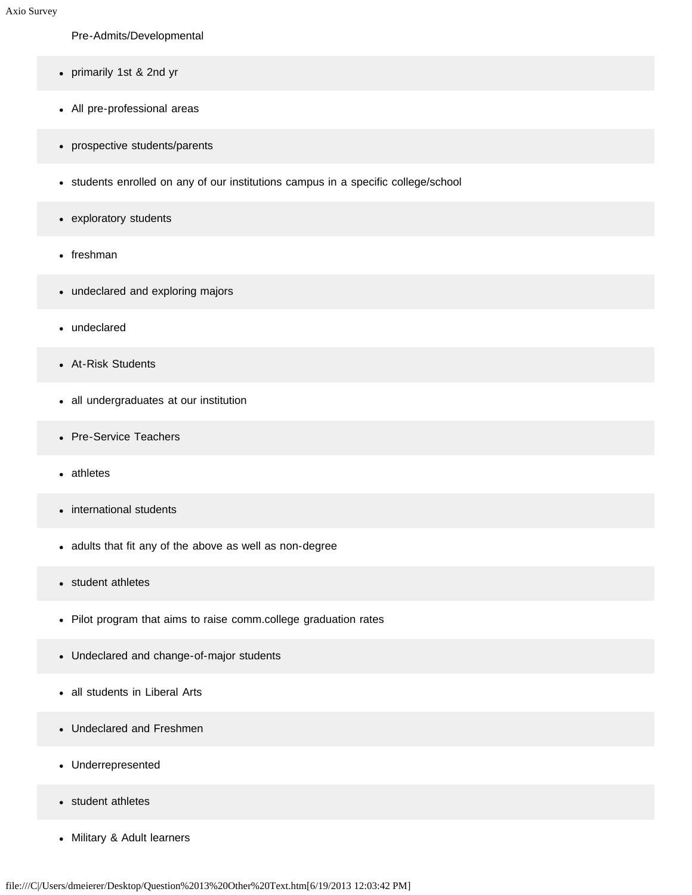#### Pre-Admits/Developmental

- primarily 1st & 2nd yr
- All pre-professional areas
- prospective students/parents
- students enrolled on any of our institutions campus in a specific college/school
- exploratory students
- freshman
- undeclared and exploring majors
- undeclared
- At-Risk Students
- all undergraduates at our institution
- Pre-Service Teachers
- athletes
- international students
- adults that fit any of the above as well as non-degree
- student athletes
- Pilot program that aims to raise comm.college graduation rates
- Undeclared and change-of-major students
- all students in Liberal Arts  $\bullet$
- Undeclared and Freshmen  $\bullet$
- Underrepresented
- student athletes
- Military & Adult learners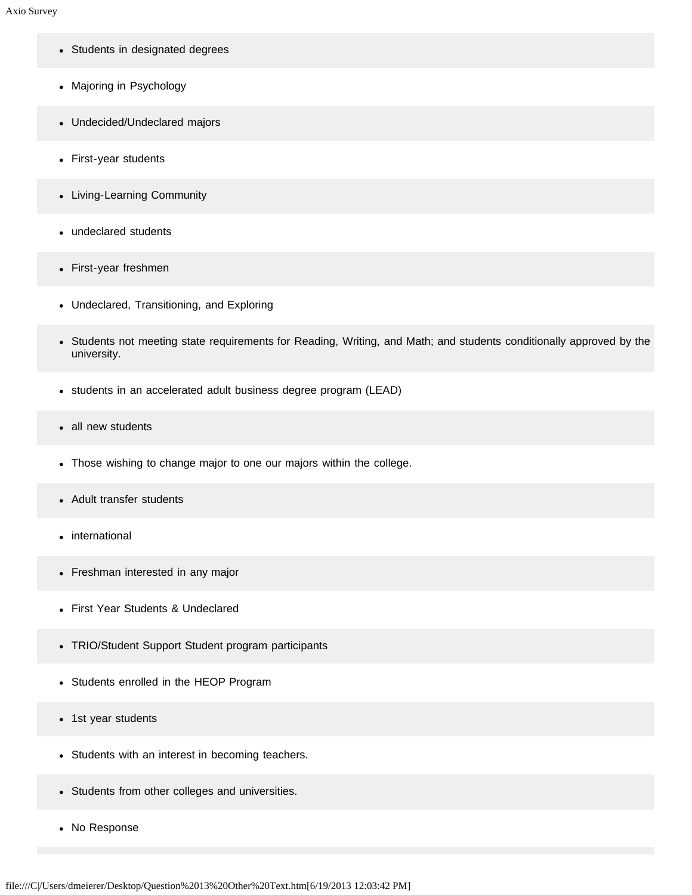- Students in designated degrees
- Majoring in Psychology
- Undecided/Undeclared majors
- First-year students
- Living-Learning Community
- undeclared students  $\bullet$
- First-year freshmen
- Undeclared, Transitioning, and Exploring
- Students not meeting state requirements for Reading, Writing, and Math; and students conditionally approved by the university.
- students in an accelerated adult business degree program (LEAD)
- all new students  $\bullet$
- Those wishing to change major to one our majors within the college.
- Adult transfer students  $\bullet$
- international
- Freshman interested in any major
- First Year Students & Undeclared
- TRIO/Student Support Student program participants
- Students enrolled in the HEOP Program
- 1st year students
- Students with an interest in becoming teachers.
- Students from other colleges and universities.
- No Response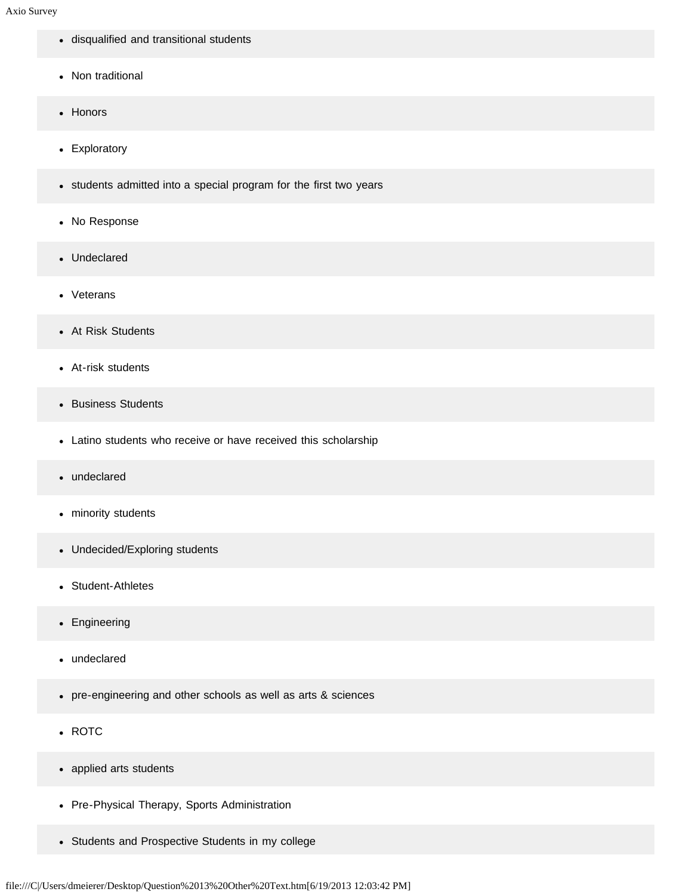- disqualified and transitional students
- Non traditional
- Honors
- Exploratory
- students admitted into a special program for the first two years
- No Response
- Undeclared
- Veterans
- At Risk Students
- At-risk students
- Business Students  $\bullet$
- Latino students who receive or have received this scholarship
- undeclared  $\bullet$
- minority students
- Undecided/Exploring students
- Student-Athletes
- Engineering
- undeclared
- pre-engineering and other schools as well as arts & sciences
- ROTC
- applied arts students
- Pre-Physical Therapy, Sports Administration
- Students and Prospective Students in my college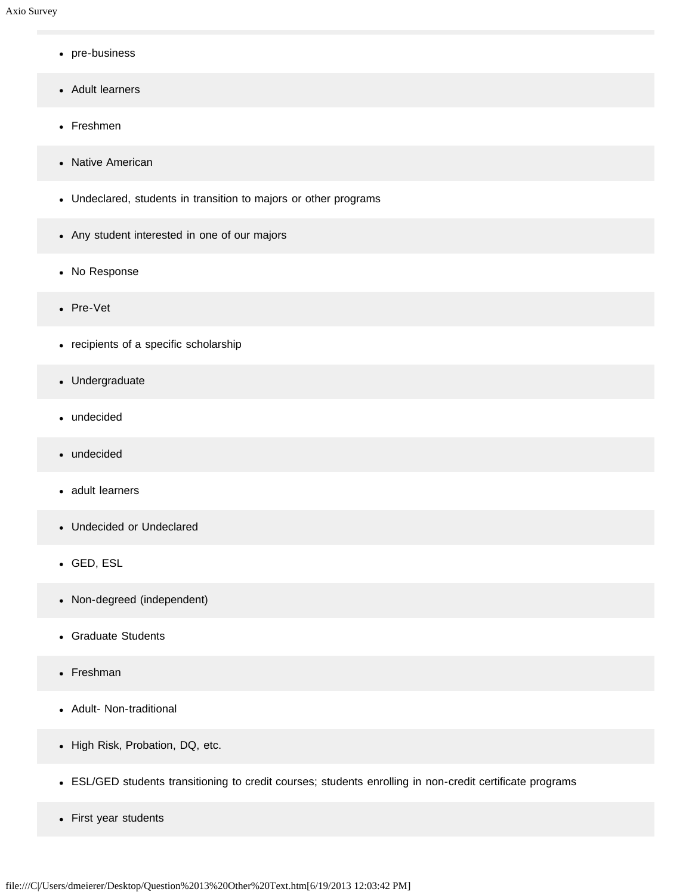- pre-business
- Adult learners
- Freshmen
- Native American
- Undeclared, students in transition to majors or other programs
- Any student interested in one of our majors
- No Response
- Pre-Vet
- recipients of a specific scholarship
- Undergraduate  $\bullet$
- undecided  $\bullet$
- undecided  $\bullet$
- adult learners
- Undecided or Undeclared
- GED, ESL
- Non-degreed (independent)
- Graduate Students
- Freshman
- Adult- Non-traditional
- High Risk, Probation, DQ, etc.
- ESL/GED students transitioning to credit courses; students enrolling in non-credit certificate programs
- First year students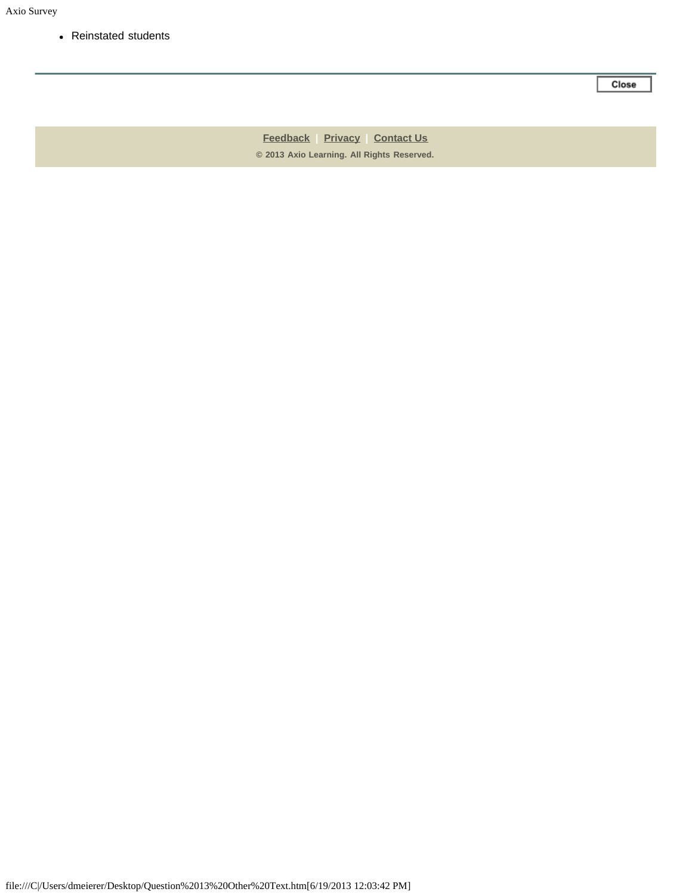Reinstated students

Close

**[Feedback](https://online.ksu.edu/Survey/public/feedback.jsp) | [Privacy](https://online.ksu.edu/Survey/public/privacy.jsp) | [Contact Us](https://online.ksu.edu/Survey/public/plain_about_us.jsp) © 2013 Axio Learning. All Rights Reserved.**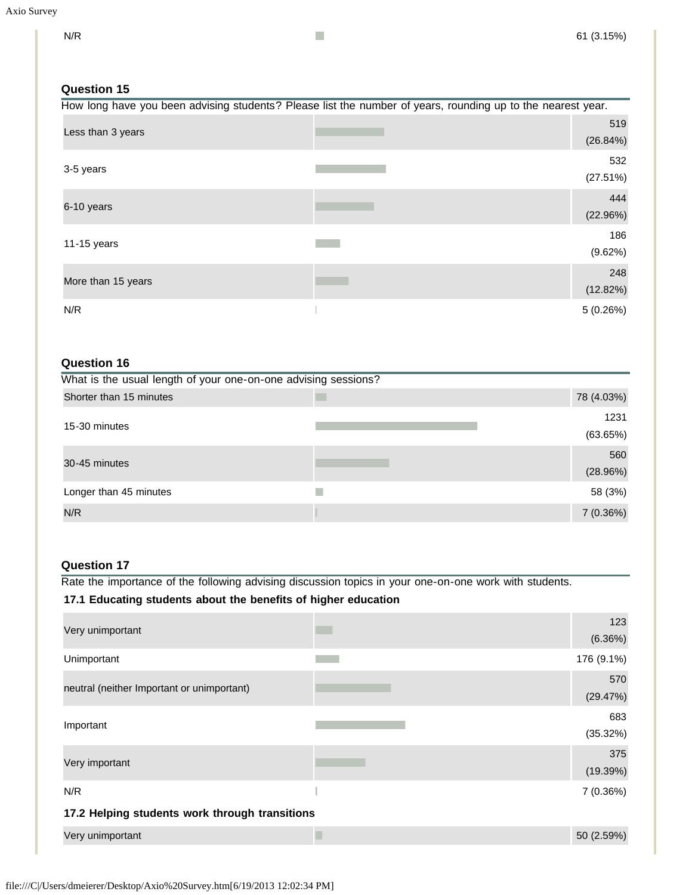# **Question 15**

| How long have you been advising students? Please list the number of years, rounding up to the nearest year. |  |                 |
|-------------------------------------------------------------------------------------------------------------|--|-----------------|
| Less than 3 years                                                                                           |  | 519<br>(26.84%) |
| 3-5 years                                                                                                   |  | 532<br>(27.51%) |
| 6-10 years                                                                                                  |  | 444<br>(22.96%) |
| 11-15 years                                                                                                 |  | 186<br>(9.62%)  |
| More than 15 years                                                                                          |  | 248<br>(12.82%) |
| N/R                                                                                                         |  | 5(0.26%)        |

# **Question 16**

| What is the usual length of your one-on-one advising sessions? |                  |  |  |
|----------------------------------------------------------------|------------------|--|--|
| Shorter than 15 minutes                                        | 78 (4.03%)       |  |  |
| 15-30 minutes                                                  | 1231<br>(63.65%) |  |  |
| 30-45 minutes                                                  | 560<br>(28.96%)  |  |  |
| Longer than 45 minutes                                         | 58 (3%)          |  |  |
| N/R                                                            | 7(0.36%)         |  |  |

### **Question 17**

Rate the importance of the following advising discussion topics in your one-on-one work with students.

# **17.1 Educating students about the benefits of higher education**

| Very unimportant                               | 123<br>(6.36%)  |
|------------------------------------------------|-----------------|
| Unimportant                                    | 176 (9.1%)      |
| neutral (neither Important or unimportant)     | 570<br>(29.47%) |
| Important                                      | 683<br>(35.32%) |
| Very important                                 | 375<br>(19.39%) |
| N/R                                            | 7(0.36%)        |
| 17.2 Helping students work through transitions |                 |
| Very unimportant                               | 50 (2.59%)      |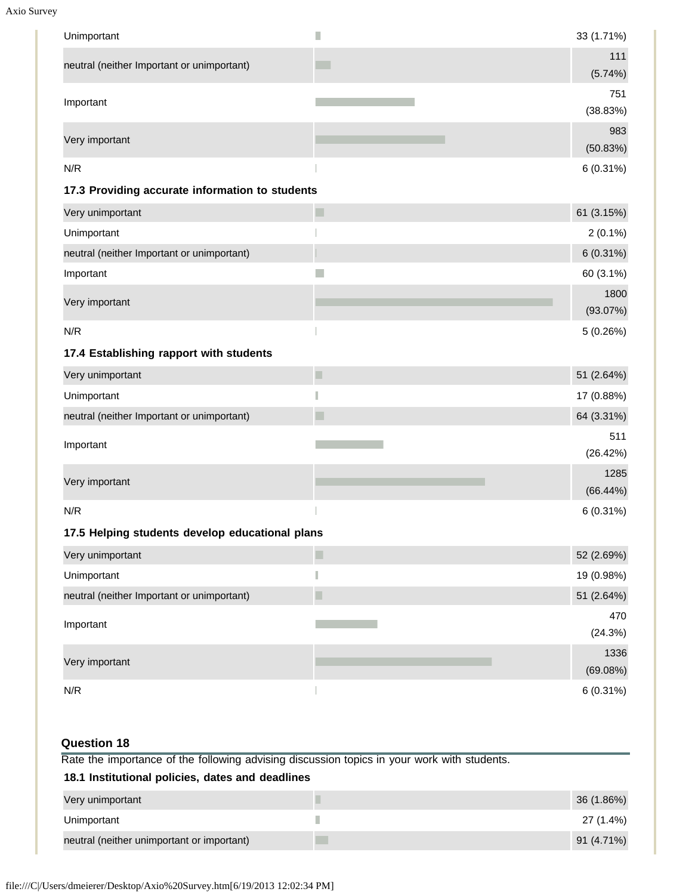Axio Survey

| Unimportant                                      | П                                                                                           | 33 (1.71%)       |
|--------------------------------------------------|---------------------------------------------------------------------------------------------|------------------|
| neutral (neither Important or unimportant)       |                                                                                             | 111              |
|                                                  |                                                                                             | (5.74%)          |
| Important                                        |                                                                                             | 751<br>(38.83%)  |
|                                                  |                                                                                             | 983              |
| Very important                                   |                                                                                             | (50.83%)         |
| N/R                                              |                                                                                             | $6(0.31\%)$      |
| 17.3 Providing accurate information to students  |                                                                                             |                  |
| Very unimportant                                 | П                                                                                           | 61 (3.15%)       |
| Unimportant                                      |                                                                                             | $2(0.1\%)$       |
| neutral (neither Important or unimportant)       |                                                                                             | $6(0.31\%)$      |
| Important                                        | in 1                                                                                        | 60 (3.1%)        |
| Very important                                   |                                                                                             | 1800             |
|                                                  |                                                                                             | (93.07%)         |
| N/R                                              |                                                                                             | 5(0.26%)         |
| 17.4 Establishing rapport with students          |                                                                                             |                  |
| Very unimportant                                 | $\Box$                                                                                      | 51 (2.64%)       |
| Unimportant                                      | П                                                                                           | 17 (0.88%)       |
| neutral (neither Important or unimportant)       |                                                                                             | 64 (3.31%)       |
| Important                                        |                                                                                             | 511<br>(26.42%)  |
| Very important                                   |                                                                                             | 1285<br>(66.44%) |
| N/R                                              |                                                                                             | $6(0.31\%)$      |
| 17.5 Helping students develop educational plans  |                                                                                             |                  |
| Very unimportant                                 | $\blacksquare$                                                                              | 52 (2.69%)       |
| Unimportant                                      | П                                                                                           | 19 (0.98%)       |
| neutral (neither Important or unimportant)       |                                                                                             | 51 (2.64%)       |
|                                                  |                                                                                             | 470              |
| Important                                        |                                                                                             | (24.3%)          |
| Very important                                   |                                                                                             | 1336<br>(69.08%) |
| N/R                                              |                                                                                             | $6(0.31\%)$      |
| <b>Question 18</b>                               |                                                                                             |                  |
|                                                  | Rate the importance of the following advising discussion topics in your work with students. |                  |
| 18.1 Institutional policies, dates and deadlines |                                                                                             |                  |
| Very unimportant                                 | Π                                                                                           | 36 (1.86%)       |
| Unimportant                                      | ×                                                                                           | 27 (1.4%)        |

neutral (neither unimportant or important) and the contract of the contract of the contract of the contract of the contract of the contract of the contract of the contract of the contract of the contract of the contract of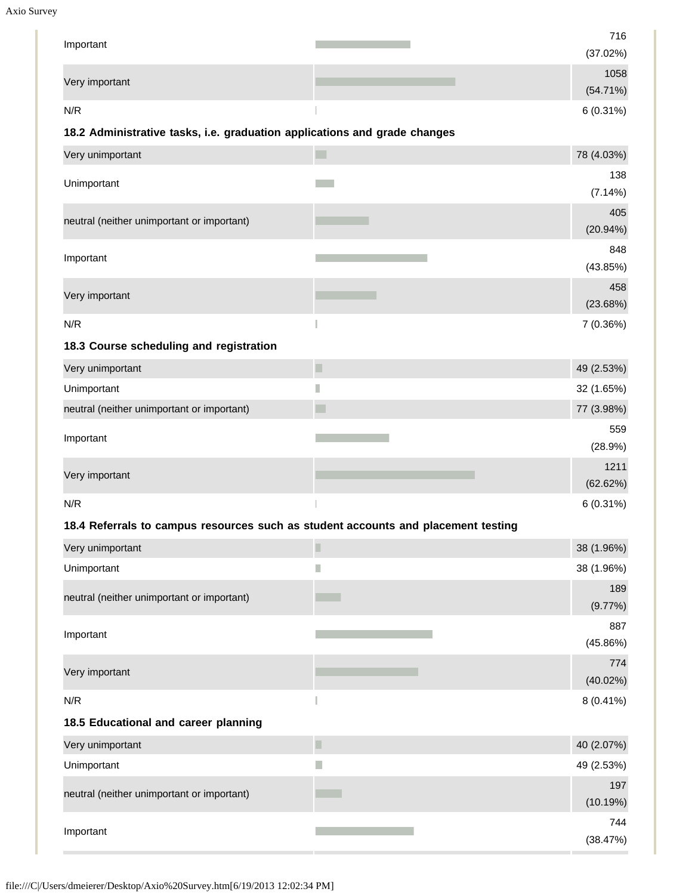```
Axio Survey
```

| Important                                                                         |                | 716        |
|-----------------------------------------------------------------------------------|----------------|------------|
|                                                                                   |                | (37.02%)   |
| Very important                                                                    |                | 1058       |
|                                                                                   |                | (54.71%)   |
| N/R                                                                               |                | 6 (0.31%)  |
| 18.2 Administrative tasks, i.e. graduation applications and grade changes         |                |            |
| Very unimportant                                                                  | <b>Tara</b>    | 78 (4.03%) |
| Unimportant                                                                       |                | 138        |
|                                                                                   |                | (7.14%)    |
| neutral (neither unimportant or important)                                        |                | 405        |
|                                                                                   |                | (20.94%)   |
| Important                                                                         |                | 848        |
|                                                                                   |                | (43.85%)   |
| Very important                                                                    |                | 458        |
|                                                                                   |                | (23.68%)   |
| N/R                                                                               | П              | 7 (0.36%)  |
| 18.3 Course scheduling and registration                                           |                |            |
| Very unimportant                                                                  | $\blacksquare$ | 49 (2.53%) |
| Unimportant                                                                       | H              | 32 (1.65%) |
| neutral (neither unimportant or important)                                        | ٠              | 77 (3.98%) |
|                                                                                   |                | 559        |
| Important                                                                         |                | (28.9%)    |
|                                                                                   |                | 1211       |
| Very important                                                                    |                | (62.62%)   |
| N/R                                                                               |                | 6 (0.31%)  |
| 18.4 Referrals to campus resources such as student accounts and placement testing |                |            |
|                                                                                   |                |            |

| Very unimportant                           |   | 38 (1.96%)      |
|--------------------------------------------|---|-----------------|
| Unimportant                                | H | 38 (1.96%)      |
| neutral (neither unimportant or important) |   | 189<br>(9.77%)  |
| Important                                  |   | 887<br>(45.86%) |
| Very important                             |   | 774<br>(40.02%) |
| N/R                                        |   | $8(0.41\%)$     |
| 18.5 Educational and career planning       |   |                 |
| Very unimportant                           | ш | 40 (2.07%)      |
| Unimportant                                |   | 49 (2.53%)      |
| neutral (neither unimportant or important) |   | 197<br>(10.19%) |
| Important                                  |   | 744<br>(38.47%) |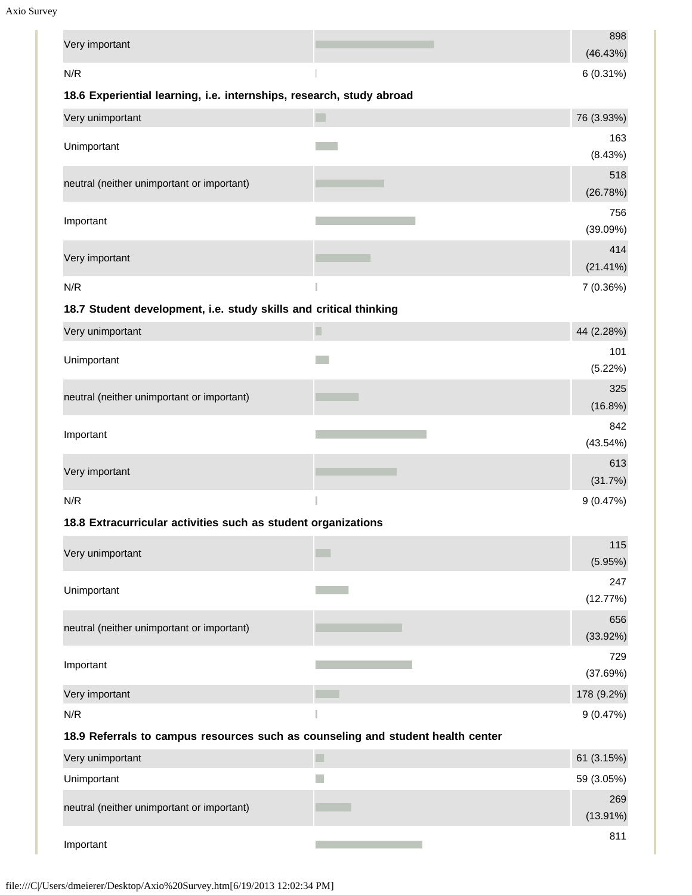Axio Survey

| Very important                                                                  |           | 898<br>(46.43%) |
|---------------------------------------------------------------------------------|-----------|-----------------|
| N/R                                                                             |           | $6(0.31\%)$     |
| 18.6 Experiential learning, i.e. internships, research, study abroad            |           |                 |
| Very unimportant                                                                | <b>In</b> | 76 (3.93%)      |
| Unimportant                                                                     |           | 163             |
|                                                                                 |           | (8.43%)         |
| neutral (neither unimportant or important)                                      |           | 518             |
|                                                                                 |           | (26.78%)<br>756 |
| Important                                                                       |           | (39.09%)        |
|                                                                                 |           | 414             |
| Very important                                                                  |           | $(21.41\%)$     |
| N/R                                                                             |           | 7 (0.36%)       |
| 18.7 Student development, i.e. study skills and critical thinking               |           |                 |
| Very unimportant                                                                | Π         | 44 (2.28%)      |
| Unimportant                                                                     |           | 101             |
|                                                                                 |           | (5.22%)         |
| neutral (neither unimportant or important)                                      |           | 325<br>(16.8%)  |
|                                                                                 |           | 842             |
| Important                                                                       |           | (43.54%)        |
|                                                                                 |           | 613             |
| Very important                                                                  |           | (31.7%)         |
| N/R                                                                             |           | 9(0.47%)        |
| 18.8 Extracurricular activities such as student organizations                   |           |                 |
| Very unimportant                                                                | . .       | 115             |
|                                                                                 |           | (5.95%)         |
| Unimportant                                                                     |           | 247<br>(12.77%) |
|                                                                                 |           | 656             |
| neutral (neither unimportant or important)                                      |           | (33.92%)        |
|                                                                                 |           | 729             |
| Important                                                                       |           | (37.69%)        |
| Very important                                                                  |           | 178 (9.2%)      |
| N/R                                                                             |           | 9(0.47%)        |
| 18.9 Referrals to campus resources such as counseling and student health center |           |                 |
| Very unimportant                                                                |           | 61 (3.15%)      |
| Unimportant                                                                     |           | 59 (3.05%)      |
| neutral (neither unimportant or important)                                      |           | 269             |
|                                                                                 |           | $(13.91\%)$     |
| Important                                                                       |           | 811             |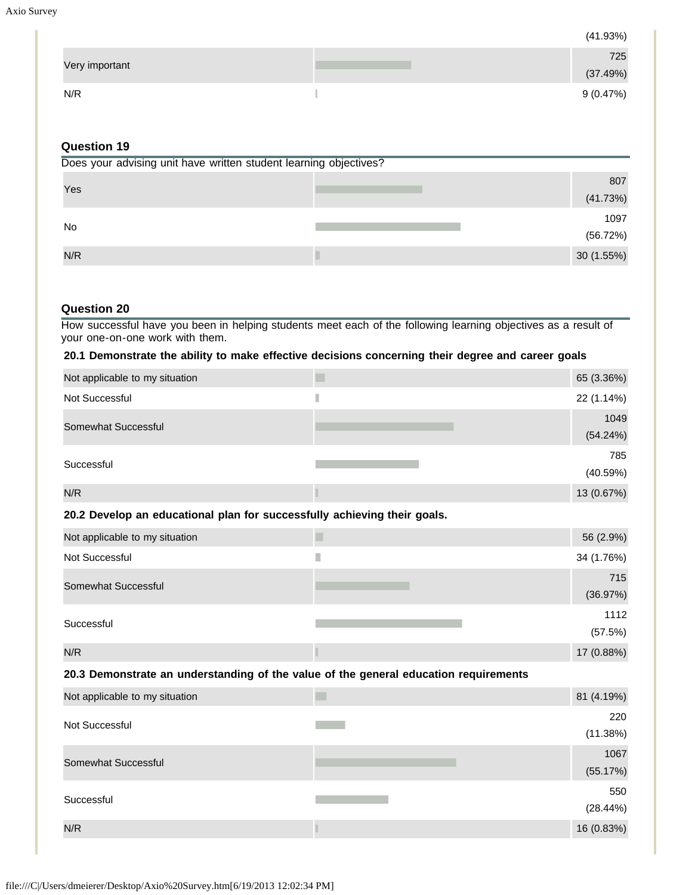(41.93%)

| 725             |
|-----------------|
| Very important  |
| (37.49%)        |
|                 |
| 9(0.47%)<br>N/R |

## **Question 19**

| Does your advising unit have written student learning objectives? |  |           |  |
|-------------------------------------------------------------------|--|-----------|--|
|                                                                   |  | 807       |  |
| Yes                                                               |  | (41.73%)  |  |
|                                                                   |  | 1097      |  |
| No                                                                |  | (56.72%)  |  |
| N/R                                                               |  | 30(1.55%) |  |

### **Question 20**

How successful have you been in helping students meet each of the following learning objectives as a result of your one-on-one work with them.

#### **20.1 Demonstrate the ability to make effective decisions concerning their degree and career goals**

| Not applicable to my situation | 65 (3.36%)       |
|--------------------------------|------------------|
| Not Successful                 | 22 (1.14%)       |
| Somewhat Successful            | 1049<br>(54.24%) |
| Successful                     | 785<br>(40.59%)  |
| N/R                            | 13 (0.67%)       |

#### **20.2 Develop an educational plan for successfully achieving their goals.**

| Not applicable to my situation | 56 (2.9%)       |
|--------------------------------|-----------------|
| Not Successful                 | 34 (1.76%)      |
| Somewhat Successful            | 715<br>(36.97%) |
| Successful                     | 1112<br>(57.5%) |
| N/R                            | 17 (0.88%)      |

#### **20.3 Demonstrate an understanding of the value of the general education requirements**

| Not applicable to my situation | 81 (4.19%)       |
|--------------------------------|------------------|
| Not Successful                 | 220<br>(11.38%)  |
| Somewhat Successful            | 1067<br>(55.17%) |
| Successful                     | 550<br>(28.44%)  |
| N/R                            | 16 (0.83%)       |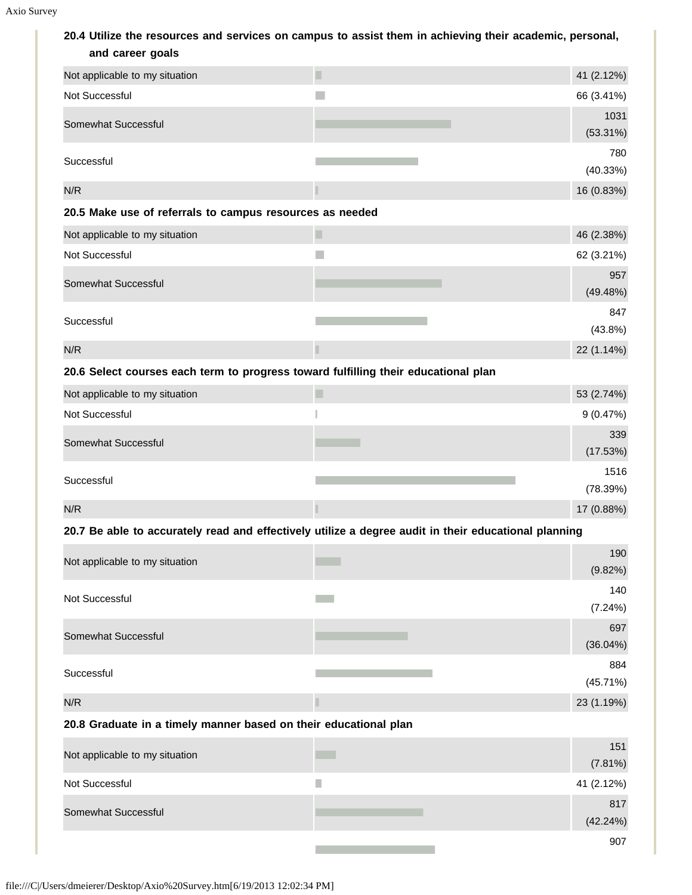**20.4 Utilize the resources and services on campus to assist them in achieving their academic, personal, and career goals**

| ana varvor yvais                                                                   |                                                                                                      |                        |
|------------------------------------------------------------------------------------|------------------------------------------------------------------------------------------------------|------------------------|
| Not applicable to my situation                                                     | П                                                                                                    | 41 (2.12%)             |
| Not Successful                                                                     |                                                                                                      | 66 (3.41%)             |
| Somewhat Successful                                                                |                                                                                                      | 1031                   |
|                                                                                    |                                                                                                      | $(53.31\%)$            |
| Successful                                                                         |                                                                                                      | 780                    |
| N/R                                                                                |                                                                                                      | (40.33%)<br>16 (0.83%) |
|                                                                                    |                                                                                                      |                        |
| 20.5 Make use of referrals to campus resources as needed                           |                                                                                                      |                        |
| Not applicable to my situation                                                     | п                                                                                                    | 46 (2.38%)             |
| Not Successful                                                                     |                                                                                                      | 62 (3.21%)             |
| Somewhat Successful                                                                |                                                                                                      | 957<br>(49.48%)        |
|                                                                                    |                                                                                                      | 847                    |
| Successful                                                                         |                                                                                                      | (43.8%)                |
| N/R                                                                                |                                                                                                      | 22 (1.14%)             |
| 20.6 Select courses each term to progress toward fulfilling their educational plan |                                                                                                      |                        |
| Not applicable to my situation                                                     | П                                                                                                    | 53 (2.74%)             |
| Not Successful                                                                     |                                                                                                      | 9(0.47%)               |
|                                                                                    |                                                                                                      | 339                    |
| Somewhat Successful                                                                |                                                                                                      | (17.53%)               |
| Successful                                                                         |                                                                                                      | 1516                   |
|                                                                                    |                                                                                                      | (78.39%)               |
| N/R                                                                                |                                                                                                      | 17 (0.88%)             |
|                                                                                    | 20.7 Be able to accurately read and effectively utilize a degree audit in their educational planning |                        |
| Not applicable to my situation                                                     |                                                                                                      | 190                    |
|                                                                                    |                                                                                                      | (9.82%)                |
| Not Successful                                                                     |                                                                                                      | 140<br>(7.24%)         |
|                                                                                    |                                                                                                      | 697                    |
| Somewhat Successful                                                                |                                                                                                      | $(36.04\%)$            |
|                                                                                    |                                                                                                      | 884                    |
| Successful                                                                         |                                                                                                      | (45.71%)               |
| N/R                                                                                |                                                                                                      | 23 (1.19%)             |
| 20.8 Graduate in a timely manner based on their educational plan                   |                                                                                                      |                        |
| Not applicable to my situation                                                     |                                                                                                      | 151                    |
|                                                                                    |                                                                                                      | (7.81%)                |
| Not Successful                                                                     | h.                                                                                                   | 41 (2.12%)             |
| Somewhat Successful                                                                |                                                                                                      | 817                    |
|                                                                                    |                                                                                                      | (42.24%)               |

**The Story** 

907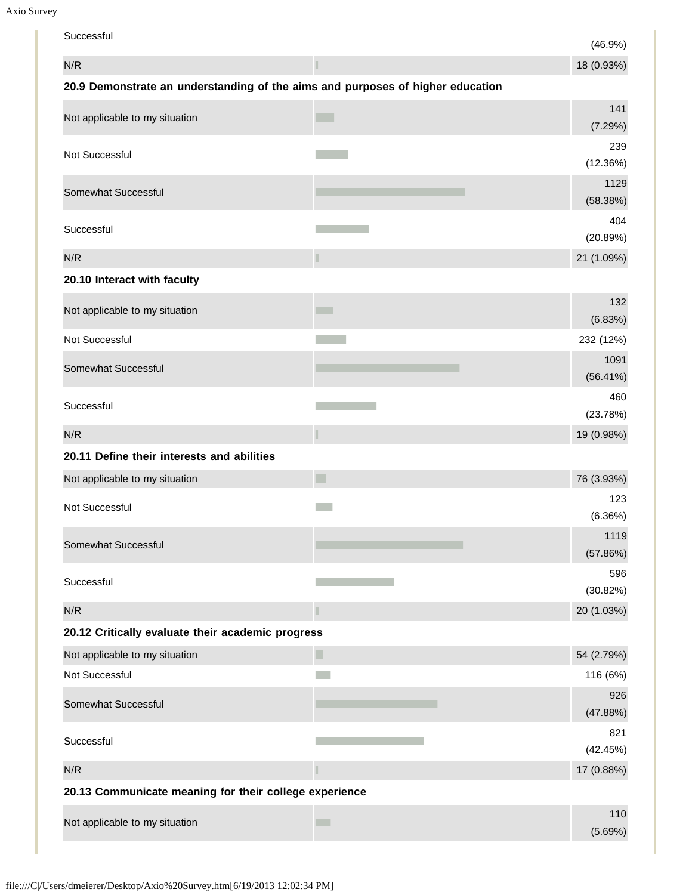Axio Survey

| Successful                                                                     |        | (46.9%)             |
|--------------------------------------------------------------------------------|--------|---------------------|
| N/R                                                                            |        | 18 (0.93%)          |
| 20.9 Demonstrate an understanding of the aims and purposes of higher education |        |                     |
| Not applicable to my situation                                                 |        | 141<br>(7.29%)      |
| Not Successful                                                                 |        | 239<br>(12.36%)     |
| Somewhat Successful                                                            |        | 1129<br>(58.38%)    |
| Successful                                                                     |        | 404<br>(20.89%)     |
| N/R                                                                            | П      | 21 (1.09%)          |
| 20.10 Interact with faculty                                                    |        |                     |
| Not applicable to my situation                                                 |        | 132<br>(6.83%)      |
| Not Successful                                                                 |        | 232 (12%)           |
| Somewhat Successful                                                            |        | 1091<br>$(56.41\%)$ |
| Successful                                                                     |        | 460<br>(23.78%)     |
| N/R                                                                            |        | 19 (0.98%)          |
| 20.11 Define their interests and abilities                                     |        |                     |
| Not applicable to my situation                                                 |        | 76 (3.93%)          |
| Not Successful                                                                 |        | 123<br>(6.36%)      |
| Somewhat Successful                                                            |        | 1119<br>(57.86%)    |
| Successful                                                                     |        | 596<br>(30.82%)     |
| N/R                                                                            | П      | 20 (1.03%)          |
| 20.12 Critically evaluate their academic progress                              |        |                     |
| Not applicable to my situation                                                 | $\Box$ | 54 (2.79%)          |
| Not Successful                                                                 |        | 116 (6%)            |
| Somewhat Successful                                                            |        | 926<br>(47.88%)     |
| Successful                                                                     |        | 821<br>(42.45%)     |
| N/R                                                                            |        | 17 (0.88%)          |
| 20.13 Communicate meaning for their college experience                         |        |                     |
| Not applicable to my situation                                                 | a s    | 110<br>(5.69%)      |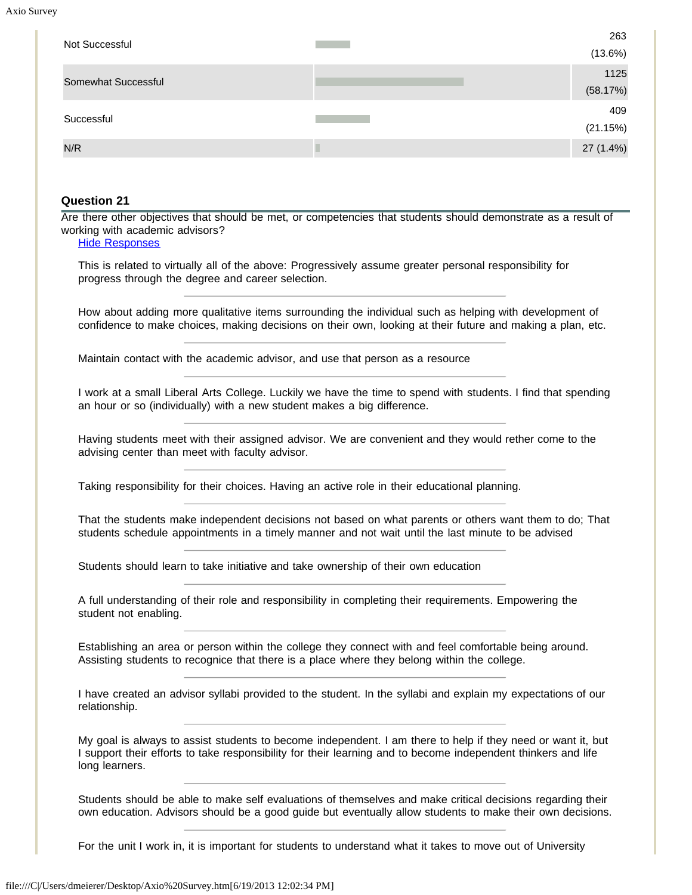Axio Surv

| Not Successful                                    |                                                                                                                                                                                                                                                                                                                                 | 263<br>(13.6%)  |
|---------------------------------------------------|---------------------------------------------------------------------------------------------------------------------------------------------------------------------------------------------------------------------------------------------------------------------------------------------------------------------------------|-----------------|
|                                                   |                                                                                                                                                                                                                                                                                                                                 | 1125            |
| Somewhat Successful                               |                                                                                                                                                                                                                                                                                                                                 | (58.17%)        |
| Successful                                        |                                                                                                                                                                                                                                                                                                                                 | 409<br>(21.15%) |
| N/R                                               |                                                                                                                                                                                                                                                                                                                                 | 27 (1.4%)       |
| progress through the degree and career selection. | This is related to virtually all of the above: Progressively assume greater personal responsibility for<br>How about adding more qualitative items surrounding the individual such as helping with development of<br>confidence to make choices, making decisions on their own, looking at their future and making a plan, etc. |                 |
|                                                   | Maintain contact with the academic advisor, and use that person as a resource                                                                                                                                                                                                                                                   |                 |
|                                                   |                                                                                                                                                                                                                                                                                                                                 |                 |
|                                                   | I work at a small Liberal Arts College. Luckily we have the time to spend with students. I find that spending<br>an hour or so (individually) with a new student makes a big difference.                                                                                                                                        |                 |
| advising center than meet with faculty advisor.   | Having students meet with their assigned advisor. We are convenient and they would rether come to the                                                                                                                                                                                                                           |                 |
|                                                   | Taking responsibility for their choices. Having an active role in their educational planning.                                                                                                                                                                                                                                   |                 |
|                                                   | That the students make independent decisions not based on what parents or others want them to do; That<br>students schedule appointments in a timely manner and not wait until the last minute to be advised                                                                                                                    |                 |
|                                                   | Students should learn to take initiative and take ownership of their own education                                                                                                                                                                                                                                              |                 |
| student not enabling.                             | A full understanding of their role and responsibility in completing their requirements. Empowering the                                                                                                                                                                                                                          |                 |

My goal is always to assist students to become independent. I am there to help if they need or want it, but I support their efforts to take responsibility for their learning and to become independent thinkers and life long learners.

Students should be able to make self evaluations of themselves and make critical decisions regarding their own education. Advisors should be a good guide but eventually allow students to make their own decisions.

For the unit I work in, it is important for students to understand what it takes to move out of University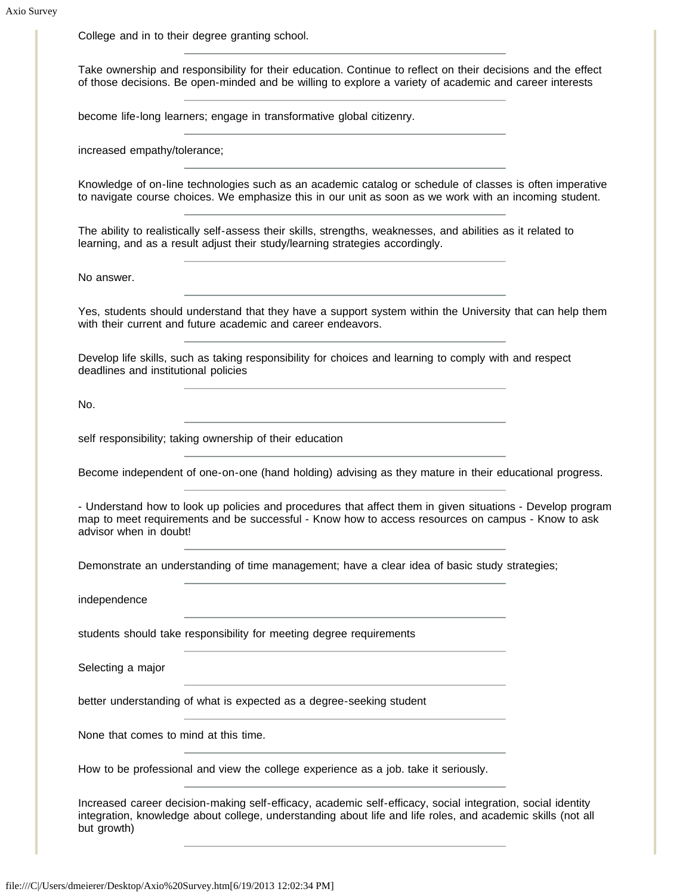College and in to their degree granting school.

Take ownership and responsibility for their education. Continue to reflect on their decisions and the effect of those decisions. Be open-minded and be willing to explore a variety of academic and career interests

become life-long learners; engage in transformative global citizenry.

increased empathy/tolerance;

Knowledge of on-line technologies such as an academic catalog or schedule of classes is often imperative to navigate course choices. We emphasize this in our unit as soon as we work with an incoming student.

The ability to realistically self-assess their skills, strengths, weaknesses, and abilities as it related to learning, and as a result adjust their study/learning strategies accordingly.

No answer.

Yes, students should understand that they have a support system within the University that can help them with their current and future academic and career endeavors.

Develop life skills, such as taking responsibility for choices and learning to comply with and respect deadlines and institutional policies

No.

self responsibility; taking ownership of their education

Become independent of one-on-one (hand holding) advising as they mature in their educational progress.

- Understand how to look up policies and procedures that affect them in given situations - Develop program map to meet requirements and be successful - Know how to access resources on campus - Know to ask advisor when in doubt!

Demonstrate an understanding of time management; have a clear idea of basic study strategies;

independence

students should take responsibility for meeting degree requirements

Selecting a major

better understanding of what is expected as a degree-seeking student

None that comes to mind at this time.

How to be professional and view the college experience as a job. take it seriously.

Increased career decision-making self-efficacy, academic self-efficacy, social integration, social identity integration, knowledge about college, understanding about life and life roles, and academic skills (not all but growth)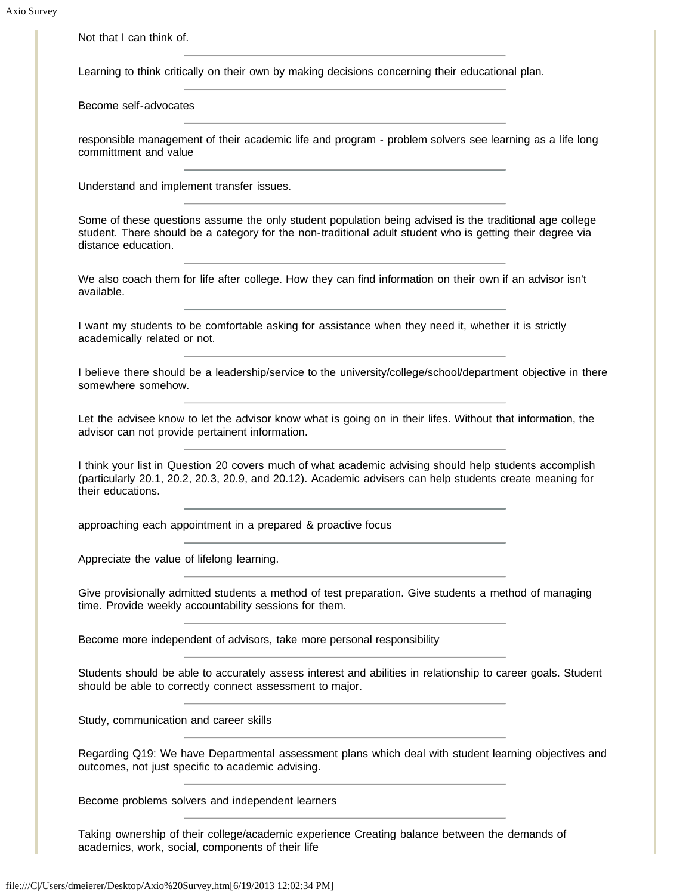Not that I can think of.

Learning to think critically on their own by making decisions concerning their educational plan.

Become self-advocates

responsible management of their academic life and program - problem solvers see learning as a life long committment and value

Understand and implement transfer issues.

Some of these questions assume the only student population being advised is the traditional age college student. There should be a category for the non-traditional adult student who is getting their degree via distance education.

We also coach them for life after college. How they can find information on their own if an advisor isn't available.

I want my students to be comfortable asking for assistance when they need it, whether it is strictly academically related or not.

I believe there should be a leadership/service to the university/college/school/department objective in there somewhere somehow.

Let the advisee know to let the advisor know what is going on in their lifes. Without that information, the advisor can not provide pertainent information.

I think your list in Question 20 covers much of what academic advising should help students accomplish (particularly 20.1, 20.2, 20.3, 20.9, and 20.12). Academic advisers can help students create meaning for their educations.

approaching each appointment in a prepared & proactive focus

Appreciate the value of lifelong learning.

Give provisionally admitted students a method of test preparation. Give students a method of managing time. Provide weekly accountability sessions for them.

Become more independent of advisors, take more personal responsibility

Students should be able to accurately assess interest and abilities in relationship to career goals. Student should be able to correctly connect assessment to major.

Study, communication and career skills

Regarding Q19: We have Departmental assessment plans which deal with student learning objectives and outcomes, not just specific to academic advising.

Become problems solvers and independent learners

Taking ownership of their college/academic experience Creating balance between the demands of academics, work, social, components of their life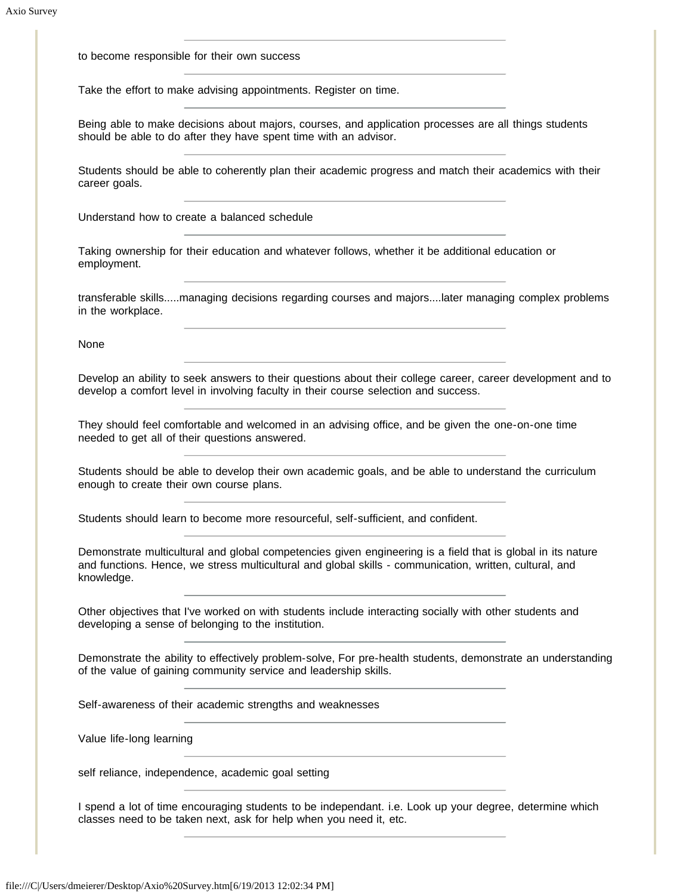to become responsible for their own success

Take the effort to make advising appointments. Register on time.

Being able to make decisions about majors, courses, and application processes are all things students should be able to do after they have spent time with an advisor.

Students should be able to coherently plan their academic progress and match their academics with their career goals.

Understand how to create a balanced schedule

Taking ownership for their education and whatever follows, whether it be additional education or employment.

transferable skills.....managing decisions regarding courses and majors....later managing complex problems in the workplace.

None

Develop an ability to seek answers to their questions about their college career, career development and to develop a comfort level in involving faculty in their course selection and success.

They should feel comfortable and welcomed in an advising office, and be given the one-on-one time needed to get all of their questions answered.

Students should be able to develop their own academic goals, and be able to understand the curriculum enough to create their own course plans.

Students should learn to become more resourceful, self-sufficient, and confident.

Demonstrate multicultural and global competencies given engineering is a field that is global in its nature and functions. Hence, we stress multicultural and global skills - communication, written, cultural, and knowledge.

Other objectives that I've worked on with students include interacting socially with other students and developing a sense of belonging to the institution.

Demonstrate the ability to effectively problem-solve, For pre-health students, demonstrate an understanding of the value of gaining community service and leadership skills.

Self-awareness of their academic strengths and weaknesses

Value life-long learning

self reliance, independence, academic goal setting

I spend a lot of time encouraging students to be independant. i.e. Look up your degree, determine which classes need to be taken next, ask for help when you need it, etc.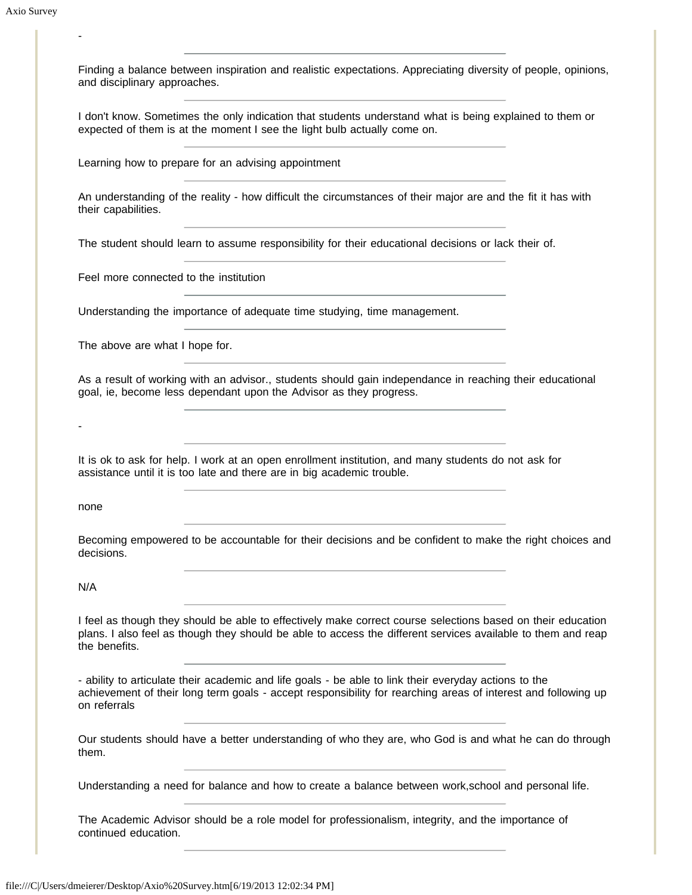-

Finding a balance between inspiration and realistic expectations. Appreciating diversity of people, opinions, and disciplinary approaches.

I don't know. Sometimes the only indication that students understand what is being explained to them or expected of them is at the moment I see the light bulb actually come on.

Learning how to prepare for an advising appointment

An understanding of the reality - how difficult the circumstances of their major are and the fit it has with their capabilities.

The student should learn to assume responsibility for their educational decisions or lack their of.

Feel more connected to the institution

Understanding the importance of adequate time studying, time management.

The above are what I hope for.

As a result of working with an advisor., students should gain independance in reaching their educational goal, ie, become less dependant upon the Advisor as they progress.

It is ok to ask for help. I work at an open enrollment institution, and many students do not ask for assistance until it is too late and there are in big academic trouble.

none

-

Becoming empowered to be accountable for their decisions and be confident to make the right choices and decisions.

N/A

I feel as though they should be able to effectively make correct course selections based on their education plans. I also feel as though they should be able to access the different services available to them and reap the benefits.

- ability to articulate their academic and life goals - be able to link their everyday actions to the achievement of their long term goals - accept responsibility for rearching areas of interest and following up on referrals

Our students should have a better understanding of who they are, who God is and what he can do through them.

Understanding a need for balance and how to create a balance between work,school and personal life.

The Academic Advisor should be a role model for professionalism, integrity, and the importance of continued education.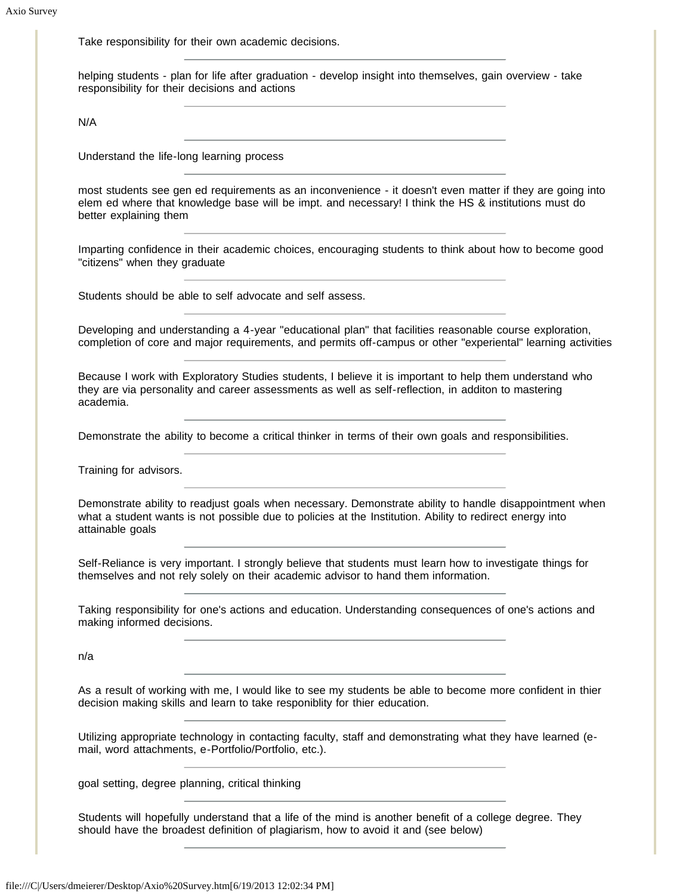Take responsibility for their own academic decisions.

helping students - plan for life after graduation - develop insight into themselves, gain overview - take responsibility for their decisions and actions

N/A

Understand the life-long learning process

most students see gen ed requirements as an inconvenience - it doesn't even matter if they are going into elem ed where that knowledge base will be impt. and necessary! I think the HS & institutions must do better explaining them

Imparting confidence in their academic choices, encouraging students to think about how to become good "citizens" when they graduate

Students should be able to self advocate and self assess.

Developing and understanding a 4-year "educational plan" that facilities reasonable course exploration, completion of core and major requirements, and permits off-campus or other "experiental" learning activities

Because I work with Exploratory Studies students, I believe it is important to help them understand who they are via personality and career assessments as well as self-reflection, in additon to mastering academia.

Demonstrate the ability to become a critical thinker in terms of their own goals and responsibilities.

Training for advisors.

Demonstrate ability to readjust goals when necessary. Demonstrate ability to handle disappointment when what a student wants is not possible due to policies at the Institution. Ability to redirect energy into attainable goals

Self-Reliance is very important. I strongly believe that students must learn how to investigate things for themselves and not rely solely on their academic advisor to hand them information.

Taking responsibility for one's actions and education. Understanding consequences of one's actions and making informed decisions.

n/a

As a result of working with me, I would like to see my students be able to become more confident in thier decision making skills and learn to take responiblity for thier education.

Utilizing appropriate technology in contacting faculty, staff and demonstrating what they have learned (email, word attachments, e-Portfolio/Portfolio, etc.).

goal setting, degree planning, critical thinking

Students will hopefully understand that a life of the mind is another benefit of a college degree. They should have the broadest definition of plagiarism, how to avoid it and (see below)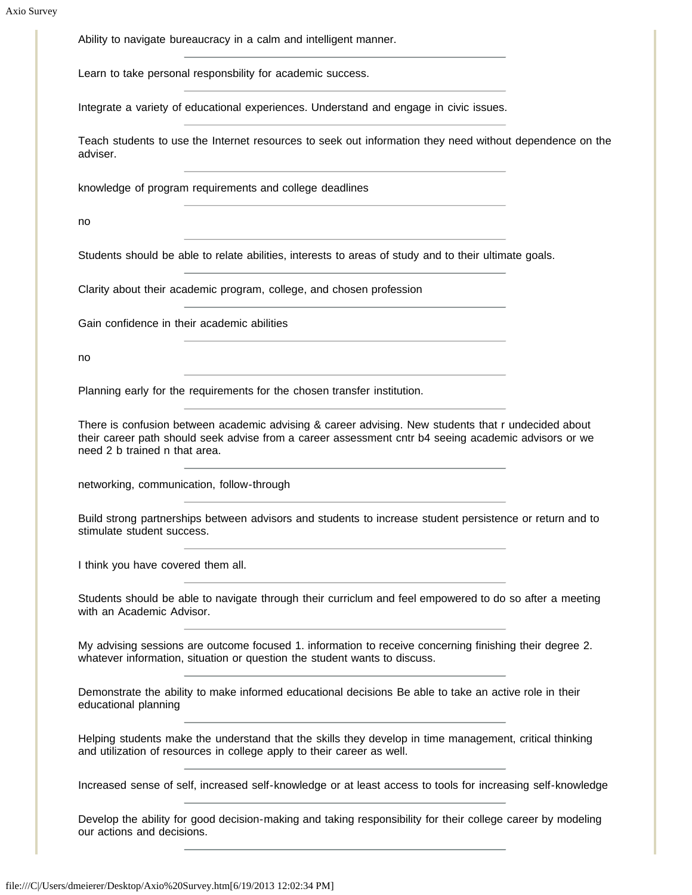Ability to navigate bureaucracy in a calm and intelligent manner.

Learn to take personal responsbility for academic success.

Integrate a variety of educational experiences. Understand and engage in civic issues.

Teach students to use the Internet resources to seek out information they need without dependence on the adviser.

knowledge of program requirements and college deadlines

no

Students should be able to relate abilities, interests to areas of study and to their ultimate goals.

Clarity about their academic program, college, and chosen profession

Gain confidence in their academic abilities

no

Planning early for the requirements for the chosen transfer institution.

There is confusion between academic advising & career advising. New students that r undecided about their career path should seek advise from a career assessment cntr b4 seeing academic advisors or we need 2 b trained n that area.

networking, communication, follow-through

Build strong partnerships between advisors and students to increase student persistence or return and to stimulate student success.

I think you have covered them all.

Students should be able to navigate through their curriclum and feel empowered to do so after a meeting with an Academic Advisor.

My advising sessions are outcome focused 1. information to receive concerning finishing their degree 2. whatever information, situation or question the student wants to discuss.

Demonstrate the ability to make informed educational decisions Be able to take an active role in their educational planning

Helping students make the understand that the skills they develop in time management, critical thinking and utilization of resources in college apply to their career as well.

Increased sense of self, increased self-knowledge or at least access to tools for increasing self-knowledge

Develop the ability for good decision-making and taking responsibility for their college career by modeling our actions and decisions.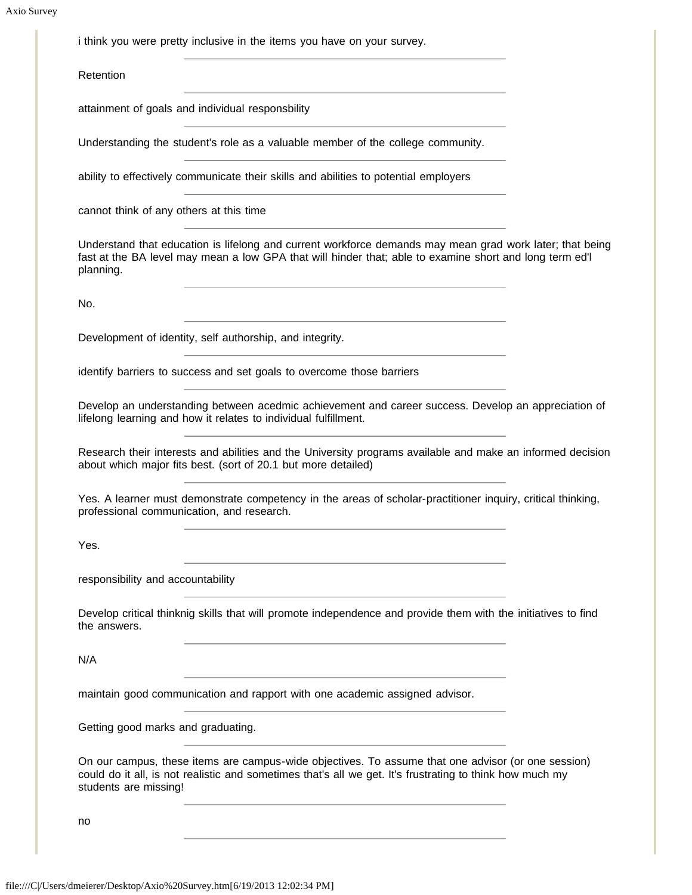i think you were pretty inclusive in the items you have on your survey.

**Retention** 

attainment of goals and individual responsbility

Understanding the student's role as a valuable member of the college community.

ability to effectively communicate their skills and abilities to potential employers

cannot think of any others at this time

Understand that education is lifelong and current workforce demands may mean grad work later; that being fast at the BA level may mean a low GPA that will hinder that; able to examine short and long term ed'l planning.

No.

Development of identity, self authorship, and integrity.

identify barriers to success and set goals to overcome those barriers

Develop an understanding between acedmic achievement and career success. Develop an appreciation of lifelong learning and how it relates to individual fulfillment.

Research their interests and abilities and the University programs available and make an informed decision about which major fits best. (sort of 20.1 but more detailed)

Yes. A learner must demonstrate competency in the areas of scholar-practitioner inquiry, critical thinking, professional communication, and research.

Yes.

responsibility and accountability

Develop critical thinknig skills that will promote independence and provide them with the initiatives to find the answers.

N/A

maintain good communication and rapport with one academic assigned advisor.

Getting good marks and graduating.

On our campus, these items are campus-wide objectives. To assume that one advisor (or one session) could do it all, is not realistic and sometimes that's all we get. It's frustrating to think how much my students are missing!

no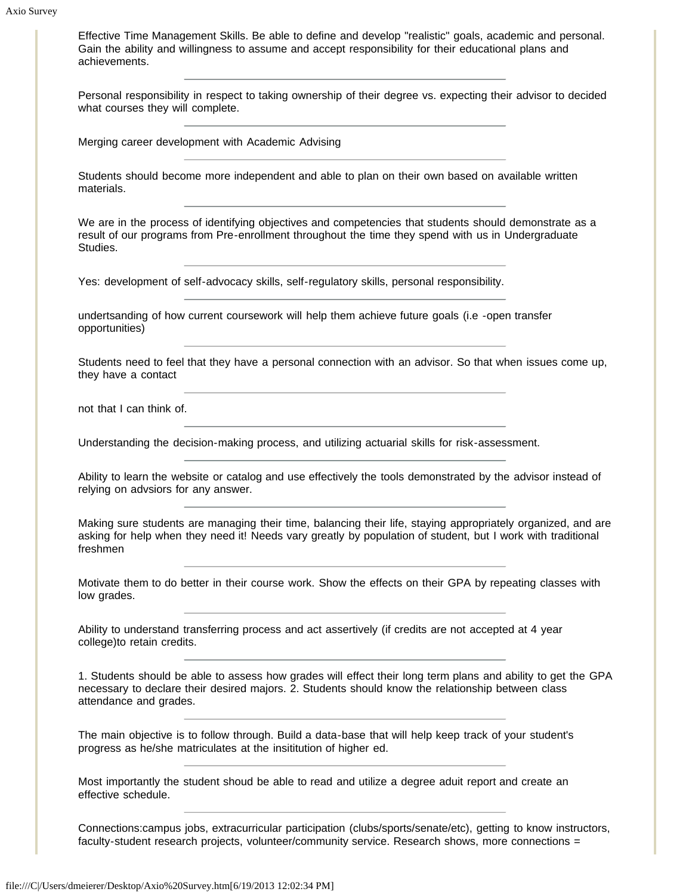Effective Time Management Skills. Be able to define and develop "realistic" goals, academic and personal. Gain the ability and willingness to assume and accept responsibility for their educational plans and achievements.

Personal responsibility in respect to taking ownership of their degree vs. expecting their advisor to decided what courses they will complete.

Merging career development with Academic Advising

Students should become more independent and able to plan on their own based on available written materials.

We are in the process of identifying objectives and competencies that students should demonstrate as a result of our programs from Pre-enrollment throughout the time they spend with us in Undergraduate Studies.

Yes: development of self-advocacy skills, self-regulatory skills, personal responsibility.

undertsanding of how current coursework will help them achieve future goals (i.e -open transfer opportunities)

Students need to feel that they have a personal connection with an advisor. So that when issues come up, they have a contact

not that I can think of.

Understanding the decision-making process, and utilizing actuarial skills for risk-assessment.

Ability to learn the website or catalog and use effectively the tools demonstrated by the advisor instead of relying on advsiors for any answer.

Making sure students are managing their time, balancing their life, staying appropriately organized, and are asking for help when they need it! Needs vary greatly by population of student, but I work with traditional freshmen

Motivate them to do better in their course work. Show the effects on their GPA by repeating classes with low grades.

Ability to understand transferring process and act assertively (if credits are not accepted at 4 year college)to retain credits.

1. Students should be able to assess how grades will effect their long term plans and ability to get the GPA necessary to declare their desired majors. 2. Students should know the relationship between class attendance and grades.

The main objective is to follow through. Build a data-base that will help keep track of your student's progress as he/she matriculates at the insititution of higher ed.

Most importantly the student shoud be able to read and utilize a degree aduit report and create an effective schedule.

Connections:campus jobs, extracurricular participation (clubs/sports/senate/etc), getting to know instructors, faculty-student research projects, volunteer/community service. Research shows, more connections =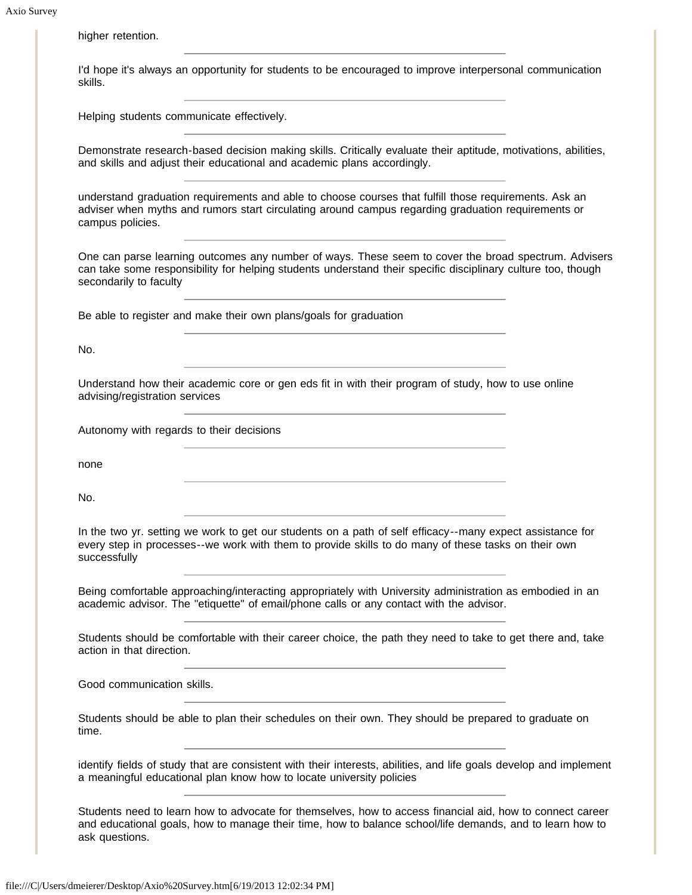higher retention.

I'd hope it's always an opportunity for students to be encouraged to improve interpersonal communication skills.

Helping students communicate effectively.

Demonstrate research-based decision making skills. Critically evaluate their aptitude, motivations, abilities, and skills and adjust their educational and academic plans accordingly.

understand graduation requirements and able to choose courses that fulfill those requirements. Ask an adviser when myths and rumors start circulating around campus regarding graduation requirements or campus policies.

One can parse learning outcomes any number of ways. These seem to cover the broad spectrum. Advisers can take some responsibility for helping students understand their specific disciplinary culture too, though secondarily to faculty

Be able to register and make their own plans/goals for graduation

No.

Understand how their academic core or gen eds fit in with their program of study, how to use online advising/registration services

Autonomy with regards to their decisions

none

No.

In the two yr. setting we work to get our students on a path of self efficacy--many expect assistance for every step in processes--we work with them to provide skills to do many of these tasks on their own successfully

Being comfortable approaching/interacting appropriately with University administration as embodied in an academic advisor. The "etiquette" of email/phone calls or any contact with the advisor.

Students should be comfortable with their career choice, the path they need to take to get there and, take action in that direction.

Good communication skills.

Students should be able to plan their schedules on their own. They should be prepared to graduate on time.

identify fields of study that are consistent with their interests, abilities, and life goals develop and implement a meaningful educational plan know how to locate university policies

Students need to learn how to advocate for themselves, how to access financial aid, how to connect career and educational goals, how to manage their time, how to balance school/life demands, and to learn how to ask questions.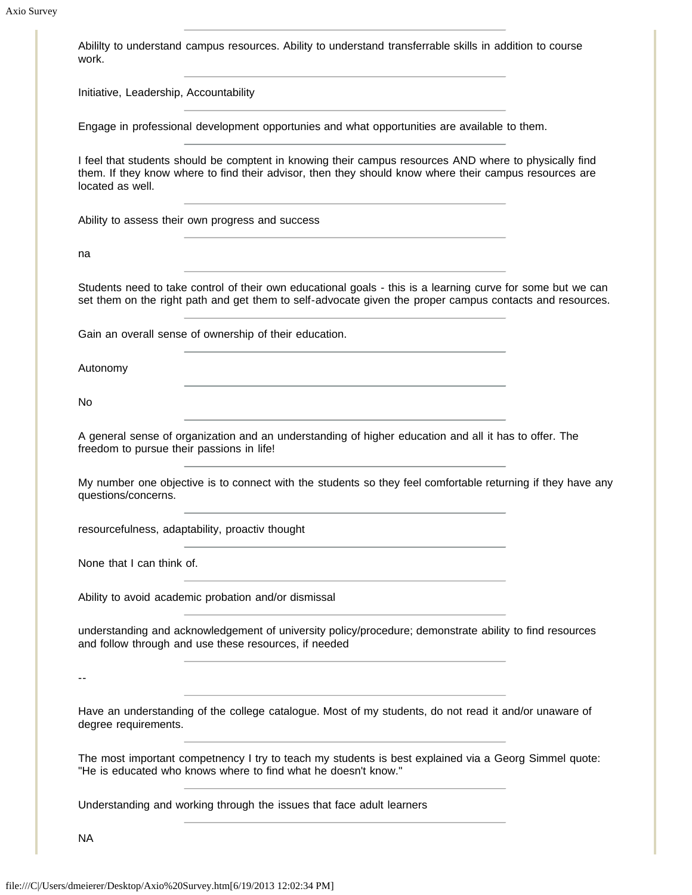Abililty to understand campus resources. Ability to understand transferrable skills in addition to course work. Initiative, Leadership, Accountability Engage in professional development opportunies and what opportunities are available to them. I feel that students should be comptent in knowing their campus resources AND where to physically find them. If they know where to find their advisor, then they should know where their campus resources are located as well. Ability to assess their own progress and success na Students need to take control of their own educational goals - this is a learning curve for some but we can set them on the right path and get them to self-advocate given the proper campus contacts and resources. Gain an overall sense of ownership of their education. Autonomy No A general sense of organization and an understanding of higher education and all it has to offer. The freedom to pursue their passions in life! My number one objective is to connect with the students so they feel comfortable returning if they have any questions/concerns. resourcefulness, adaptability, proactiv thought None that I can think of. Ability to avoid academic probation and/or dismissal understanding and acknowledgement of university policy/procedure; demonstrate ability to find resources and follow through and use these resources, if needed -- Have an understanding of the college catalogue. Most of my students, do not read it and/or unaware of degree requirements. The most important competnency I try to teach my students is best explained via a Georg Simmel quote: "He is educated who knows where to find what he doesn't know." Understanding and working through the issues that face adult learners NA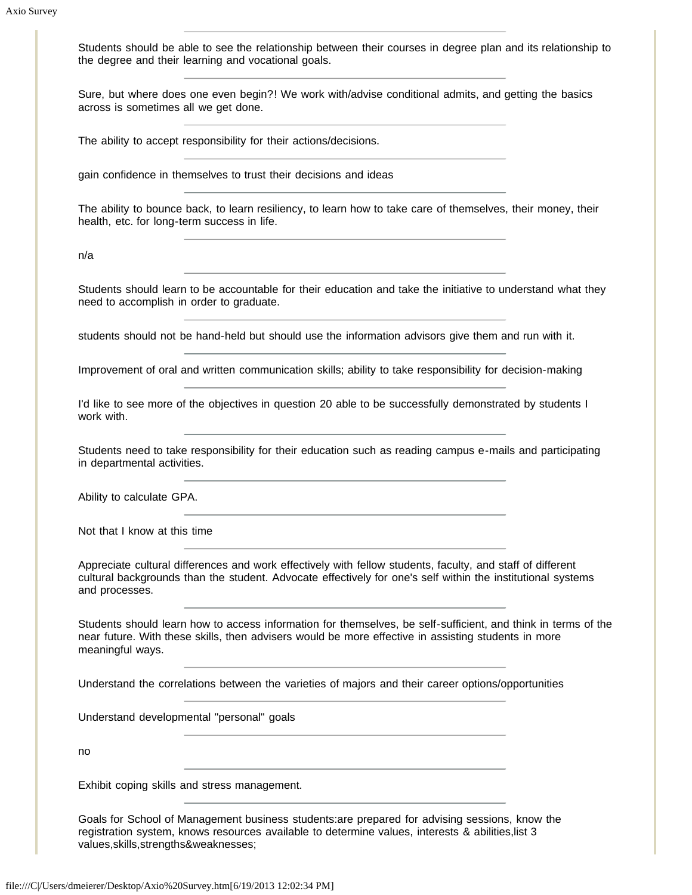Students should be able to see the relationship between their courses in degree plan and its relationship to the degree and their learning and vocational goals.

Sure, but where does one even begin?! We work with/advise conditional admits, and getting the basics across is sometimes all we get done.

The ability to accept responsibility for their actions/decisions.

gain confidence in themselves to trust their decisions and ideas

The ability to bounce back, to learn resiliency, to learn how to take care of themselves, their money, their health, etc. for long-term success in life.

n/a

Students should learn to be accountable for their education and take the initiative to understand what they need to accomplish in order to graduate.

students should not be hand-held but should use the information advisors give them and run with it.

Improvement of oral and written communication skills; ability to take responsibility for decision-making

I'd like to see more of the objectives in question 20 able to be successfully demonstrated by students I work with.

Students need to take responsibility for their education such as reading campus e-mails and participating in departmental activities.

Ability to calculate GPA.

Not that I know at this time

Appreciate cultural differences and work effectively with fellow students, faculty, and staff of different cultural backgrounds than the student. Advocate effectively for one's self within the institutional systems and processes.

Students should learn how to access information for themselves, be self-sufficient, and think in terms of the near future. With these skills, then advisers would be more effective in assisting students in more meaningful ways.

Understand the correlations between the varieties of majors and their career options/opportunities

Understand developmental "personal" goals

no

Exhibit coping skills and stress management.

Goals for School of Management business students:are prepared for advising sessions, know the registration system, knows resources available to determine values, interests & abilities,list 3 values,skills,strengths&weaknesses;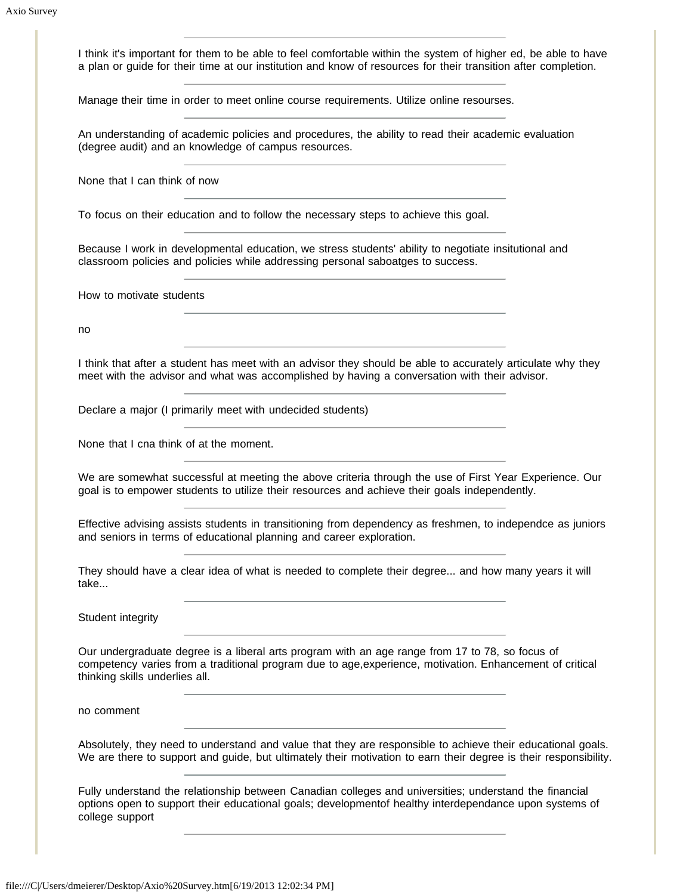I think it's important for them to be able to feel comfortable within the system of higher ed, be able to have a plan or guide for their time at our institution and know of resources for their transition after completion.

Manage their time in order to meet online course requirements. Utilize online resourses.

An understanding of academic policies and procedures, the ability to read their academic evaluation (degree audit) and an knowledge of campus resources.

None that I can think of now

To focus on their education and to follow the necessary steps to achieve this goal.

Because I work in developmental education, we stress students' ability to negotiate insitutional and classroom policies and policies while addressing personal saboatges to success.

How to motivate students

no

I think that after a student has meet with an advisor they should be able to accurately articulate why they meet with the advisor and what was accomplished by having a conversation with their advisor.

Declare a major (I primarily meet with undecided students)

None that I cna think of at the moment.

We are somewhat successful at meeting the above criteria through the use of First Year Experience. Our goal is to empower students to utilize their resources and achieve their goals independently.

Effective advising assists students in transitioning from dependency as freshmen, to independce as juniors and seniors in terms of educational planning and career exploration.

They should have a clear idea of what is needed to complete their degree... and how many years it will take...

Student integrity

Our undergraduate degree is a liberal arts program with an age range from 17 to 78, so focus of competency varies from a traditional program due to age,experience, motivation. Enhancement of critical thinking skills underlies all.

no comment

Absolutely, they need to understand and value that they are responsible to achieve their educational goals. We are there to support and guide, but ultimately their motivation to earn their degree is their responsibility.

Fully understand the relationship between Canadian colleges and universities; understand the financial options open to support their educational goals; developmentof healthy interdependance upon systems of college support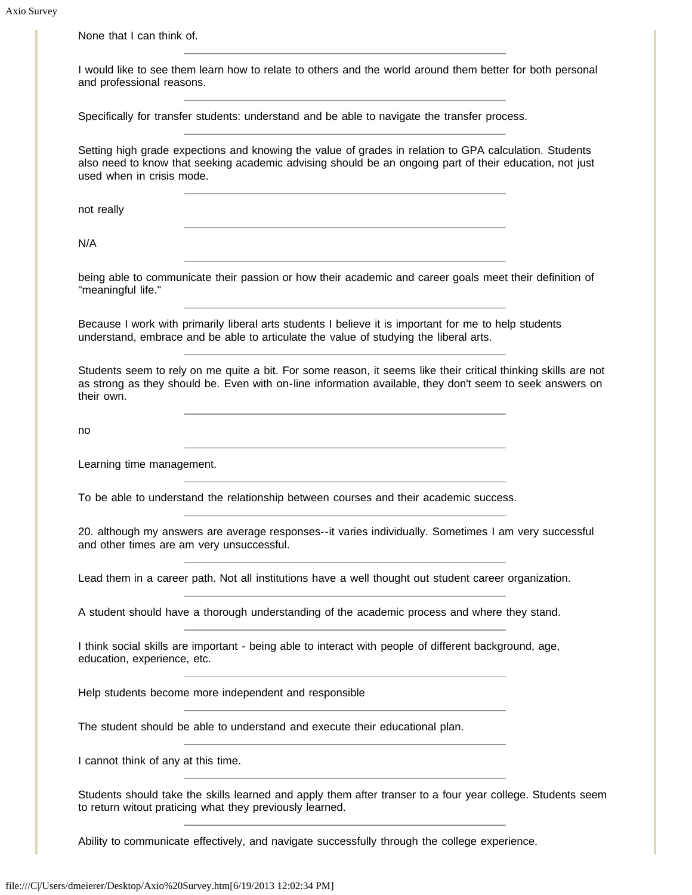| and professional reasons.           | I would like to see them learn how to relate to others and the world around them better for both personal                                                                                                                  |  |
|-------------------------------------|----------------------------------------------------------------------------------------------------------------------------------------------------------------------------------------------------------------------------|--|
|                                     | Specifically for transfer students: understand and be able to navigate the transfer process.                                                                                                                               |  |
| used when in crisis mode.           | Setting high grade expections and knowing the value of grades in relation to GPA calculation. Students<br>also need to know that seeking academic advising should be an ongoing part of their education, not just          |  |
| not really                          |                                                                                                                                                                                                                            |  |
| N/A                                 |                                                                                                                                                                                                                            |  |
| "meaningful life."                  | being able to communicate their passion or how their academic and career goals meet their definition of                                                                                                                    |  |
|                                     | Because I work with primarily liberal arts students I believe it is important for me to help students<br>understand, embrace and be able to articulate the value of studying the liberal arts.                             |  |
| their own.                          | Students seem to rely on me quite a bit. For some reason, it seems like their critical thinking skills are not<br>as strong as they should be. Even with on-line information available, they don't seem to seek answers on |  |
| no                                  |                                                                                                                                                                                                                            |  |
| Learning time management.           |                                                                                                                                                                                                                            |  |
|                                     | To be able to understand the relationship between courses and their academic success.                                                                                                                                      |  |
|                                     | 20. although my answers are average responses--it varies individually. Sometimes I am very successful<br>and other times are am very unsuccessful.                                                                         |  |
|                                     | Lead them in a career path. Not all institutions have a well thought out student career organization.                                                                                                                      |  |
|                                     | A student should have a thorough understanding of the academic process and where they stand.                                                                                                                               |  |
| education, experience, etc.         | I think social skills are important - being able to interact with people of different background, age,                                                                                                                     |  |
|                                     | Help students become more independent and responsible                                                                                                                                                                      |  |
|                                     | The student should be able to understand and execute their educational plan.                                                                                                                                               |  |
|                                     |                                                                                                                                                                                                                            |  |
| I cannot think of any at this time. |                                                                                                                                                                                                                            |  |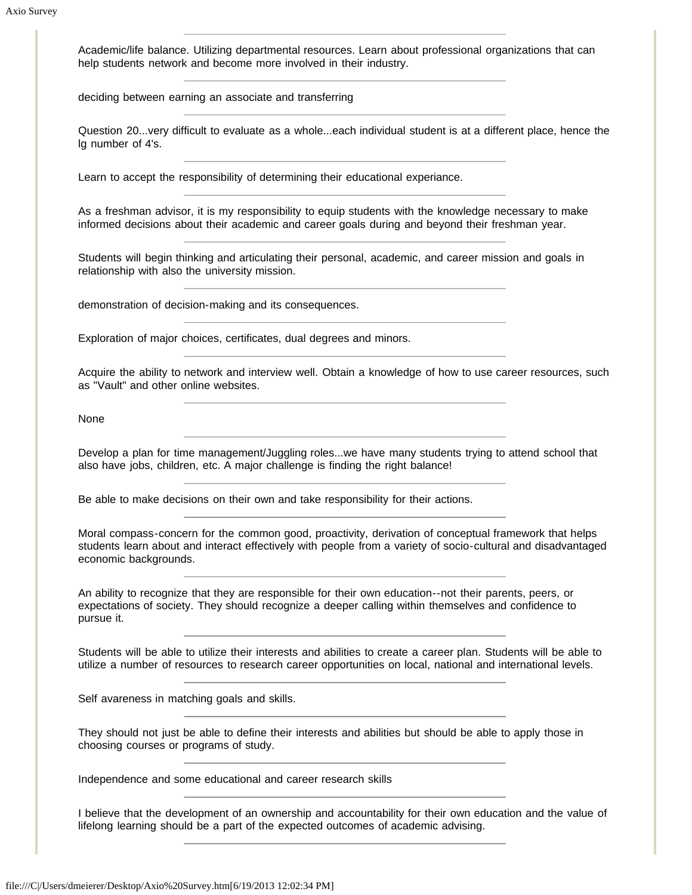Academic/life balance. Utilizing departmental resources. Learn about professional organizations that can help students network and become more involved in their industry.

deciding between earning an associate and transferring

Question 20...very difficult to evaluate as a whole...each individual student is at a different place, hence the lg number of 4's.

Learn to accept the responsibility of determining their educational experiance.

As a freshman advisor, it is my responsibility to equip students with the knowledge necessary to make informed decisions about their academic and career goals during and beyond their freshman year.

Students will begin thinking and articulating their personal, academic, and career mission and goals in relationship with also the university mission.

demonstration of decision-making and its consequences.

Exploration of major choices, certificates, dual degrees and minors.

Acquire the ability to network and interview well. Obtain a knowledge of how to use career resources, such as "Vault" and other online websites.

None

Develop a plan for time management/Juggling roles...we have many students trying to attend school that also have jobs, children, etc. A major challenge is finding the right balance!

Be able to make decisions on their own and take responsibility for their actions.

Moral compass-concern for the common good, proactivity, derivation of conceptual framework that helps students learn about and interact effectively with people from a variety of socio-cultural and disadvantaged economic backgrounds.

An ability to recognize that they are responsible for their own education--not their parents, peers, or expectations of society. They should recognize a deeper calling within themselves and confidence to pursue it.

Students will be able to utilize their interests and abilities to create a career plan. Students will be able to utilize a number of resources to research career opportunities on local, national and international levels.

Self avareness in matching goals and skills.

They should not just be able to define their interests and abilities but should be able to apply those in choosing courses or programs of study.

Independence and some educational and career research skills

I believe that the development of an ownership and accountability for their own education and the value of lifelong learning should be a part of the expected outcomes of academic advising.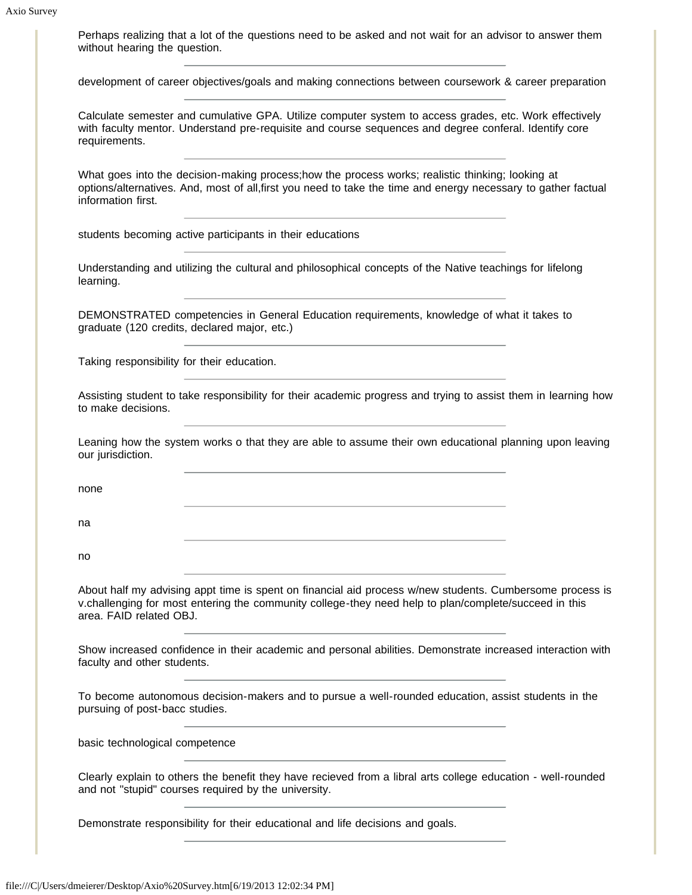| without hearing the question.                | Perhaps realizing that a lot of the questions need to be asked and not wait for an advisor to answer them                                                                                                          |  |
|----------------------------------------------|--------------------------------------------------------------------------------------------------------------------------------------------------------------------------------------------------------------------|--|
|                                              | development of career objectives/goals and making connections between coursework & career preparation                                                                                                              |  |
| requirements.                                | Calculate semester and cumulative GPA. Utilize computer system to access grades, etc. Work effectively<br>with faculty mentor. Understand pre-requisite and course sequences and degree conferal. Identify core    |  |
| information first.                           | What goes into the decision-making process;how the process works; realistic thinking; looking at<br>options/alternatives. And, most of all, first you need to take the time and energy necessary to gather factual |  |
|                                              | students becoming active participants in their educations                                                                                                                                                          |  |
| learning.                                    | Understanding and utilizing the cultural and philosophical concepts of the Native teachings for lifelong                                                                                                           |  |
| graduate (120 credits, declared major, etc.) | DEMONSTRATED competencies in General Education requirements, knowledge of what it takes to                                                                                                                         |  |
| Taking responsibility for their education.   |                                                                                                                                                                                                                    |  |
| to make decisions.                           | Assisting student to take responsibility for their academic progress and trying to assist them in learning how                                                                                                     |  |
| our jurisdiction.                            | Leaning how the system works o that they are able to assume their own educational planning upon leaving                                                                                                            |  |
| none                                         |                                                                                                                                                                                                                    |  |
| na                                           |                                                                                                                                                                                                                    |  |
| no                                           | <u> 1980 - Johann Barbara, martxa alemaniar arg</u>                                                                                                                                                                |  |
| area. FAID related OBJ.                      | About half my advising appt time is spent on financial aid process w/new students. Cumbersome process is<br>v.challenging for most entering the community college-they need help to plan/complete/succeed in this  |  |
| faculty and other students.                  | Show increased confidence in their academic and personal abilities. Demonstrate increased interaction with                                                                                                         |  |
| pursuing of post-bacc studies.               | To become autonomous decision-makers and to pursue a well-rounded education, assist students in the                                                                                                                |  |
| basic technological competence               |                                                                                                                                                                                                                    |  |
|                                              | Clearly explain to others the benefit they have recieved from a libral arts college education - well-rounded<br>and not "stupid" courses required by the university.                                               |  |
|                                              | Demonstrate responsibility for their educational and life decisions and goals.                                                                                                                                     |  |
|                                              |                                                                                                                                                                                                                    |  |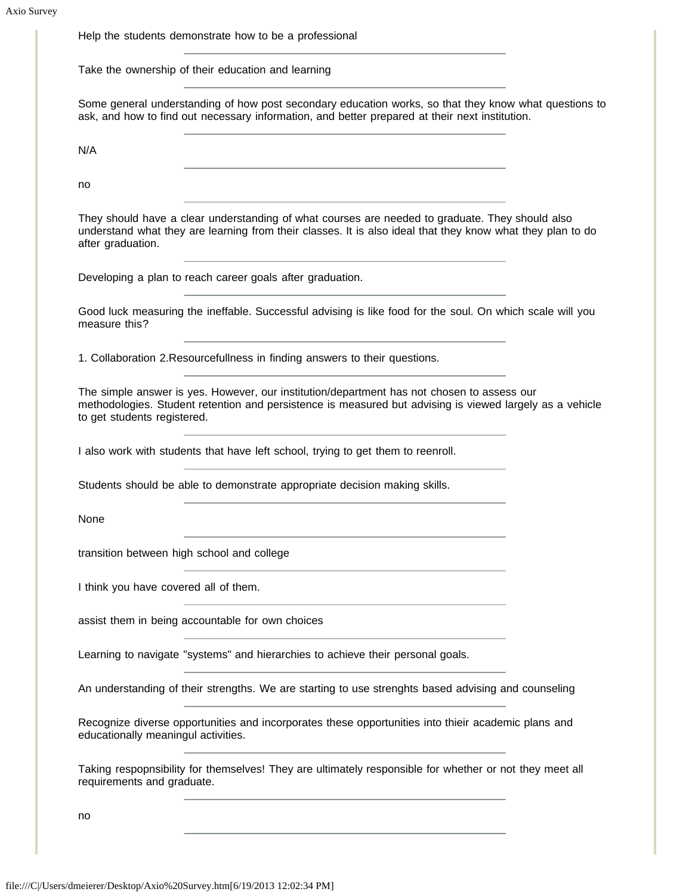|                                       | Help the students demonstrate how to be a professional                                                                                                                                                                                                                                                                                   |  |
|---------------------------------------|------------------------------------------------------------------------------------------------------------------------------------------------------------------------------------------------------------------------------------------------------------------------------------------------------------------------------------------|--|
|                                       | Take the ownership of their education and learning                                                                                                                                                                                                                                                                                       |  |
|                                       | Some general understanding of how post secondary education works, so that they know what questions to<br>ask, and how to find out necessary information, and better prepared at their next institution.                                                                                                                                  |  |
| N/A                                   | <u> 1980 - Johann Barn, amerikansk politiker (d. 1980)</u>                                                                                                                                                                                                                                                                               |  |
| no                                    |                                                                                                                                                                                                                                                                                                                                          |  |
| after graduation.                     | They should have a clear understanding of what courses are needed to graduate. They should also<br>understand what they are learning from their classes. It is also ideal that they know what they plan to do                                                                                                                            |  |
|                                       | Developing a plan to reach career goals after graduation.                                                                                                                                                                                                                                                                                |  |
| measure this?                         | Good luck measuring the ineffable. Successful advising is like food for the soul. On which scale will you                                                                                                                                                                                                                                |  |
|                                       | 1. Collaboration 2. Resourcefullness in finding answers to their questions.                                                                                                                                                                                                                                                              |  |
|                                       | <u> 1989 - Johann Stein, mars an deutscher Stein und der Stein und der Stein und der Stein und der Stein und der</u>                                                                                                                                                                                                                     |  |
| to get students registered.           | The simple answer is yes. However, our institution/department has not chosen to assess our<br>methodologies. Student retention and persistence is measured but advising is viewed largely as a vehicle                                                                                                                                   |  |
|                                       | I also work with students that have left school, trying to get them to reenroll.                                                                                                                                                                                                                                                         |  |
|                                       | Students should be able to demonstrate appropriate decision making skills.                                                                                                                                                                                                                                                               |  |
| None                                  |                                                                                                                                                                                                                                                                                                                                          |  |
|                                       | transition between high school and college                                                                                                                                                                                                                                                                                               |  |
| I think you have covered all of them. |                                                                                                                                                                                                                                                                                                                                          |  |
|                                       | assist them in being accountable for own choices                                                                                                                                                                                                                                                                                         |  |
|                                       | Learning to navigate "systems" and hierarchies to achieve their personal goals.                                                                                                                                                                                                                                                          |  |
|                                       | <u> 1980 - Johann Barbara, martxa a</u><br>An understanding of their strengths. We are starting to use strenghts based advising and counseling                                                                                                                                                                                           |  |
| educationally meaningul activities.   | Recognize diverse opportunities and incorporates these opportunities into thieir academic plans and                                                                                                                                                                                                                                      |  |
| requirements and graduate.            | Taking respopnsibility for themselves! They are ultimately responsible for whether or not they meet all<br>the control of the control of the control of the control of the control of the control of the control of the control of the control of the control of the control of the control of the control of the control of the control |  |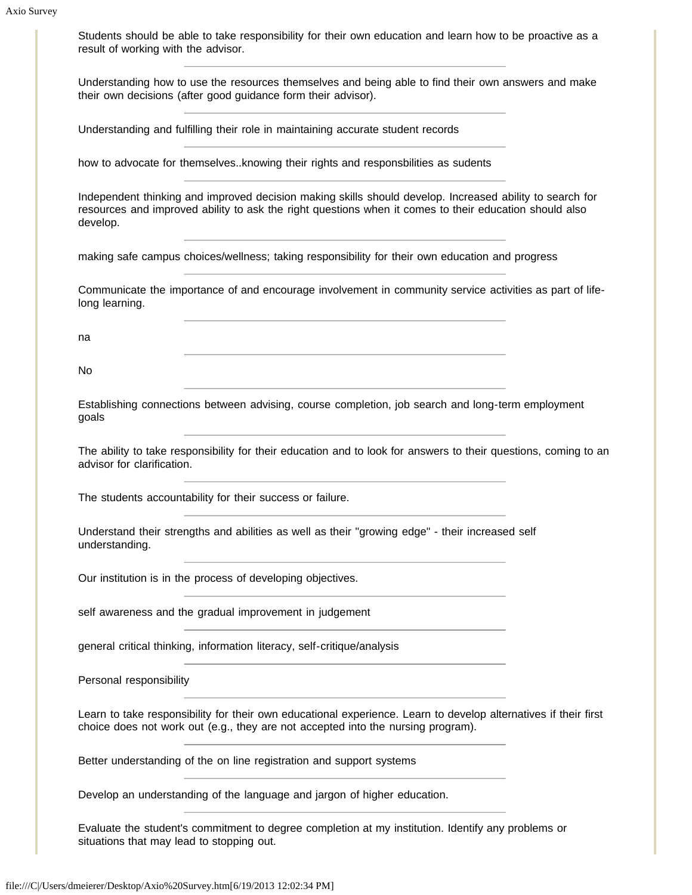Students should be able to take responsibility for their own education and learn how to be proactive as a result of working with the advisor. Understanding how to use the resources themselves and being able to find their own answers and make their own decisions (after good guidance form their advisor). Understanding and fulfilling their role in maintaining accurate student records how to advocate for themselves..knowing their rights and responsbilities as sudents Independent thinking and improved decision making skills should develop. Increased ability to search for resources and improved ability to ask the right questions when it comes to their education should also develop. making safe campus choices/wellness; taking responsibility for their own education and progress Communicate the importance of and encourage involvement in community service activities as part of lifelong learning. na No Establishing connections between advising, course completion, job search and long-term employment goals The ability to take responsibility for their education and to look for answers to their questions, coming to an advisor for clarification. The students accountability for their success or failure. Understand their strengths and abilities as well as their "growing edge" - their increased self understanding. Our institution is in the process of developing objectives.

self awareness and the gradual improvement in judgement

general critical thinking, information literacy, self-critique/analysis

Personal responsibility

Learn to take responsibility for their own educational experience. Learn to develop alternatives if their first choice does not work out (e.g., they are not accepted into the nursing program).

Better understanding of the on line registration and support systems

Develop an understanding of the language and jargon of higher education.

Evaluate the student's commitment to degree completion at my institution. Identify any problems or situations that may lead to stopping out.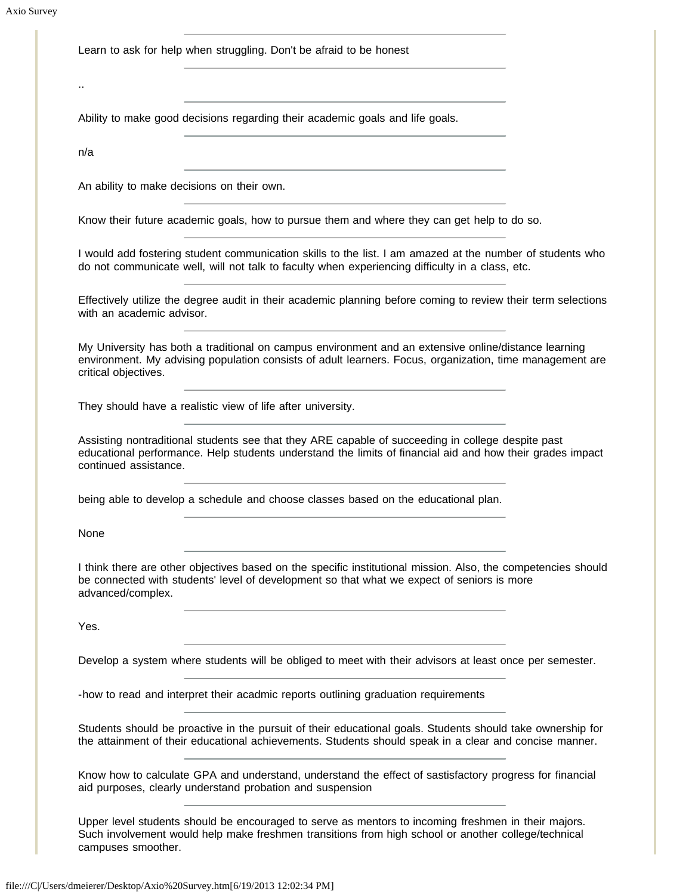Learn to ask for help when struggling. Don't be afraid to be honest

..

Ability to make good decisions regarding their academic goals and life goals.

n/a

An ability to make decisions on their own.

Know their future academic goals, how to pursue them and where they can get help to do so.

I would add fostering student communication skills to the list. I am amazed at the number of students who do not communicate well, will not talk to faculty when experiencing difficulty in a class, etc.

Effectively utilize the degree audit in their academic planning before coming to review their term selections with an academic advisor.

My University has both a traditional on campus environment and an extensive online/distance learning environment. My advising population consists of adult learners. Focus, organization, time management are critical objectives.

They should have a realistic view of life after university.

Assisting nontraditional students see that they ARE capable of succeeding in college despite past educational performance. Help students understand the limits of financial aid and how their grades impact continued assistance.

being able to develop a schedule and choose classes based on the educational plan.

None

I think there are other objectives based on the specific institutional mission. Also, the competencies should be connected with students' level of development so that what we expect of seniors is more advanced/complex.

Yes.

Develop a system where students will be obliged to meet with their advisors at least once per semester.

-how to read and interpret their acadmic reports outlining graduation requirements

Students should be proactive in the pursuit of their educational goals. Students should take ownership for the attainment of their educational achievements. Students should speak in a clear and concise manner.

Know how to calculate GPA and understand, understand the effect of sastisfactory progress for financial aid purposes, clearly understand probation and suspension

Upper level students should be encouraged to serve as mentors to incoming freshmen in their majors. Such involvement would help make freshmen transitions from high school or another college/technical campuses smoother.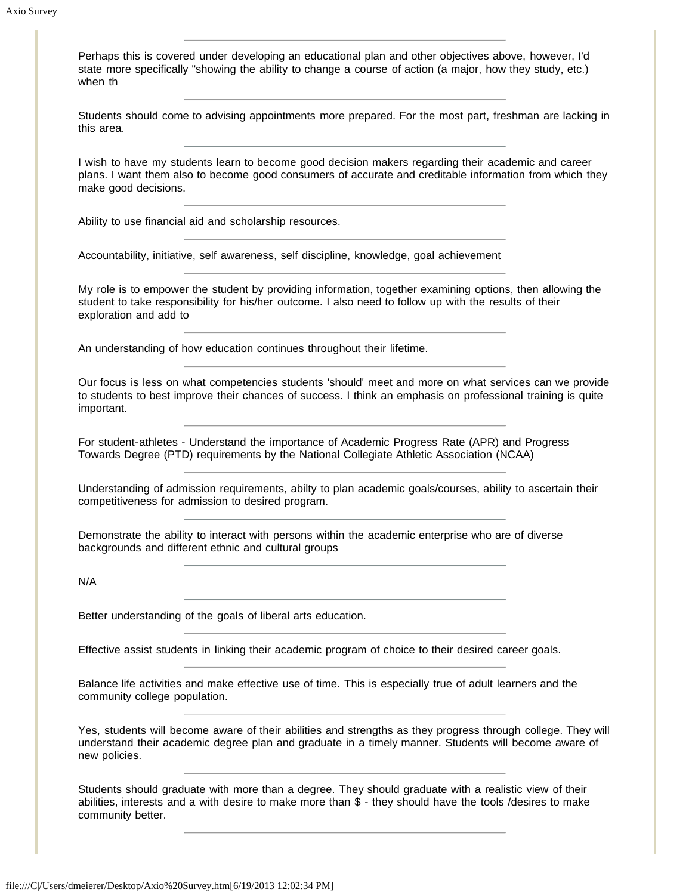Perhaps this is covered under developing an educational plan and other objectives above, however, I'd state more specifically "showing the ability to change a course of action (a major, how they study, etc.) when th

Students should come to advising appointments more prepared. For the most part, freshman are lacking in this area.

I wish to have my students learn to become good decision makers regarding their academic and career plans. I want them also to become good consumers of accurate and creditable information from which they make good decisions.

Ability to use financial aid and scholarship resources.

Accountability, initiative, self awareness, self discipline, knowledge, goal achievement

My role is to empower the student by providing information, together examining options, then allowing the student to take responsibility for his/her outcome. I also need to follow up with the results of their exploration and add to

An understanding of how education continues throughout their lifetime.

Our focus is less on what competencies students 'should' meet and more on what services can we provide to students to best improve their chances of success. I think an emphasis on professional training is quite important.

For student-athletes - Understand the importance of Academic Progress Rate (APR) and Progress Towards Degree (PTD) requirements by the National Collegiate Athletic Association (NCAA)

Understanding of admission requirements, abilty to plan academic goals/courses, ability to ascertain their competitiveness for admission to desired program.

Demonstrate the ability to interact with persons within the academic enterprise who are of diverse backgrounds and different ethnic and cultural groups

N/A

Better understanding of the goals of liberal arts education.

Effective assist students in linking their academic program of choice to their desired career goals.

Balance life activities and make effective use of time. This is especially true of adult learners and the community college population.

Yes, students will become aware of their abilities and strengths as they progress through college. They will understand their academic degree plan and graduate in a timely manner. Students will become aware of new policies.

Students should graduate with more than a degree. They should graduate with a realistic view of their abilities, interests and a with desire to make more than \$ - they should have the tools /desires to make community better.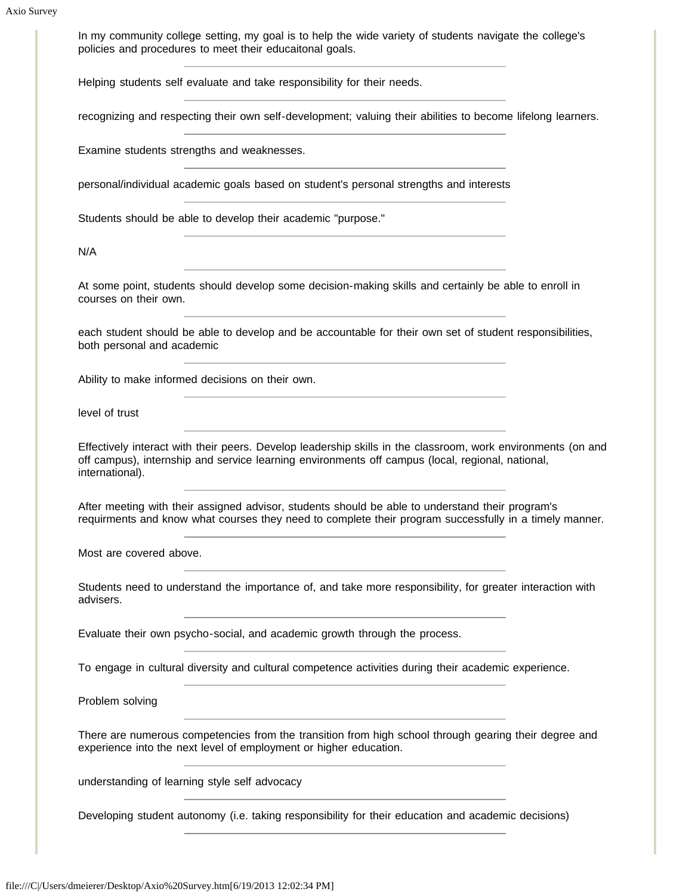In my community college setting, my goal is to help the wide variety of students navigate the college's policies and procedures to meet their educaitonal goals.

Helping students self evaluate and take responsibility for their needs.

recognizing and respecting their own self-development; valuing their abilities to become lifelong learners.

Examine students strengths and weaknesses.

personal/individual academic goals based on student's personal strengths and interests

Students should be able to develop their academic "purpose."

N/A

At some point, students should develop some decision-making skills and certainly be able to enroll in courses on their own.

each student should be able to develop and be accountable for their own set of student responsibilities, both personal and academic

Ability to make informed decisions on their own.

level of trust

Effectively interact with their peers. Develop leadership skills in the classroom, work environments (on and off campus), internship and service learning environments off campus (local, regional, national, international).

After meeting with their assigned advisor, students should be able to understand their program's requirments and know what courses they need to complete their program successfully in a timely manner.

Most are covered above.

Students need to understand the importance of, and take more responsibility, for greater interaction with advisers.

Evaluate their own psycho-social, and academic growth through the process.

To engage in cultural diversity and cultural competence activities during their academic experience.

Problem solving

There are numerous competencies from the transition from high school through gearing their degree and experience into the next level of employment or higher education.

understanding of learning style self advocacy

Developing student autonomy (i.e. taking responsibility for their education and academic decisions)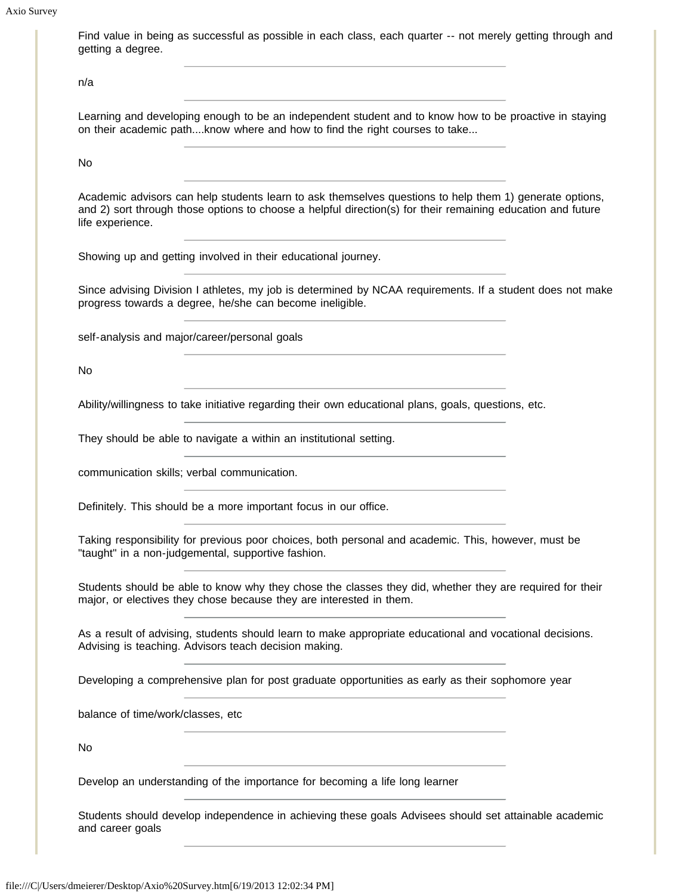## Axio Survey

Find value in being as successful as possible in each class, each quarter -- not merely getting through and getting a degree.

n/a

Learning and developing enough to be an independent student and to know how to be proactive in staying on their academic path....know where and how to find the right courses to take...

No

Academic advisors can help students learn to ask themselves questions to help them 1) generate options, and 2) sort through those options to choose a helpful direction(s) for their remaining education and future life experience.

Showing up and getting involved in their educational journey.

Since advising Division I athletes, my job is determined by NCAA requirements. If a student does not make progress towards a degree, he/she can become ineligible.

self-analysis and major/career/personal goals

No

Ability/willingness to take initiative regarding their own educational plans, goals, questions, etc.

They should be able to navigate a within an institutional setting.

communication skills; verbal communication.

Definitely. This should be a more important focus in our office.

Taking responsibility for previous poor choices, both personal and academic. This, however, must be "taught" in a non-judgemental, supportive fashion.

Students should be able to know why they chose the classes they did, whether they are required for their major, or electives they chose because they are interested in them.

As a result of advising, students should learn to make appropriate educational and vocational decisions. Advising is teaching. Advisors teach decision making.

Developing a comprehensive plan for post graduate opportunities as early as their sophomore year

balance of time/work/classes, etc

No

Develop an understanding of the importance for becoming a life long learner

Students should develop independence in achieving these goals Advisees should set attainable academic and career goals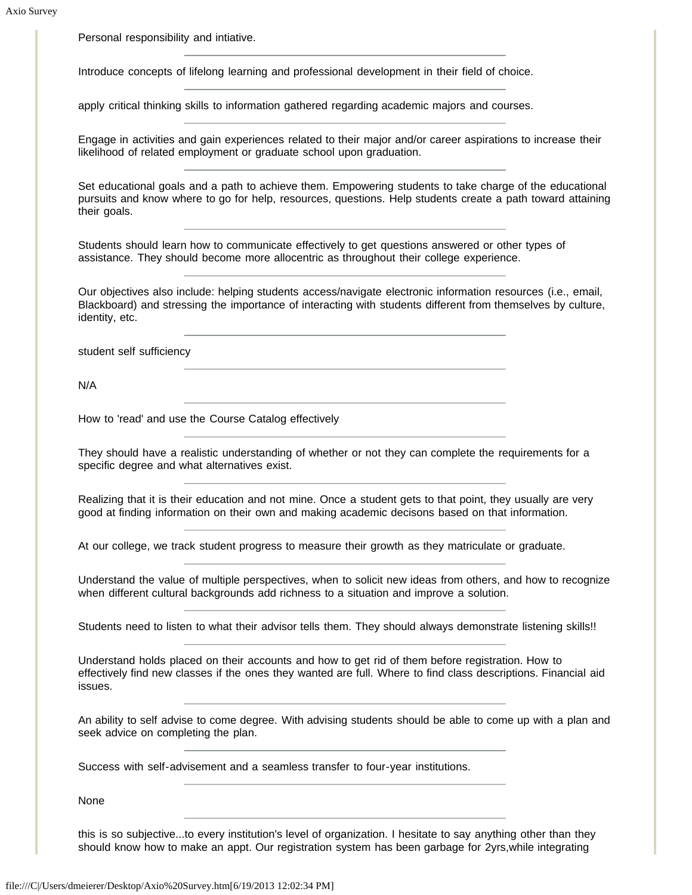Personal responsibility and intiative.

Introduce concepts of lifelong learning and professional development in their field of choice.

apply critical thinking skills to information gathered regarding academic majors and courses.

Engage in activities and gain experiences related to their major and/or career aspirations to increase their likelihood of related employment or graduate school upon graduation.

Set educational goals and a path to achieve them. Empowering students to take charge of the educational pursuits and know where to go for help, resources, questions. Help students create a path toward attaining their goals.

Students should learn how to communicate effectively to get questions answered or other types of assistance. They should become more allocentric as throughout their college experience.

Our objectives also include: helping students access/navigate electronic information resources (i.e., email, Blackboard) and stressing the importance of interacting with students different from themselves by culture, identity, etc.

student self sufficiency

N/A

How to 'read' and use the Course Catalog effectively

They should have a realistic understanding of whether or not they can complete the requirements for a specific degree and what alternatives exist.

Realizing that it is their education and not mine. Once a student gets to that point, they usually are very good at finding information on their own and making academic decisons based on that information.

At our college, we track student progress to measure their growth as they matriculate or graduate.

Understand the value of multiple perspectives, when to solicit new ideas from others, and how to recognize when different cultural backgrounds add richness to a situation and improve a solution.

Students need to listen to what their advisor tells them. They should always demonstrate listening skills!!

Understand holds placed on their accounts and how to get rid of them before registration. How to effectively find new classes if the ones they wanted are full. Where to find class descriptions. Financial aid issues.

An ability to self advise to come degree. With advising students should be able to come up with a plan and seek advice on completing the plan.

Success with self-advisement and a seamless transfer to four-year institutions.

None

this is so subjective...to every institution's level of organization. I hesitate to say anything other than they should know how to make an appt. Our registration system has been garbage for 2yrs,while integrating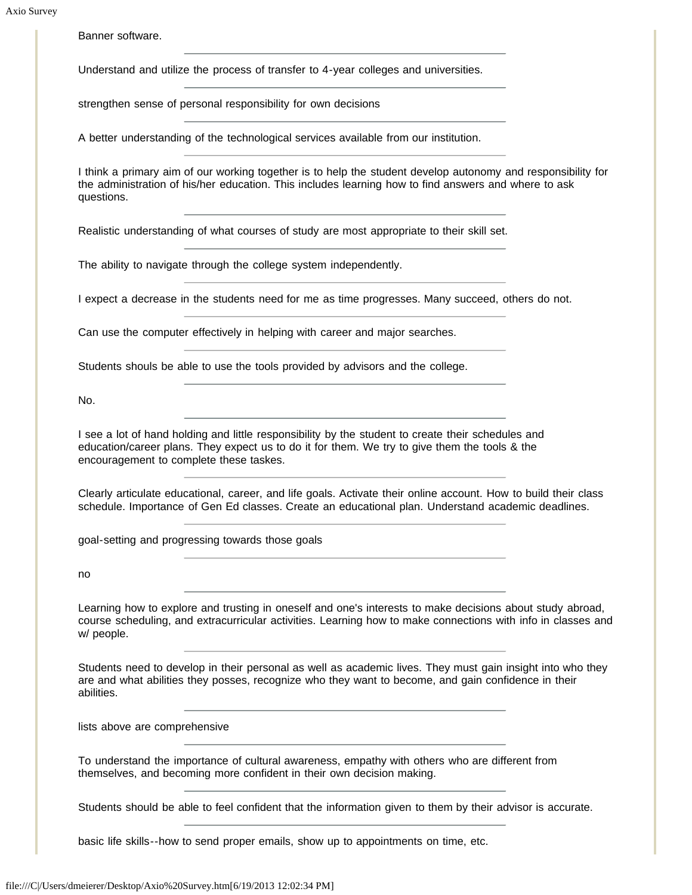Banner software.

Understand and utilize the process of transfer to 4-year colleges and universities.

strengthen sense of personal responsibility for own decisions

A better understanding of the technological services available from our institution.

I think a primary aim of our working together is to help the student develop autonomy and responsibility for the administration of his/her education. This includes learning how to find answers and where to ask questions.

Realistic understanding of what courses of study are most appropriate to their skill set.

The ability to navigate through the college system independently.

I expect a decrease in the students need for me as time progresses. Many succeed, others do not.

Can use the computer effectively in helping with career and major searches.

Students shouls be able to use the tools provided by advisors and the college.

No.

I see a lot of hand holding and little responsibility by the student to create their schedules and education/career plans. They expect us to do it for them. We try to give them the tools & the encouragement to complete these taskes.

Clearly articulate educational, career, and life goals. Activate their online account. How to build their class schedule. Importance of Gen Ed classes. Create an educational plan. Understand academic deadlines.

goal-setting and progressing towards those goals

no

Learning how to explore and trusting in oneself and one's interests to make decisions about study abroad, course scheduling, and extracurricular activities. Learning how to make connections with info in classes and w/ people.

Students need to develop in their personal as well as academic lives. They must gain insight into who they are and what abilities they posses, recognize who they want to become, and gain confidence in their abilities.

lists above are comprehensive

To understand the importance of cultural awareness, empathy with others who are different from themselves, and becoming more confident in their own decision making.

Students should be able to feel confident that the information given to them by their advisor is accurate.

basic life skills--how to send proper emails, show up to appointments on time, etc.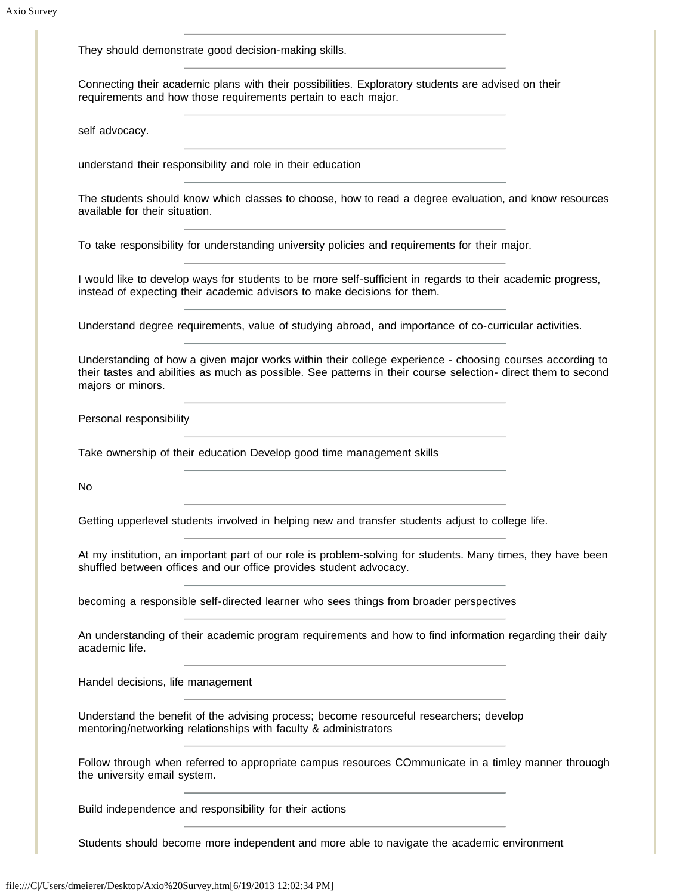They should demonstrate good decision-making skills. Connecting their academic plans with their possibilities. Exploratory students are advised on their requirements and how those requirements pertain to each major. self advocacy. understand their responsibility and role in their education The students should know which classes to choose, how to read a degree evaluation, and know resources available for their situation. To take responsibility for understanding university policies and requirements for their major. I would like to develop ways for students to be more self-sufficient in regards to their academic progress, instead of expecting their academic advisors to make decisions for them. Understand degree requirements, value of studying abroad, and importance of co-curricular activities. Understanding of how a given major works within their college experience - choosing courses according to their tastes and abilities as much as possible. See patterns in their course selection- direct them to second majors or minors. Personal responsibility Take ownership of their education Develop good time management skills No Getting upperlevel students involved in helping new and transfer students adjust to college life. At my institution, an important part of our role is problem-solving for students. Many times, they have been shuffled between offices and our office provides student advocacy. becoming a responsible self-directed learner who sees things from broader perspectives An understanding of their academic program requirements and how to find information regarding their daily academic life. Handel decisions, life management Understand the benefit of the advising process; become resourceful researchers; develop mentoring/networking relationships with faculty & administrators Follow through when referred to appropriate campus resources COmmunicate in a timley manner throuogh the university email system. Build independence and responsibility for their actions Students should become more independent and more able to navigate the academic environment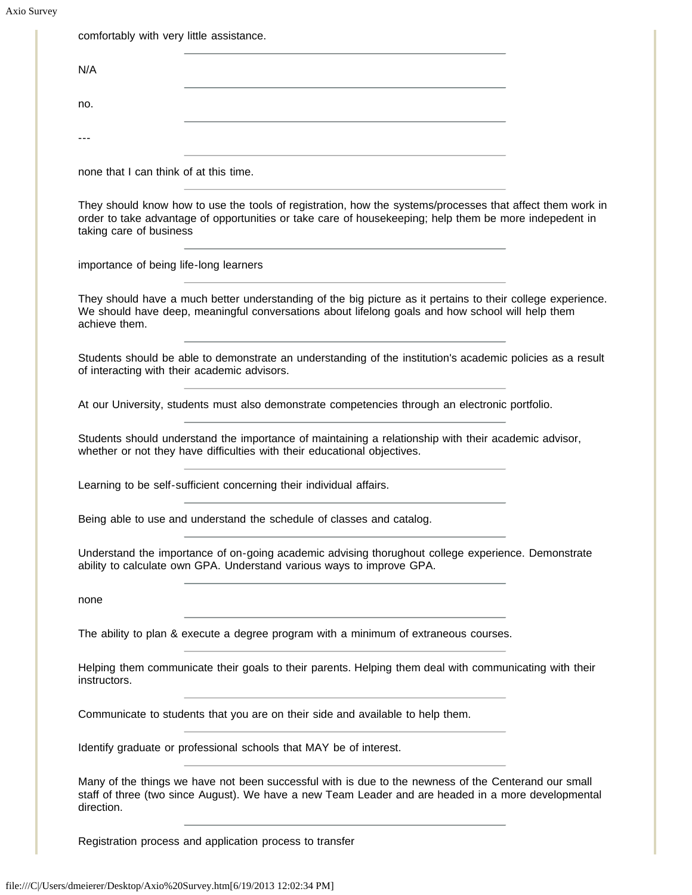Axio Survey

| N/A                                    |                                                                                                                                                                                                                     |  |
|----------------------------------------|---------------------------------------------------------------------------------------------------------------------------------------------------------------------------------------------------------------------|--|
|                                        |                                                                                                                                                                                                                     |  |
| no.                                    |                                                                                                                                                                                                                     |  |
|                                        |                                                                                                                                                                                                                     |  |
| none that I can think of at this time. |                                                                                                                                                                                                                     |  |
| taking care of business                | They should know how to use the tools of registration, how the systems/processes that affect them work in<br>order to take advantage of opportunities or take care of housekeeping; help them be more indepedent in |  |
| importance of being life-long learners |                                                                                                                                                                                                                     |  |
| achieve them.                          | They should have a much better understanding of the big picture as it pertains to their college experience.<br>We should have deep, meaningful conversations about lifelong goals and how school will help them     |  |
|                                        | Students should be able to demonstrate an understanding of the institution's academic policies as a result<br>of interacting with their academic advisors.                                                          |  |
|                                        | At our University, students must also demonstrate competencies through an electronic portfolio.                                                                                                                     |  |
|                                        | Students should understand the importance of maintaining a relationship with their academic advisor,<br>whether or not they have difficulties with their educational objectives.                                    |  |
|                                        | Learning to be self-sufficient concerning their individual affairs.                                                                                                                                                 |  |
|                                        | Being able to use and understand the schedule of classes and catalog.                                                                                                                                               |  |
|                                        | Understand the importance of on-going academic advising thorughout college experience. Demonstrate<br>ability to calculate own GPA. Understand various ways to improve GPA.                                         |  |
| none                                   |                                                                                                                                                                                                                     |  |
|                                        | The ability to plan & execute a degree program with a minimum of extraneous courses.                                                                                                                                |  |
| instructors.                           | Helping them communicate their goals to their parents. Helping them deal with communicating with their                                                                                                              |  |
|                                        | Communicate to students that you are on their side and available to help them.                                                                                                                                      |  |
|                                        | Identify graduate or professional schools that MAY be of interest.                                                                                                                                                  |  |
|                                        | Many of the things we have not been successful with is due to the newness of the Centerand our small<br>staff of three (two since August). We have a new Team Leader and are headed in a more developmental         |  |

Registration process and application process to transfer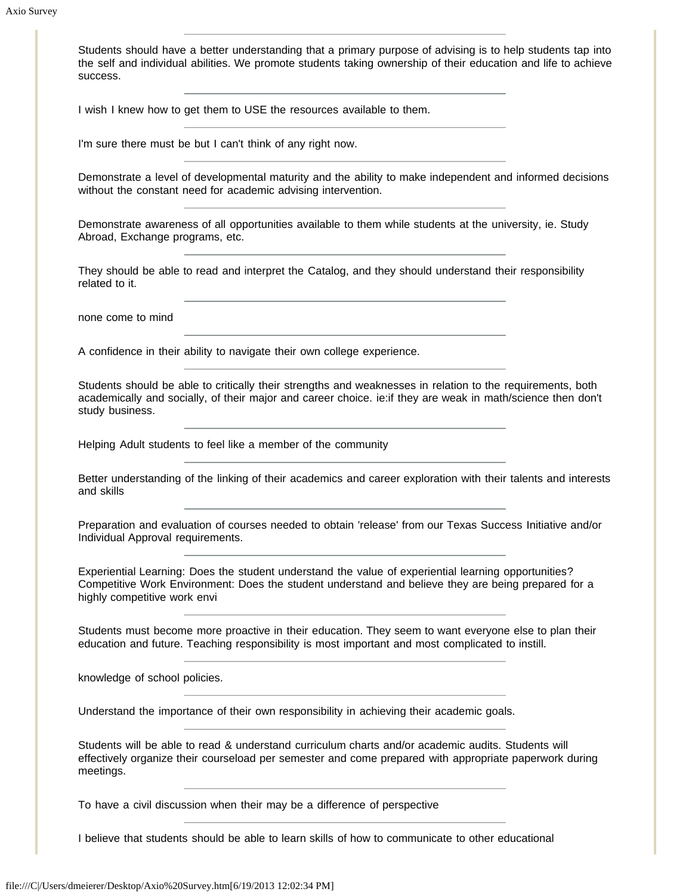Students should have a better understanding that a primary purpose of advising is to help students tap into the self and individual abilities. We promote students taking ownership of their education and life to achieve success.

I wish I knew how to get them to USE the resources available to them.

I'm sure there must be but I can't think of any right now.

Demonstrate a level of developmental maturity and the ability to make independent and informed decisions without the constant need for academic advising intervention.

Demonstrate awareness of all opportunities available to them while students at the university, ie. Study Abroad, Exchange programs, etc.

They should be able to read and interpret the Catalog, and they should understand their responsibility related to it.

none come to mind

A confidence in their ability to navigate their own college experience.

Students should be able to critically their strengths and weaknesses in relation to the requirements, both academically and socially, of their major and career choice. ie:if they are weak in math/science then don't study business.

Helping Adult students to feel like a member of the community

Better understanding of the linking of their academics and career exploration with their talents and interests and skills

Preparation and evaluation of courses needed to obtain 'release' from our Texas Success Initiative and/or Individual Approval requirements.

Experiential Learning: Does the student understand the value of experiential learning opportunities? Competitive Work Environment: Does the student understand and believe they are being prepared for a highly competitive work envi

Students must become more proactive in their education. They seem to want everyone else to plan their education and future. Teaching responsibility is most important and most complicated to instill.

knowledge of school policies.

Understand the importance of their own responsibility in achieving their academic goals.

Students will be able to read & understand curriculum charts and/or academic audits. Students will effectively organize their courseload per semester and come prepared with appropriate paperwork during meetings.

To have a civil discussion when their may be a difference of perspective

I believe that students should be able to learn skills of how to communicate to other educational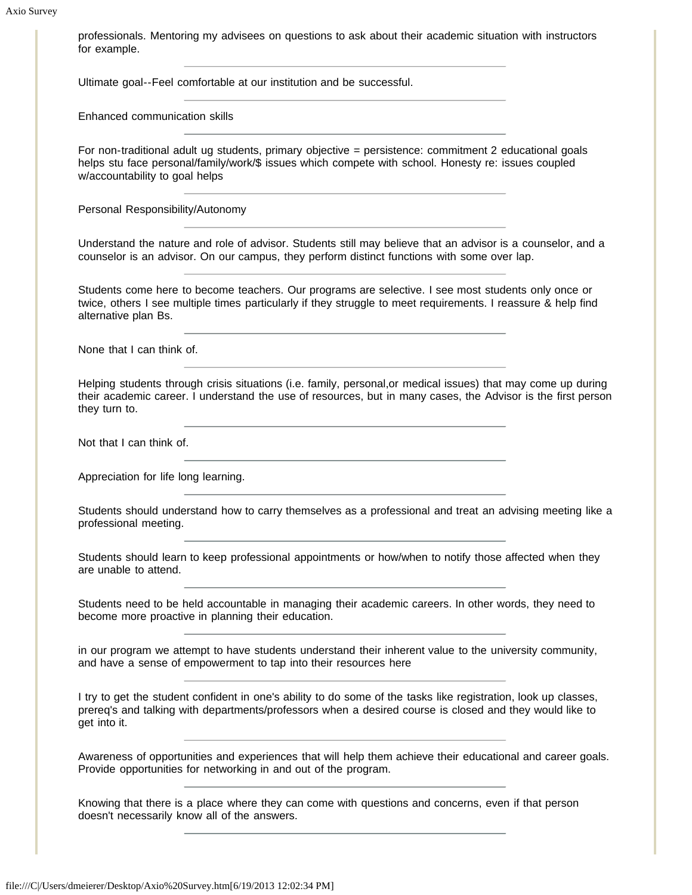professionals. Mentoring my advisees on questions to ask about their academic situation with instructors for example.

Ultimate goal--Feel comfortable at our institution and be successful.

Enhanced communication skills

For non-traditional adult ug students, primary objective = persistence: commitment 2 educational goals helps stu face personal/family/work/\$ issues which compete with school. Honesty re: issues coupled w/accountability to goal helps

Personal Responsibility/Autonomy

Understand the nature and role of advisor. Students still may believe that an advisor is a counselor, and a counselor is an advisor. On our campus, they perform distinct functions with some over lap.

Students come here to become teachers. Our programs are selective. I see most students only once or twice, others I see multiple times particularly if they struggle to meet requirements. I reassure & help find alternative plan Bs.

None that I can think of.

Helping students through crisis situations (i.e. family, personal,or medical issues) that may come up during their academic career. I understand the use of resources, but in many cases, the Advisor is the first person they turn to.

Not that I can think of.

Appreciation for life long learning.

Students should understand how to carry themselves as a professional and treat an advising meeting like a professional meeting.

Students should learn to keep professional appointments or how/when to notify those affected when they are unable to attend.

Students need to be held accountable in managing their academic careers. In other words, they need to become more proactive in planning their education.

in our program we attempt to have students understand their inherent value to the university community, and have a sense of empowerment to tap into their resources here

I try to get the student confident in one's ability to do some of the tasks like registration, look up classes, prereq's and talking with departments/professors when a desired course is closed and they would like to get into it.

Awareness of opportunities and experiences that will help them achieve their educational and career goals. Provide opportunities for networking in and out of the program.

Knowing that there is a place where they can come with questions and concerns, even if that person doesn't necessarily know all of the answers.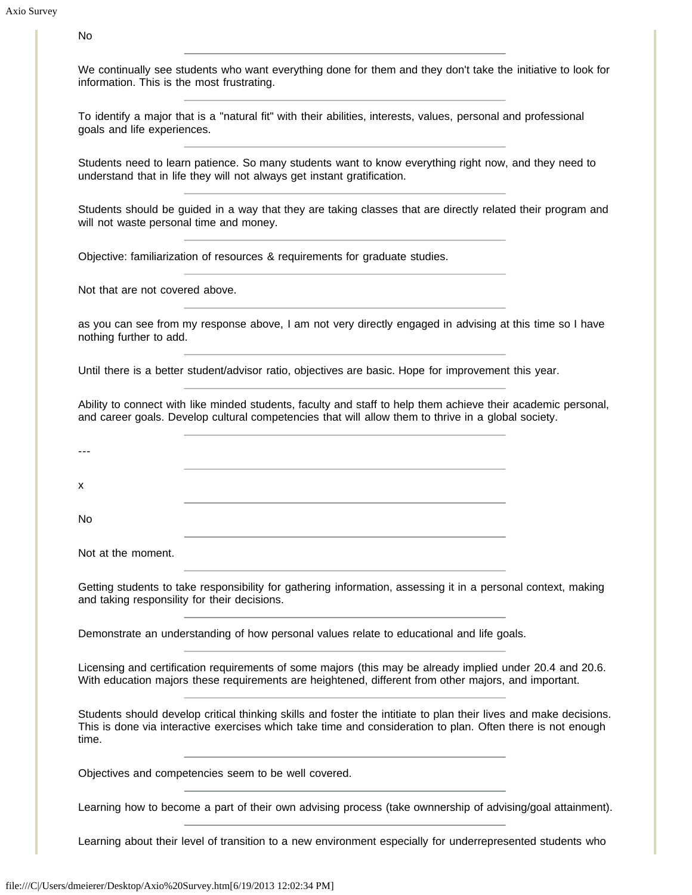| No                                                                                                                                                                                                                   |
|----------------------------------------------------------------------------------------------------------------------------------------------------------------------------------------------------------------------|
|                                                                                                                                                                                                                      |
| We continually see students who want everything done for them and they don't take the initiative to look for<br>information. This is the most frustrating.                                                           |
| To identify a major that is a "natural fit" with their abilities, interests, values, personal and professional<br>goals and life experiences.                                                                        |
| Students need to learn patience. So many students want to know everything right now, and they need to<br>understand that in life they will not always get instant gratification.                                     |
| Students should be guided in a way that they are taking classes that are directly related their program and<br>will not waste personal time and money.                                                               |
| Objective: familiarization of resources & requirements for graduate studies.                                                                                                                                         |
| Not that are not covered above.                                                                                                                                                                                      |
| as you can see from my response above, I am not very directly engaged in advising at this time so I have<br>nothing further to add.                                                                                  |
| Until there is a better student/advisor ratio, objectives are basic. Hope for improvement this year.                                                                                                                 |
| Ability to connect with like minded students, faculty and staff to help them achieve their academic personal,<br>and career goals. Develop cultural competencies that will allow them to thrive in a global society. |
|                                                                                                                                                                                                                      |
| X                                                                                                                                                                                                                    |
| No                                                                                                                                                                                                                   |

Not at the moment.

Getting students to take responsibility for gathering information, assessing it in a personal context, making and taking responsility for their decisions.

Demonstrate an understanding of how personal values relate to educational and life goals.

Licensing and certification requirements of some majors (this may be already implied under 20.4 and 20.6. With education majors these requirements are heightened, different from other majors, and important.

Students should develop critical thinking skills and foster the intitiate to plan their lives and make decisions. This is done via interactive exercises which take time and consideration to plan. Often there is not enough time.

Objectives and competencies seem to be well covered.

Learning how to become a part of their own advising process (take ownnership of advising/goal attainment).

Learning about their level of transition to a new environment especially for underrepresented students who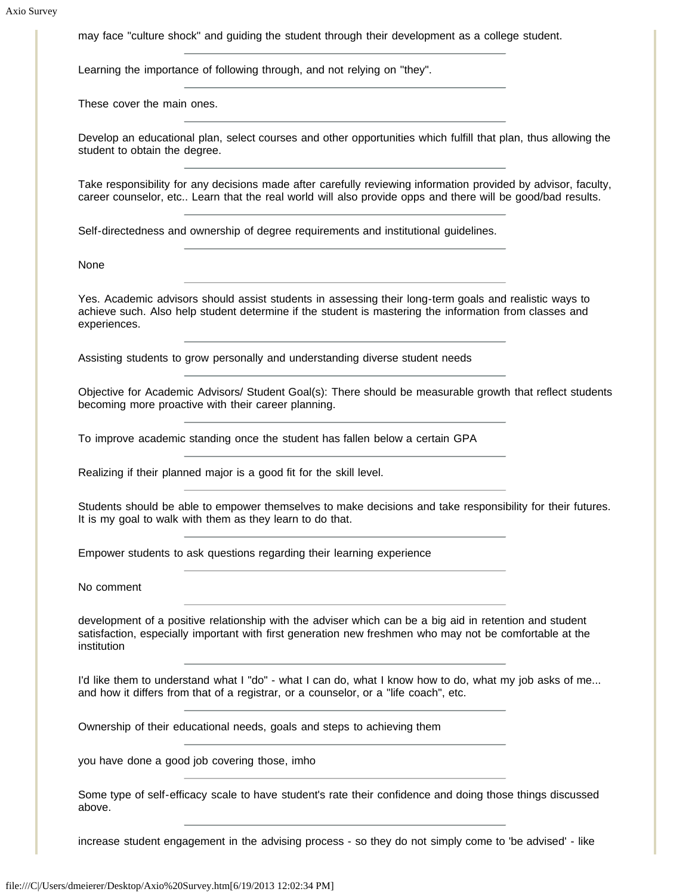may face "culture shock" and guiding the student through their development as a college student.

Learning the importance of following through, and not relying on "they".

These cover the main ones.

Develop an educational plan, select courses and other opportunities which fulfill that plan, thus allowing the student to obtain the degree.

Take responsibility for any decisions made after carefully reviewing information provided by advisor, faculty, career counselor, etc.. Learn that the real world will also provide opps and there will be good/bad results.

Self-directedness and ownership of degree requirements and institutional guidelines.

None

Yes. Academic advisors should assist students in assessing their long-term goals and realistic ways to achieve such. Also help student determine if the student is mastering the information from classes and experiences.

Assisting students to grow personally and understanding diverse student needs

Objective for Academic Advisors/ Student Goal(s): There should be measurable growth that reflect students becoming more proactive with their career planning.

To improve academic standing once the student has fallen below a certain GPA

Realizing if their planned major is a good fit for the skill level.

Students should be able to empower themselves to make decisions and take responsibility for their futures. It is my goal to walk with them as they learn to do that.

Empower students to ask questions regarding their learning experience

No comment

development of a positive relationship with the adviser which can be a big aid in retention and student satisfaction, especially important with first generation new freshmen who may not be comfortable at the institution

I'd like them to understand what I "do" - what I can do, what I know how to do, what my job asks of me... and how it differs from that of a registrar, or a counselor, or a "life coach", etc.

Ownership of their educational needs, goals and steps to achieving them

you have done a good job covering those, imho

Some type of self-efficacy scale to have student's rate their confidence and doing those things discussed above.

increase student engagement in the advising process - so they do not simply come to 'be advised' - like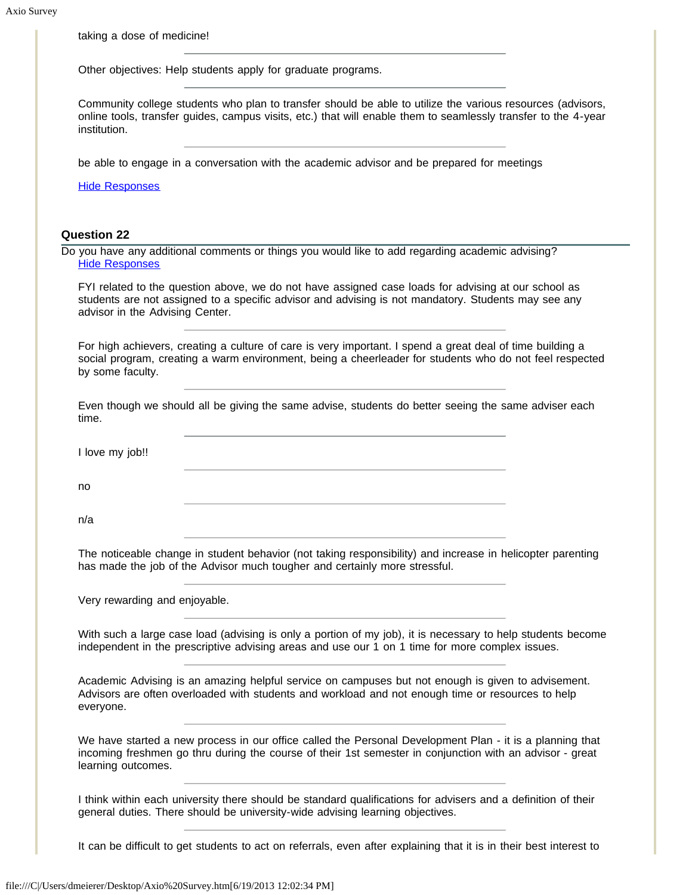taking a dose of medicine!

Other objectives: Help students apply for graduate programs.

Community college students who plan to transfer should be able to utilize the various resources (advisors, online tools, transfer guides, campus visits, etc.) that will enable them to seamlessly transfer to the 4-year institution.

be able to engage in a conversation with the academic advisor and be prepared for meetings

[Hide Responses](javascript:showHideResponses(428953);)

## **Question 22**

Do you have any additional comments or things you would like to add regarding academic advising? [Hide Responses](javascript:showHideResponses(428954);)

FYI related to the question above, we do not have assigned case loads for advising at our school as students are not assigned to a specific advisor and advising is not mandatory. Students may see any advisor in the Advising Center.

For high achievers, creating a culture of care is very important. I spend a great deal of time building a social program, creating a warm environment, being a cheerleader for students who do not feel respected by some faculty.

Even though we should all be giving the same advise, students do better seeing the same adviser each time.

I love my job!!

no

n/a

The noticeable change in student behavior (not taking responsibility) and increase in helicopter parenting has made the job of the Advisor much tougher and certainly more stressful.

Very rewarding and enjoyable.

With such a large case load (advising is only a portion of my job), it is necessary to help students become independent in the prescriptive advising areas and use our 1 on 1 time for more complex issues.

Academic Advising is an amazing helpful service on campuses but not enough is given to advisement. Advisors are often overloaded with students and workload and not enough time or resources to help everyone.

We have started a new process in our office called the Personal Development Plan - it is a planning that incoming freshmen go thru during the course of their 1st semester in conjunction with an advisor - great learning outcomes.

I think within each university there should be standard qualifications for advisers and a definition of their general duties. There should be university-wide advising learning objectives.

It can be difficult to get students to act on referrals, even after explaining that it is in their best interest to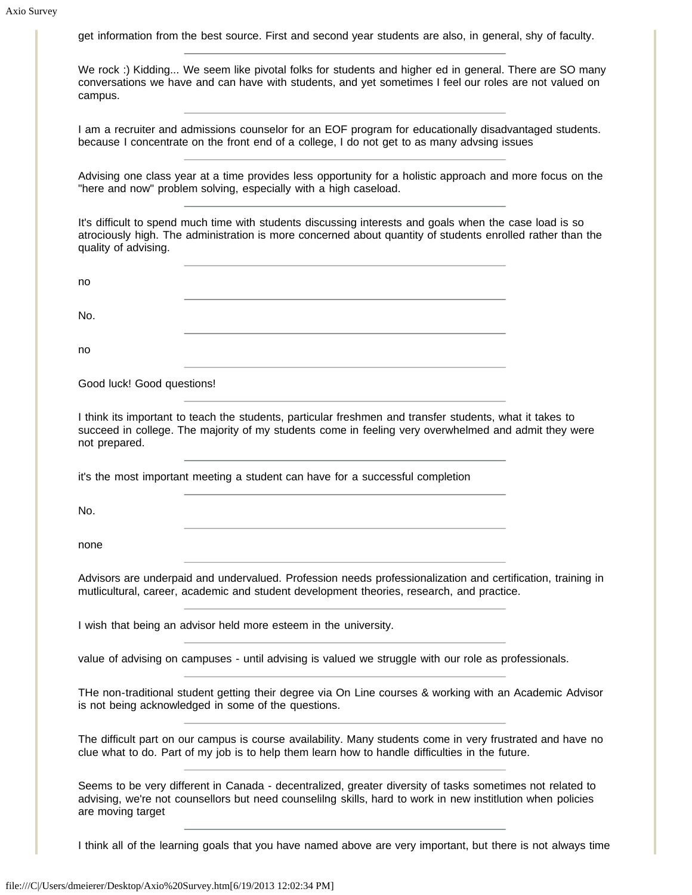get information from the best source. First and second year students are also, in general, shy of faculty.

We rock :) Kidding... We seem like pivotal folks for students and higher ed in general. There are SO many conversations we have and can have with students, and yet sometimes I feel our roles are not valued on campus.

I am a recruiter and admissions counselor for an EOF program for educationally disadvantaged students. because I concentrate on the front end of a college, I do not get to as many advsing issues

Advising one class year at a time provides less opportunity for a holistic approach and more focus on the "here and now" problem solving, especially with a high caseload.

It's difficult to spend much time with students discussing interests and goals when the case load is so atrociously high. The administration is more concerned about quantity of students enrolled rather than the quality of advising.

| no                                                                                                                                                                                                                                            |  |
|-----------------------------------------------------------------------------------------------------------------------------------------------------------------------------------------------------------------------------------------------|--|
| No.                                                                                                                                                                                                                                           |  |
| no                                                                                                                                                                                                                                            |  |
| Good luck! Good questions!                                                                                                                                                                                                                    |  |
| I think its important to teach the students, particular freshmen and transfer students, what it takes to<br>succeed in college. The majority of my students come in feeling very overwhelmed and admit they were<br>not prepared.             |  |
| it's the most important meeting a student can have for a successful completion                                                                                                                                                                |  |
| No.                                                                                                                                                                                                                                           |  |
| none                                                                                                                                                                                                                                          |  |
| Advisors are underpaid and undervalued. Profession needs professionalization and certification, training in<br>mutlicultural, career, academic and student development theories, research, and practice.                                      |  |
| I wish that being an advisor held more esteem in the university.                                                                                                                                                                              |  |
| value of advising on campuses - until advising is valued we struggle with our role as professionals.                                                                                                                                          |  |
| THe non-traditional student getting their degree via On Line courses & working with an Academic Advisor<br>is not being acknowledged in some of the questions.                                                                                |  |
| The difficult part on our campus is course availability. Many students come in very frustrated and have no<br>clue what to do. Part of my job is to help them learn how to handle difficulties in the future.                                 |  |
| Seems to be very different in Canada - decentralized, greater diversity of tasks sometimes not related to<br>advising, we're not counsellors but need counselilng skills, hard to work in new institlution when policies<br>are moving target |  |

I think all of the learning goals that you have named above are very important, but there is not always time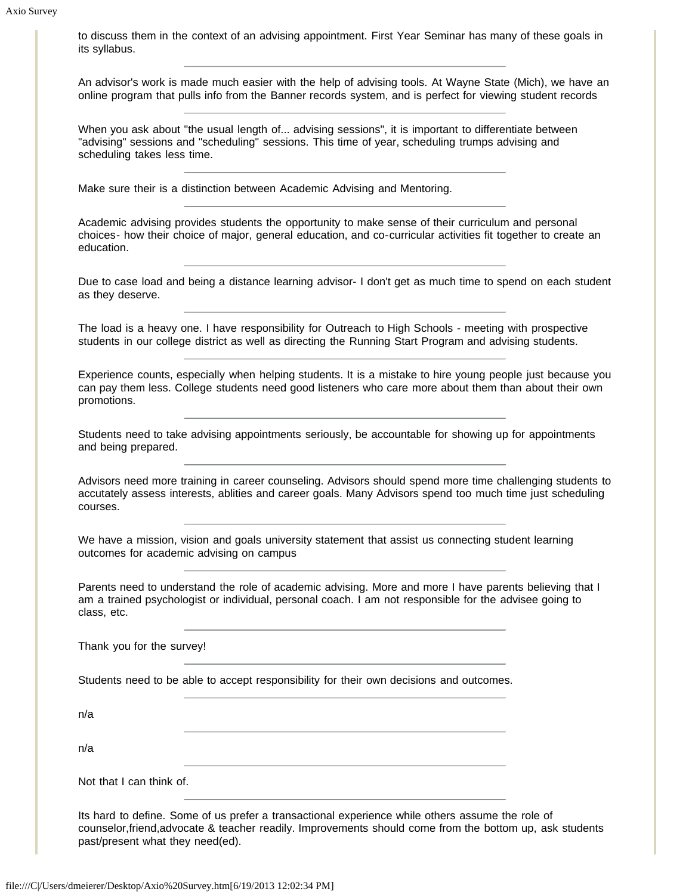to discuss them in the context of an advising appointment. First Year Seminar has many of these goals in its syllabus.

An advisor's work is made much easier with the help of advising tools. At Wayne State (Mich), we have an online program that pulls info from the Banner records system, and is perfect for viewing student records

When you ask about "the usual length of... advising sessions", it is important to differentiate between "advising" sessions and "scheduling" sessions. This time of year, scheduling trumps advising and scheduling takes less time.

Make sure their is a distinction between Academic Advising and Mentoring.

Academic advising provides students the opportunity to make sense of their curriculum and personal choices- how their choice of major, general education, and co-curricular activities fit together to create an education.

Due to case load and being a distance learning advisor- I don't get as much time to spend on each student as they deserve.

The load is a heavy one. I have responsibility for Outreach to High Schools - meeting with prospective students in our college district as well as directing the Running Start Program and advising students.

Experience counts, especially when helping students. It is a mistake to hire young people just because you can pay them less. College students need good listeners who care more about them than about their own promotions.

Students need to take advising appointments seriously, be accountable for showing up for appointments and being prepared.

Advisors need more training in career counseling. Advisors should spend more time challenging students to accutately assess interests, ablities and career goals. Many Advisors spend too much time just scheduling courses.

We have a mission, vision and goals university statement that assist us connecting student learning outcomes for academic advising on campus

Parents need to understand the role of academic advising. More and more I have parents believing that I am a trained psychologist or individual, personal coach. I am not responsible for the advisee going to class, etc.

Thank you for the survey!

Students need to be able to accept responsibility for their own decisions and outcomes.

n/a

n/a

Not that I can think of.

Its hard to define. Some of us prefer a transactional experience while others assume the role of counselor,friend,advocate & teacher readily. Improvements should come from the bottom up, ask students past/present what they need(ed).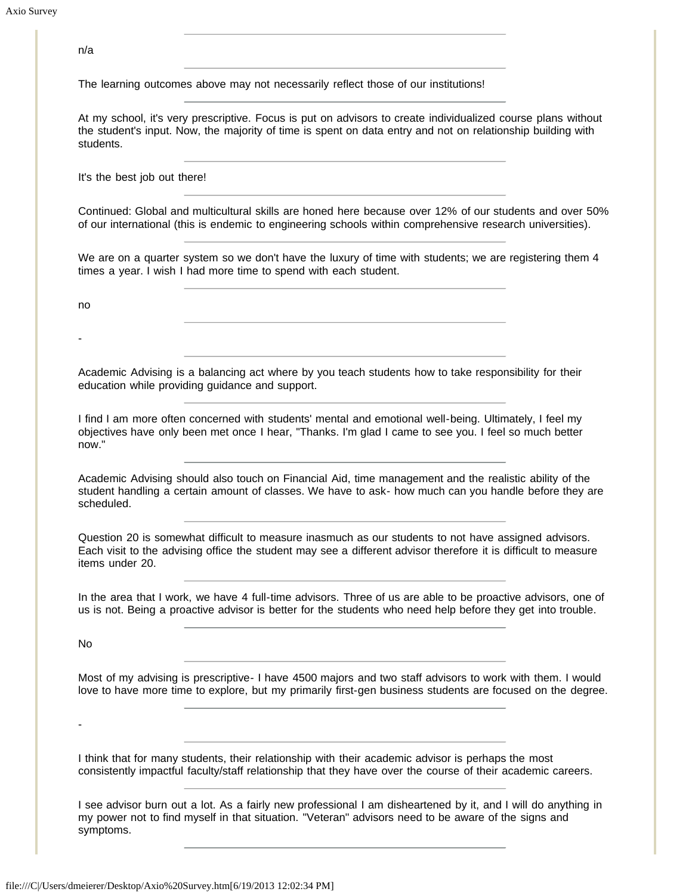| n/a                                                                                                                                                                                                                                       |
|-------------------------------------------------------------------------------------------------------------------------------------------------------------------------------------------------------------------------------------------|
| The learning outcomes above may not necessarily reflect those of our institutions!                                                                                                                                                        |
| At my school, it's very prescriptive. Focus is put on advisors to create individualized course plans without<br>the student's input. Now, the majority of time is spent on data entry and not on relationship building with<br>students.  |
| It's the best job out there!                                                                                                                                                                                                              |
| Continued: Global and multicultural skills are honed here because over 12% of our students and over 50%<br>of our international (this is endemic to engineering schools within comprehensive research universities).                      |
| We are on a quarter system so we don't have the luxury of time with students; we are registering them 4<br>times a year. I wish I had more time to spend with each student.                                                               |
| no                                                                                                                                                                                                                                        |
|                                                                                                                                                                                                                                           |
| Academic Advising is a balancing act where by you teach students how to take responsibility for their<br>education while providing guidance and support.                                                                                  |
| I find I am more often concerned with students' mental and emotional well-being. Ultimately, I feel my<br>objectives have only been met once I hear, "Thanks. I'm glad I came to see you. I feel so much better<br>now."                  |
| Academic Advising should also touch on Financial Aid, time management and the realistic ability of the<br>student handling a certain amount of classes. We have to ask- how much can you handle before they are<br>scheduled.             |
| Question 20 is somewhat difficult to measure inasmuch as our students to not have assigned advisors.<br>Each visit to the advising office the student may see a different advisor therefore it is difficult to measure<br>items under 20. |
| In the area that I work, we have 4 full-time advisors. Three of us are able to be proactive advisors, one of<br>us is not. Being a proactive advisor is better for the students who need help before they get into trouble.               |
| No                                                                                                                                                                                                                                        |
| Most of my advising is prescriptive- I have 4500 majors and two staff advisors to work with them. I would<br>love to have more time to explore, but my primarily first-gen business students are focused on the degree.                   |
|                                                                                                                                                                                                                                           |
| I think that for many students, their relationship with their academic advisor is perhaps the most<br>consistently impactful faculty/staff relationship that they have over the course of their academic careers.                         |
| I see advisor burn out a lot. As a fairly new professional I am disheartened by it, and I will do anything in<br>my power not to find myself in that situation. "Veteran" advisors need to be aware of the signs and<br>symptoms.         |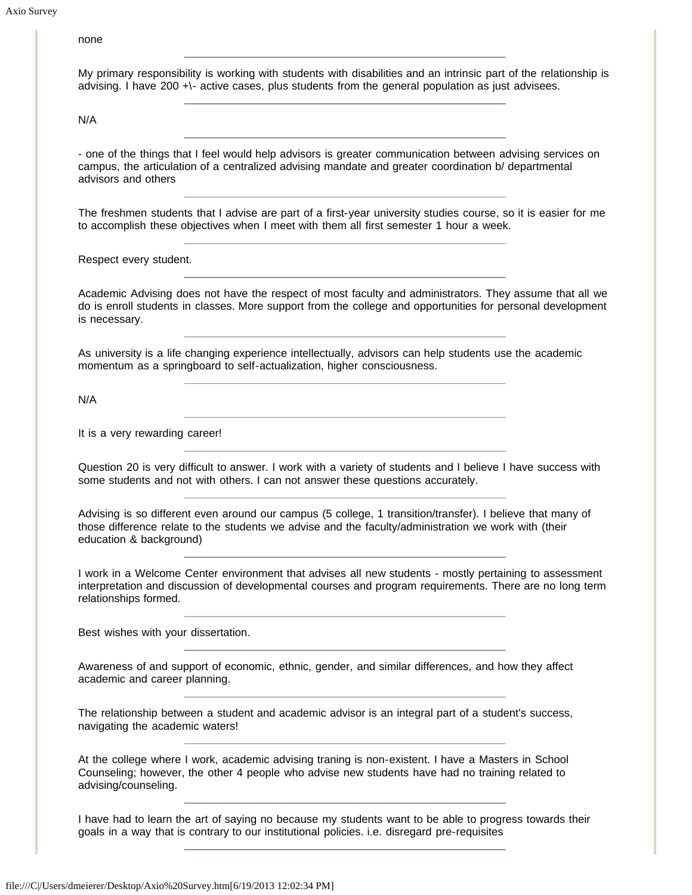## none

|  |                                                                                                    |  |  | My primary responsibility is working with students with disabilities and an intrinsic part of the relationship is |
|--|----------------------------------------------------------------------------------------------------|--|--|-------------------------------------------------------------------------------------------------------------------|
|  | advising. I have 200 +\- active cases, plus students from the general population as just advisees. |  |  |                                                                                                                   |

N/A

- one of the things that I feel would help advisors is greater communication between advising services on campus, the articulation of a centralized advising mandate and greater coordination b/ departmental advisors and others

The freshmen students that I advise are part of a first-year university studies course, so it is easier for me to accomplish these objectives when I meet with them all first semester 1 hour a week.

Respect every student.

Academic Advising does not have the respect of most faculty and administrators. They assume that all we do is enroll students in classes. More support from the college and opportunities for personal development is necessary.

As university is a life changing experience intellectually, advisors can help students use the academic momentum as a springboard to self-actualization, higher consciousness.

N/A

It is a very rewarding career!

Question 20 is very difficult to answer. I work with a variety of students and I believe I have success with some students and not with others. I can not answer these questions accurately.

Advising is so different even around our campus (5 college, 1 transition/transfer). I believe that many of those difference relate to the students we advise and the faculty/administration we work with (their education & background)

I work in a Welcome Center environment that advises all new students - mostly pertaining to assessment interpretation and discussion of developmental courses and program requirements. There are no long term relationships formed.

Best wishes with your dissertation.

Awareness of and support of economic, ethnic, gender, and similar differences, and how they affect academic and career planning.

The relationship between a student and academic advisor is an integral part of a student's success, navigating the academic waters!

At the college where I work, academic advising traning is non-existent. I have a Masters in School Counseling; however, the other 4 people who advise new students have had no training related to advising/counseling.

I have had to learn the art of saying no because my students want to be able to progress towards their goals in a way that is contrary to our institutional policies. i.e. disregard pre-requisites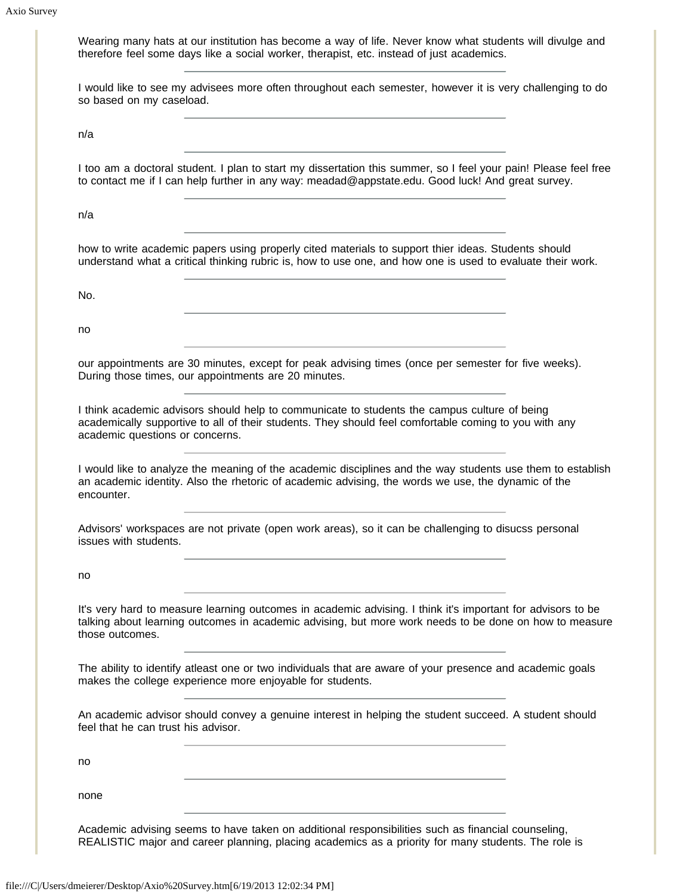| so based on my caseload.            | I would like to see my advisees more often throughout each semester, however it is very challenging to do                                                                                                             |  |
|-------------------------------------|-----------------------------------------------------------------------------------------------------------------------------------------------------------------------------------------------------------------------|--|
| n/a                                 |                                                                                                                                                                                                                       |  |
|                                     | I too am a doctoral student. I plan to start my dissertation this summer, so I feel your pain! Please feel free<br>to contact me if I can help further in any way: meadad@appstate.edu. Good luck! And great survey.  |  |
| n/a                                 |                                                                                                                                                                                                                       |  |
|                                     | how to write academic papers using properly cited materials to support thier ideas. Students should<br>understand what a critical thinking rubric is, how to use one, and how one is used to evaluate their work.     |  |
| No.                                 |                                                                                                                                                                                                                       |  |
| no                                  |                                                                                                                                                                                                                       |  |
|                                     | our appointments are 30 minutes, except for peak advising times (once per semester for five weeks).<br>During those times, our appointments are 20 minutes.                                                           |  |
|                                     |                                                                                                                                                                                                                       |  |
| academic questions or concerns.     | I think academic advisors should help to communicate to students the campus culture of being<br>academically supportive to all of their students. They should feel comfortable coming to you with any                 |  |
| encounter.                          | I would like to analyze the meaning of the academic disciplines and the way students use them to establish<br>an academic identity. Also the rhetoric of academic advising, the words we use, the dynamic of the      |  |
| issues with students.               | Advisors' workspaces are not private (open work areas), so it can be challenging to disucss personal                                                                                                                  |  |
| no                                  |                                                                                                                                                                                                                       |  |
| those outcomes.                     | It's very hard to measure learning outcomes in academic advising. I think it's important for advisors to be<br>talking about learning outcomes in academic advising, but more work needs to be done on how to measure |  |
|                                     | The ability to identify atleast one or two individuals that are aware of your presence and academic goals<br>makes the college experience more enjoyable for students.                                                |  |
| feel that he can trust his advisor. | An academic advisor should convey a genuine interest in helping the student succeed. A student should                                                                                                                 |  |
| no                                  |                                                                                                                                                                                                                       |  |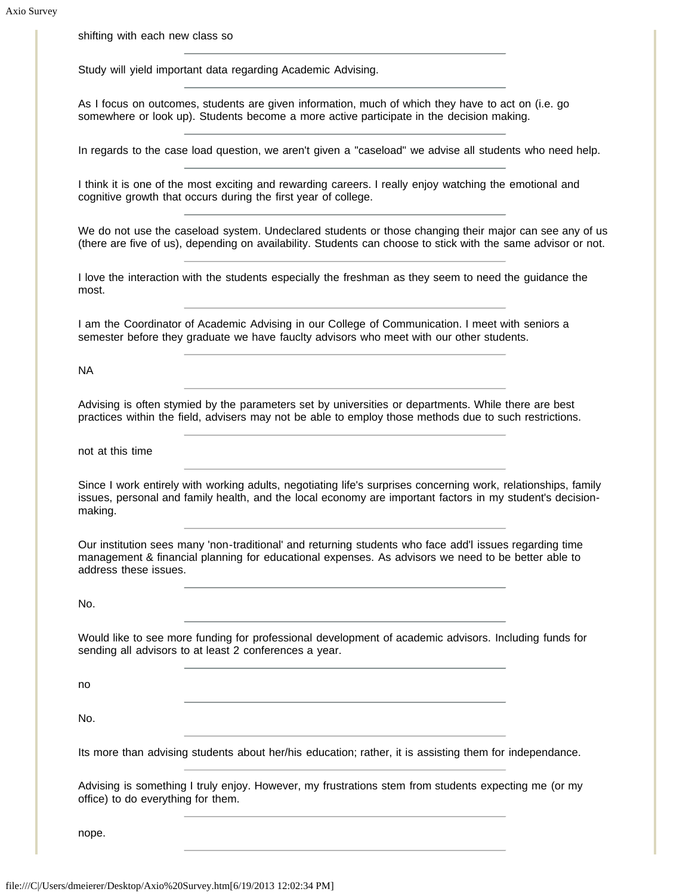shifting with each new class so

Study will yield important data regarding Academic Advising.

As I focus on outcomes, students are given information, much of which they have to act on (i.e. go somewhere or look up). Students become a more active participate in the decision making.

In regards to the case load question, we aren't given a "caseload" we advise all students who need help.

I think it is one of the most exciting and rewarding careers. I really enjoy watching the emotional and cognitive growth that occurs during the first year of college.

We do not use the caseload system. Undeclared students or those changing their major can see any of us (there are five of us), depending on availability. Students can choose to stick with the same advisor or not.

I love the interaction with the students especially the freshman as they seem to need the guidance the most.

I am the Coordinator of Academic Advising in our College of Communication. I meet with seniors a semester before they graduate we have fauclty advisors who meet with our other students.

NA

Advising is often stymied by the parameters set by universities or departments. While there are best practices within the field, advisers may not be able to employ those methods due to such restrictions.

not at this time

Since I work entirely with working adults, negotiating life's surprises concerning work, relationships, family issues, personal and family health, and the local economy are important factors in my student's decisionmaking.

Our institution sees many 'non-traditional' and returning students who face add'l issues regarding time management & financial planning for educational expenses. As advisors we need to be better able to address these issues.

No.

Would like to see more funding for professional development of academic advisors. Including funds for sending all advisors to at least 2 conferences a year.

no

No.

Its more than advising students about her/his education; rather, it is assisting them for independance.

Advising is something I truly enjoy. However, my frustrations stem from students expecting me (or my office) to do everything for them.

nope.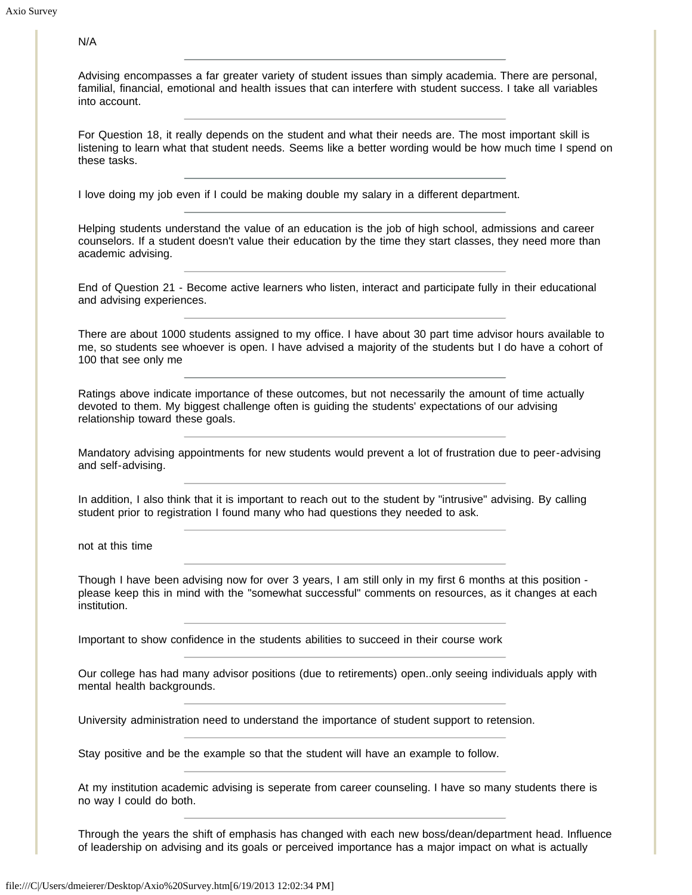N/A

| Advising encompasses a far greater variety of student issues than simply academia. There are personal,         |  |  |  |  |  |
|----------------------------------------------------------------------------------------------------------------|--|--|--|--|--|
| familial, financial, emotional and health issues that can interfere with student success. I take all variables |  |  |  |  |  |
| into account.                                                                                                  |  |  |  |  |  |

For Question 18, it really depends on the student and what their needs are. The most important skill is listening to learn what that student needs. Seems like a better wording would be how much time I spend on these tasks.

I love doing my job even if I could be making double my salary in a different department.

Helping students understand the value of an education is the job of high school, admissions and career counselors. If a student doesn't value their education by the time they start classes, they need more than academic advising.

End of Question 21 - Become active learners who listen, interact and participate fully in their educational and advising experiences.

There are about 1000 students assigned to my office. I have about 30 part time advisor hours available to me, so students see whoever is open. I have advised a majority of the students but I do have a cohort of 100 that see only me

Ratings above indicate importance of these outcomes, but not necessarily the amount of time actually devoted to them. My biggest challenge often is guiding the students' expectations of our advising relationship toward these goals.

Mandatory advising appointments for new students would prevent a lot of frustration due to peer-advising and self-advising.

In addition, I also think that it is important to reach out to the student by "intrusive" advising. By calling student prior to registration I found many who had questions they needed to ask.

not at this time

Though I have been advising now for over 3 years, I am still only in my first 6 months at this position please keep this in mind with the "somewhat successful" comments on resources, as it changes at each institution.

Important to show confidence in the students abilities to succeed in their course work

Our college has had many advisor positions (due to retirements) open..only seeing individuals apply with mental health backgrounds.

University administration need to understand the importance of student support to retension.

Stay positive and be the example so that the student will have an example to follow.

At my institution academic advising is seperate from career counseling. I have so many students there is no way I could do both.

Through the years the shift of emphasis has changed with each new boss/dean/department head. Influence of leadership on advising and its goals or perceived importance has a major impact on what is actually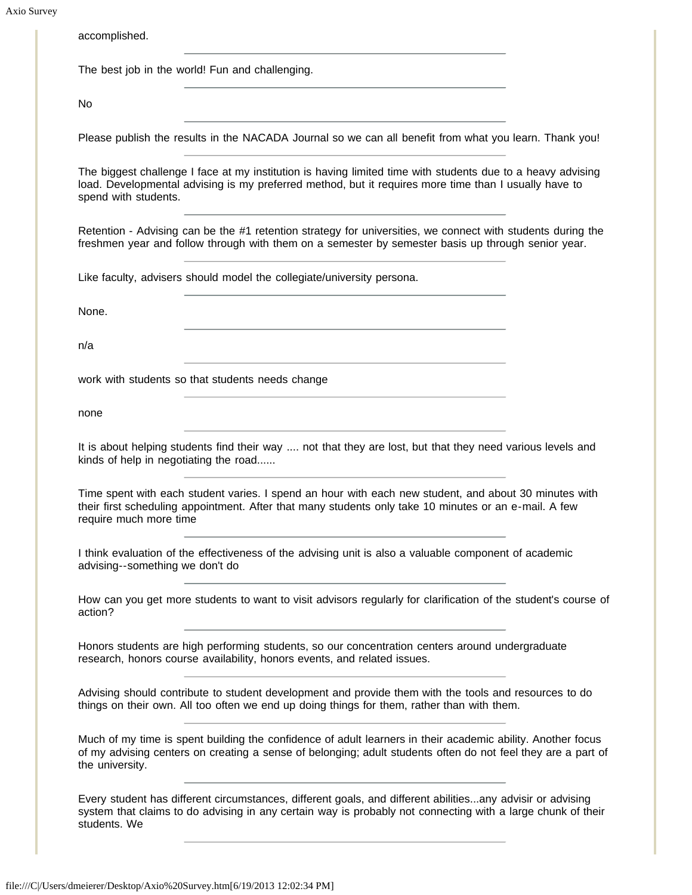Axio Survey

| accomplished.                                                                                                                                                                                                                                  |  |
|------------------------------------------------------------------------------------------------------------------------------------------------------------------------------------------------------------------------------------------------|--|
| The best job in the world! Fun and challenging.                                                                                                                                                                                                |  |
| No.                                                                                                                                                                                                                                            |  |
| Please publish the results in the NACADA Journal so we can all benefit from what you learn. Thank you!                                                                                                                                         |  |
| The biggest challenge I face at my institution is having limited time with students due to a heavy advising<br>load. Developmental advising is my preferred method, but it requires more time than I usually have to<br>spend with students.   |  |
| Retention - Advising can be the #1 retention strategy for universities, we connect with students during the<br>freshmen year and follow through with them on a semester by semester basis up through senior year.                              |  |
| Like faculty, advisers should model the collegiate/university persona.                                                                                                                                                                         |  |
| None.                                                                                                                                                                                                                                          |  |
| n/a<br>the control of the control of the control of the control of the control of                                                                                                                                                              |  |
| work with students so that students needs change                                                                                                                                                                                               |  |
| the control of the control of the control of the control of the control of the control of the control of the control of the control of the control of the control of the control of the control of the control of the control<br>none          |  |
| It is about helping students find their way  not that they are lost, but that they need various levels and<br>kinds of help in negotiating the road                                                                                            |  |
| Time spent with each student varies. I spend an hour with each new student, and about 30 minutes with<br>their first scheduling appointment. After that many students only take 10 minutes or an e-mail. A few<br>require much more time       |  |
| I think evaluation of the effectiveness of the advising unit is also a valuable component of academic<br>advising--something we don't do                                                                                                       |  |
| How can you get more students to want to visit advisors regularly for clarification of the student's course of<br>action?                                                                                                                      |  |
| Honors students are high performing students, so our concentration centers around undergraduate<br>research, honors course availability, honors events, and related issues.                                                                    |  |
| Advising should contribute to student development and provide them with the tools and resources to do<br>things on their own. All too often we end up doing things for them, rather than with them.                                            |  |
| Much of my time is spent building the confidence of adult learners in their academic ability. Another focus<br>of my advising centers on creating a sense of belonging; adult students often do not feel they are a part of<br>the university. |  |
| Every student has different circumstances, different goals, and different abilitiesany advisir or advising<br>system that claims to do advising in any certain way is probably not connecting with a large chunk of their<br>students. We      |  |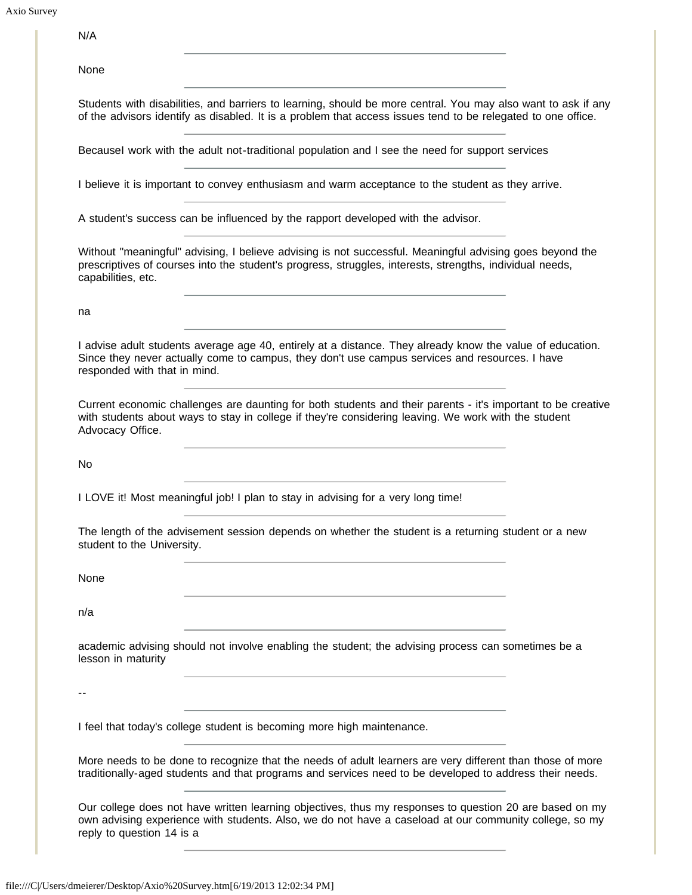N/A

None

Students with disabilities, and barriers to learning, should be more central. You may also want to ask if any of the advisors identify as disabled. It is a problem that access issues tend to be relegated to one office.

BecauseI work with the adult not-traditional population and I see the need for support services

I believe it is important to convey enthusiasm and warm acceptance to the student as they arrive.

A student's success can be influenced by the rapport developed with the advisor.

Without "meaningful" advising, I believe advising is not successful. Meaningful advising goes beyond the prescriptives of courses into the student's progress, struggles, interests, strengths, individual needs, capabilities, etc.

na

I advise adult students average age 40, entirely at a distance. They already know the value of education. Since they never actually come to campus, they don't use campus services and resources. I have responded with that in mind.

Current economic challenges are daunting for both students and their parents - it's important to be creative with students about ways to stay in college if they're considering leaving. We work with the student Advocacy Office.

No

I LOVE it! Most meaningful job! I plan to stay in advising for a very long time!

The length of the advisement session depends on whether the student is a returning student or a new student to the University.

None

n/a

academic advising should not involve enabling the student; the advising process can sometimes be a lesson in maturity

--

I feel that today's college student is becoming more high maintenance.

More needs to be done to recognize that the needs of adult learners are very different than those of more traditionally-aged students and that programs and services need to be developed to address their needs.

Our college does not have written learning objectives, thus my responses to question 20 are based on my own advising experience with students. Also, we do not have a caseload at our community college, so my reply to question 14 is a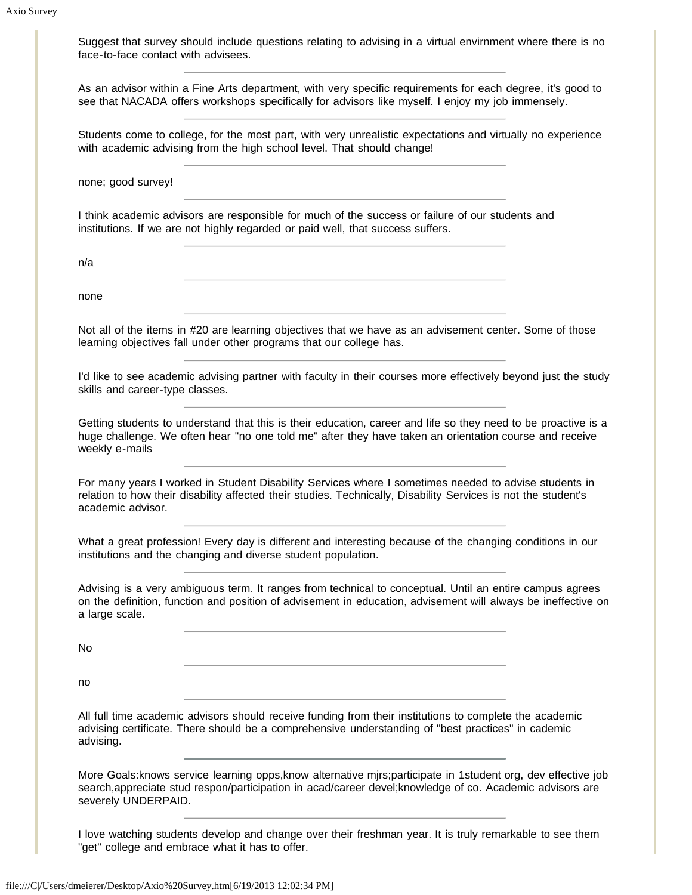| face-to-face contact with advisees.                                 | Suggest that survey should include questions relating to advising in a virtual envirnment where there is no                                                                                                                 |  |
|---------------------------------------------------------------------|-----------------------------------------------------------------------------------------------------------------------------------------------------------------------------------------------------------------------------|--|
|                                                                     | As an advisor within a Fine Arts department, with very specific requirements for each degree, it's good to<br>see that NACADA offers workshops specifically for advisors like myself. I enjoy my job immensely.             |  |
|                                                                     | Students come to college, for the most part, with very unrealistic expectations and virtually no experience<br>with academic advising from the high school level. That should change!                                       |  |
| none; good survey!                                                  |                                                                                                                                                                                                                             |  |
|                                                                     | I think academic advisors are responsible for much of the success or failure of our students and<br>institutions. If we are not highly regarded or paid well, that success suffers.                                         |  |
| n/a                                                                 |                                                                                                                                                                                                                             |  |
| none                                                                |                                                                                                                                                                                                                             |  |
| learning objectives fall under other programs that our college has. | Not all of the items in #20 are learning objectives that we have as an advisement center. Some of those                                                                                                                     |  |
| skills and career-type classes.                                     | I'd like to see academic advising partner with faculty in their courses more effectively beyond just the study                                                                                                              |  |
| weekly e-mails                                                      | Getting students to understand that this is their education, career and life so they need to be proactive is a<br>huge challenge. We often hear "no one told me" after they have taken an orientation course and receive    |  |
| academic advisor.                                                   | For many years I worked in Student Disability Services where I sometimes needed to advise students in<br>relation to how their disability affected their studies. Technically, Disability Services is not the student's     |  |
| institutions and the changing and diverse student population.       | What a great profession! Every day is different and interesting because of the changing conditions in our                                                                                                                   |  |
| a large scale.                                                      | Advising is a very ambiguous term. It ranges from technical to conceptual. Until an entire campus agrees<br>on the definition, function and position of advisement in education, advisement will always be ineffective on   |  |
| No                                                                  |                                                                                                                                                                                                                             |  |
| no                                                                  |                                                                                                                                                                                                                             |  |
| advising.                                                           | All full time academic advisors should receive funding from their institutions to complete the academic<br>advising certificate. There should be a comprehensive understanding of "best practices" in cademic               |  |
| severely UNDERPAID.                                                 | More Goals: knows service learning opps, know alternative mjrs; participate in 1student org, dev effective job<br>search, appreciate stud respon/participation in acad/career devel; knowledge of co. Academic advisors are |  |
| "get" college and embrace what it has to offer.                     | I love watching students develop and change over their freshman year. It is truly remarkable to see them                                                                                                                    |  |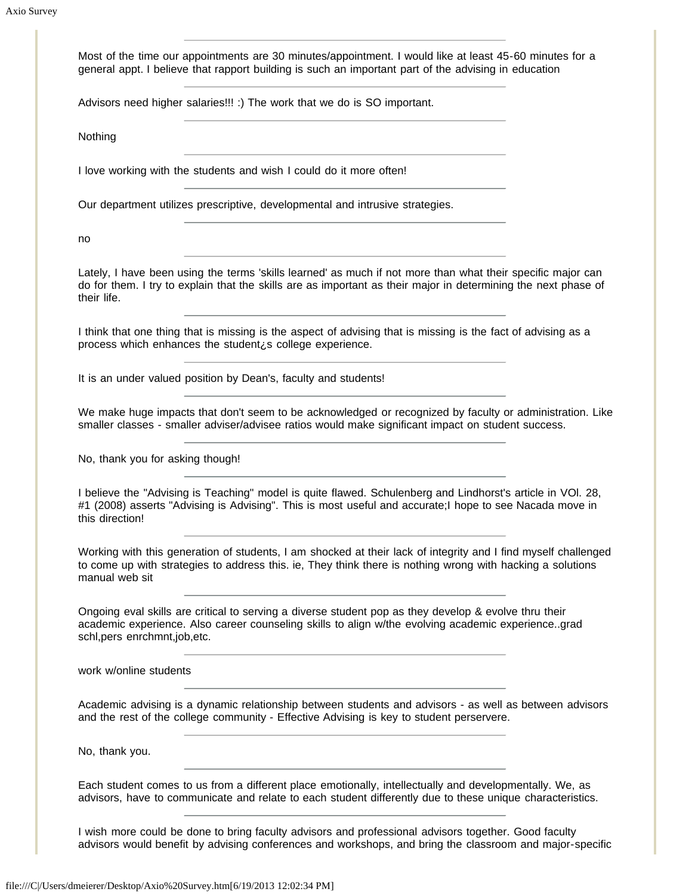| Most of the time our appointments are 30 minutes/appointment. I would like at least 45-60 minutes for a<br>general appt. I believe that rapport building is such an important part of the advising in education                                |
|------------------------------------------------------------------------------------------------------------------------------------------------------------------------------------------------------------------------------------------------|
| Advisors need higher salaries!!! :) The work that we do is SO important.                                                                                                                                                                       |
| Nothing                                                                                                                                                                                                                                        |
| I love working with the students and wish I could do it more often!                                                                                                                                                                            |
| Our department utilizes prescriptive, developmental and intrusive strategies.                                                                                                                                                                  |
| no                                                                                                                                                                                                                                             |
| Lately, I have been using the terms 'skills learned' as much if not more than what their specific major can<br>do for them. I try to explain that the skills are as important as their major in determining the next phase of<br>their life.   |
| I think that one thing that is missing is the aspect of advising that is missing is the fact of advising as a<br>process which enhances the student is college experience.                                                                     |
| It is an under valued position by Dean's, faculty and students!                                                                                                                                                                                |
| We make huge impacts that don't seem to be acknowledged or recognized by faculty or administration. Like<br>smaller classes - smaller adviser/advisee ratios would make significant impact on student success.                                 |
| No, thank you for asking though!                                                                                                                                                                                                               |
| I believe the "Advising is Teaching" model is quite flawed. Schulenberg and Lindhorst's article in VOI. 28,<br>#1 (2008) asserts "Advising is Advising". This is most useful and accurate; I hope to see Nacada move in<br>this direction!     |
| Working with this generation of students, I am shocked at their lack of integrity and I find myself challenged<br>to come up with strategies to address this. ie, They think there is nothing wrong with hacking a solutions<br>manual web sit |
| Ongoing eval skills are critical to serving a diverse student pop as they develop & evolve thru their<br>academic experience. Also career counseling skills to align w/the evolving academic experiencegrad<br>schl, pers enrchmnt, job, etc.  |
| work w/online students                                                                                                                                                                                                                         |
| Academic advising is a dynamic relationship between students and advisors - as well as between advisors<br>and the rest of the college community - Effective Advising is key to student perservere.                                            |
| No, thank you.                                                                                                                                                                                                                                 |
| Each student comes to us from a different place emotionally, intellectually and developmentally. We, as<br>advisors, have to communicate and relate to each student differently due to these unique characteristics.                           |
| I wish more could be done to bring faculty advisors and professional advisors together. Good faculty                                                                                                                                           |

advisors would benefit by advising conferences and workshops, and bring the classroom and major-specific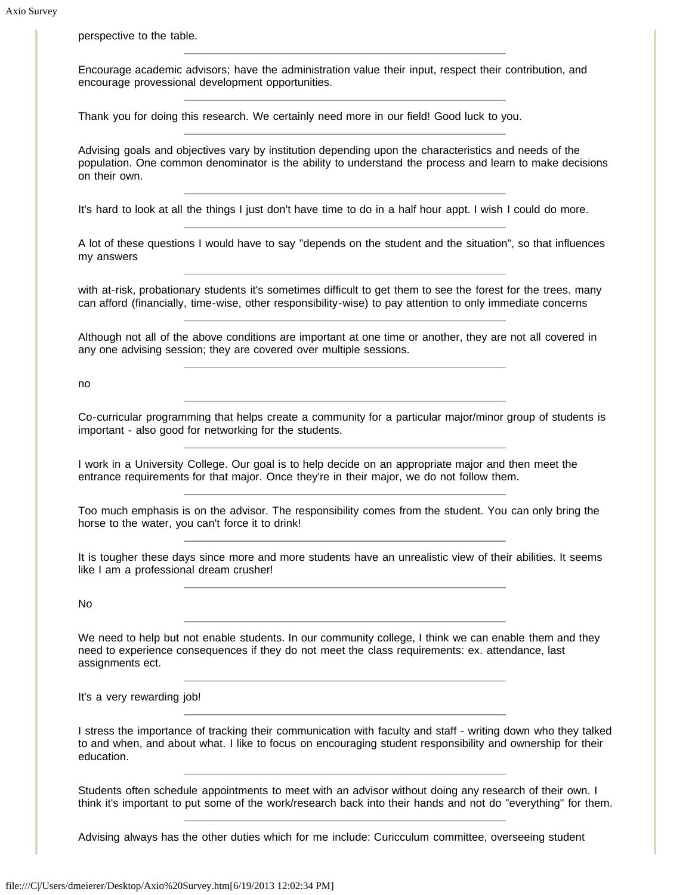perspective to the table.

Encourage academic advisors; have the administration value their input, respect their contribution, and encourage provessional development opportunities.

Thank you for doing this research. We certainly need more in our field! Good luck to you.

Advising goals and objectives vary by institution depending upon the characteristics and needs of the population. One common denominator is the ability to understand the process and learn to make decisions on their own.

It's hard to look at all the things I just don't have time to do in a half hour appt. I wish I could do more.

A lot of these questions I would have to say "depends on the student and the situation", so that influences my answers

with at-risk, probationary students it's sometimes difficult to get them to see the forest for the trees. many can afford (financially, time-wise, other responsibility-wise) to pay attention to only immediate concerns

Although not all of the above conditions are important at one time or another, they are not all covered in any one advising session; they are covered over multiple sessions.

no

Co-curricular programming that helps create a community for a particular major/minor group of students is important - also good for networking for the students.

I work in a University College. Our goal is to help decide on an appropriate major and then meet the entrance requirements for that major. Once they're in their major, we do not follow them.

Too much emphasis is on the advisor. The responsibility comes from the student. You can only bring the horse to the water, you can't force it to drink!

It is tougher these days since more and more students have an unrealistic view of their abilities. It seems like I am a professional dream crusher!

No

We need to help but not enable students. In our community college, I think we can enable them and they need to experience consequences if they do not meet the class requirements: ex. attendance, last assignments ect.

It's a very rewarding job!

I stress the importance of tracking their communication with faculty and staff - writing down who they talked to and when, and about what. I like to focus on encouraging student responsibility and ownership for their education.

Students often schedule appointments to meet with an advisor without doing any research of their own. I think it's important to put some of the work/research back into their hands and not do "everything" for them.

Advising always has the other duties which for me include: Curicculum committee, overseeing student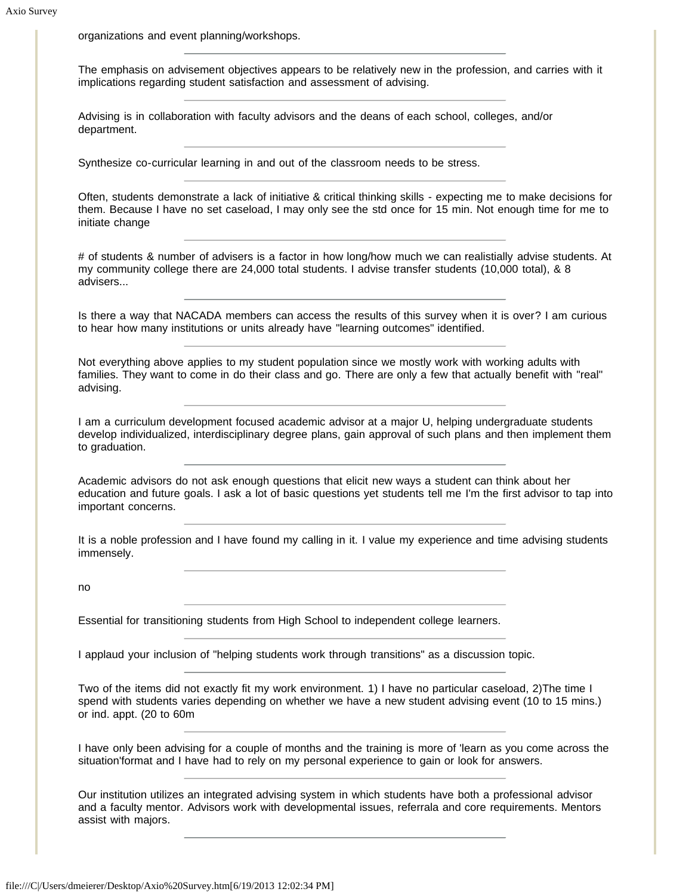organizations and event planning/workshops.

The emphasis on advisement objectives appears to be relatively new in the profession, and carries with it implications regarding student satisfaction and assessment of advising.

Advising is in collaboration with faculty advisors and the deans of each school, colleges, and/or department.

Synthesize co-curricular learning in and out of the classroom needs to be stress.

Often, students demonstrate a lack of initiative & critical thinking skills - expecting me to make decisions for them. Because I have no set caseload, I may only see the std once for 15 min. Not enough time for me to initiate change

# of students & number of advisers is a factor in how long/how much we can realistially advise students. At my community college there are 24,000 total students. I advise transfer students (10,000 total), & 8 advisers...

Is there a way that NACADA members can access the results of this survey when it is over? I am curious to hear how many institutions or units already have "learning outcomes" identified.

Not everything above applies to my student population since we mostly work with working adults with families. They want to come in do their class and go. There are only a few that actually benefit with "real" advising.

I am a curriculum development focused academic advisor at a major U, helping undergraduate students develop individualized, interdisciplinary degree plans, gain approval of such plans and then implement them to graduation.

Academic advisors do not ask enough questions that elicit new ways a student can think about her education and future goals. I ask a lot of basic questions yet students tell me I'm the first advisor to tap into important concerns.

It is a noble profession and I have found my calling in it. I value my experience and time advising students immensely.

no

Essential for transitioning students from High School to independent college learners.

I applaud your inclusion of "helping students work through transitions" as a discussion topic.

Two of the items did not exactly fit my work environment. 1) I have no particular caseload, 2)The time I spend with students varies depending on whether we have a new student advising event (10 to 15 mins.) or ind. appt. (20 to 60m

I have only been advising for a couple of months and the training is more of 'learn as you come across the situation'format and I have had to rely on my personal experience to gain or look for answers.

Our institution utilizes an integrated advising system in which students have both a professional advisor and a faculty mentor. Advisors work with developmental issues, referrala and core requirements. Mentors assist with majors.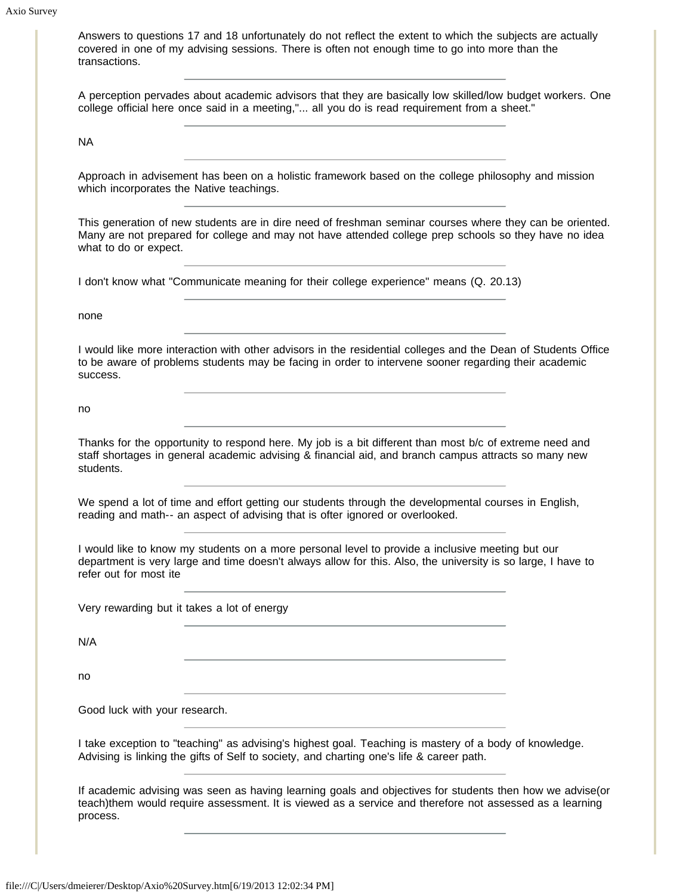|                                          | A perception pervades about academic advisors that they are basically low skilled/low budget workers. One<br>college official here once said in a meeting," all you do is read requirement from a sheet."             |  |
|------------------------------------------|-----------------------------------------------------------------------------------------------------------------------------------------------------------------------------------------------------------------------|--|
| <b>NA</b>                                |                                                                                                                                                                                                                       |  |
| which incorporates the Native teachings. | Approach in advisement has been on a holistic framework based on the college philosophy and mission                                                                                                                   |  |
| what to do or expect.                    | This generation of new students are in dire need of freshman seminar courses where they can be oriented.<br>Many are not prepared for college and may not have attended college prep schools so they have no idea     |  |
|                                          | I don't know what "Communicate meaning for their college experience" means (Q. 20.13)                                                                                                                                 |  |
| none                                     |                                                                                                                                                                                                                       |  |
| success.                                 | I would like more interaction with other advisors in the residential colleges and the Dean of Students Office<br>to be aware of problems students may be facing in order to intervene sooner regarding their academic |  |
| no                                       |                                                                                                                                                                                                                       |  |
| students.                                | Thanks for the opportunity to respond here. My job is a bit different than most b/c of extreme need and<br>staff shortages in general academic advising & financial aid, and branch campus attracts so many new       |  |
|                                          | We spend a lot of time and effort getting our students through the developmental courses in English,<br>reading and math-- an aspect of advising that is ofter ignored or overlooked.                                 |  |
| refer out for most ite                   | I would like to know my students on a more personal level to provide a inclusive meeting but our<br>department is very large and time doesn't always allow for this. Also, the university is so large, I have to      |  |
|                                          | Very rewarding but it takes a lot of energy                                                                                                                                                                           |  |
| N/A                                      |                                                                                                                                                                                                                       |  |
| no                                       |                                                                                                                                                                                                                       |  |
| Good luck with your research.            |                                                                                                                                                                                                                       |  |
|                                          | I take exception to "teaching" as advising's highest goal. Teaching is mastery of a body of knowledge.<br>Advising is linking the gifts of Self to society, and charting one's life & career path.                    |  |
|                                          | If academic advising was seen as having learning goals and objectives for students then how we advise(or<br>teach)them would require assessment. It is viewed as a service and therefore not assessed as a learning   |  |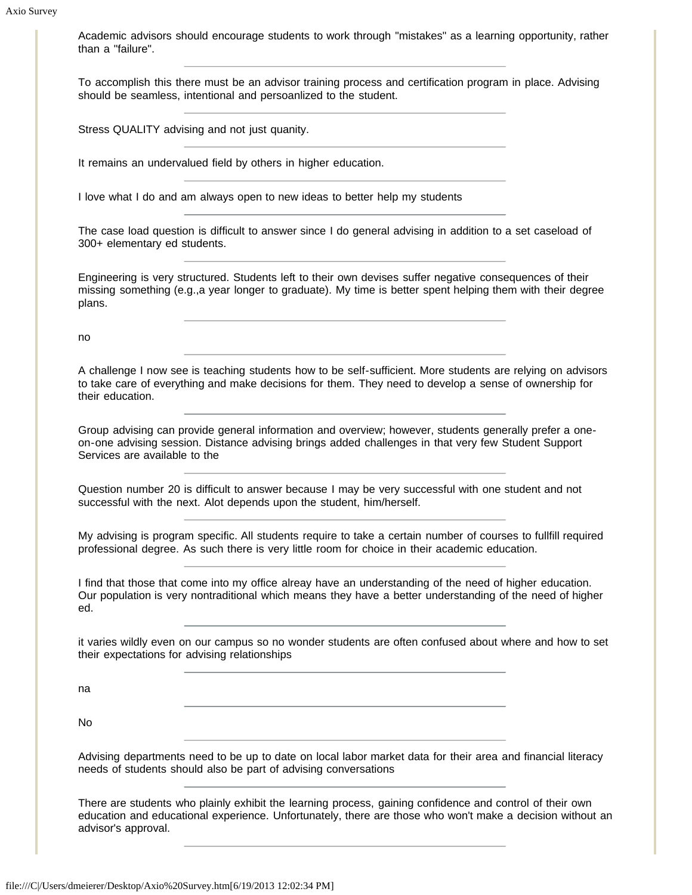Academic advisors should encourage students to work through "mistakes" as a learning opportunity, rather than a "failure".

To accomplish this there must be an advisor training process and certification program in place. Advising should be seamless, intentional and persoanlized to the student.

Stress QUALITY advising and not just quanity.

It remains an undervalued field by others in higher education.

I love what I do and am always open to new ideas to better help my students

The case load question is difficult to answer since I do general advising in addition to a set caseload of 300+ elementary ed students.

Engineering is very structured. Students left to their own devises suffer negative consequences of their missing something (e.g.,a year longer to graduate). My time is better spent helping them with their degree plans.

no

A challenge I now see is teaching students how to be self-sufficient. More students are relying on advisors to take care of everything and make decisions for them. They need to develop a sense of ownership for their education.

Group advising can provide general information and overview; however, students generally prefer a oneon-one advising session. Distance advising brings added challenges in that very few Student Support Services are available to the

Question number 20 is difficult to answer because I may be very successful with one student and not successful with the next. Alot depends upon the student, him/herself.

My advising is program specific. All students require to take a certain number of courses to fullfill required professional degree. As such there is very little room for choice in their academic education.

I find that those that come into my office alreay have an understanding of the need of higher education. Our population is very nontraditional which means they have a better understanding of the need of higher ed.

it varies wildly even on our campus so no wonder students are often confused about where and how to set their expectations for advising relationships

na

No

Advising departments need to be up to date on local labor market data for their area and financial literacy needs of students should also be part of advising conversations

There are students who plainly exhibit the learning process, gaining confidence and control of their own education and educational experience. Unfortunately, there are those who won't make a decision without an advisor's approval.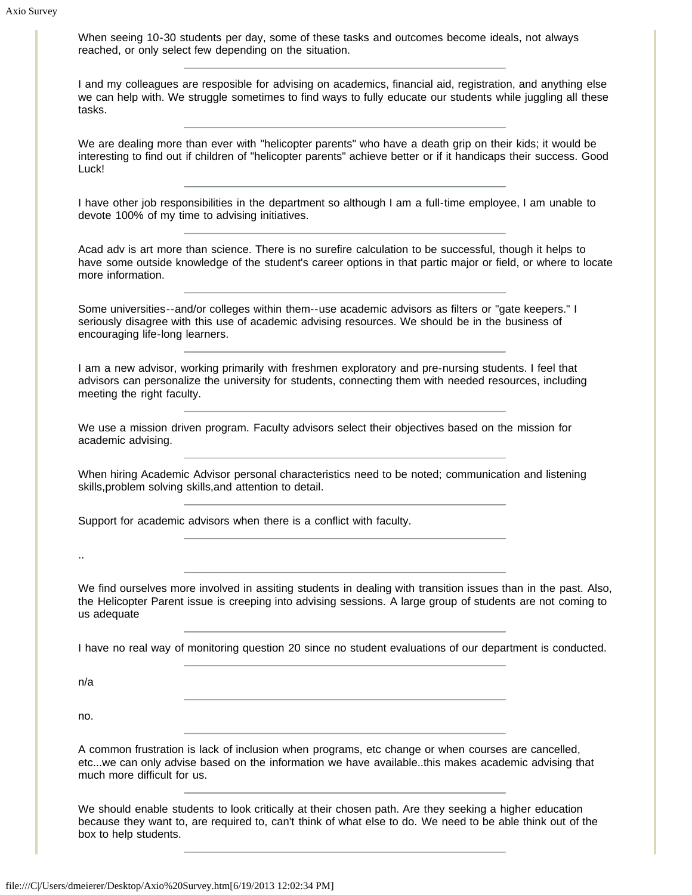When seeing 10-30 students per day, some of these tasks and outcomes become ideals, not always reached, or only select few depending on the situation.

I and my colleagues are resposible for advising on academics, financial aid, registration, and anything else we can help with. We struggle sometimes to find ways to fully educate our students while juggling all these tasks.

We are dealing more than ever with "helicopter parents" who have a death grip on their kids; it would be interesting to find out if children of "helicopter parents" achieve better or if it handicaps their success. Good Luck!

I have other job responsibilities in the department so although I am a full-time employee, I am unable to devote 100% of my time to advising initiatives.

Acad adv is art more than science. There is no surefire calculation to be successful, though it helps to have some outside knowledge of the student's career options in that partic major or field, or where to locate more information.

Some universities--and/or colleges within them--use academic advisors as filters or "gate keepers." I seriously disagree with this use of academic advising resources. We should be in the business of encouraging life-long learners.

I am a new advisor, working primarily with freshmen exploratory and pre-nursing students. I feel that advisors can personalize the university for students, connecting them with needed resources, including meeting the right faculty.

We use a mission driven program. Faculty advisors select their objectives based on the mission for academic advising.

When hiring Academic Advisor personal characteristics need to be noted; communication and listening skills,problem solving skills,and attention to detail.

Support for academic advisors when there is a conflict with faculty.

We find ourselves more involved in assiting students in dealing with transition issues than in the past. Also, the Helicopter Parent issue is creeping into advising sessions. A large group of students are not coming to us adequate

I have no real way of monitoring question 20 since no student evaluations of our department is conducted.

n/a

..

no.

A common frustration is lack of inclusion when programs, etc change or when courses are cancelled, etc...we can only advise based on the information we have available..this makes academic advising that much more difficult for us.

We should enable students to look critically at their chosen path. Are they seeking a higher education because they want to, are required to, can't think of what else to do. We need to be able think out of the box to help students.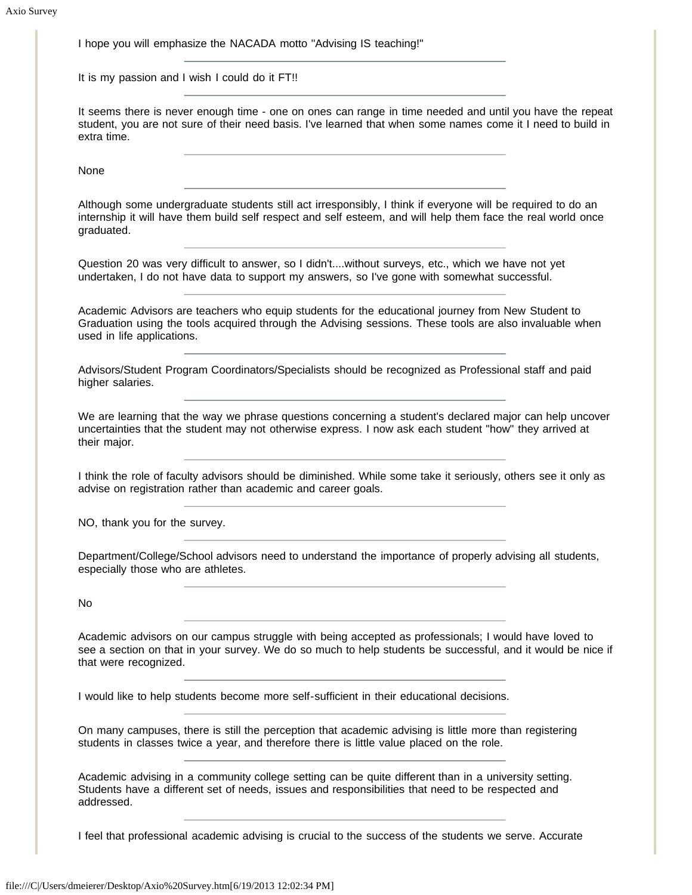I hope you will emphasize the NACADA motto "Advising IS teaching!"

It is my passion and I wish I could do it FT!!

It seems there is never enough time - one on ones can range in time needed and until you have the repeat student, you are not sure of their need basis. I've learned that when some names come it I need to build in extra time.

None

Although some undergraduate students still act irresponsibly, I think if everyone will be required to do an internship it will have them build self respect and self esteem, and will help them face the real world once graduated.

Question 20 was very difficult to answer, so I didn't....without surveys, etc., which we have not yet undertaken, I do not have data to support my answers, so I've gone with somewhat successful.

Academic Advisors are teachers who equip students for the educational journey from New Student to Graduation using the tools acquired through the Advising sessions. These tools are also invaluable when used in life applications.

Advisors/Student Program Coordinators/Specialists should be recognized as Professional staff and paid higher salaries.

We are learning that the way we phrase questions concerning a student's declared major can help uncover uncertainties that the student may not otherwise express. I now ask each student "how" they arrived at their major.

I think the role of faculty advisors should be diminished. While some take it seriously, others see it only as advise on registration rather than academic and career goals.

NO, thank you for the survey.

Department/College/School advisors need to understand the importance of properly advising all students, especially those who are athletes.

No

Academic advisors on our campus struggle with being accepted as professionals; I would have loved to see a section on that in your survey. We do so much to help students be successful, and it would be nice if that were recognized.

I would like to help students become more self-sufficient in their educational decisions.

On many campuses, there is still the perception that academic advising is little more than registering students in classes twice a year, and therefore there is little value placed on the role.

Academic advising in a community college setting can be quite different than in a university setting. Students have a different set of needs, issues and responsibilities that need to be respected and addressed.

I feel that professional academic advising is crucial to the success of the students we serve. Accurate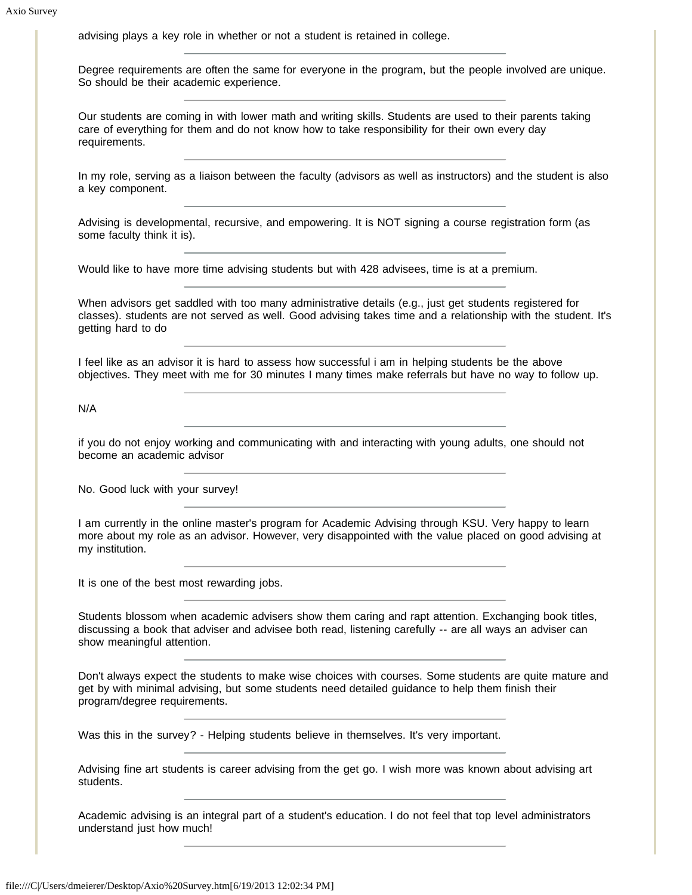advising plays a key role in whether or not a student is retained in college. Degree requirements are often the same for everyone in the program, but the people involved are unique. So should be their academic experience. Our students are coming in with lower math and writing skills. Students are used to their parents taking care of everything for them and do not know how to take responsibility for their own every day requirements. In my role, serving as a liaison between the faculty (advisors as well as instructors) and the student is also a key component. Advising is developmental, recursive, and empowering. It is NOT signing a course registration form (as some faculty think it is). Would like to have more time advising students but with 428 advisees, time is at a premium. When advisors get saddled with too many administrative details (e.g., just get students registered for classes). students are not served as well. Good advising takes time and a relationship with the student. It's getting hard to do I feel like as an advisor it is hard to assess how successful i am in helping students be the above objectives. They meet with me for 30 minutes I many times make referrals but have no way to follow up. N/A if you do not enjoy working and communicating with and interacting with young adults, one should not become an academic advisor No. Good luck with your survey! I am currently in the online master's program for Academic Advising through KSU. Very happy to learn more about my role as an advisor. However, very disappointed with the value placed on good advising at my institution. It is one of the best most rewarding jobs. Students blossom when academic advisers show them caring and rapt attention. Exchanging book titles, discussing a book that adviser and advisee both read, listening carefully -- are all ways an adviser can show meaningful attention. Don't always expect the students to make wise choices with courses. Some students are quite mature and get by with minimal advising, but some students need detailed guidance to help them finish their program/degree requirements. Was this in the survey? - Helping students believe in themselves. It's very important. Advising fine art students is career advising from the get go. I wish more was known about advising art students. Academic advising is an integral part of a student's education. I do not feel that top level administrators understand just how much!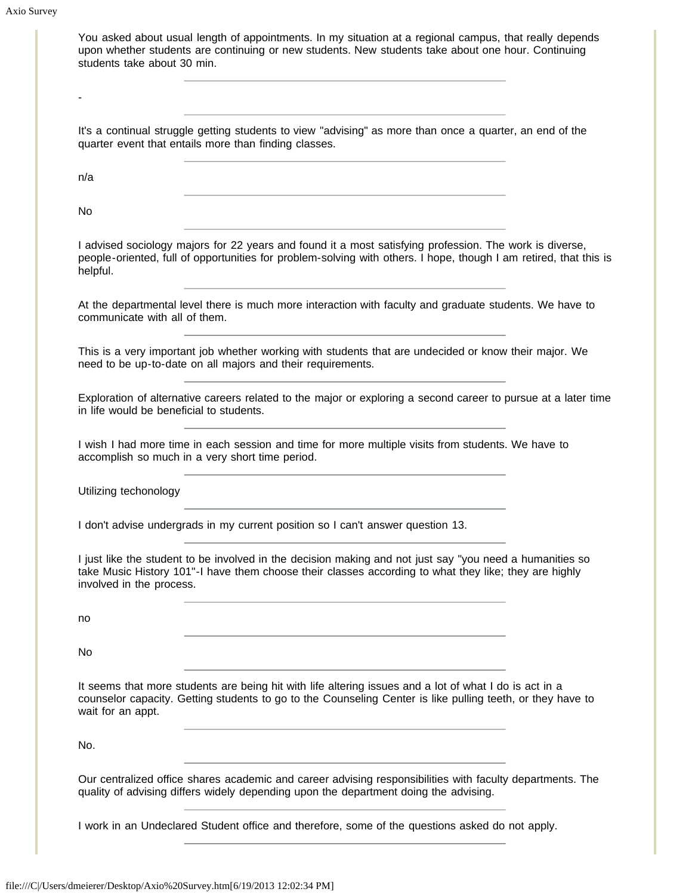Axio Survey

|                                          | <u> 1980 - Johann Stoff, deutscher Stoff, der Stoff, der Stoff, der Stoff, der Stoff, der Stoff, der Stoff, der S</u><br>It's a continual struggle getting students to view "advising" as more than once a quarter, an end of the<br>quarter event that entails more than finding classes.                                                                                                                                                            |  |
|------------------------------------------|-------------------------------------------------------------------------------------------------------------------------------------------------------------------------------------------------------------------------------------------------------------------------------------------------------------------------------------------------------------------------------------------------------------------------------------------------------|--|
| n/a                                      | <u> 1989 - Johann Barbara, martxa alemaniar arg</u>                                                                                                                                                                                                                                                                                                                                                                                                   |  |
| No.                                      |                                                                                                                                                                                                                                                                                                                                                                                                                                                       |  |
| helpful.                                 | I advised sociology majors for 22 years and found it a most satisfying profession. The work is diverse,<br>people-oriented, full of opportunities for problem-solving with others. I hope, though I am retired, that this is<br><u> 1989 - Johann Stein, marwolaethau a bhann an t-Amhair ann an t-Amhair an t-Amhair an t-Amhair an t-Amhair an</u>                                                                                                  |  |
| communicate with all of them.            | At the departmental level there is much more interaction with faculty and graduate students. We have to<br>the control of the control of the control of the control of the control of the control of                                                                                                                                                                                                                                                  |  |
|                                          | This is a very important job whether working with students that are undecided or know their major. We<br>need to be up-to-date on all majors and their requirements.                                                                                                                                                                                                                                                                                  |  |
| in life would be beneficial to students. | Exploration of alternative careers related to the major or exploring a second career to pursue at a later time                                                                                                                                                                                                                                                                                                                                        |  |
|                                          | I wish I had more time in each session and time for more multiple visits from students. We have to<br>accomplish so much in a very short time period.                                                                                                                                                                                                                                                                                                 |  |
| Utilizing techonology                    | <u> 1989 - Johann Barn, amerikansk politiker (</u>                                                                                                                                                                                                                                                                                                                                                                                                    |  |
|                                          | I don't advise undergrads in my current position so I can't answer question 13.                                                                                                                                                                                                                                                                                                                                                                       |  |
|                                          | I just like the student to be involved in the decision making and not just say "you need a humanities so<br>take Music History 101"-I have them choose their classes according to what they like; they are highly                                                                                                                                                                                                                                     |  |
| involved in the process.                 |                                                                                                                                                                                                                                                                                                                                                                                                                                                       |  |
| no                                       |                                                                                                                                                                                                                                                                                                                                                                                                                                                       |  |
|                                          | <u> 1980 - Johann Barn, amerikan bestemannten bestemannten bestemannten bestemannten bestemannten bestemannten b</u>                                                                                                                                                                                                                                                                                                                                  |  |
| No<br>wait for an appt.                  | the control of the control of the control of the control of the control of the control of the control of the control of the control of the control of the control of the control of the control of the control of the control<br>It seems that more students are being hit with life altering issues and a lot of what I do is act in a<br>counselor capacity. Getting students to go to the Counseling Center is like pulling teeth, or they have to |  |
| No.                                      |                                                                                                                                                                                                                                                                                                                                                                                                                                                       |  |
|                                          | Our centralized office shares academic and career advising responsibilities with faculty departments. The<br>quality of advising differs widely depending upon the department doing the advising.                                                                                                                                                                                                                                                     |  |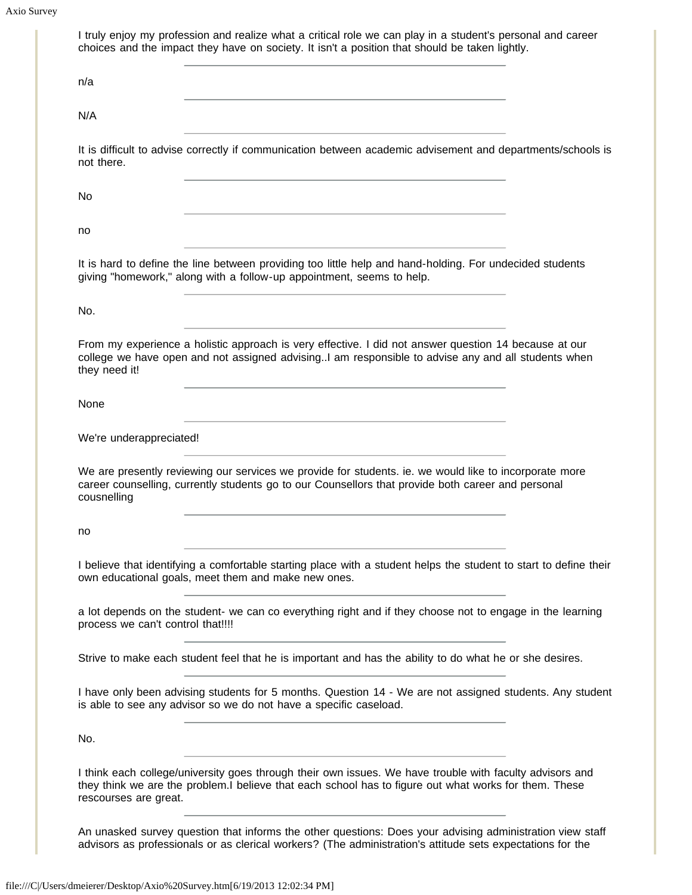| n/a                               |                                                                                                                                                                                                                                          |
|-----------------------------------|------------------------------------------------------------------------------------------------------------------------------------------------------------------------------------------------------------------------------------------|
|                                   | <u> 1980 - Johann Barn, mars an t-Amerikaansk politiker (* 1918)</u>                                                                                                                                                                     |
| N/A                               |                                                                                                                                                                                                                                          |
| not there.                        | It is difficult to advise correctly if communication between academic advisement and departments/schools is                                                                                                                              |
| No                                |                                                                                                                                                                                                                                          |
| no                                |                                                                                                                                                                                                                                          |
|                                   | <u> 1980 - Johann Barbara, martxa alemaniar arg</u><br>It is hard to define the line between providing too little help and hand-holding. For undecided students<br>giving "homework," along with a follow-up appointment, seems to help. |
| No.                               | <u> 1989 - Johann Stoff, fransk politik (d. 1989)</u>                                                                                                                                                                                    |
| they need it!                     | From my experience a holistic approach is very effective. I did not answer question 14 because at our<br>college we have open and not assigned advising. I am responsible to advise any and all students when                            |
| None                              |                                                                                                                                                                                                                                          |
| We're underappreciated!           |                                                                                                                                                                                                                                          |
| cousnelling                       | We are presently reviewing our services we provide for students. ie. we would like to incorporate more<br>career counselling, currently students go to our Counsellors that provide both career and personal                             |
| no                                |                                                                                                                                                                                                                                          |
|                                   | I believe that identifying a comfortable starting place with a student helps the student to start to define their<br>own educational goals, meet them and make new ones.                                                                 |
| process we can't control that!!!! | a lot depends on the student- we can co everything right and if they choose not to engage in the learning                                                                                                                                |
|                                   | Strive to make each student feel that he is important and has the ability to do what he or she desires.                                                                                                                                  |
|                                   | I have only been advising students for 5 months. Question 14 - We are not assigned students. Any student                                                                                                                                 |
|                                   | is able to see any advisor so we do not have a specific caseload.                                                                                                                                                                        |
| No.                               |                                                                                                                                                                                                                                          |

advisors as professionals or as clerical workers? (The administration's attitude sets expectations for the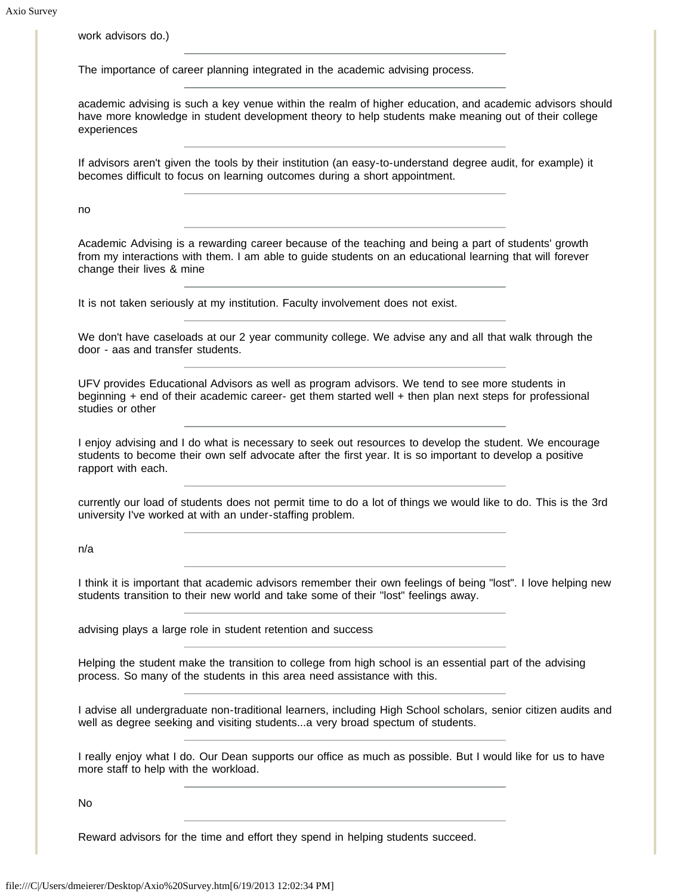work advisors do.)

The importance of career planning integrated in the academic advising process.

academic advising is such a key venue within the realm of higher education, and academic advisors should have more knowledge in student development theory to help students make meaning out of their college experiences

If advisors aren't given the tools by their institution (an easy-to-understand degree audit, for example) it becomes difficult to focus on learning outcomes during a short appointment.

no

Academic Advising is a rewarding career because of the teaching and being a part of students' growth from my interactions with them. I am able to guide students on an educational learning that will forever change their lives & mine

It is not taken seriously at my institution. Faculty involvement does not exist.

We don't have caseloads at our 2 year community college. We advise any and all that walk through the door - aas and transfer students.

UFV provides Educational Advisors as well as program advisors. We tend to see more students in beginning + end of their academic career- get them started well + then plan next steps for professional studies or other

I enjoy advising and I do what is necessary to seek out resources to develop the student. We encourage students to become their own self advocate after the first year. It is so important to develop a positive rapport with each.

currently our load of students does not permit time to do a lot of things we would like to do. This is the 3rd university I've worked at with an under-staffing problem.

n/a

I think it is important that academic advisors remember their own feelings of being "lost". I love helping new students transition to their new world and take some of their "lost" feelings away.

advising plays a large role in student retention and success

Helping the student make the transition to college from high school is an essential part of the advising process. So many of the students in this area need assistance with this.

I advise all undergraduate non-traditional learners, including High School scholars, senior citizen audits and well as degree seeking and visiting students...a very broad spectum of students.

I really enjoy what I do. Our Dean supports our office as much as possible. But I would like for us to have more staff to help with the workload.

No

Reward advisors for the time and effort they spend in helping students succeed.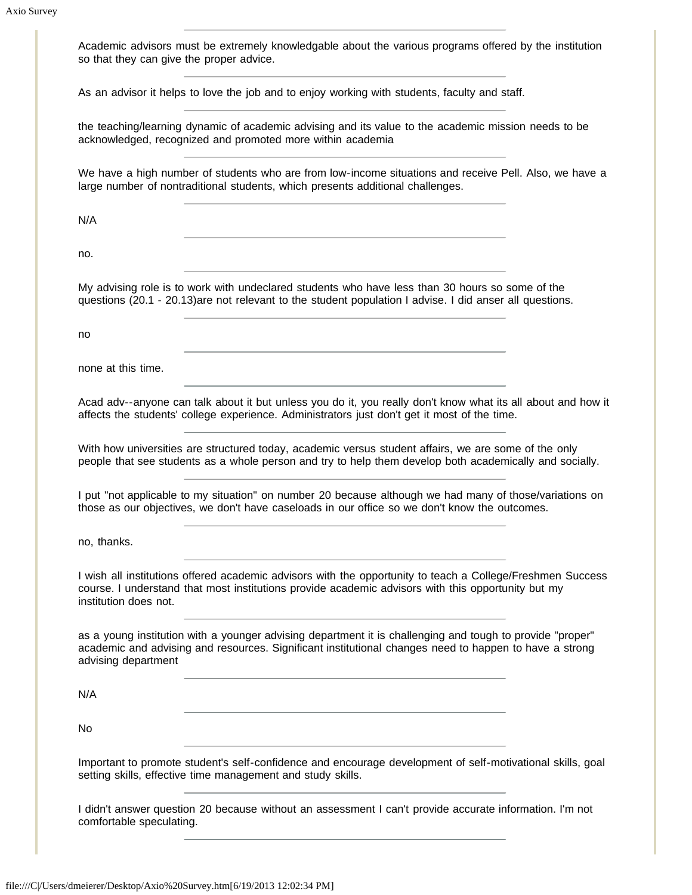| Academic advisors must be extremely knowledgable about the various programs offered by the institution<br>so that they can give the proper advice.                                                                                         |
|--------------------------------------------------------------------------------------------------------------------------------------------------------------------------------------------------------------------------------------------|
| As an advisor it helps to love the job and to enjoy working with students, faculty and staff.                                                                                                                                              |
| the teaching/learning dynamic of academic advising and its value to the academic mission needs to be<br>acknowledged, recognized and promoted more within academia                                                                         |
| We have a high number of students who are from low-income situations and receive Pell. Also, we have a<br>large number of nontraditional students, which presents additional challenges.                                                   |
| N/A                                                                                                                                                                                                                                        |
| no.                                                                                                                                                                                                                                        |
| My advising role is to work with undeclared students who have less than 30 hours so some of the<br>questions (20.1 - 20.13)are not relevant to the student population I advise. I did anser all questions.                                 |
| no                                                                                                                                                                                                                                         |
| none at this time.                                                                                                                                                                                                                         |
| Acad adv--anyone can talk about it but unless you do it, you really don't know what its all about and how it<br>affects the students' college experience. Administrators just don't get it most of the time.                               |
| With how universities are structured today, academic versus student affairs, we are some of the only<br>people that see students as a whole person and try to help them develop both academically and socially.                            |
| I put "not applicable to my situation" on number 20 because although we had many of those/variations on<br>those as our objectives, we don't have caseloads in our office so we don't know the outcomes.                                   |
| no, thanks.                                                                                                                                                                                                                                |
| I wish all institutions offered academic advisors with the opportunity to teach a College/Freshmen Success<br>course. I understand that most institutions provide academic advisors with this opportunity but my<br>institution does not.  |
| as a young institution with a younger advising department it is challenging and tough to provide "proper"<br>academic and advising and resources. Significant institutional changes need to happen to have a strong<br>advising department |
| N/A                                                                                                                                                                                                                                        |
| No                                                                                                                                                                                                                                         |
| Important to promote student's self-confidence and encourage development of self-motivational skills, goal<br>setting skills, effective time management and study skills.                                                                  |
| I didn't answer question 20 because without an assessment I can't provide accurate information. I'm not<br>comfortable speculating.                                                                                                        |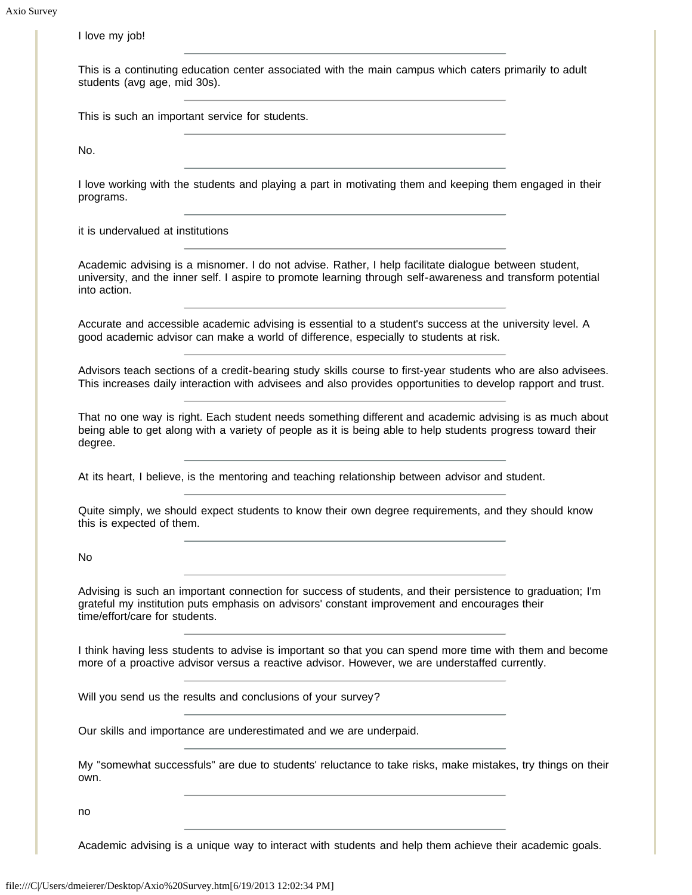I love my job! This is a continuting education center associated with the main campus which caters primarily to adult students (avg age, mid 30s). This is such an important service for students. No. I love working with the students and playing a part in motivating them and keeping them engaged in their programs. it is undervalued at institutions Academic advising is a misnomer. I do not advise. Rather, I help facilitate dialogue between student, university, and the inner self. I aspire to promote learning through self-awareness and transform potential into action. Accurate and accessible academic advising is essential to a student's success at the university level. A good academic advisor can make a world of difference, especially to students at risk. Advisors teach sections of a credit-bearing study skills course to first-year students who are also advisees. This increases daily interaction with advisees and also provides opportunities to develop rapport and trust. That no one way is right. Each student needs something different and academic advising is as much about being able to get along with a variety of people as it is being able to help students progress toward their degree. At its heart, I believe, is the mentoring and teaching relationship between advisor and student. Quite simply, we should expect students to know their own degree requirements, and they should know this is expected of them. No Advising is such an important connection for success of students, and their persistence to graduation; I'm grateful my institution puts emphasis on advisors' constant improvement and encourages their time/effort/care for students. I think having less students to advise is important so that you can spend more time with them and become more of a proactive advisor versus a reactive advisor. However, we are understaffed currently. Will you send us the results and conclusions of your survey? Our skills and importance are underestimated and we are underpaid. My "somewhat successfuls" are due to students' reluctance to take risks, make mistakes, try things on their own. no

Academic advising is a unique way to interact with students and help them achieve their academic goals.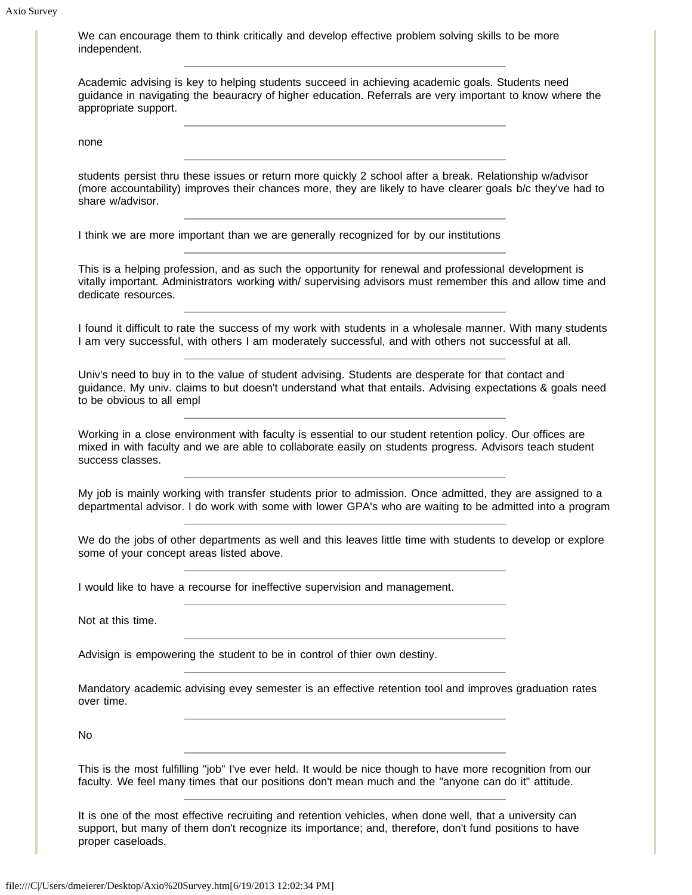We can encourage them to think critically and develop effective problem solving skills to be more independent.

Academic advising is key to helping students succeed in achieving academic goals. Students need guidance in navigating the beauracry of higher education. Referrals are very important to know where the appropriate support.

none

students persist thru these issues or return more quickly 2 school after a break. Relationship w/advisor (more accountability) improves their chances more, they are likely to have clearer goals b/c they've had to share w/advisor.

I think we are more important than we are generally recognized for by our institutions

This is a helping profession, and as such the opportunity for renewal and professional development is vitally important. Administrators working with/ supervising advisors must remember this and allow time and dedicate resources.

I found it difficult to rate the success of my work with students in a wholesale manner. With many students I am very successful, with others I am moderately successful, and with others not successful at all.

Univ's need to buy in to the value of student advising. Students are desperate for that contact and guidance. My univ. claims to but doesn't understand what that entails. Advising expectations & goals need to be obvious to all empl

Working in a close environment with faculty is essential to our student retention policy. Our offices are mixed in with faculty and we are able to collaborate easily on students progress. Advisors teach student success classes.

My job is mainly working with transfer students prior to admission. Once admitted, they are assigned to a departmental advisor. I do work with some with lower GPA's who are waiting to be admitted into a program

We do the jobs of other departments as well and this leaves little time with students to develop or explore some of your concept areas listed above.

I would like to have a recourse for ineffective supervision and management.

Not at this time.

Advisign is empowering the student to be in control of thier own destiny.

Mandatory academic advising evey semester is an effective retention tool and improves graduation rates over time.

No

This is the most fulfilling "job" I've ever held. It would be nice though to have more recognition from our faculty. We feel many times that our positions don't mean much and the "anyone can do it" attitude.

It is one of the most effective recruiting and retention vehicles, when done well, that a university can support, but many of them don't recognize its importance; and, therefore, don't fund positions to have proper caseloads.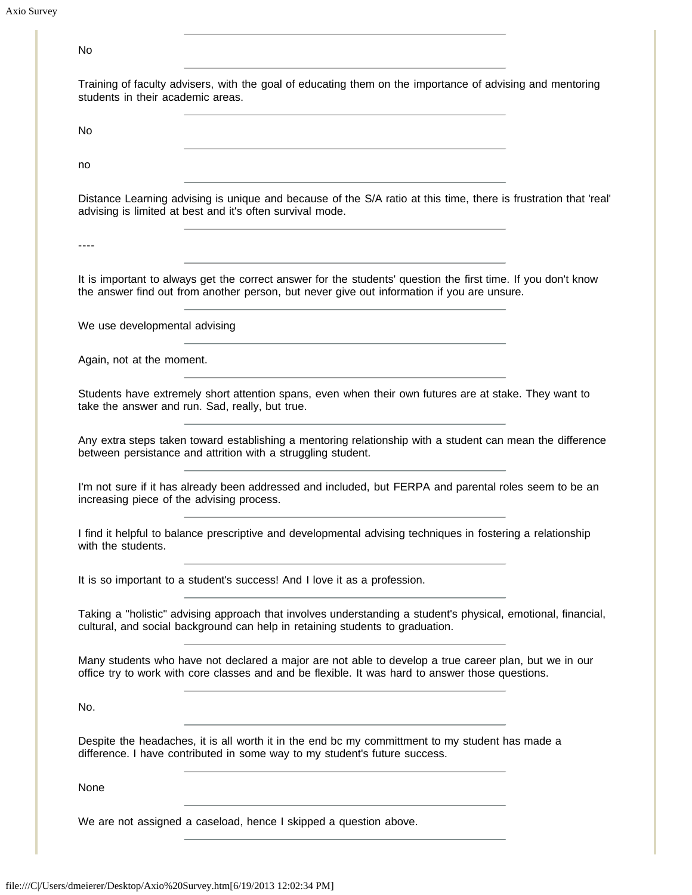Axio Survey

| students in their academic areas. | Training of faculty advisers, with the goal of educating them on the importance of advising and mentoring                                                                                                   |  |
|-----------------------------------|-------------------------------------------------------------------------------------------------------------------------------------------------------------------------------------------------------------|--|
| No.                               |                                                                                                                                                                                                             |  |
| no                                | the control of the control of the control of the control of the                                                                                                                                             |  |
|                                   | Distance Learning advising is unique and because of the S/A ratio at this time, there is frustration that 'real'<br>advising is limited at best and it's often survival mode.                               |  |
| ----                              | <u> 1989 - Johann Barbara, martxa alemaniar arg</u>                                                                                                                                                         |  |
|                                   | It is important to always get the correct answer for the students' question the first time. If you don't know<br>the answer find out from another person, but never give out information if you are unsure. |  |
| We use developmental advising     |                                                                                                                                                                                                             |  |
| Again, not at the moment.         |                                                                                                                                                                                                             |  |
|                                   | Students have extremely short attention spans, even when their own futures are at stake. They want to<br>take the answer and run. Sad, really, but true.                                                    |  |
|                                   |                                                                                                                                                                                                             |  |
|                                   | Any extra steps taken toward establishing a mentoring relationship with a student can mean the difference<br>between persistance and attrition with a struggling student.                                   |  |
|                                   | I'm not sure if it has already been addressed and included, but FERPA and parental roles seem to be an<br>increasing piece of the advising process.                                                         |  |
| with the students.                | I find it helpful to balance prescriptive and developmental advising techniques in fostering a relationship                                                                                                 |  |
|                                   | It is so important to a student's success! And I love it as a profession.                                                                                                                                   |  |
|                                   | Taking a "holistic" advising approach that involves understanding a student's physical, emotional, financial,<br>cultural, and social background can help in retaining students to graduation.              |  |
|                                   | Many students who have not declared a major are not able to develop a true career plan, but we in our<br>office try to work with core classes and and be flexible. It was hard to answer those questions.   |  |
| No.                               |                                                                                                                                                                                                             |  |
|                                   | Despite the headaches, it is all worth it in the end bc my committment to my student has made a<br>difference. I have contributed in some way to my student's future success.                               |  |